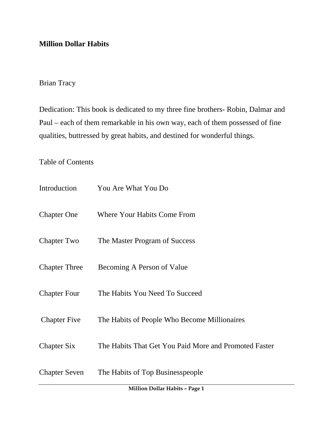#### **Million Dollar Habits**

#### Brian Tracy

Dedication: This book is dedicated to my three fine brothers- Robin, Dalmar and Paul – each of them remarkable in his own way, each of them possessed of fine qualities, buttressed by great habits, and destined for wonderful things.

Table of Contents

| Introduction                 | You Are What You Do                                   |  |
|------------------------------|-------------------------------------------------------|--|
| <b>Chapter One</b>           | <b>Where Your Habits Come From</b>                    |  |
| <b>Chapter Two</b>           | The Master Program of Success                         |  |
| <b>Chapter Three</b>         | Becoming A Person of Value                            |  |
| <b>Chapter Four</b>          | The Habits You Need To Succeed                        |  |
| <b>Chapter Five</b>          | The Habits of People Who Become Millionaires          |  |
| <b>Chapter Six</b>           | The Habits That Get You Paid More and Promoted Faster |  |
| <b>Chapter Seven</b>         | The Habits of Top Businesspeople                      |  |
| Million Dollar Habite Dago 1 |                                                       |  |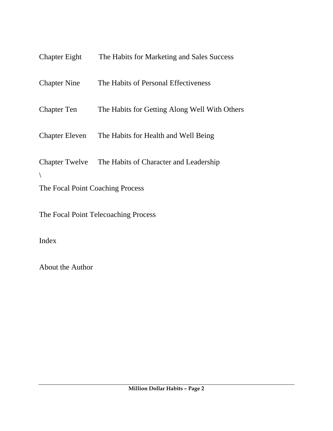| <b>Chapter Eight</b>                 | The Habits for Marketing and Sales Success            |  |
|--------------------------------------|-------------------------------------------------------|--|
| <b>Chapter Nine</b>                  | The Habits of Personal Effectiveness                  |  |
| <b>Chapter Ten</b>                   | The Habits for Getting Along Well With Others         |  |
|                                      | Chapter Eleven The Habits for Health and Well Being   |  |
| $\setminus$                          | Chapter Twelve The Habits of Character and Leadership |  |
| The Focal Point Coaching Process     |                                                       |  |
| The Focal Point Telecoaching Process |                                                       |  |

Index

About the Author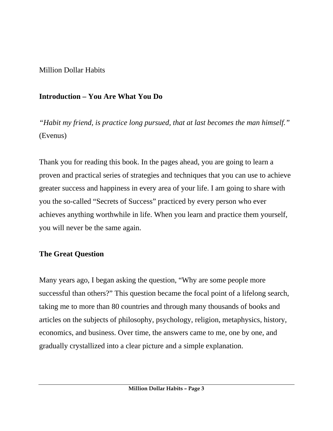Million Dollar Habits

## **Introduction – You Are What You Do**

*"Habit my friend, is practice long pursued, that at last becomes the man himself."* (Evenus)

Thank you for reading this book. In the pages ahead, you are going to learn a proven and practical series of strategies and techniques that you can use to achieve greater success and happiness in every area of your life. I am going to share with you the so-called "Secrets of Success" practiced by every person who ever achieves anything worthwhile in life. When you learn and practice them yourself, you will never be the same again.

# **The Great Question**

Many years ago, I began asking the question, "Why are some people more successful than others?" This question became the focal point of a lifelong search, taking me to more than 80 countries and through many thousands of books and articles on the subjects of philosophy, psychology, religion, metaphysics, history, economics, and business. Over time, the answers came to me, one by one, and gradually crystallized into a clear picture and a simple explanation.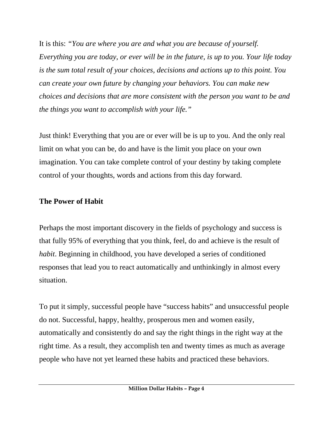It is this: *"You are where you are and what you are because of yourself. Everything you are today, or ever will be in the future, is up to you. Your life today is the sum total result of your choices, decisions and actions up to this point. You can create your own future by changing your behaviors. You can make new choices and decisions that are more consistent with the person you want to be and the things you want to accomplish with your life."* 

Just think! Everything that you are or ever will be is up to you. And the only real limit on what you can be, do and have is the limit you place on your own imagination. You can take complete control of your destiny by taking complete control of your thoughts, words and actions from this day forward.

### **The Power of Habit**

Perhaps the most important discovery in the fields of psychology and success is that fully 95% of everything that you think, feel, do and achieve is the result of *habit*. Beginning in childhood, you have developed a series of conditioned responses that lead you to react automatically and unthinkingly in almost every situation.

To put it simply, successful people have "success habits" and unsuccessful people do not. Successful, happy, healthy, prosperous men and women easily, automatically and consistently do and say the right things in the right way at the right time. As a result, they accomplish ten and twenty times as much as average people who have not yet learned these habits and practiced these behaviors.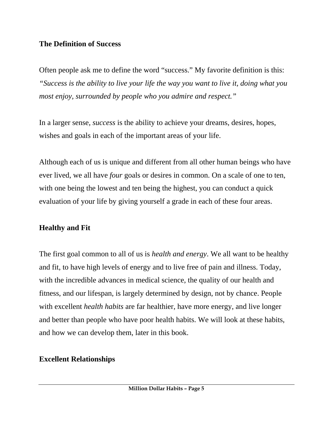### **The Definition of Success**

Often people ask me to define the word "success." My favorite definition is this: *"Success is the ability to live your life the way you want to live it, doing what you most enjoy, surrounded by people who you admire and respect."* 

In a larger sense, *success* is the ability to achieve your dreams, desires, hopes, wishes and goals in each of the important areas of your life.

Although each of us is unique and different from all other human beings who have ever lived, we all have *four* goals or desires in common. On a scale of one to ten, with one being the lowest and ten being the highest, you can conduct a quick evaluation of your life by giving yourself a grade in each of these four areas.

### **Healthy and Fit**

The first goal common to all of us is *health and energy*. We all want to be healthy and fit, to have high levels of energy and to live free of pain and illness. Today, with the incredible advances in medical science, the quality of our health and fitness, and our lifespan, is largely determined by design, not by chance. People with excellent *health habits* are far healthier, have more energy, and live longer and better than people who have poor health habits. We will look at these habits, and how we can develop them, later in this book.

## **Excellent Relationships**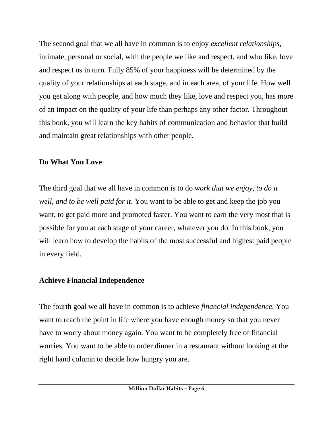The second goal that we all have in common is to enjoy *excellent relationships,* intimate, personal or social, with the people we like and respect, and who like, love and respect us in turn. Fully 85% of your happiness will be determined by the quality of your relationships at each stage, and in each area, of your life. How well you get along with people, and how much they like, love and respect you, has more of an impact on the quality of your life than perhaps any other factor. Throughout this book, you will learn the key habits of communication and behavior that build and maintain great relationships with other people.

## **Do What You Love**

The third goal that we all have in common is to do *work that we enjoy, to do it well, and to be well paid for it*. You want to be able to get and keep the job you want, to get paid more and promoted faster. You want to earn the very most that is possible for you at each stage of your career, whatever you do. In this book, you will learn how to develop the habits of the most successful and highest paid people in every field.

# **Achieve Financial Independence**

The fourth goal we all have in common is to achieve *financial independence*. You want to reach the point in life where you have enough money so that you never have to worry about money again. You want to be completely free of financial worries. You want to be able to order dinner in a restaurant without looking at the right hand column to decide how hungry you are.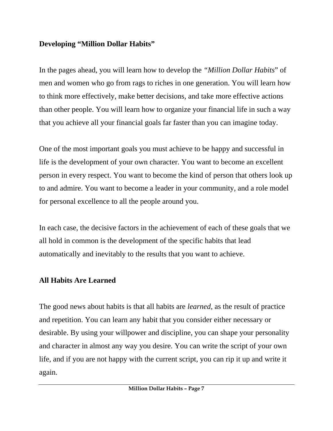### **Developing "Million Dollar Habits"**

In the pages ahead, you will learn how to develop the *"Million Dollar Habits*" of men and women who go from rags to riches in one generation. You will learn how to think more effectively, make better decisions, and take more effective actions than other people. You will learn how to organize your financial life in such a way that you achieve all your financial goals far faster than you can imagine today.

One of the most important goals you must achieve to be happy and successful in life is the development of your own character. You want to become an excellent person in every respect. You want to become the kind of person that others look up to and admire. You want to become a leader in your community, and a role model for personal excellence to all the people around you.

In each case, the decisive factors in the achievement of each of these goals that we all hold in common is the development of the specific habits that lead automatically and inevitably to the results that you want to achieve.

# **All Habits Are Learned**

The good news about habits is that all habits are *learned*, as the result of practice and repetition. You can learn any habit that you consider either necessary or desirable. By using your willpower and discipline, you can shape your personality and character in almost any way you desire. You can write the script of your own life, and if you are not happy with the current script, you can rip it up and write it again.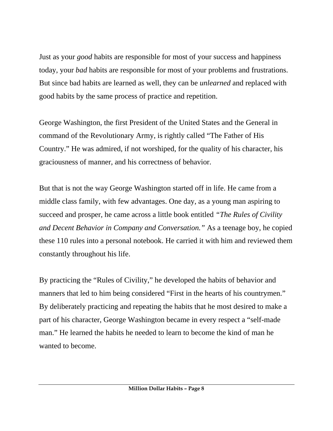Just as your *good* habits are responsible for most of your success and happiness today, your *bad* habits are responsible for most of your problems and frustrations. But since bad habits are learned as well, they can be *unlearned* and replaced with good habits by the same process of practice and repetition.

George Washington, the first President of the United States and the General in command of the Revolutionary Army, is rightly called "The Father of His Country." He was admired, if not worshiped, for the quality of his character, his graciousness of manner, and his correctness of behavior.

But that is not the way George Washington started off in life. He came from a middle class family, with few advantages. One day, as a young man aspiring to succeed and prosper, he came across a little book entitled *"The Rules of Civility and Decent Behavior in Company and Conversation."* As a teenage boy, he copied these 110 rules into a personal notebook. He carried it with him and reviewed them constantly throughout his life.

By practicing the "Rules of Civility," he developed the habits of behavior and manners that led to him being considered "First in the hearts of his countrymen." By deliberately practicing and repeating the habits that he most desired to make a part of his character, George Washington became in every respect a "self-made man." He learned the habits he needed to learn to become the kind of man he wanted to become.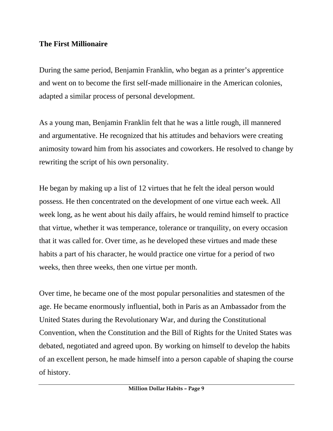### **The First Millionaire**

During the same period, Benjamin Franklin, who began as a printer's apprentice and went on to become the first self-made millionaire in the American colonies, adapted a similar process of personal development.

As a young man, Benjamin Franklin felt that he was a little rough, ill mannered and argumentative. He recognized that his attitudes and behaviors were creating animosity toward him from his associates and coworkers. He resolved to change by rewriting the script of his own personality.

He began by making up a list of 12 virtues that he felt the ideal person would possess. He then concentrated on the development of one virtue each week. All week long, as he went about his daily affairs, he would remind himself to practice that virtue, whether it was temperance, tolerance or tranquility, on every occasion that it was called for. Over time, as he developed these virtues and made these habits a part of his character, he would practice one virtue for a period of two weeks, then three weeks, then one virtue per month.

Over time, he became one of the most popular personalities and statesmen of the age. He became enormously influential, both in Paris as an Ambassador from the United States during the Revolutionary War, and during the Constitutional Convention, when the Constitution and the Bill of Rights for the United States was debated, negotiated and agreed upon. By working on himself to develop the habits of an excellent person, he made himself into a person capable of shaping the course of history.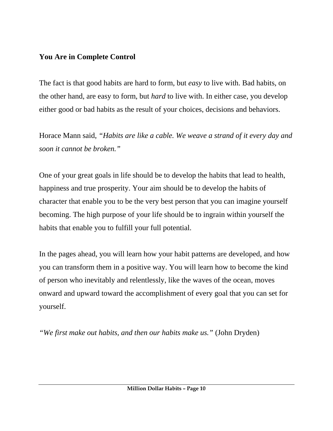### **You Are in Complete Control**

The fact is that good habits are hard to form, but *easy* to live with. Bad habits, on the other hand, are easy to form, but *hard* to live with. In either case, you develop either good or bad habits as the result of your choices, decisions and behaviors.

Horace Mann said, *"Habits are like a cable. We weave a strand of it every day and soon it cannot be broken."* 

One of your great goals in life should be to develop the habits that lead to health, happiness and true prosperity. Your aim should be to develop the habits of character that enable you to be the very best person that you can imagine yourself becoming. The high purpose of your life should be to ingrain within yourself the habits that enable you to fulfill your full potential.

In the pages ahead, you will learn how your habit patterns are developed, and how you can transform them in a positive way. You will learn how to become the kind of person who inevitably and relentlessly, like the waves of the ocean, moves onward and upward toward the accomplishment of every goal that you can set for yourself.

*"We first make out habits, and then our habits make us."* (John Dryden)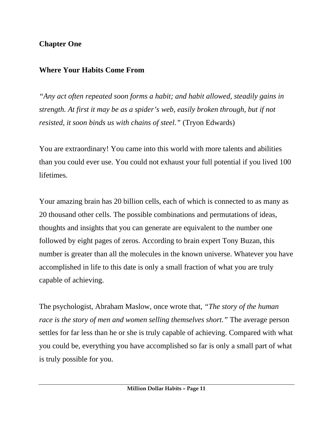#### **Chapter One**

### **Where Your Habits Come From**

*"Any act often repeated soon forms a habit; and habit allowed, steadily gains in strength. At first it may be as a spider's web, easily broken through, but if not resisted, it soon binds us with chains of steel."* (Tryon Edwards)

You are extraordinary! You came into this world with more talents and abilities than you could ever use. You could not exhaust your full potential if you lived 100 lifetimes.

Your amazing brain has 20 billion cells, each of which is connected to as many as 20 thousand other cells. The possible combinations and permutations of ideas, thoughts and insights that you can generate are equivalent to the number one followed by eight pages of zeros. According to brain expert Tony Buzan, this number is greater than all the molecules in the known universe. Whatever you have accomplished in life to this date is only a small fraction of what you are truly capable of achieving.

The psychologist, Abraham Maslow, once wrote that, *"The story of the human race is the story of men and women selling themselves short."* The average person settles for far less than he or she is truly capable of achieving. Compared with what you could be, everything you have accomplished so far is only a small part of what is truly possible for you.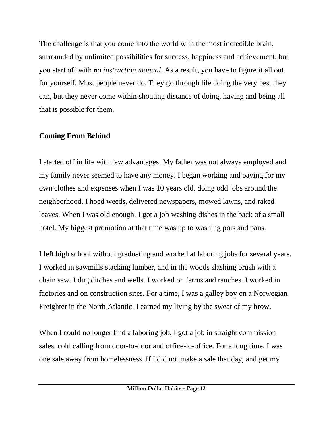The challenge is that you come into the world with the most incredible brain, surrounded by unlimited possibilities for success, happiness and achievement, but you start off with *no instruction manual*. As a result, you have to figure it all out for yourself. Most people never do. They go through life doing the very best they can, but they never come within shouting distance of doing, having and being all that is possible for them.

## **Coming From Behind**

I started off in life with few advantages. My father was not always employed and my family never seemed to have any money. I began working and paying for my own clothes and expenses when I was 10 years old, doing odd jobs around the neighborhood. I hoed weeds, delivered newspapers, mowed lawns, and raked leaves. When I was old enough, I got a job washing dishes in the back of a small hotel. My biggest promotion at that time was up to washing pots and pans.

I left high school without graduating and worked at laboring jobs for several years. I worked in sawmills stacking lumber, and in the woods slashing brush with a chain saw. I dug ditches and wells. I worked on farms and ranches. I worked in factories and on construction sites. For a time, I was a galley boy on a Norwegian Freighter in the North Atlantic. I earned my living by the sweat of my brow.

When I could no longer find a laboring job, I got a job in straight commission sales, cold calling from door-to-door and office-to-office. For a long time, I was one sale away from homelessness. If I did not make a sale that day, and get my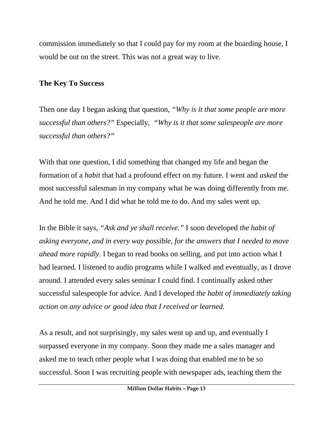commission immediately so that I could pay for my room at the boarding house, I would be out on the street. This was not a great way to live.

## **The Key To Success**

Then one day I began asking that question, *"Why is it that some people are more successful than others?"* Especially, *"Why is it that some salespeople are more successful than others?"* 

With that one question, I did something that changed my life and began the formation of a *habit* that had a profound effect on my future. I went and *asked* the most successful salesman in my company what he was doing differently from me. And he told me. And I did what he told me to do. And my sales went up.

In the Bible it says, *"Ask and ye shall receive."* I soon developed *the habit of asking everyone, and in every way possible, for the answers that I needed to move ahead more rapidly.* I began to read books on selling, and put into action what I had learned. I listened to audio programs while I walked and eventually, as I drove around. I attended every sales seminar I could find. I continually asked other successful salespeople for advice. And I developed *the habit of immediately taking action on any advice or good idea that I received or learned.* 

As a result, and not surprisingly, my sales went up and up, and eventually I surpassed everyone in my company. Soon they made me a sales manager and asked me to teach other people what I was doing that enabled me to be so successful. Soon I was recruiting people with newspaper ads, teaching them the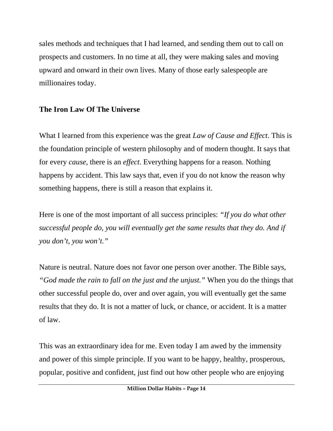sales methods and techniques that I had learned, and sending them out to call on prospects and customers. In no time at all, they were making sales and moving upward and onward in their own lives. Many of those early salespeople are millionaires today.

# **The Iron Law Of The Universe**

What I learned from this experience was the great *Law of Cause and Effect*. This is the foundation principle of western philosophy and of modern thought. It says that for every *cause*, there is an *effect*. Everything happens for a reason. Nothing happens by accident. This law says that, even if you do not know the reason why something happens, there is still a reason that explains it.

Here is one of the most important of all success principles: *"If you do what other successful people do, you will eventually get the same results that they do. And if you don't, you won't."* 

Nature is neutral. Nature does not favor one person over another. The Bible says, *"God made the rain to fall on the just and the unjust."* When you do the things that other successful people do, over and over again, you will eventually get the same results that they do. It is not a matter of luck, or chance, or accident. It is a matter of law.

This was an extraordinary idea for me. Even today I am awed by the immensity and power of this simple principle. If you want to be happy, healthy, prosperous, popular, positive and confident, just find out how other people who are enjoying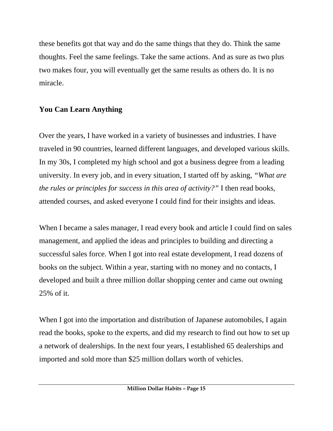these benefits got that way and do the same things that they do. Think the same thoughts. Feel the same feelings. Take the same actions. And as sure as two plus two makes four, you will eventually get the same results as others do. It is no miracle.

## **You Can Learn Anything**

Over the years, I have worked in a variety of businesses and industries. I have traveled in 90 countries, learned different languages, and developed various skills. In my 30s, I completed my high school and got a business degree from a leading university. In every job, and in every situation, I started off by asking, *"What are the rules or principles for success in this area of activity?"* I then read books, attended courses, and asked everyone I could find for their insights and ideas.

When I became a sales manager, I read every book and article I could find on sales management, and applied the ideas and principles to building and directing a successful sales force. When I got into real estate development, I read dozens of books on the subject. Within a year, starting with no money and no contacts, I developed and built a three million dollar shopping center and came out owning 25% of it.

When I got into the importation and distribution of Japanese automobiles, I again read the books, spoke to the experts, and did my research to find out how to set up a network of dealerships. In the next four years, I established 65 dealerships and imported and sold more than \$25 million dollars worth of vehicles.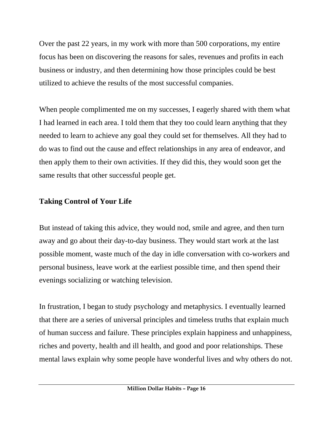Over the past 22 years, in my work with more than 500 corporations, my entire focus has been on discovering the reasons for sales, revenues and profits in each business or industry, and then determining how those principles could be best utilized to achieve the results of the most successful companies.

When people complimented me on my successes, I eagerly shared with them what I had learned in each area. I told them that they too could learn anything that they needed to learn to achieve any goal they could set for themselves. All they had to do was to find out the cause and effect relationships in any area of endeavor, and then apply them to their own activities. If they did this, they would soon get the same results that other successful people get.

## **Taking Control of Your Life**

But instead of taking this advice, they would nod, smile and agree, and then turn away and go about their day-to-day business. They would start work at the last possible moment, waste much of the day in idle conversation with co-workers and personal business, leave work at the earliest possible time, and then spend their evenings socializing or watching television.

In frustration, I began to study psychology and metaphysics. I eventually learned that there are a series of universal principles and timeless truths that explain much of human success and failure. These principles explain happiness and unhappiness, riches and poverty, health and ill health, and good and poor relationships. These mental laws explain why some people have wonderful lives and why others do not.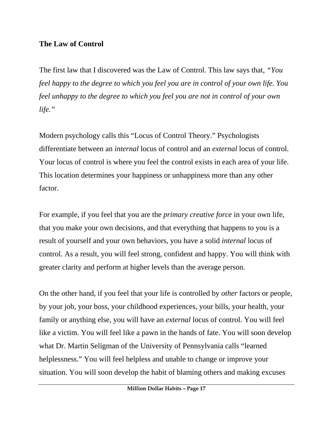## **The Law of Control**

The first law that I discovered was the Law of Control. This law says that, *"You feel happy to the degree to which you feel you are in control of your own life. You feel unhappy to the degree to which you feel you are not in control of your own life."* 

Modern psychology calls this "Locus of Control Theory." Psychologists differentiate between an *internal* locus of control and an *external* locus of control. Your locus of control is where you feel the control exists in each area of your life. This location determines your happiness or unhappiness more than any other factor.

For example, if you feel that you are the *primary creative force* in your own life, that you make your own decisions, and that everything that happens to you is a result of yourself and your own behaviors, you have a solid *internal* locus of control. As a result, you will feel strong, confident and happy. You will think with greater clarity and perform at higher levels than the average person.

On the other hand, if you feel that your life is controlled by *other* factors or people, by your job, your boss, your childhood experiences, your bills, your health, your family or anything else, you will have an *external* locus of control. You will feel like a victim. You will feel like a pawn in the hands of fate. You will soon develop what Dr. Martin Seligman of the University of Pennsylvania calls "learned helplessness." You will feel helpless and unable to change or improve your situation. You will soon develop the habit of blaming others and making excuses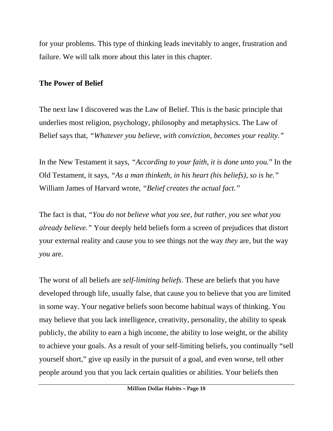for your problems. This type of thinking leads inevitably to anger, frustration and failure. We will talk more about this later in this chapter.

## **The Power of Belief**

The next law I discovered was the Law of Belief. This is the basic principle that underlies most religion, psychology, philosophy and metaphysics. The Law of Belief says that, *"Whatever you believe, with conviction, becomes your reality."* 

In the New Testament it says, *"According to your faith, it is done unto you.*" In the Old Testament, it says, *"As a man thinketh, in his heart (his beliefs), so is he."* William James of Harvard wrote, *"Belief creates the actual fact."*

The fact is that, *"You do not believe what you see, but rather, you see what you already believe."* Your deeply held beliefs form a screen of prejudices that distort your external reality and cause you to see things not the way *they* are, but the way *you* are.

The worst of all beliefs are *self-limiting beliefs*. These are beliefs that you have developed through life, usually false, that cause you to believe that you are limited in some way. Your negative beliefs soon become habitual ways of thinking. You may believe that you lack intelligence, creativity, personality, the ability to speak publicly, the ability to earn a high income, the ability to lose weight, or the ability to achieve your goals. As a result of your self-limiting beliefs, you continually "sell yourself short," give up easily in the pursuit of a goal, and even worse, tell other people around you that you lack certain qualities or abilities. Your beliefs then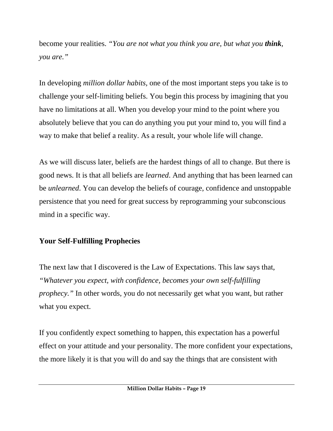become your realities. *"You are not what you think you are, but what you think, you are."* 

In developing *million dollar habits,* one of the most important steps you take is to challenge your self-limiting beliefs. You begin this process by imagining that you have no limitations at all. When you develop your mind to the point where you absolutely believe that you can do anything you put your mind to, you will find a way to make that belief a reality. As a result, your whole life will change.

As we will discuss later, beliefs are the hardest things of all to change. But there is good news. It is that all beliefs are *learned*. And anything that has been learned can be *unlearned*. You can develop the beliefs of courage, confidence and unstoppable persistence that you need for great success by reprogramming your subconscious mind in a specific way.

# **Your Self-Fulfilling Prophecies**

The next law that I discovered is the Law of Expectations. This law says that, *"Whatever you expect, with confidence, becomes your own self-fulfilling prophecy.*" In other words, you do not necessarily get what you want, but rather what you expect.

If you confidently expect something to happen, this expectation has a powerful effect on your attitude and your personality. The more confident your expectations, the more likely it is that you will do and say the things that are consistent with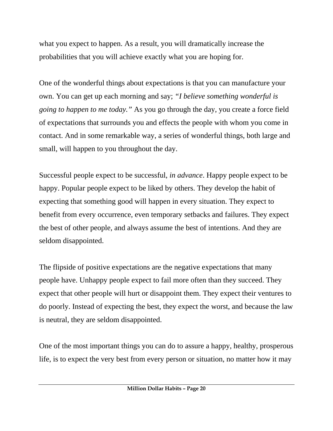what you expect to happen. As a result, you will dramatically increase the probabilities that you will achieve exactly what you are hoping for.

One of the wonderful things about expectations is that you can manufacture your own. You can get up each morning and say; *"I believe something wonderful is going to happen to me today."* As you go through the day, you create a force field of expectations that surrounds you and effects the people with whom you come in contact. And in some remarkable way, a series of wonderful things, both large and small, will happen to you throughout the day.

Successful people expect to be successful, *in advance*. Happy people expect to be happy. Popular people expect to be liked by others. They develop the habit of expecting that something good will happen in every situation. They expect to benefit from every occurrence, even temporary setbacks and failures. They expect the best of other people, and always assume the best of intentions. And they are seldom disappointed.

The flipside of positive expectations are the negative expectations that many people have. Unhappy people expect to fail more often than they succeed. They expect that other people will hurt or disappoint them. They expect their ventures to do poorly. Instead of expecting the best, they expect the worst, and because the law is neutral, they are seldom disappointed.

One of the most important things you can do to assure a happy, healthy, prosperous life, is to expect the very best from every person or situation, no matter how it may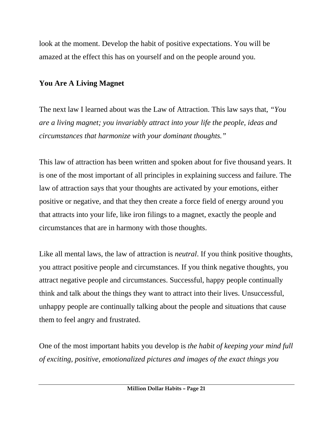look at the moment. Develop the habit of positive expectations. You will be amazed at the effect this has on yourself and on the people around you.

# **You Are A Living Magnet**

The next law I learned about was the Law of Attraction. This law says that, *"You are a living magnet; you invariably attract into your life the people, ideas and circumstances that harmonize with your dominant thoughts."* 

This law of attraction has been written and spoken about for five thousand years. It is one of the most important of all principles in explaining success and failure. The law of attraction says that your thoughts are activated by your emotions, either positive or negative, and that they then create a force field of energy around you that attracts into your life, like iron filings to a magnet, exactly the people and circumstances that are in harmony with those thoughts.

Like all mental laws, the law of attraction is *neutral*. If you think positive thoughts, you attract positive people and circumstances. If you think negative thoughts, you attract negative people and circumstances. Successful, happy people continually think and talk about the things they want to attract into their lives. Unsuccessful, unhappy people are continually talking about the people and situations that cause them to feel angry and frustrated.

One of the most important habits you develop is *the habit of keeping your mind full of exciting, positive, emotionalized pictures and images of the exact things you*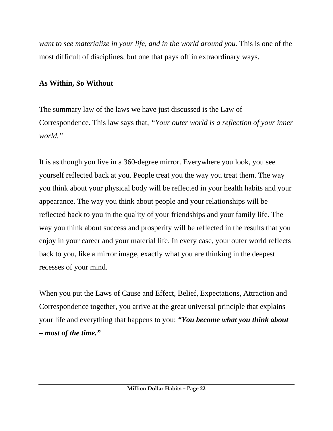*want to see materialize in your life, and in the world around you.* This is one of the most difficult of disciplines, but one that pays off in extraordinary ways.

## **As Within, So Without**

The summary law of the laws we have just discussed is the Law of Correspondence. This law says that, *"Your outer world is a reflection of your inner world."* 

It is as though you live in a 360-degree mirror. Everywhere you look, you see yourself reflected back at you. People treat you the way you treat them. The way you think about your physical body will be reflected in your health habits and your appearance. The way you think about people and your relationships will be reflected back to you in the quality of your friendships and your family life. The way you think about success and prosperity will be reflected in the results that you enjoy in your career and your material life. In every case, your outer world reflects back to you, like a mirror image, exactly what you are thinking in the deepest recesses of your mind.

When you put the Laws of Cause and Effect, Belief, Expectations, Attraction and Correspondence together, you arrive at the great universal principle that explains your life and everything that happens to you: *"You become what you think about – most of the time."*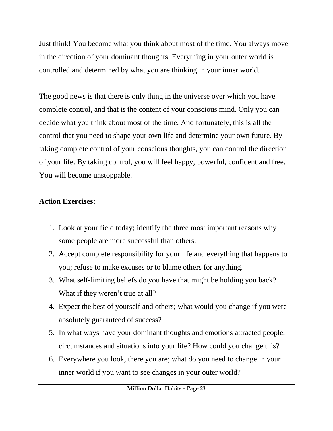Just think! You become what you think about most of the time. You always move in the direction of your dominant thoughts. Everything in your outer world is controlled and determined by what you are thinking in your inner world.

The good news is that there is only thing in the universe over which you have complete control, and that is the content of your conscious mind. Only you can decide what you think about most of the time. And fortunately, this is all the control that you need to shape your own life and determine your own future. By taking complete control of your conscious thoughts, you can control the direction of your life. By taking control, you will feel happy, powerful, confident and free. You will become unstoppable.

# **Action Exercises:**

- 1. Look at your field today; identify the three most important reasons why some people are more successful than others.
- 2. Accept complete responsibility for your life and everything that happens to you; refuse to make excuses or to blame others for anything.
- 3. What self-limiting beliefs do you have that might be holding you back? What if they weren't true at all?
- 4. Expect the best of yourself and others; what would you change if you were absolutely guaranteed of success?
- 5. In what ways have your dominant thoughts and emotions attracted people, circumstances and situations into your life? How could you change this?
- 6. Everywhere you look, there you are; what do you need to change in your inner world if you want to see changes in your outer world?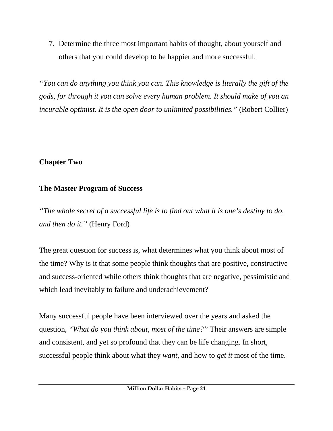7. Determine the three most important habits of thought, about yourself and others that you could develop to be happier and more successful.

*"You can do anything you think you can. This knowledge is literally the gift of the gods, for through it you can solve every human problem. It should make of you an incurable optimist. It is the open door to unlimited possibilities."* (Robert Collier)

### **Chapter Two**

## **The Master Program of Success**

*"The whole secret of a successful life is to find out what it is one's destiny to do, and then do it."* (Henry Ford)

The great question for success is, what determines what you think about most of the time? Why is it that some people think thoughts that are positive, constructive and success-oriented while others think thoughts that are negative, pessimistic and which lead inevitably to failure and underachievement?

Many successful people have been interviewed over the years and asked the question, *"What do you think about, most of the time?"* Their answers are simple and consistent, and yet so profound that they can be life changing. In short, successful people think about what they *want*, and how to *get it* most of the time.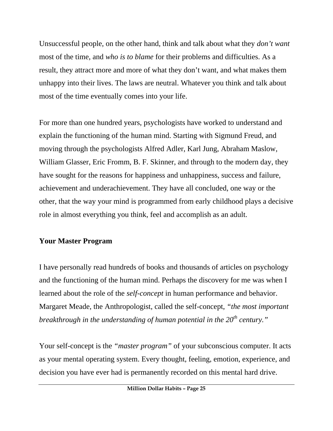Unsuccessful people, on the other hand, think and talk about what they *don't want* most of the time, and *who is to blame* for their problems and difficulties. As a result, they attract more and more of what they don't want, and what makes them unhappy into their lives. The laws are neutral. Whatever you think and talk about most of the time eventually comes into your life.

For more than one hundred years, psychologists have worked to understand and explain the functioning of the human mind. Starting with Sigmund Freud, and moving through the psychologists Alfred Adler, Karl Jung, Abraham Maslow, William Glasser, Eric Fromm, B. F. Skinner, and through to the modern day, they have sought for the reasons for happiness and unhappiness, success and failure, achievement and underachievement. They have all concluded, one way or the other, that the way your mind is programmed from early childhood plays a decisive role in almost everything you think, feel and accomplish as an adult.

## **Your Master Program**

I have personally read hundreds of books and thousands of articles on psychology and the functioning of the human mind. Perhaps the discovery for me was when I learned about the role of the *self-concept* in human performance and behavior. Margaret Meade, the Anthropologist, called the self-concept, *"the most important breakthrough in the understanding of human potential in the 20th century."* 

Your self-concept is the *"master program"* of your subconscious computer. It acts as your mental operating system. Every thought, feeling, emotion, experience, and decision you have ever had is permanently recorded on this mental hard drive.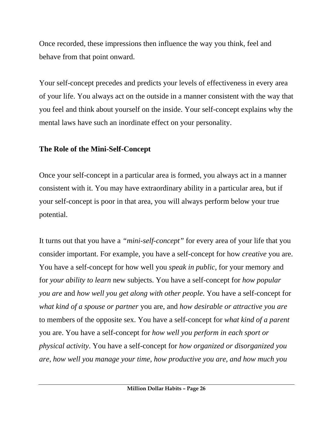Once recorded, these impressions then influence the way you think, feel and behave from that point onward.

Your self-concept precedes and predicts your levels of effectiveness in every area of your life. You always act on the outside in a manner consistent with the way that you feel and think about yourself on the inside. Your self-concept explains why the mental laws have such an inordinate effect on your personality.

# **The Role of the Mini-Self-Concept**

Once your self-concept in a particular area is formed, you always act in a manner consistent with it. You may have extraordinary ability in a particular area, but if your self-concept is poor in that area, you will always perform below your true potential.

It turns out that you have a *"mini-self-concept"* for every area of your life that you consider important. For example, you have a self-concept for how *creative* you are. You have a self-concept for how well you *speak in public*, for your memory and for *your ability to learn* new subjects. You have a self-concept for *how popular you are* and *how well you get along with other people*. You have a self-concept for *what kind of a spouse or partner* you are, and *how desirable or attractive you are* to members of the opposite sex. You have a self-concept for *what kind of a parent* you are. You have a self-concept for *how well you perform in each sport or physical activity*. You have a self-concept for *how organized or disorganized you are*, *how well you manage your time, how productive you are, and how much you*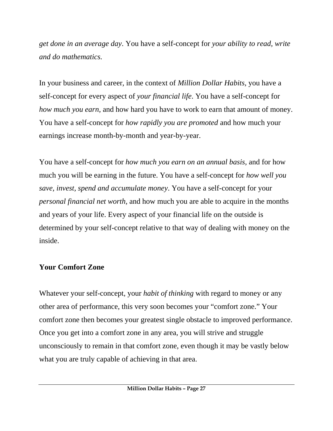*get done in an average day*. You have a self-concept for *your ability to read, write and do mathematics.* 

In your business and career, in the context of *Million Dollar Habits*, you have a self-concept for every aspect of *your financial life*. You have a self-concept for *how much you earn*, and how hard you have to work to earn that amount of money. You have a self-concept for *how rapidly you are promoted* and how much your earnings increase month-by-month and year-by-year.

You have a self-concept for *how much you earn on an annual basis*, and for how much you will be earning in the future. You have a self-concept for *how well you save, invest, spend and accumulate money*. You have a self-concept for your *personal financial net worth,* and how much you are able to acquire in the months and years of your life. Every aspect of your financial life on the outside is determined by your self-concept relative to that way of dealing with money on the inside.

# **Your Comfort Zone**

Whatever your self-concept, your *habit of thinking* with regard to money or any other area of performance, this very soon becomes your "comfort zone." Your comfort zone then becomes your greatest single obstacle to improved performance. Once you get into a comfort zone in any area, you will strive and struggle unconsciously to remain in that comfort zone, even though it may be vastly below what you are truly capable of achieving in that area.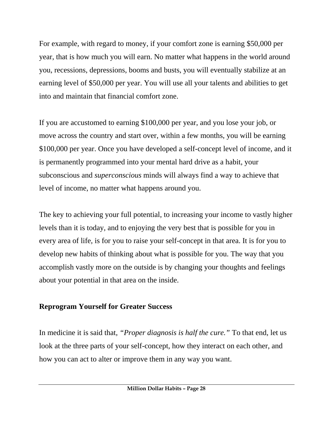For example, with regard to money, if your comfort zone is earning \$50,000 per year, that is how much you will earn. No matter what happens in the world around you, recessions, depressions, booms and busts, you will eventually stabilize at an earning level of \$50,000 per year. You will use all your talents and abilities to get into and maintain that financial comfort zone.

If you are accustomed to earning \$100,000 per year, and you lose your job, or move across the country and start over, within a few months, you will be earning \$100,000 per year. Once you have developed a self-concept level of income, and it is permanently programmed into your mental hard drive as a habit, your subconscious and *superconscious* minds will always find a way to achieve that level of income, no matter what happens around you.

The key to achieving your full potential, to increasing your income to vastly higher levels than it is today, and to enjoying the very best that is possible for you in every area of life, is for you to raise your self-concept in that area. It is for you to develop new habits of thinking about what is possible for you. The way that you accomplish vastly more on the outside is by changing your thoughts and feelings about your potential in that area on the inside.

## **Reprogram Yourself for Greater Success**

In medicine it is said that, *"Proper diagnosis is half the cure."* To that end, let us look at the three parts of your self-concept, how they interact on each other, and how you can act to alter or improve them in any way you want.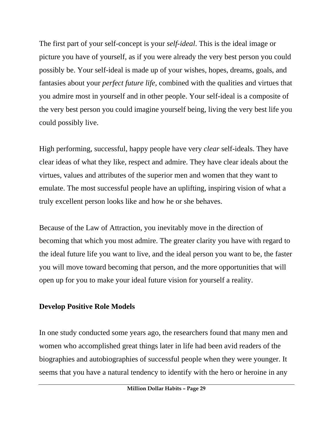The first part of your self-concept is your *self-ideal*. This is the ideal image or picture you have of yourself, as if you were already the very best person you could possibly be. Your self-ideal is made up of your wishes, hopes, dreams, goals, and fantasies about your *perfect future life*, combined with the qualities and virtues that you admire most in yourself and in other people. Your self-ideal is a composite of the very best person you could imagine yourself being, living the very best life you could possibly live.

High performing, successful, happy people have very *clear* self-ideals. They have clear ideas of what they like, respect and admire. They have clear ideals about the virtues, values and attributes of the superior men and women that they want to emulate. The most successful people have an uplifting, inspiring vision of what a truly excellent person looks like and how he or she behaves.

Because of the Law of Attraction, you inevitably move in the direction of becoming that which you most admire. The greater clarity you have with regard to the ideal future life you want to live, and the ideal person you want to be, the faster you will move toward becoming that person, and the more opportunities that will open up for you to make your ideal future vision for yourself a reality.

### **Develop Positive Role Models**

In one study conducted some years ago, the researchers found that many men and women who accomplished great things later in life had been avid readers of the biographies and autobiographies of successful people when they were younger. It seems that you have a natural tendency to identify with the hero or heroine in any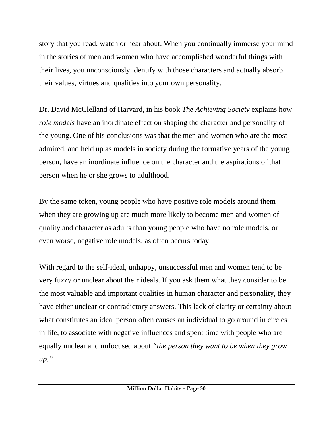story that you read, watch or hear about. When you continually immerse your mind in the stories of men and women who have accomplished wonderful things with their lives, you unconsciously identify with those characters and actually absorb their values, virtues and qualities into your own personality.

Dr. David McClelland of Harvard, in his book *The Achieving Society* explains how *role models* have an inordinate effect on shaping the character and personality of the young. One of his conclusions was that the men and women who are the most admired, and held up as models in society during the formative years of the young person, have an inordinate influence on the character and the aspirations of that person when he or she grows to adulthood.

By the same token, young people who have positive role models around them when they are growing up are much more likely to become men and women of quality and character as adults than young people who have no role models, or even worse, negative role models, as often occurs today.

With regard to the self-ideal, unhappy, unsuccessful men and women tend to be very fuzzy or unclear about their ideals. If you ask them what they consider to be the most valuable and important qualities in human character and personality, they have either unclear or contradictory answers. This lack of clarity or certainty about what constitutes an ideal person often causes an individual to go around in circles in life, to associate with negative influences and spent time with people who are equally unclear and unfocused about *"the person they want to be when they grow up."*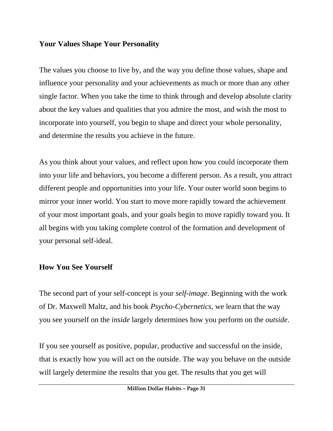### **Your Values Shape Your Personality**

The values you choose to live by, and the way you define those values, shape and influence your personality and your achievements as much or more than any other single factor. When you take the time to think through and develop absolute clarity about the key values and qualities that you admire the most, and wish the most to incorporate into yourself, you begin to shape and direct your whole personality, and determine the results you achieve in the future.

As you think about your values, and reflect upon how you could incorporate them into your life and behaviors, you become a different person. As a result, you attract different people and opportunities into your life. Your outer world soon begins to mirror your inner world. You start to move more rapidly toward the achievement of your most important goals, and your goals begin to move rapidly toward you. It all begins with you taking complete control of the formation and development of your personal self-ideal.

### **How You See Yourself**

The second part of your self-concept is your *self-image*. Beginning with the work of Dr. Maxwell Maltz, and his book *Psycho-Cybernetics*, we learn that the way you see yourself on the *inside* largely determines how you perform on the *outside*.

If you see yourself as positive, popular, productive and successful on the inside, that is exactly how you will act on the outside. The way you behave on the outside will largely determine the results that you get. The results that you get will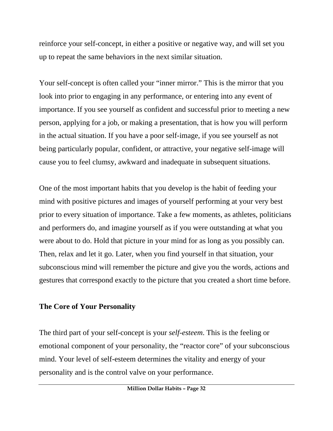reinforce your self-concept, in either a positive or negative way, and will set you up to repeat the same behaviors in the next similar situation.

Your self-concept is often called your "inner mirror." This is the mirror that you look into prior to engaging in any performance, or entering into any event of importance. If you see yourself as confident and successful prior to meeting a new person, applying for a job, or making a presentation, that is how you will perform in the actual situation. If you have a poor self-image, if you see yourself as not being particularly popular, confident, or attractive, your negative self-image will cause you to feel clumsy, awkward and inadequate in subsequent situations.

One of the most important habits that you develop is the habit of feeding your mind with positive pictures and images of yourself performing at your very best prior to every situation of importance. Take a few moments, as athletes, politicians and performers do, and imagine yourself as if you were outstanding at what you were about to do. Hold that picture in your mind for as long as you possibly can. Then, relax and let it go. Later, when you find yourself in that situation, your subconscious mind will remember the picture and give you the words, actions and gestures that correspond exactly to the picture that you created a short time before.

# **The Core of Your Personality**

The third part of your self-concept is your *self-esteem*. This is the feeling or emotional component of your personality, the "reactor core" of your subconscious mind. Your level of self-esteem determines the vitality and energy of your personality and is the control valve on your performance.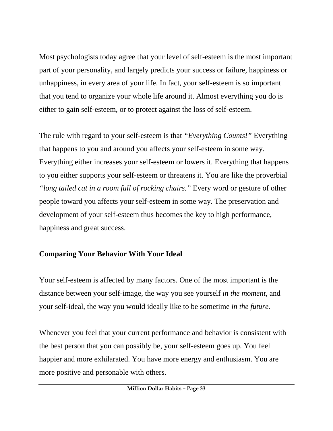Most psychologists today agree that your level of self-esteem is the most important part of your personality, and largely predicts your success or failure, happiness or unhappiness, in every area of your life. In fact, your self-esteem is so important that you tend to organize your whole life around it. Almost everything you do is either to gain self-esteem, or to protect against the loss of self-esteem.

The rule with regard to your self-esteem is that *"Everything Counts!"* Everything that happens to you and around you affects your self-esteem in some way. Everything either increases your self-esteem or lowers it. Everything that happens to you either supports your self-esteem or threatens it. You are like the proverbial *"long tailed cat in a room full of rocking chairs."* Every word or gesture of other people toward you affects your self-esteem in some way. The preservation and development of your self-esteem thus becomes the key to high performance, happiness and great success.

### **Comparing Your Behavior With Your Ideal**

Your self-esteem is affected by many factors. One of the most important is the distance between your self-image, the way you see yourself *in the moment*, and your self-ideal, the way you would ideally like to be sometime *in the future.* 

Whenever you feel that your current performance and behavior is consistent with the best person that you can possibly be, your self-esteem goes up. You feel happier and more exhilarated. You have more energy and enthusiasm. You are more positive and personable with others.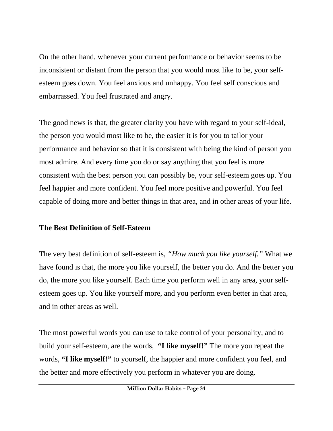On the other hand, whenever your current performance or behavior seems to be inconsistent or distant from the person that you would most like to be, your selfesteem goes down. You feel anxious and unhappy. You feel self conscious and embarrassed. You feel frustrated and angry.

The good news is that, the greater clarity you have with regard to your self-ideal, the person you would most like to be, the easier it is for you to tailor your performance and behavior so that it is consistent with being the kind of person you most admire. And every time you do or say anything that you feel is more consistent with the best person you can possibly be, your self-esteem goes up. You feel happier and more confident. You feel more positive and powerful. You feel capable of doing more and better things in that area, and in other areas of your life.

## **The Best Definition of Self-Esteem**

The very best definition of self-esteem is, *"How much you like yourself."* What we have found is that, the more you like yourself, the better you do. And the better you do, the more you like yourself. Each time you perform well in any area, your selfesteem goes up. You like yourself more, and you perform even better in that area, and in other areas as well.

The most powerful words you can use to take control of your personality, and to build your self-esteem, are the words, **"I like myself!"** The more you repeat the words, **"I like myself!"** to yourself, the happier and more confident you feel, and the better and more effectively you perform in whatever you are doing.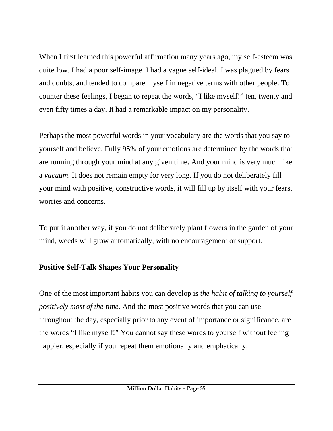When I first learned this powerful affirmation many years ago, my self-esteem was quite low. I had a poor self-image. I had a vague self-ideal. I was plagued by fears and doubts, and tended to compare myself in negative terms with other people. To counter these feelings, I began to repeat the words, "I like myself!" ten, twenty and even fifty times a day. It had a remarkable impact on my personality.

Perhaps the most powerful words in your vocabulary are the words that you say to yourself and believe. Fully 95% of your emotions are determined by the words that are running through your mind at any given time. And your mind is very much like a *vacuum*. It does not remain empty for very long. If you do not deliberately fill your mind with positive, constructive words, it will fill up by itself with your fears, worries and concerns.

To put it another way, if you do not deliberately plant flowers in the garden of your mind, weeds will grow automatically, with no encouragement or support.

### **Positive Self-Talk Shapes Your Personality**

One of the most important habits you can develop is *the habit of talking to yourself positively most of the time*. And the most positive words that you can use throughout the day, especially prior to any event of importance or significance, are the words "I like myself!" You cannot say these words to yourself without feeling happier, especially if you repeat them emotionally and emphatically,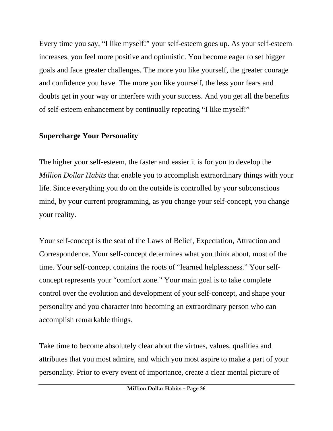Every time you say, "I like myself!" your self-esteem goes up. As your self-esteem increases, you feel more positive and optimistic. You become eager to set bigger goals and face greater challenges. The more you like yourself, the greater courage and confidence you have. The more you like yourself, the less your fears and doubts get in your way or interfere with your success. And you get all the benefits of self-esteem enhancement by continually repeating "I like myself!"

## **Supercharge Your Personality**

The higher your self-esteem, the faster and easier it is for you to develop the *Million Dollar Habits* that enable you to accomplish extraordinary things with your life. Since everything you do on the outside is controlled by your subconscious mind, by your current programming, as you change your self-concept, you change your reality.

Your self-concept is the seat of the Laws of Belief, Expectation, Attraction and Correspondence. Your self-concept determines what you think about, most of the time. Your self-concept contains the roots of "learned helplessness." Your selfconcept represents your "comfort zone." Your main goal is to take complete control over the evolution and development of your self-concept, and shape your personality and you character into becoming an extraordinary person who can accomplish remarkable things.

Take time to become absolutely clear about the virtues, values, qualities and attributes that you most admire, and which you most aspire to make a part of your personality. Prior to every event of importance, create a clear mental picture of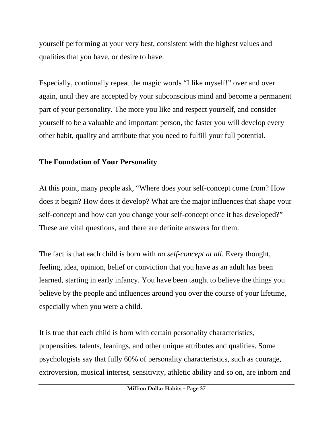yourself performing at your very best, consistent with the highest values and qualities that you have, or desire to have.

Especially, continually repeat the magic words "I like myself!" over and over again, until they are accepted by your subconscious mind and become a permanent part of your personality. The more you like and respect yourself, and consider yourself to be a valuable and important person, the faster you will develop every other habit, quality and attribute that you need to fulfill your full potential.

## **The Foundation of Your Personality**

At this point, many people ask, "Where does your self-concept come from? How does it begin? How does it develop? What are the major influences that shape your self-concept and how can you change your self-concept once it has developed?" These are vital questions, and there are definite answers for them.

The fact is that each child is born with *no self-concept at all*. Every thought, feeling, idea, opinion, belief or conviction that you have as an adult has been learned, starting in early infancy. You have been taught to believe the things you believe by the people and influences around you over the course of your lifetime, especially when you were a child.

It is true that each child is born with certain personality characteristics, propensities, talents, leanings, and other unique attributes and qualities. Some psychologists say that fully 60% of personality characteristics, such as courage, extroversion, musical interest, sensitivity, athletic ability and so on, are inborn and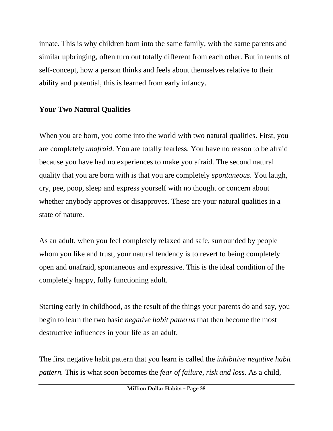innate. This is why children born into the same family, with the same parents and similar upbringing, often turn out totally different from each other. But in terms of self-concept, how a person thinks and feels about themselves relative to their ability and potential, this is learned from early infancy.

# **Your Two Natural Qualities**

When you are born, you come into the world with two natural qualities. First, you are completely *unafraid*. You are totally fearless. You have no reason to be afraid because you have had no experiences to make you afraid. The second natural quality that you are born with is that you are completely *spontaneous*. You laugh, cry, pee, poop, sleep and express yourself with no thought or concern about whether anybody approves or disapproves. These are your natural qualities in a state of nature.

As an adult, when you feel completely relaxed and safe, surrounded by people whom you like and trust, your natural tendency is to revert to being completely open and unafraid, spontaneous and expressive. This is the ideal condition of the completely happy, fully functioning adult.

Starting early in childhood, as the result of the things your parents do and say, you begin to learn the two basic *negative habit patterns* that then become the most destructive influences in your life as an adult.

The first negative habit pattern that you learn is called the *inhibitive negative habit pattern.* This is what soon becomes the *fear of failure, risk and loss*. As a child,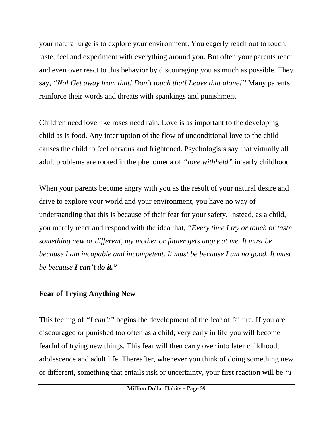your natural urge is to explore your environment. You eagerly reach out to touch, taste, feel and experiment with everything around you. But often your parents react and even over react to this behavior by discouraging you as much as possible. They say, *"No! Get away from that! Don't touch that! Leave that alone!"* Many parents reinforce their words and threats with spankings and punishment.

Children need love like roses need rain. Love is as important to the developing child as is food. Any interruption of the flow of unconditional love to the child causes the child to feel nervous and frightened. Psychologists say that virtually all adult problems are rooted in the phenomena of *"love withheld"* in early childhood.

When your parents become angry with you as the result of your natural desire and drive to explore your world and your environment, you have no way of understanding that this is because of their fear for your safety. Instead, as a child, you merely react and respond with the idea that, *"Every time I try or touch or taste something new or different, my mother or father gets angry at me. It must be because I am incapable and incompetent. It must be because I am no good. It must be because I can't do it."* 

### **Fear of Trying Anything New**

This feeling of *"I can't"* begins the development of the fear of failure. If you are discouraged or punished too often as a child, very early in life you will become fearful of trying new things. This fear will then carry over into later childhood, adolescence and adult life. Thereafter, whenever you think of doing something new or different, something that entails risk or uncertainty, your first reaction will be *"I*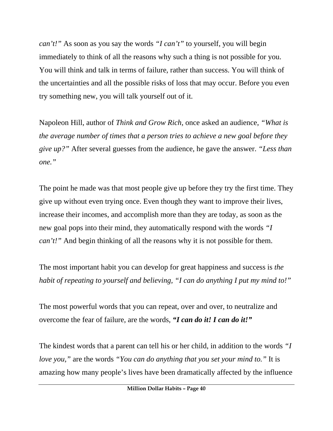*can't!"* As soon as you say the words *"I can't"* to yourself, you will begin immediately to think of all the reasons why such a thing is not possible for you. You will think and talk in terms of failure, rather than success. You will think of the uncertainties and all the possible risks of loss that may occur. Before you even try something new, you will talk yourself out of it.

Napoleon Hill, author of *Think and Grow Rich*, once asked an audience, *"What is the average number of times that a person tries to achieve a new goal before they give up?"* After several guesses from the audience, he gave the answer. *"Less than one."* 

The point he made was that most people give up before they try the first time. They give up without even trying once. Even though they want to improve their lives, increase their incomes, and accomplish more than they are today, as soon as the new goal pops into their mind, they automatically respond with the words *"I can't!*" And begin thinking of all the reasons why it is not possible for them.

The most important habit you can develop for great happiness and success is *the habit of repeating to yourself and believing, "I can do anything I put my mind to!"*

The most powerful words that you can repeat, over and over, to neutralize and overcome the fear of failure, are the words, *"I can do it! I can do it!"* 

The kindest words that a parent can tell his or her child, in addition to the words *"I love you,"* are the words *"You can do anything that you set your mind to."* It is amazing how many people's lives have been dramatically affected by the influence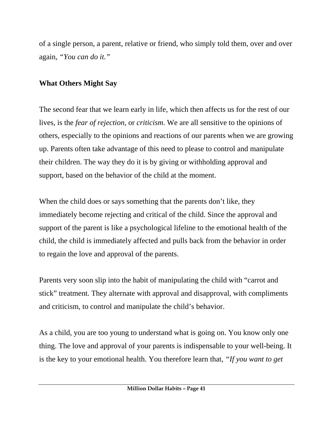of a single person, a parent, relative or friend, who simply told them, over and over again, *"You can do it."* 

# **What Others Might Say**

The second fear that we learn early in life, which then affects us for the rest of our lives, is the *fear of rejection*, or *criticism*. We are all sensitive to the opinions of others, especially to the opinions and reactions of our parents when we are growing up. Parents often take advantage of this need to please to control and manipulate their children. The way they do it is by giving or withholding approval and support, based on the behavior of the child at the moment.

When the child does or says something that the parents don't like, they immediately become rejecting and critical of the child. Since the approval and support of the parent is like a psychological lifeline to the emotional health of the child, the child is immediately affected and pulls back from the behavior in order to regain the love and approval of the parents.

Parents very soon slip into the habit of manipulating the child with "carrot and stick" treatment. They alternate with approval and disapproval, with compliments and criticism, to control and manipulate the child's behavior.

As a child, you are too young to understand what is going on. You know only one thing. The love and approval of your parents is indispensable to your well-being. It is the key to your emotional health. You therefore learn that, *"If you want to get*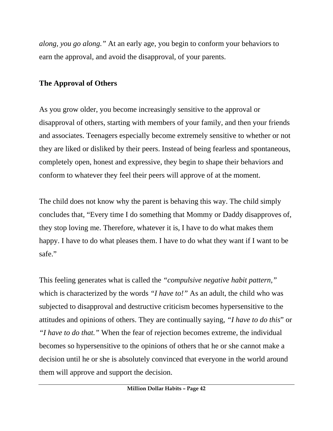*along, you go along."* At an early age, you begin to conform your behaviors to earn the approval, and avoid the disapproval, of your parents.

# **The Approval of Others**

As you grow older, you become increasingly sensitive to the approval or disapproval of others, starting with members of your family, and then your friends and associates. Teenagers especially become extremely sensitive to whether or not they are liked or disliked by their peers. Instead of being fearless and spontaneous, completely open, honest and expressive, they begin to shape their behaviors and conform to whatever they feel their peers will approve of at the moment.

The child does not know why the parent is behaving this way. The child simply concludes that, "Every time I do something that Mommy or Daddy disapproves of, they stop loving me. Therefore, whatever it is, I have to do what makes them happy. I have to do what pleases them. I have to do what they want if I want to be safe."

This feeling generates what is called the *"compulsive negative habit pattern,"* which is characterized by the words *"I have to!"* As an adult, the child who was subjected to disapproval and destructive criticism becomes hypersensitive to the attitudes and opinions of others. They are continually saying, *"I have to do this*" or *"I have to do that."* When the fear of rejection becomes extreme, the individual becomes so hypersensitive to the opinions of others that he or she cannot make a decision until he or she is absolutely convinced that everyone in the world around them will approve and support the decision.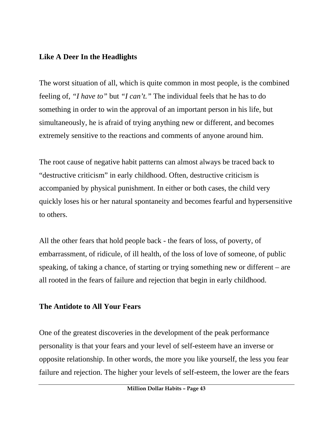#### **Like A Deer In the Headlights**

The worst situation of all, which is quite common in most people, is the combined feeling of, *"I have to"* but *"I can't."* The individual feels that he has to do something in order to win the approval of an important person in his life, but simultaneously, he is afraid of trying anything new or different, and becomes extremely sensitive to the reactions and comments of anyone around him.

The root cause of negative habit patterns can almost always be traced back to "destructive criticism" in early childhood. Often, destructive criticism is accompanied by physical punishment. In either or both cases, the child very quickly loses his or her natural spontaneity and becomes fearful and hypersensitive to others.

All the other fears that hold people back - the fears of loss, of poverty, of embarrassment, of ridicule, of ill health, of the loss of love of someone, of public speaking, of taking a chance, of starting or trying something new or different – are all rooted in the fears of failure and rejection that begin in early childhood.

# **The Antidote to All Your Fears**

One of the greatest discoveries in the development of the peak performance personality is that your fears and your level of self-esteem have an inverse or opposite relationship. In other words, the more you like yourself, the less you fear failure and rejection. The higher your levels of self-esteem, the lower are the fears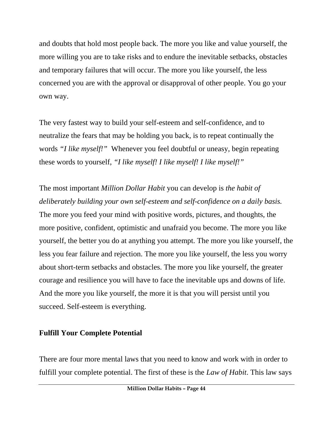and doubts that hold most people back. The more you like and value yourself, the more willing you are to take risks and to endure the inevitable setbacks, obstacles and temporary failures that will occur. The more you like yourself, the less concerned you are with the approval or disapproval of other people. You go your own way.

The very fastest way to build your self-esteem and self-confidence, and to neutralize the fears that may be holding you back, is to repeat continually the words *"I like myself!"* Whenever you feel doubtful or uneasy, begin repeating these words to yourself, *"I like myself! I like myself! I like myself!"* 

The most important *Million Dollar Habit* you can develop is *the habit of deliberately building your own self-esteem and self-confidence on a daily basis.* The more you feed your mind with positive words, pictures, and thoughts, the more positive, confident, optimistic and unafraid you become. The more you like yourself, the better you do at anything you attempt. The more you like yourself, the less you fear failure and rejection. The more you like yourself, the less you worry about short-term setbacks and obstacles. The more you like yourself, the greater courage and resilience you will have to face the inevitable ups and downs of life. And the more you like yourself, the more it is that you will persist until you succeed. Self-esteem is everything.

# **Fulfill Your Complete Potential**

There are four more mental laws that you need to know and work with in order to fulfill your complete potential. The first of these is the *Law of Habit*. This law says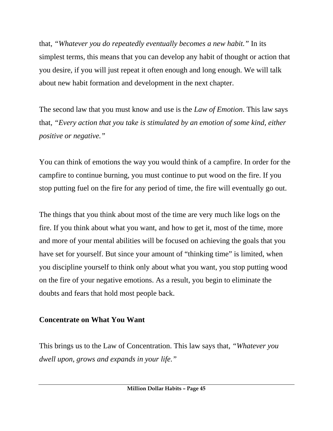that, *"Whatever you do repeatedly eventually becomes a new habit."* In its simplest terms, this means that you can develop any habit of thought or action that you desire, if you will just repeat it often enough and long enough. We will talk about new habit formation and development in the next chapter.

The second law that you must know and use is the *Law of Emotion*. This law says that, *"Every action that you take is stimulated by an emotion of some kind, either positive or negative."* 

You can think of emotions the way you would think of a campfire. In order for the campfire to continue burning, you must continue to put wood on the fire. If you stop putting fuel on the fire for any period of time, the fire will eventually go out.

The things that you think about most of the time are very much like logs on the fire. If you think about what you want, and how to get it, most of the time, more and more of your mental abilities will be focused on achieving the goals that you have set for yourself. But since your amount of "thinking time" is limited, when you discipline yourself to think only about what you want, you stop putting wood on the fire of your negative emotions. As a result, you begin to eliminate the doubts and fears that hold most people back.

#### **Concentrate on What You Want**

This brings us to the Law of Concentration. This law says that, *"Whatever you dwell upon, grows and expands in your life."*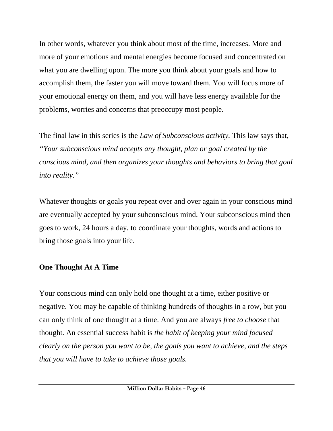In other words, whatever you think about most of the time, increases. More and more of your emotions and mental energies become focused and concentrated on what you are dwelling upon. The more you think about your goals and how to accomplish them, the faster you will move toward them. You will focus more of your emotional energy on them, and you will have less energy available for the problems, worries and concerns that preoccupy most people.

The final law in this series is the *Law of Subconscious activity.* This law says that, *"Your subconscious mind accepts any thought, plan or goal created by the conscious mind, and then organizes your thoughts and behaviors to bring that goal into reality."* 

Whatever thoughts or goals you repeat over and over again in your conscious mind are eventually accepted by your subconscious mind. Your subconscious mind then goes to work, 24 hours a day, to coordinate your thoughts, words and actions to bring those goals into your life.

### **One Thought At A Time**

Your conscious mind can only hold one thought at a time, either positive or negative. You may be capable of thinking hundreds of thoughts in a row, but you can only think of one thought at a time. And you are always *free to choose* that thought. An essential success habit is *the habit of keeping your mind focused clearly on the person you want to be, the goals you want to achieve, and the steps that you will have to take to achieve those goals.*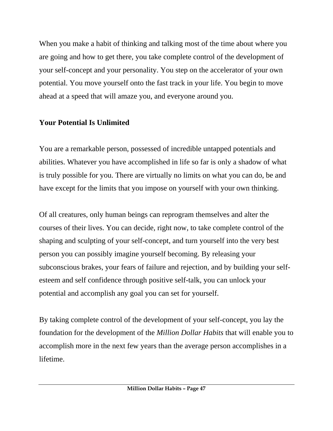When you make a habit of thinking and talking most of the time about where you are going and how to get there, you take complete control of the development of your self-concept and your personality. You step on the accelerator of your own potential. You move yourself onto the fast track in your life. You begin to move ahead at a speed that will amaze you, and everyone around you.

#### **Your Potential Is Unlimited**

You are a remarkable person, possessed of incredible untapped potentials and abilities. Whatever you have accomplished in life so far is only a shadow of what is truly possible for you. There are virtually no limits on what you can do, be and have except for the limits that you impose on yourself with your own thinking.

Of all creatures, only human beings can reprogram themselves and alter the courses of their lives. You can decide, right now, to take complete control of the shaping and sculpting of your self-concept, and turn yourself into the very best person you can possibly imagine yourself becoming. By releasing your subconscious brakes, your fears of failure and rejection, and by building your selfesteem and self confidence through positive self-talk, you can unlock your potential and accomplish any goal you can set for yourself.

By taking complete control of the development of your self-concept, you lay the foundation for the development of the *Million Dollar Habits* that will enable you to accomplish more in the next few years than the average person accomplishes in a lifetime.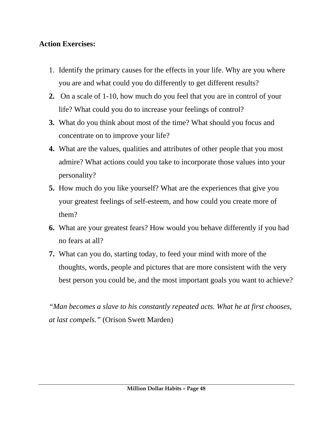#### **Action Exercises:**

- 1. Identify the primary causes for the effects in your life. Why are you where you are and what could you do differently to get different results?
- **2.** On a scale of 1-10, how much do you feel that you are in control of your life? What could you do to increase your feelings of control?
- **3.** What do you think about most of the time? What should you focus and concentrate on to improve your life?
- **4.** What are the values, qualities and attributes of other people that you most admire? What actions could you take to incorporate those values into your personality?
- **5.** How much do you like yourself? What are the experiences that give you your greatest feelings of self-esteem, and how could you create more of them?
- **6.** What are your greatest fears? How would you behave differently if you had no fears at all?
- **7.** What can you do, starting today, to feed your mind with more of the thoughts, words, people and pictures that are more consistent with the very best person you could be, and the most important goals you want to achieve?

*"Man becomes a slave to his constantly repeated acts. What he at first chooses, at last compels."* (Orison Swett Marden)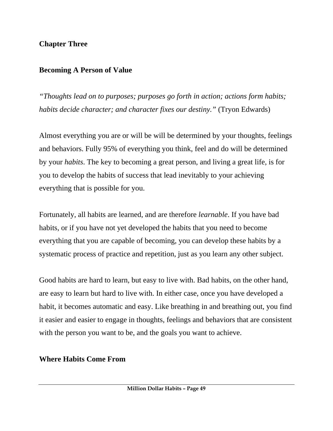#### **Chapter Three**

#### **Becoming A Person of Value**

*"Thoughts lead on to purposes; purposes go forth in action; actions form habits; habits decide character; and character fixes our destiny."* (Tryon Edwards)

Almost everything you are or will be will be determined by your thoughts, feelings and behaviors. Fully 95% of everything you think, feel and do will be determined by your *habits*. The key to becoming a great person, and living a great life, is for you to develop the habits of success that lead inevitably to your achieving everything that is possible for you.

Fortunately, all habits are learned, and are therefore *learnable*. If you have bad habits, or if you have not yet developed the habits that you need to become everything that you are capable of becoming, you can develop these habits by a systematic process of practice and repetition, just as you learn any other subject.

Good habits are hard to learn, but easy to live with. Bad habits, on the other hand, are easy to learn but hard to live with. In either case, once you have developed a habit, it becomes automatic and easy. Like breathing in and breathing out, you find it easier and easier to engage in thoughts, feelings and behaviors that are consistent with the person you want to be, and the goals you want to achieve.

#### **Where Habits Come From**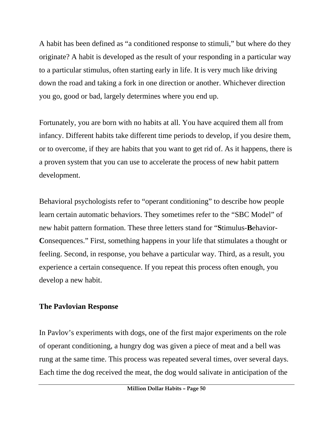A habit has been defined as "a conditioned response to stimuli," but where do they originate? A habit is developed as the result of your responding in a particular way to a particular stimulus, often starting early in life. It is very much like driving down the road and taking a fork in one direction or another. Whichever direction you go, good or bad, largely determines where you end up.

Fortunately, you are born with no habits at all. You have acquired them all from infancy. Different habits take different time periods to develop, if you desire them, or to overcome, if they are habits that you want to get rid of. As it happens, there is a proven system that you can use to accelerate the process of new habit pattern development.

Behavioral psychologists refer to "operant conditioning" to describe how people learn certain automatic behaviors. They sometimes refer to the "SBC Model" of new habit pattern formation. These three letters stand for "**S**timulus-**B**ehavior-**C**onsequences." First, something happens in your life that stimulates a thought or feeling. Second, in response, you behave a particular way. Third, as a result, you experience a certain consequence. If you repeat this process often enough, you develop a new habit.

#### **The Pavlovian Response**

In Pavlov's experiments with dogs, one of the first major experiments on the role of operant conditioning, a hungry dog was given a piece of meat and a bell was rung at the same time. This process was repeated several times, over several days. Each time the dog received the meat, the dog would salivate in anticipation of the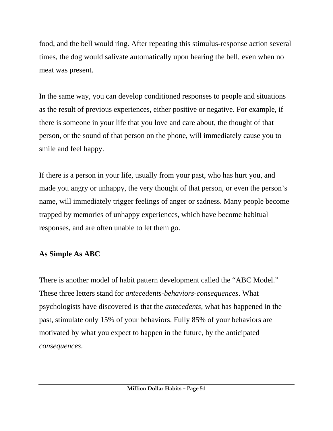food, and the bell would ring. After repeating this stimulus-response action several times, the dog would salivate automatically upon hearing the bell, even when no meat was present.

In the same way, you can develop conditioned responses to people and situations as the result of previous experiences, either positive or negative. For example, if there is someone in your life that you love and care about, the thought of that person, or the sound of that person on the phone, will immediately cause you to smile and feel happy.

If there is a person in your life, usually from your past, who has hurt you, and made you angry or unhappy, the very thought of that person, or even the person's name, will immediately trigger feelings of anger or sadness. Many people become trapped by memories of unhappy experiences, which have become habitual responses, and are often unable to let them go.

#### **As Simple As ABC**

There is another model of habit pattern development called the "ABC Model." These three letters stand for *antecedents-behaviors-consequences*. What psychologists have discovered is that the *antecedents*, what has happened in the past, stimulate only 15% of your behaviors. Fully 85% of your behaviors are motivated by what you expect to happen in the future, by the anticipated *consequences*.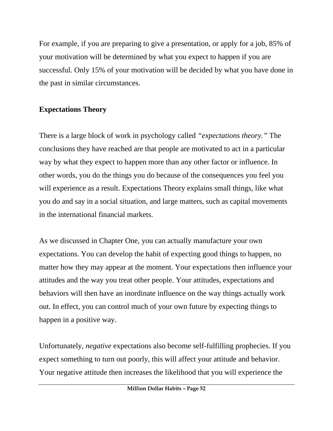For example, if you are preparing to give a presentation, or apply for a job, 85% of your motivation will be determined by what you expect to happen if you are successful. Only 15% of your motivation will be decided by what you have done in the past in similar circumstances.

## **Expectations Theory**

There is a large block of work in psychology called *"expectations theory."* The conclusions they have reached are that people are motivated to act in a particular way by what they expect to happen more than any other factor or influence. In other words, you do the things you do because of the consequences you feel you will experience as a result. Expectations Theory explains small things, like what you do and say in a social situation, and large matters, such as capital movements in the international financial markets.

As we discussed in Chapter One, you can actually manufacture your own expectations. You can develop the habit of expecting good things to happen, no matter how they may appear at the moment. Your expectations then influence your attitudes and the way you treat other people. Your attitudes, expectations and behaviors will then have an inordinate influence on the way things actually work out. In effect, you can control much of your own future by expecting things to happen in a positive way.

Unfortunately, *negative* expectations also become self-fulfilling prophecies. If you expect something to turn out poorly, this will affect your attitude and behavior. Your negative attitude then increases the likelihood that you will experience the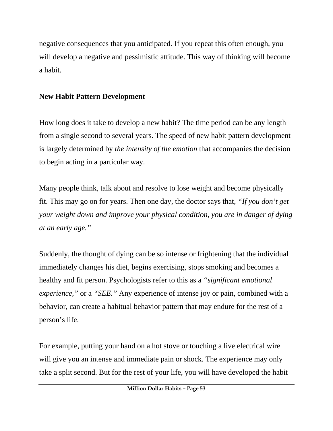negative consequences that you anticipated. If you repeat this often enough, you will develop a negative and pessimistic attitude. This way of thinking will become a habit.

### **New Habit Pattern Development**

How long does it take to develop a new habit? The time period can be any length from a single second to several years. The speed of new habit pattern development is largely determined by *the intensity of the emotion* that accompanies the decision to begin acting in a particular way.

Many people think, talk about and resolve to lose weight and become physically fit. This may go on for years. Then one day, the doctor says that, *"If you don't get your weight down and improve your physical condition, you are in danger of dying at an early age."* 

Suddenly, the thought of dying can be so intense or frightening that the individual immediately changes his diet, begins exercising, stops smoking and becomes a healthy and fit person. Psychologists refer to this as a *"significant emotional experience,"* or a *"SEE."* Any experience of intense joy or pain, combined with a behavior, can create a habitual behavior pattern that may endure for the rest of a person's life.

For example, putting your hand on a hot stove or touching a live electrical wire will give you an intense and immediate pain or shock. The experience may only take a split second. But for the rest of your life, you will have developed the habit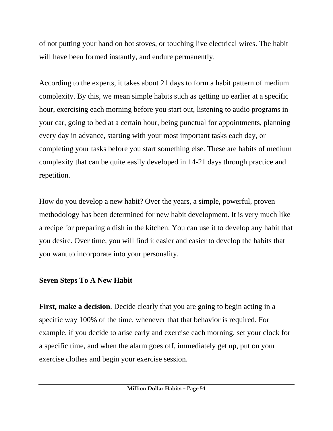of not putting your hand on hot stoves, or touching live electrical wires. The habit will have been formed instantly, and endure permanently.

According to the experts, it takes about 21 days to form a habit pattern of medium complexity. By this, we mean simple habits such as getting up earlier at a specific hour, exercising each morning before you start out, listening to audio programs in your car, going to bed at a certain hour, being punctual for appointments, planning every day in advance, starting with your most important tasks each day, or completing your tasks before you start something else. These are habits of medium complexity that can be quite easily developed in 14-21 days through practice and repetition.

How do you develop a new habit? Over the years, a simple, powerful, proven methodology has been determined for new habit development. It is very much like a recipe for preparing a dish in the kitchen. You can use it to develop any habit that you desire. Over time, you will find it easier and easier to develop the habits that you want to incorporate into your personality.

### **Seven Steps To A New Habit**

**First, make a decision**. Decide clearly that you are going to begin acting in a specific way 100% of the time, whenever that that behavior is required. For example, if you decide to arise early and exercise each morning, set your clock for a specific time, and when the alarm goes off, immediately get up, put on your exercise clothes and begin your exercise session.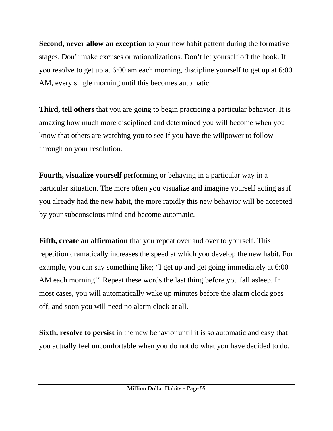**Second, never allow an exception** to your new habit pattern during the formative stages. Don't make excuses or rationalizations. Don't let yourself off the hook. If you resolve to get up at 6:00 am each morning, discipline yourself to get up at 6:00 AM, every single morning until this becomes automatic.

**Third, tell others** that you are going to begin practicing a particular behavior. It is amazing how much more disciplined and determined you will become when you know that others are watching you to see if you have the willpower to follow through on your resolution.

**Fourth, visualize yourself** performing or behaving in a particular way in a particular situation. The more often you visualize and imagine yourself acting as if you already had the new habit, the more rapidly this new behavior will be accepted by your subconscious mind and become automatic.

**Fifth, create an affirmation** that you repeat over and over to yourself. This repetition dramatically increases the speed at which you develop the new habit. For example, you can say something like; "I get up and get going immediately at 6:00 AM each morning!" Repeat these words the last thing before you fall asleep. In most cases, you will automatically wake up minutes before the alarm clock goes off, and soon you will need no alarm clock at all.

**Sixth, resolve to persist** in the new behavior until it is so automatic and easy that you actually feel uncomfortable when you do not do what you have decided to do.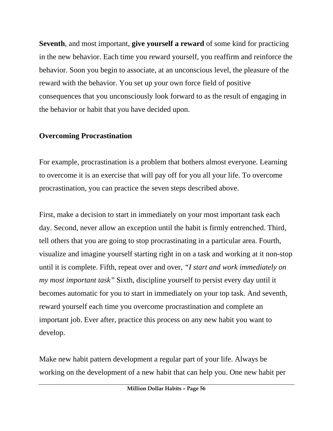**Seventh**, and most important, **give yourself a reward** of some kind for practicing in the new behavior. Each time you reward yourself, you reaffirm and reinforce the behavior. Soon you begin to associate, at an unconscious level, the pleasure of the reward with the behavior. You set up your own force field of positive consequences that you unconsciously look forward to as the result of engaging in the behavior or habit that you have decided upon.

### **Overcoming Procrastination**

For example, procrastination is a problem that bothers almost everyone. Learning to overcome it is an exercise that will pay off for you all your life. To overcome procrastination, you can practice the seven steps described above.

First, make a decision to start in immediately on your most important task each day. Second, never allow an exception until the habit is firmly entrenched. Third, tell others that you are going to stop procrastinating in a particular area. Fourth, visualize and imagine yourself starting right in on a task and working at it non-stop until it is complete. Fifth, repeat over and over, *"I start and work immediately on my most important task"* Sixth, discipline yourself to persist every day until it becomes automatic for you to start in immediately on your top task. And seventh, reward yourself each time you overcome procrastination and complete an important job. Ever after, practice this process on any new habit you want to develop.

Make new habit pattern development a regular part of your life. Always be working on the development of a new habit that can help you. One new habit per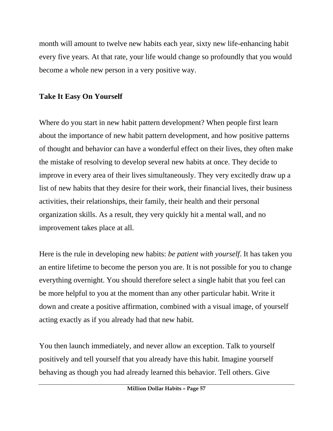month will amount to twelve new habits each year, sixty new life-enhancing habit every five years. At that rate, your life would change so profoundly that you would become a whole new person in a very positive way.

## **Take It Easy On Yourself**

Where do you start in new habit pattern development? When people first learn about the importance of new habit pattern development, and how positive patterns of thought and behavior can have a wonderful effect on their lives, they often make the mistake of resolving to develop several new habits at once. They decide to improve in every area of their lives simultaneously. They very excitedly draw up a list of new habits that they desire for their work, their financial lives, their business activities, their relationships, their family, their health and their personal organization skills. As a result, they very quickly hit a mental wall, and no improvement takes place at all.

Here is the rule in developing new habits: *be patient with yourself*. It has taken you an entire lifetime to become the person you are. It is not possible for you to change everything overnight. You should therefore select a single habit that you feel can be more helpful to you at the moment than any other particular habit. Write it down and create a positive affirmation, combined with a visual image, of yourself acting exactly as if you already had that new habit.

You then launch immediately, and never allow an exception. Talk to yourself positively and tell yourself that you already have this habit. Imagine yourself behaving as though you had already learned this behavior. Tell others. Give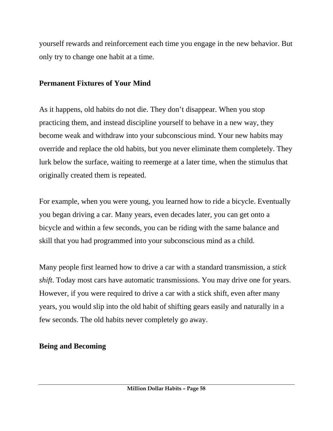yourself rewards and reinforcement each time you engage in the new behavior. But only try to change one habit at a time.

## **Permanent Fixtures of Your Mind**

As it happens, old habits do not die. They don't disappear. When you stop practicing them, and instead discipline yourself to behave in a new way, they become weak and withdraw into your subconscious mind. Your new habits may override and replace the old habits, but you never eliminate them completely. They lurk below the surface, waiting to reemerge at a later time, when the stimulus that originally created them is repeated.

For example, when you were young, you learned how to ride a bicycle. Eventually you began driving a car. Many years, even decades later, you can get onto a bicycle and within a few seconds, you can be riding with the same balance and skill that you had programmed into your subconscious mind as a child.

Many people first learned how to drive a car with a standard transmission, a *stick shift*. Today most cars have automatic transmissions. You may drive one for years. However, if you were required to drive a car with a stick shift, even after many years, you would slip into the old habit of shifting gears easily and naturally in a few seconds. The old habits never completely go away.

# **Being and Becoming**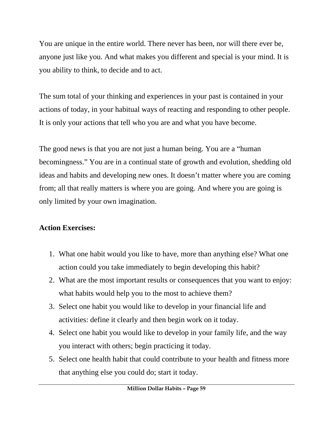You are unique in the entire world. There never has been, nor will there ever be, anyone just like you. And what makes you different and special is your mind. It is you ability to think, to decide and to act.

The sum total of your thinking and experiences in your past is contained in your actions of today, in your habitual ways of reacting and responding to other people. It is only your actions that tell who you are and what you have become.

The good news is that you are not just a human being. You are a "human becomingness." You are in a continual state of growth and evolution, shedding old ideas and habits and developing new ones. It doesn't matter where you are coming from; all that really matters is where you are going. And where you are going is only limited by your own imagination.

# **Action Exercises:**

- 1. What one habit would you like to have, more than anything else? What one action could you take immediately to begin developing this habit?
- 2. What are the most important results or consequences that you want to enjoy: what habits would help you to the most to achieve them?
- 3. Select one habit you would like to develop in your financial life and activities: define it clearly and then begin work on it today.
- 4. Select one habit you would like to develop in your family life, and the way you interact with others; begin practicing it today.
- 5. Select one health habit that could contribute to your health and fitness more that anything else you could do; start it today.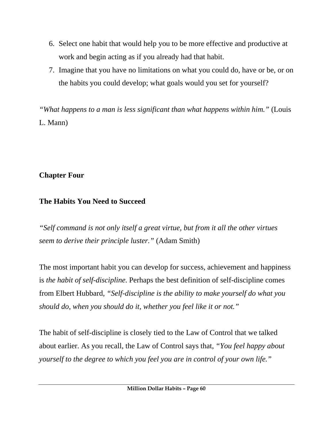- 6. Select one habit that would help you to be more effective and productive at work and begin acting as if you already had that habit.
- 7. Imagine that you have no limitations on what you could do, have or be, or on the habits you could develop; what goals would you set for yourself?

*"What happens to a man is less significant than what happens within him."* (Louis L. Mann)

# **Chapter Four**

# **The Habits You Need to Succeed**

*"Self command is not only itself a great virtue, but from it all the other virtues seem to derive their principle luster."* (Adam Smith)

The most important habit you can develop for success, achievement and happiness is *the habit of self-discipline*. Perhaps the best definition of self-discipline comes from Elbert Hubbard, *"Self-discipline is the ability to make yourself do what you should do, when you should do it, whether you feel like it or not."* 

The habit of self-discipline is closely tied to the Law of Control that we talked about earlier. As you recall, the Law of Control says that, *"You feel happy about yourself to the degree to which you feel you are in control of your own life."*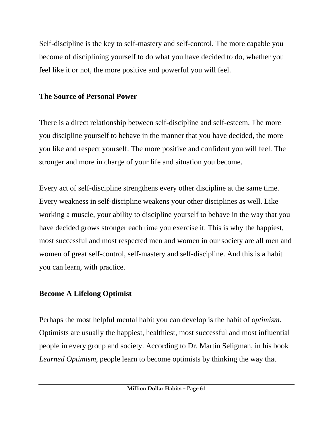Self-discipline is the key to self-mastery and self-control. The more capable you become of disciplining yourself to do what you have decided to do, whether you feel like it or not, the more positive and powerful you will feel.

#### **The Source of Personal Power**

There is a direct relationship between self-discipline and self-esteem. The more you discipline yourself to behave in the manner that you have decided, the more you like and respect yourself. The more positive and confident you will feel. The stronger and more in charge of your life and situation you become.

Every act of self-discipline strengthens every other discipline at the same time. Every weakness in self-discipline weakens your other disciplines as well. Like working a muscle, your ability to discipline yourself to behave in the way that you have decided grows stronger each time you exercise it. This is why the happiest, most successful and most respected men and women in our society are all men and women of great self-control, self-mastery and self-discipline. And this is a habit you can learn, with practice.

# **Become A Lifelong Optimist**

Perhaps the most helpful mental habit you can develop is the habit of *optimism*. Optimists are usually the happiest, healthiest, most successful and most influential people in every group and society. According to Dr. Martin Seligman, in his book *Learned Optimism*, people learn to become optimists by thinking the way that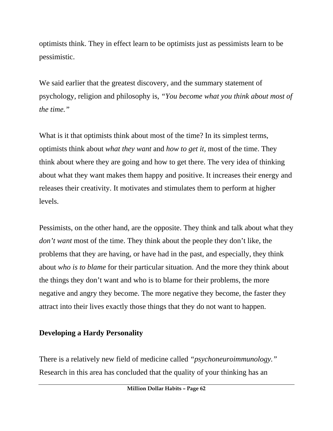optimists think. They in effect learn to be optimists just as pessimists learn to be pessimistic.

We said earlier that the greatest discovery, and the summary statement of psychology, religion and philosophy is, *"You become what you think about most of the time."* 

What is it that optimists think about most of the time? In its simplest terms, optimists think about *what they want* and *how to get it*, most of the time. They think about where they are going and how to get there. The very idea of thinking about what they want makes them happy and positive. It increases their energy and releases their creativity. It motivates and stimulates them to perform at higher levels.

Pessimists, on the other hand, are the opposite. They think and talk about what they *don't want* most of the time. They think about the people they don't like, the problems that they are having, or have had in the past, and especially, they think about *who is to blame* for their particular situation. And the more they think about the things they don't want and who is to blame for their problems, the more negative and angry they become. The more negative they become, the faster they attract into their lives exactly those things that they do not want to happen.

# **Developing a Hardy Personality**

There is a relatively new field of medicine called *"psychoneuroimmunology."* Research in this area has concluded that the quality of your thinking has an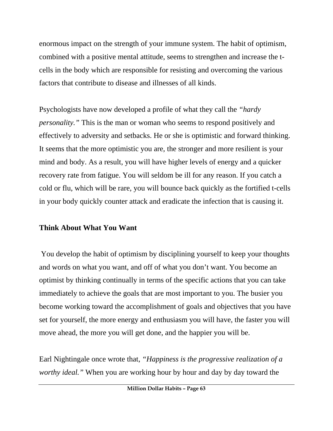enormous impact on the strength of your immune system. The habit of optimism, combined with a positive mental attitude, seems to strengthen and increase the tcells in the body which are responsible for resisting and overcoming the various factors that contribute to disease and illnesses of all kinds.

Psychologists have now developed a profile of what they call the *"hardy personality."* This is the man or woman who seems to respond positively and effectively to adversity and setbacks. He or she is optimistic and forward thinking. It seems that the more optimistic you are, the stronger and more resilient is your mind and body. As a result, you will have higher levels of energy and a quicker recovery rate from fatigue. You will seldom be ill for any reason. If you catch a cold or flu, which will be rare, you will bounce back quickly as the fortified t-cells in your body quickly counter attack and eradicate the infection that is causing it.

### **Think About What You Want**

 You develop the habit of optimism by disciplining yourself to keep your thoughts and words on what you want, and off of what you don't want. You become an optimist by thinking continually in terms of the specific actions that you can take immediately to achieve the goals that are most important to you. The busier you become working toward the accomplishment of goals and objectives that you have set for yourself, the more energy and enthusiasm you will have, the faster you will move ahead, the more you will get done, and the happier you will be.

Earl Nightingale once wrote that, *"Happiness is the progressive realization of a worthy ideal.*" When you are working hour by hour and day by day toward the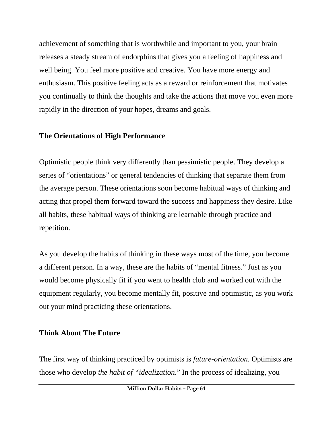achievement of something that is worthwhile and important to you, your brain releases a steady stream of endorphins that gives you a feeling of happiness and well being. You feel more positive and creative. You have more energy and enthusiasm. This positive feeling acts as a reward or reinforcement that motivates you continually to think the thoughts and take the actions that move you even more rapidly in the direction of your hopes, dreams and goals.

### **The Orientations of High Performance**

Optimistic people think very differently than pessimistic people. They develop a series of "orientations" or general tendencies of thinking that separate them from the average person. These orientations soon become habitual ways of thinking and acting that propel them forward toward the success and happiness they desire. Like all habits, these habitual ways of thinking are learnable through practice and repetition.

As you develop the habits of thinking in these ways most of the time, you become a different person. In a way, these are the habits of "mental fitness." Just as you would become physically fit if you went to health club and worked out with the equipment regularly, you become mentally fit, positive and optimistic, as you work out your mind practicing these orientations.

### **Think About The Future**

The first way of thinking practiced by optimists is *future-orientation*. Optimists are those who develop *the habit of "idealization*." In the process of idealizing, you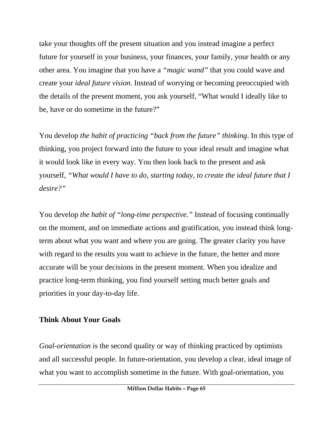take your thoughts off the present situation and you instead imagine a perfect future for yourself in your business, your finances, your family, your health or any other area. You imagine that you have a *"magic wand"* that you could wave and create your *ideal future vision*. Instead of worrying or becoming preoccupied with the details of the present moment, you ask yourself, "What would I ideally like to be, have or do sometime in the future?"

You develop *the habit of practicing "back from the future" thinking*. In this type of thinking, you project forward into the future to your ideal result and imagine what it would look like in every way. You then look back to the present and ask yourself, *"What would I have to do, starting today, to create the ideal future that I desire?"* 

You develop *the habit of "long-time perspective."* Instead of focusing continually on the moment, and on immediate actions and gratification, you instead think longterm about what you want and where you are going. The greater clarity you have with regard to the results you want to achieve in the future, the better and more accurate will be your decisions in the present moment. When you idealize and practice long-term thinking, you find yourself setting much better goals and priorities in your day-to-day life.

# **Think About Your Goals**

*Goal-orientation* is the second quality or way of thinking practiced by optimists and all successful people. In future-orientation, you develop a clear, ideal image of what you want to accomplish sometime in the future. With goal-orientation, you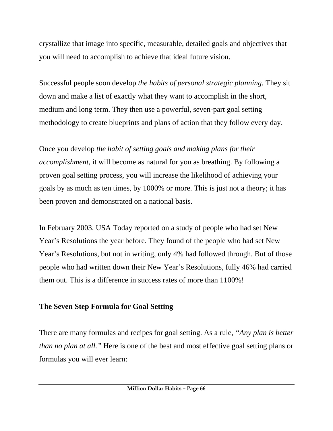crystallize that image into specific, measurable, detailed goals and objectives that you will need to accomplish to achieve that ideal future vision.

Successful people soon develop *the habits of personal strategic planning.* They sit down and make a list of exactly what they want to accomplish in the short, medium and long term. They then use a powerful, seven-part goal setting methodology to create blueprints and plans of action that they follow every day.

Once you develop *the habit of setting goals and making plans for their accomplishment*, it will become as natural for you as breathing. By following a proven goal setting process, you will increase the likelihood of achieving your goals by as much as ten times, by 1000% or more. This is just not a theory; it has been proven and demonstrated on a national basis.

In February 2003, USA Today reported on a study of people who had set New Year's Resolutions the year before. They found of the people who had set New Year's Resolutions, but not in writing, only 4% had followed through. But of those people who had written down their New Year's Resolutions, fully 46% had carried them out. This is a difference in success rates of more than 1100%!

# **The Seven Step Formula for Goal Setting**

There are many formulas and recipes for goal setting. As a rule, *"Any plan is better than no plan at all."* Here is one of the best and most effective goal setting plans or formulas you will ever learn: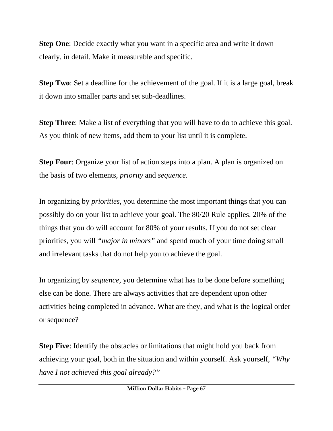**Step One**: Decide exactly what you want in a specific area and write it down clearly, in detail. Make it measurable and specific.

**Step Two**: Set a deadline for the achievement of the goal. If it is a large goal, break it down into smaller parts and set sub-deadlines.

**Step Three**: Make a list of everything that you will have to do to achieve this goal. As you think of new items, add them to your list until it is complete.

**Step Four:** Organize your list of action steps into a plan. A plan is organized on the basis of two elements, *priority* and *sequence*.

In organizing by *priorities*, you determine the most important things that you can possibly do on your list to achieve your goal. The 80/20 Rule applies. 20% of the things that you do will account for 80% of your results. If you do not set clear priorities, you will *"major in minors"* and spend much of your time doing small and irrelevant tasks that do not help you to achieve the goal.

In organizing by *sequence*, you determine what has to be done before something else can be done. There are always activities that are dependent upon other activities being completed in advance. What are they, and what is the logical order or sequence?

**Step Five**: Identify the obstacles or limitations that might hold you back from achieving your goal, both in the situation and within yourself. Ask yourself, *"Why have I not achieved this goal already?"*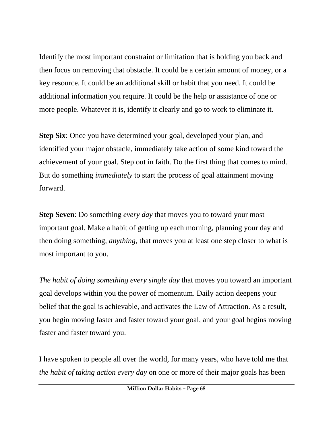Identify the most important constraint or limitation that is holding you back and then focus on removing that obstacle. It could be a certain amount of money, or a key resource. It could be an additional skill or habit that you need. It could be additional information you require. It could be the help or assistance of one or more people. Whatever it is, identify it clearly and go to work to eliminate it.

**Step Six**: Once you have determined your goal, developed your plan, and identified your major obstacle, immediately take action of some kind toward the achievement of your goal. Step out in faith. Do the first thing that comes to mind. But do something *immediately* to start the process of goal attainment moving forward.

**Step Seven**: Do something *every day* that moves you to toward your most important goal. Make a habit of getting up each morning, planning your day and then doing something, *anything*, that moves you at least one step closer to what is most important to you.

*The habit of doing something every single day* that moves you toward an important goal develops within you the power of momentum. Daily action deepens your belief that the goal is achievable, and activates the Law of Attraction. As a result, you begin moving faster and faster toward your goal, and your goal begins moving faster and faster toward you.

I have spoken to people all over the world, for many years, who have told me that *the habit of taking action every day* on one or more of their major goals has been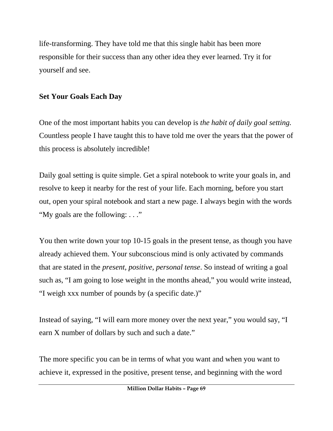life-transforming. They have told me that this single habit has been more responsible for their success than any other idea they ever learned. Try it for yourself and see.

#### **Set Your Goals Each Day**

One of the most important habits you can develop is *the habit of daily goal setting.* Countless people I have taught this to have told me over the years that the power of this process is absolutely incredible!

Daily goal setting is quite simple. Get a spiral notebook to write your goals in, and resolve to keep it nearby for the rest of your life. Each morning, before you start out, open your spiral notebook and start a new page. I always begin with the words "My goals are the following: . . ."

You then write down your top 10-15 goals in the present tense, as though you have already achieved them. Your subconscious mind is only activated by commands that are stated in the *present, positive, personal tense*. So instead of writing a goal such as, "I am going to lose weight in the months ahead," you would write instead, "I weigh xxx number of pounds by (a specific date.)"

Instead of saying, "I will earn more money over the next year," you would say, "I earn X number of dollars by such and such a date."

The more specific you can be in terms of what you want and when you want to achieve it, expressed in the positive, present tense, and beginning with the word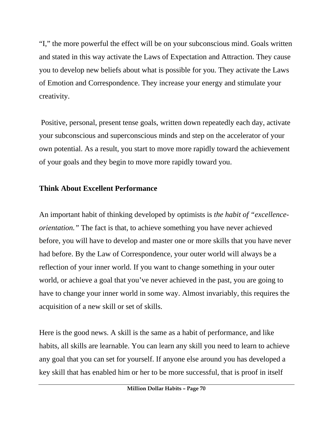"I," the more powerful the effect will be on your subconscious mind. Goals written and stated in this way activate the Laws of Expectation and Attraction. They cause you to develop new beliefs about what is possible for you. They activate the Laws of Emotion and Correspondence. They increase your energy and stimulate your creativity.

 Positive, personal, present tense goals, written down repeatedly each day, activate your subconscious and superconscious minds and step on the accelerator of your own potential. As a result, you start to move more rapidly toward the achievement of your goals and they begin to move more rapidly toward you.

### **Think About Excellent Performance**

An important habit of thinking developed by optimists is *the habit of "excellenceorientation."* The fact is that, to achieve something you have never achieved before, you will have to develop and master one or more skills that you have never had before. By the Law of Correspondence, your outer world will always be a reflection of your inner world. If you want to change something in your outer world, or achieve a goal that you've never achieved in the past, you are going to have to change your inner world in some way. Almost invariably, this requires the acquisition of a new skill or set of skills.

Here is the good news. A skill is the same as a habit of performance, and like habits, all skills are learnable. You can learn any skill you need to learn to achieve any goal that you can set for yourself. If anyone else around you has developed a key skill that has enabled him or her to be more successful, that is proof in itself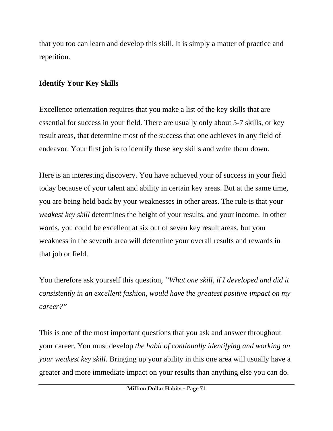that you too can learn and develop this skill. It is simply a matter of practice and repetition.

# **Identify Your Key Skills**

Excellence orientation requires that you make a list of the key skills that are essential for success in your field. There are usually only about 5-7 skills, or key result areas, that determine most of the success that one achieves in any field of endeavor. Your first job is to identify these key skills and write them down.

Here is an interesting discovery. You have achieved your of success in your field today because of your talent and ability in certain key areas. But at the same time, you are being held back by your weaknesses in other areas. The rule is that your *weakest key skill* determines the height of your results, and your income. In other words, you could be excellent at six out of seven key result areas, but your weakness in the seventh area will determine your overall results and rewards in that job or field.

You therefore ask yourself this question, *"What one skill, if I developed and did it consistently in an excellent fashion, would have the greatest positive impact on my career?"* 

This is one of the most important questions that you ask and answer throughout your career. You must develop *the habit of continually identifying and working on your weakest key skill*. Bringing up your ability in this one area will usually have a greater and more immediate impact on your results than anything else you can do.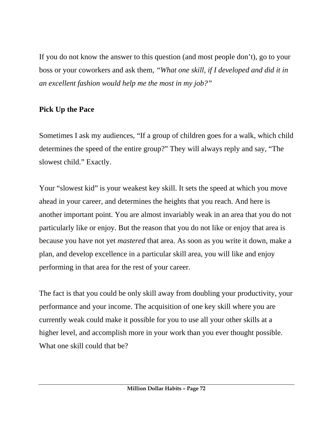If you do not know the answer to this question (and most people don't), go to your boss or your coworkers and ask them, *"What one skill, if I developed and did it in an excellent fashion would help me the most in my job?"* 

## **Pick Up the Pace**

Sometimes I ask my audiences, "If a group of children goes for a walk, which child determines the speed of the entire group?" They will always reply and say, "The slowest child." Exactly.

Your "slowest kid" is your weakest key skill. It sets the speed at which you move ahead in your career, and determines the heights that you reach. And here is another important point. You are almost invariably weak in an area that you do not particularly like or enjoy. But the reason that you do not like or enjoy that area is because you have not yet *mastered* that area. As soon as you write it down, make a plan, and develop excellence in a particular skill area, you will like and enjoy performing in that area for the rest of your career.

The fact is that you could be only skill away from doubling your productivity, your performance and your income. The acquisition of one key skill where you are currently weak could make it possible for you to use all your other skills at a higher level, and accomplish more in your work than you ever thought possible. What one skill could that be?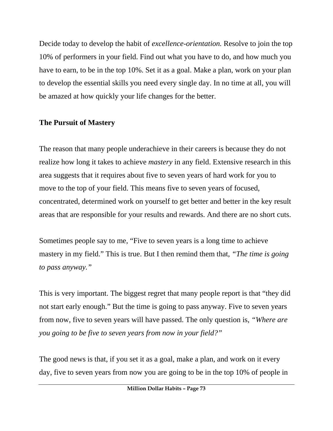Decide today to develop the habit of *excellence-orientation.* Resolve to join the top 10% of performers in your field. Find out what you have to do, and how much you have to earn, to be in the top 10%. Set it as a goal. Make a plan, work on your plan to develop the essential skills you need every single day. In no time at all, you will be amazed at how quickly your life changes for the better.

#### **The Pursuit of Mastery**

The reason that many people underachieve in their careers is because they do not realize how long it takes to achieve *mastery* in any field. Extensive research in this area suggests that it requires about five to seven years of hard work for you to move to the top of your field. This means five to seven years of focused, concentrated, determined work on yourself to get better and better in the key result areas that are responsible for your results and rewards. And there are no short cuts.

Sometimes people say to me, "Five to seven years is a long time to achieve mastery in my field." This is true. But I then remind them that, *"The time is going to pass anyway."* 

This is very important. The biggest regret that many people report is that "they did not start early enough." But the time is going to pass anyway. Five to seven years from now, five to seven years will have passed. The only question is, *"Where are you going to be five to seven years from now in your field?"* 

The good news is that, if you set it as a goal, make a plan, and work on it every day, five to seven years from now you are going to be in the top 10% of people in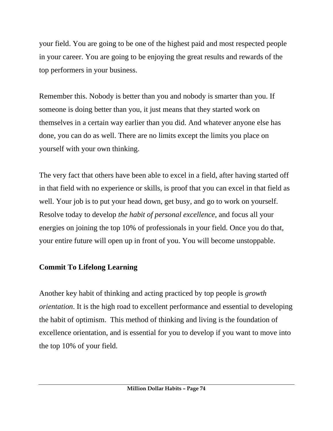your field. You are going to be one of the highest paid and most respected people in your career. You are going to be enjoying the great results and rewards of the top performers in your business.

Remember this. Nobody is better than you and nobody is smarter than you. If someone is doing better than you, it just means that they started work on themselves in a certain way earlier than you did. And whatever anyone else has done, you can do as well. There are no limits except the limits you place on yourself with your own thinking.

The very fact that others have been able to excel in a field, after having started off in that field with no experience or skills, is proof that you can excel in that field as well. Your job is to put your head down, get busy, and go to work on yourself. Resolve today to develop *the habit of personal excellence*, and focus all your energies on joining the top 10% of professionals in your field. Once you do that, your entire future will open up in front of you. You will become unstoppable.

### **Commit To Lifelong Learning**

Another key habit of thinking and acting practiced by top people is *growth orientation*. It is the high road to excellent performance and essential to developing the habit of optimism. This method of thinking and living is the foundation of excellence orientation, and is essential for you to develop if you want to move into the top 10% of your field.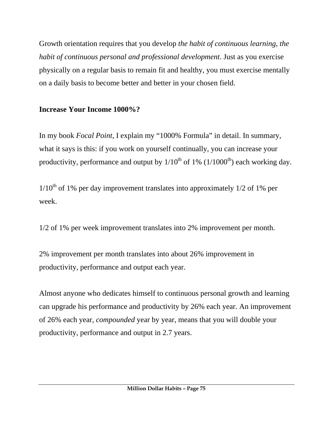Growth orientation requires that you develop *the habit of continuous learning*, *the habit of continuous personal and professional development*. Just as you exercise physically on a regular basis to remain fit and healthy, you must exercise mentally on a daily basis to become better and better in your chosen field.

### **Increase Your Income 1000%?**

In my book *Focal Point*, I explain my "1000% Formula" in detail. In summary, what it says is this: if you work on yourself continually, you can increase your productivity, performance and output by  $1/10^{th}$  of 1% ( $1/1000^{th}$ ) each working day.

 $1/10^{th}$  of 1% per day improvement translates into approximately 1/2 of 1% per week.

1/2 of 1% per week improvement translates into 2% improvement per month.

2% improvement per month translates into about 26% improvement in productivity, performance and output each year.

Almost anyone who dedicates himself to continuous personal growth and learning can upgrade his performance and productivity by 26% each year. An improvement of 26% each year, *compounded* year by year, means that you will double your productivity, performance and output in 2.7 years.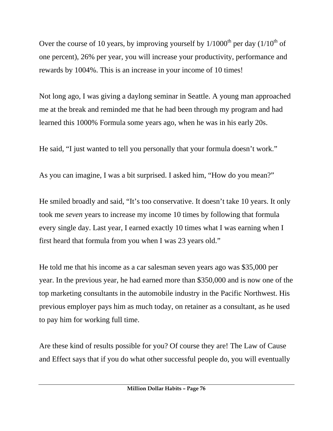Over the course of 10 years, by improving yourself by  $1/1000<sup>th</sup>$  per day ( $1/10<sup>th</sup>$  of one percent), 26% per year, you will increase your productivity, performance and rewards by 1004%. This is an increase in your income of 10 times!

Not long ago, I was giving a daylong seminar in Seattle. A young man approached me at the break and reminded me that he had been through my program and had learned this 1000% Formula some years ago, when he was in his early 20s.

He said, "I just wanted to tell you personally that your formula doesn't work."

As you can imagine, I was a bit surprised. I asked him, "How do you mean?"

He smiled broadly and said, "It's too conservative. It doesn't take 10 years. It only took me *seven* years to increase my income 10 times by following that formula every single day. Last year, I earned exactly 10 times what I was earning when I first heard that formula from you when I was 23 years old."

He told me that his income as a car salesman seven years ago was \$35,000 per year. In the previous year, he had earned more than \$350,000 and is now one of the top marketing consultants in the automobile industry in the Pacific Northwest. His previous employer pays him as much today, on retainer as a consultant, as he used to pay him for working full time.

Are these kind of results possible for you? Of course they are! The Law of Cause and Effect says that if you do what other successful people do, you will eventually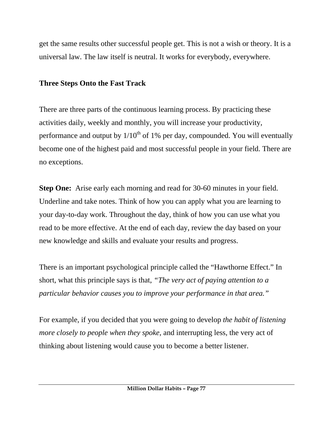get the same results other successful people get. This is not a wish or theory. It is a universal law. The law itself is neutral. It works for everybody, everywhere.

### **Three Steps Onto the Fast Track**

There are three parts of the continuous learning process. By practicing these activities daily, weekly and monthly, you will increase your productivity, performance and output by  $1/10^{th}$  of 1% per day, compounded. You will eventually become one of the highest paid and most successful people in your field. There are no exceptions.

**Step One:** Arise early each morning and read for 30-60 minutes in your field. Underline and take notes. Think of how you can apply what you are learning to your day-to-day work. Throughout the day, think of how you can use what you read to be more effective. At the end of each day, review the day based on your new knowledge and skills and evaluate your results and progress.

There is an important psychological principle called the "Hawthorne Effect." In short, what this principle says is that, *"The very act of paying attention to a particular behavior causes you to improve your performance in that area."* 

For example, if you decided that you were going to develop *the habit of listening more closely to people when they spoke,* and interrupting less, the very act of thinking about listening would cause you to become a better listener.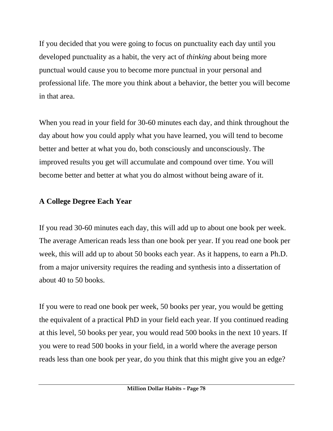If you decided that you were going to focus on punctuality each day until you developed punctuality as a habit, the very act of *thinking* about being more punctual would cause you to become more punctual in your personal and professional life. The more you think about a behavior, the better you will become in that area.

When you read in your field for 30-60 minutes each day, and think throughout the day about how you could apply what you have learned, you will tend to become better and better at what you do, both consciously and unconsciously. The improved results you get will accumulate and compound over time. You will become better and better at what you do almost without being aware of it.

### **A College Degree Each Year**

If you read 30-60 minutes each day, this will add up to about one book per week. The average American reads less than one book per year. If you read one book per week, this will add up to about 50 books each year. As it happens, to earn a Ph.D. from a major university requires the reading and synthesis into a dissertation of about 40 to 50 books.

If you were to read one book per week, 50 books per year, you would be getting the equivalent of a practical PhD in your field each year. If you continued reading at this level, 50 books per year, you would read 500 books in the next 10 years. If you were to read 500 books in your field, in a world where the average person reads less than one book per year, do you think that this might give you an edge?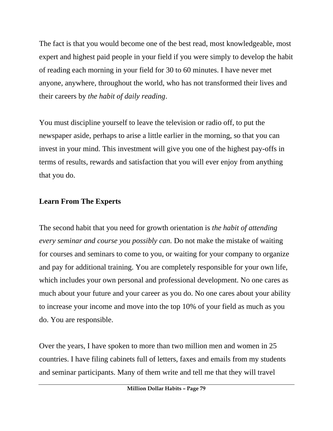The fact is that you would become one of the best read, most knowledgeable, most expert and highest paid people in your field if you were simply to develop the habit of reading each morning in your field for 30 to 60 minutes. I have never met anyone, anywhere, throughout the world, who has not transformed their lives and their careers by *the habit of daily reading*.

You must discipline yourself to leave the television or radio off, to put the newspaper aside, perhaps to arise a little earlier in the morning, so that you can invest in your mind. This investment will give you one of the highest pay-offs in terms of results, rewards and satisfaction that you will ever enjoy from anything that you do.

### **Learn From The Experts**

The second habit that you need for growth orientation is *the habit of attending every seminar and course you possibly can.* Do not make the mistake of waiting for courses and seminars to come to you, or waiting for your company to organize and pay for additional training. You are completely responsible for your own life, which includes your own personal and professional development. No one cares as much about your future and your career as you do. No one cares about your ability to increase your income and move into the top 10% of your field as much as you do. You are responsible.

Over the years, I have spoken to more than two million men and women in 25 countries. I have filing cabinets full of letters, faxes and emails from my students and seminar participants. Many of them write and tell me that they will travel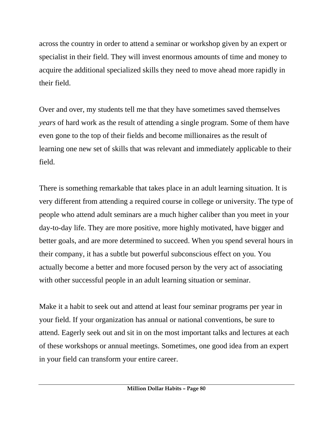across the country in order to attend a seminar or workshop given by an expert or specialist in their field. They will invest enormous amounts of time and money to acquire the additional specialized skills they need to move ahead more rapidly in their field.

Over and over, my students tell me that they have sometimes saved themselves *years* of hard work as the result of attending a single program. Some of them have even gone to the top of their fields and become millionaires as the result of learning one new set of skills that was relevant and immediately applicable to their field.

There is something remarkable that takes place in an adult learning situation. It is very different from attending a required course in college or university. The type of people who attend adult seminars are a much higher caliber than you meet in your day-to-day life. They are more positive, more highly motivated, have bigger and better goals, and are more determined to succeed. When you spend several hours in their company, it has a subtle but powerful subconscious effect on you. You actually become a better and more focused person by the very act of associating with other successful people in an adult learning situation or seminar.

Make it a habit to seek out and attend at least four seminar programs per year in your field. If your organization has annual or national conventions, be sure to attend. Eagerly seek out and sit in on the most important talks and lectures at each of these workshops or annual meetings. Sometimes, one good idea from an expert in your field can transform your entire career.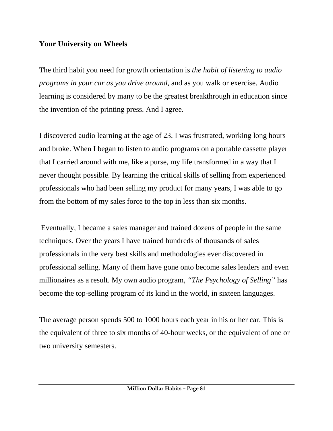#### **Your University on Wheels**

The third habit you need for growth orientation is *the habit of listening to audio programs in your car as you drive around*, and as you walk or exercise. Audio learning is considered by many to be the greatest breakthrough in education since the invention of the printing press. And I agree.

I discovered audio learning at the age of 23. I was frustrated, working long hours and broke. When I began to listen to audio programs on a portable cassette player that I carried around with me, like a purse, my life transformed in a way that I never thought possible. By learning the critical skills of selling from experienced professionals who had been selling my product for many years, I was able to go from the bottom of my sales force to the top in less than six months.

 Eventually, I became a sales manager and trained dozens of people in the same techniques. Over the years I have trained hundreds of thousands of sales professionals in the very best skills and methodologies ever discovered in professional selling. Many of them have gone onto become sales leaders and even millionaires as a result. My own audio program, *"The Psychology of Selling"* has become the top-selling program of its kind in the world, in sixteen languages.

The average person spends 500 to 1000 hours each year in his or her car. This is the equivalent of three to six months of 40-hour weeks, or the equivalent of one or two university semesters.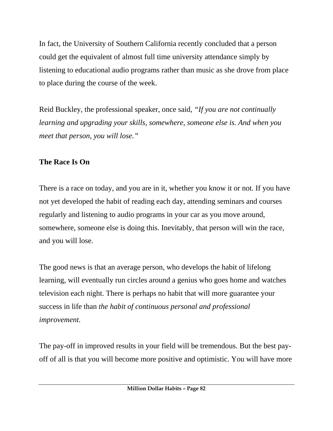In fact, the University of Southern California recently concluded that a person could get the equivalent of almost full time university attendance simply by listening to educational audio programs rather than music as she drove from place to place during the course of the week.

Reid Buckley, the professional speaker, once said, *"If you are not continually learning and upgrading your skills, somewhere, someone else is. And when you meet that person, you will lose."* 

## **The Race Is On**

There is a race on today, and you are in it, whether you know it or not. If you have not yet developed the habit of reading each day, attending seminars and courses regularly and listening to audio programs in your car as you move around, somewhere, someone else is doing this. Inevitably, that person will win the race, and you will lose.

The good news is that an average person, who develops the habit of lifelong learning, will eventually run circles around a genius who goes home and watches television each night. There is perhaps no habit that will more guarantee your success in life than *the habit of continuous personal and professional improvement.* 

The pay-off in improved results in your field will be tremendous. But the best payoff of all is that you will become more positive and optimistic. You will have more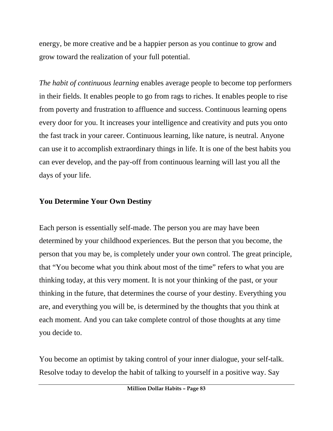energy, be more creative and be a happier person as you continue to grow and grow toward the realization of your full potential.

*The habit of continuous learning* enables average people to become top performers in their fields. It enables people to go from rags to riches. It enables people to rise from poverty and frustration to affluence and success. Continuous learning opens every door for you. It increases your intelligence and creativity and puts you onto the fast track in your career. Continuous learning, like nature, is neutral. Anyone can use it to accomplish extraordinary things in life. It is one of the best habits you can ever develop, and the pay-off from continuous learning will last you all the days of your life.

### **You Determine Your Own Destiny**

Each person is essentially self-made. The person you are may have been determined by your childhood experiences. But the person that you become, the person that you may be, is completely under your own control. The great principle, that "You become what you think about most of the time" refers to what you are thinking today, at this very moment. It is not your thinking of the past, or your thinking in the future, that determines the course of your destiny. Everything you are, and everything you will be, is determined by the thoughts that you think at each moment. And you can take complete control of those thoughts at any time you decide to.

You become an optimist by taking control of your inner dialogue, your self-talk. Resolve today to develop the habit of talking to yourself in a positive way. Say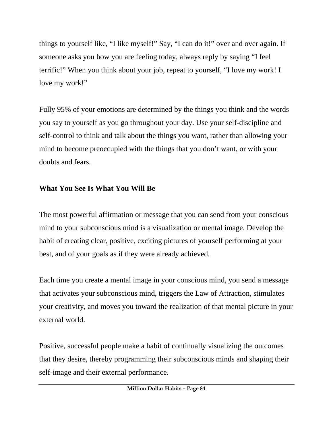things to yourself like, "I like myself!" Say, "I can do it!" over and over again. If someone asks you how you are feeling today, always reply by saying "I feel terrific!" When you think about your job, repeat to yourself, "I love my work! I love my work!"

Fully 95% of your emotions are determined by the things you think and the words you say to yourself as you go throughout your day. Use your self-discipline and self-control to think and talk about the things you want, rather than allowing your mind to become preoccupied with the things that you don't want, or with your doubts and fears.

### **What You See Is What You Will Be**

The most powerful affirmation or message that you can send from your conscious mind to your subconscious mind is a visualization or mental image. Develop the habit of creating clear, positive, exciting pictures of yourself performing at your best, and of your goals as if they were already achieved.

Each time you create a mental image in your conscious mind, you send a message that activates your subconscious mind, triggers the Law of Attraction, stimulates your creativity, and moves you toward the realization of that mental picture in your external world.

Positive, successful people make a habit of continually visualizing the outcomes that they desire, thereby programming their subconscious minds and shaping their self-image and their external performance.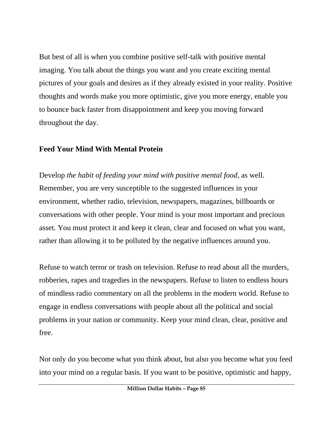But best of all is when you combine positive self-talk with positive mental imaging. You talk about the things you want and you create exciting mental pictures of your goals and desires as if they already existed in your reality. Positive thoughts and words make you more optimistic, give you more energy, enable you to bounce back faster from disappointment and keep you moving forward throughout the day.

### **Feed Your Mind With Mental Protein**

Develop *the habit of feeding your mind with positive mental food*, as well. Remember, you are very susceptible to the suggested influences in your environment, whether radio, television, newspapers, magazines, billboards or conversations with other people. Your mind is your most important and precious asset. You must protect it and keep it clean, clear and focused on what you want, rather than allowing it to be polluted by the negative influences around you.

Refuse to watch terror or trash on television. Refuse to read about all the murders, robberies, rapes and tragedies in the newspapers. Refuse to listen to endless hours of mindless radio commentary on all the problems in the modern world. Refuse to engage in endless conversations with people about all the political and social problems in your nation or community. Keep your mind clean, clear, positive and free.

Not only do you become what you think about, but also you become what you feed into your mind on a regular basis. If you want to be positive, optimistic and happy,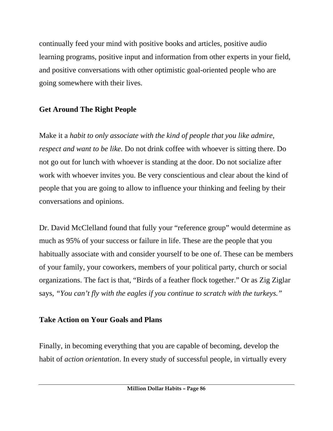continually feed your mind with positive books and articles, positive audio learning programs, positive input and information from other experts in your field, and positive conversations with other optimistic goal-oriented people who are going somewhere with their lives.

## **Get Around The Right People**

Make it a *habit to only associate with the kind of people that you like admire, respect and want to be like.* Do not drink coffee with whoever is sitting there. Do not go out for lunch with whoever is standing at the door. Do not socialize after work with whoever invites you. Be very conscientious and clear about the kind of people that you are going to allow to influence your thinking and feeling by their conversations and opinions.

Dr. David McClelland found that fully your "reference group" would determine as much as 95% of your success or failure in life. These are the people that you habitually associate with and consider yourself to be one of. These can be members of your family, your coworkers, members of your political party, church or social organizations. The fact is that, "Birds of a feather flock together." Or as Zig Ziglar says, *"You can't fly with the eagles if you continue to scratch with the turkeys."* 

# **Take Action on Your Goals and Plans**

Finally, in becoming everything that you are capable of becoming, develop the habit of *action orientation*. In every study of successful people, in virtually every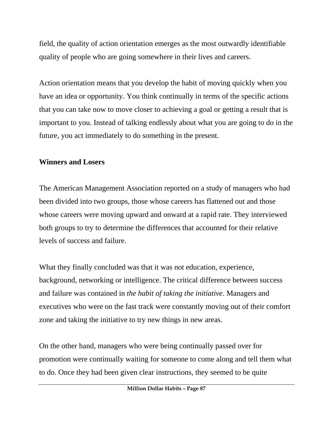field, the quality of action orientation emerges as the most outwardly identifiable quality of people who are going somewhere in their lives and careers.

Action orientation means that you develop the habit of moving quickly when you have an idea or opportunity. You think continually in terms of the specific actions that you can take now to move closer to achieving a goal or getting a result that is important to you. Instead of talking endlessly about what you are going to do in the future, you act immediately to do something in the present.

### **Winners and Losers**

The American Management Association reported on a study of managers who had been divided into two groups, those whose careers has flattened out and those whose careers were moving upward and onward at a rapid rate. They interviewed both groups to try to determine the differences that accounted for their relative levels of success and failure.

What they finally concluded was that it was not education, experience, background, networking or intelligence. The critical difference between success and failure was contained in *the habit of taking the initiative*. Managers and executives who were on the fast track were constantly moving out of their comfort zone and taking the initiative to try new things in new areas.

On the other hand, managers who were being continually passed over for promotion were continually waiting for someone to come along and tell them what to do. Once they had been given clear instructions, they seemed to be quite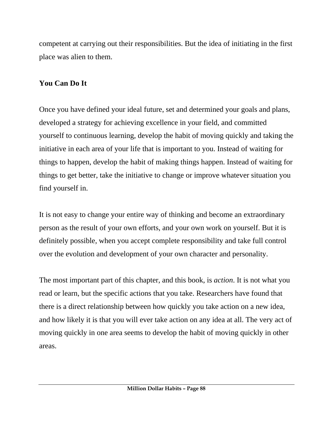competent at carrying out their responsibilities. But the idea of initiating in the first place was alien to them.

## **You Can Do It**

Once you have defined your ideal future, set and determined your goals and plans, developed a strategy for achieving excellence in your field, and committed yourself to continuous learning, develop the habit of moving quickly and taking the initiative in each area of your life that is important to you. Instead of waiting for things to happen, develop the habit of making things happen. Instead of waiting for things to get better, take the initiative to change or improve whatever situation you find yourself in.

It is not easy to change your entire way of thinking and become an extraordinary person as the result of your own efforts, and your own work on yourself. But it is definitely possible, when you accept complete responsibility and take full control over the evolution and development of your own character and personality.

The most important part of this chapter, and this book, is *action*. It is not what you read or learn, but the specific actions that you take. Researchers have found that there is a direct relationship between how quickly you take action on a new idea, and how likely it is that you will ever take action on any idea at all. The very act of moving quickly in one area seems to develop the habit of moving quickly in other areas.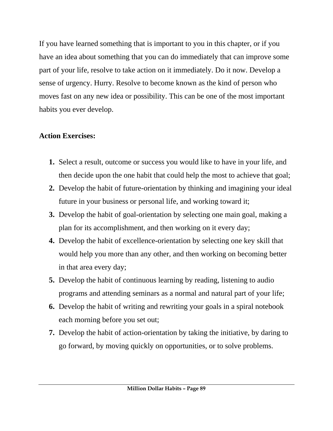If you have learned something that is important to you in this chapter, or if you have an idea about something that you can do immediately that can improve some part of your life, resolve to take action on it immediately. Do it now. Develop a sense of urgency. Hurry. Resolve to become known as the kind of person who moves fast on any new idea or possibility. This can be one of the most important habits you ever develop.

### **Action Exercises:**

- **1.** Select a result, outcome or success you would like to have in your life, and then decide upon the one habit that could help the most to achieve that goal;
- **2.** Develop the habit of future-orientation by thinking and imagining your ideal future in your business or personal life, and working toward it;
- **3.** Develop the habit of goal-orientation by selecting one main goal, making a plan for its accomplishment, and then working on it every day;
- **4.** Develop the habit of excellence-orientation by selecting one key skill that would help you more than any other, and then working on becoming better in that area every day;
- **5.** Develop the habit of continuous learning by reading, listening to audio programs and attending seminars as a normal and natural part of your life;
- **6.** Develop the habit of writing and rewriting your goals in a spiral notebook each morning before you set out;
- **7.** Develop the habit of action-orientation by taking the initiative, by daring to go forward, by moving quickly on opportunities, or to solve problems.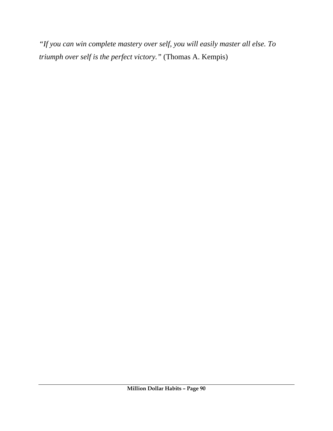*"If you can win complete mastery over self, you will easily master all else. To triumph over self is the perfect victory."* (Thomas A. Kempis)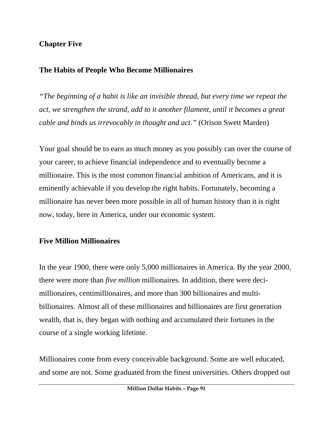#### **Chapter Five**

#### **The Habits of People Who Become Millionaires**

*"The beginning of a habit is like an invisible thread, but every time we repeat the act, we strengthen the strand, add to it another filament, until it becomes a great cable and binds us irrevocably in thought and act."* (Orison Swett Marden)

Your goal should be to earn as much money as you possibly can over the course of your career, to achieve financial independence and to eventually become a millionaire. This is the most common financial ambition of Americans, and it is eminently achievable if you develop the right habits. Fortunately, becoming a millionaire has never been more possible in all of human history than it is right now, today, here in America, under our economic system.

#### **Five Million Millionaires**

In the year 1900, there were only 5,000 millionaires in America. By the year 2000, there were more than *five million* millionaires. In addition, there were decimillionaires, centimillionaires, and more than 300 billionaires and multibillionaires. Almost all of these millionaires and billionaires are first generation wealth, that is, they began with nothing and accumulated their fortunes in the course of a single working lifetime.

Millionaires come from every conceivable background. Some are well educated, and some are not. Some graduated from the finest universities. Others dropped out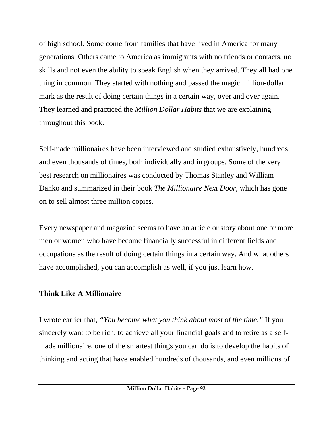of high school. Some come from families that have lived in America for many generations. Others came to America as immigrants with no friends or contacts, no skills and not even the ability to speak English when they arrived. They all had one thing in common. They started with nothing and passed the magic million-dollar mark as the result of doing certain things in a certain way, over and over again. They learned and practiced the *Million Dollar Habits* that we are explaining throughout this book.

Self-made millionaires have been interviewed and studied exhaustively, hundreds and even thousands of times, both individually and in groups. Some of the very best research on millionaires was conducted by Thomas Stanley and William Danko and summarized in their book *The Millionaire Next Door*, which has gone on to sell almost three million copies.

Every newspaper and magazine seems to have an article or story about one or more men or women who have become financially successful in different fields and occupations as the result of doing certain things in a certain way. And what others have accomplished, you can accomplish as well, if you just learn how.

#### **Think Like A Millionaire**

I wrote earlier that, *"You become what you think about most of the time."* If you sincerely want to be rich, to achieve all your financial goals and to retire as a selfmade millionaire, one of the smartest things you can do is to develop the habits of thinking and acting that have enabled hundreds of thousands, and even millions of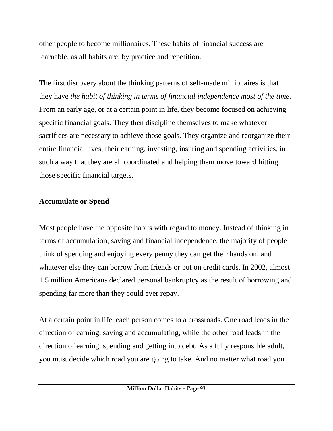other people to become millionaires. These habits of financial success are learnable, as all habits are, by practice and repetition.

The first discovery about the thinking patterns of self-made millionaires is that they have *the habit of thinking in terms of financial independence most of the time.* From an early age, or at a certain point in life, they become focused on achieving specific financial goals. They then discipline themselves to make whatever sacrifices are necessary to achieve those goals. They organize and reorganize their entire financial lives, their earning, investing, insuring and spending activities, in such a way that they are all coordinated and helping them move toward hitting those specific financial targets.

### **Accumulate or Spend**

Most people have the opposite habits with regard to money. Instead of thinking in terms of accumulation, saving and financial independence, the majority of people think of spending and enjoying every penny they can get their hands on, and whatever else they can borrow from friends or put on credit cards. In 2002, almost 1.5 million Americans declared personal bankruptcy as the result of borrowing and spending far more than they could ever repay.

At a certain point in life, each person comes to a crossroads. One road leads in the direction of earning, saving and accumulating, while the other road leads in the direction of earning, spending and getting into debt. As a fully responsible adult, you must decide which road you are going to take. And no matter what road you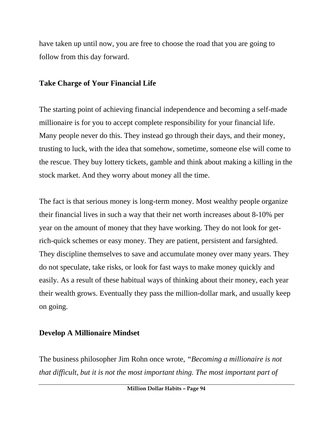have taken up until now, you are free to choose the road that you are going to follow from this day forward.

### **Take Charge of Your Financial Life**

The starting point of achieving financial independence and becoming a self-made millionaire is for you to accept complete responsibility for your financial life. Many people never do this. They instead go through their days, and their money, trusting to luck, with the idea that somehow, sometime, someone else will come to the rescue. They buy lottery tickets, gamble and think about making a killing in the stock market. And they worry about money all the time.

The fact is that serious money is long-term money. Most wealthy people organize their financial lives in such a way that their net worth increases about 8-10% per year on the amount of money that they have working. They do not look for getrich-quick schemes or easy money. They are patient, persistent and farsighted. They discipline themselves to save and accumulate money over many years. They do not speculate, take risks, or look for fast ways to make money quickly and easily. As a result of these habitual ways of thinking about their money, each year their wealth grows. Eventually they pass the million-dollar mark, and usually keep on going.

## **Develop A Millionaire Mindset**

The business philosopher Jim Rohn once wrote, *"Becoming a millionaire is not that difficult, but it is not the most important thing. The most important part of*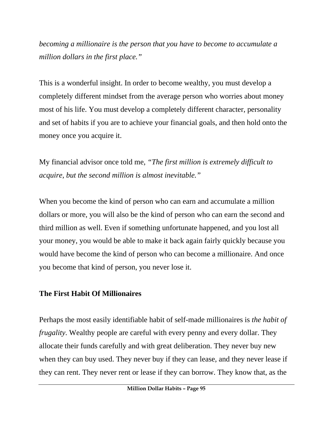*becoming a millionaire is the person that you have to become to accumulate a million dollars in the first place."* 

This is a wonderful insight. In order to become wealthy, you must develop a completely different mindset from the average person who worries about money most of his life. You must develop a completely different character, personality and set of habits if you are to achieve your financial goals, and then hold onto the money once you acquire it.

My financial advisor once told me, *"The first million is extremely difficult to acquire, but the second million is almost inevitable."* 

When you become the kind of person who can earn and accumulate a million dollars or more, you will also be the kind of person who can earn the second and third million as well. Even if something unfortunate happened, and you lost all your money, you would be able to make it back again fairly quickly because you would have become the kind of person who can become a millionaire. And once you become that kind of person, you never lose it.

### **The First Habit Of Millionaires**

Perhaps the most easily identifiable habit of self-made millionaires is *the habit of frugality*. Wealthy people are careful with every penny and every dollar. They allocate their funds carefully and with great deliberation. They never buy new when they can buy used. They never buy if they can lease, and they never lease if they can rent. They never rent or lease if they can borrow. They know that, as the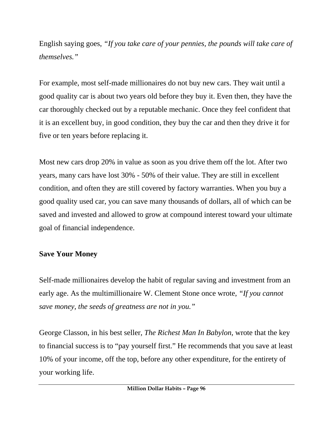English saying goes, *"If you take care of your pennies, the pounds will take care of themselves."* 

For example, most self-made millionaires do not buy new cars. They wait until a good quality car is about two years old before they buy it. Even then, they have the car thoroughly checked out by a reputable mechanic. Once they feel confident that it is an excellent buy, in good condition, they buy the car and then they drive it for five or ten years before replacing it.

Most new cars drop 20% in value as soon as you drive them off the lot. After two years, many cars have lost 30% - 50% of their value. They are still in excellent condition, and often they are still covered by factory warranties. When you buy a good quality used car, you can save many thousands of dollars, all of which can be saved and invested and allowed to grow at compound interest toward your ultimate goal of financial independence.

## **Save Your Money**

Self-made millionaires develop the habit of regular saving and investment from an early age. As the multimillionaire W. Clement Stone once wrote, *"If you cannot save money, the seeds of greatness are not in you."* 

George Classon, in his best seller, *The Richest Man In Babylon*, wrote that the key to financial success is to "pay yourself first." He recommends that you save at least 10% of your income, off the top, before any other expenditure, for the entirety of your working life.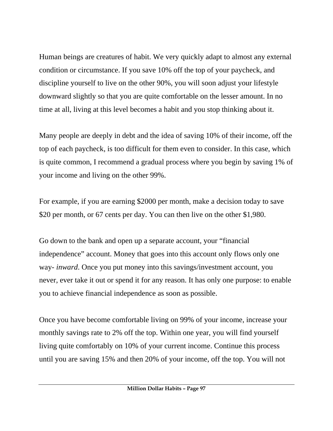Human beings are creatures of habit. We very quickly adapt to almost any external condition or circumstance. If you save 10% off the top of your paycheck, and discipline yourself to live on the other 90%, you will soon adjust your lifestyle downward slightly so that you are quite comfortable on the lesser amount. In no time at all, living at this level becomes a habit and you stop thinking about it.

Many people are deeply in debt and the idea of saving 10% of their income, off the top of each paycheck, is too difficult for them even to consider. In this case, which is quite common, I recommend a gradual process where you begin by saving 1% of your income and living on the other 99%.

For example, if you are earning \$2000 per month, make a decision today to save \$20 per month, or 67 cents per day. You can then live on the other \$1,980.

Go down to the bank and open up a separate account, your "financial independence" account. Money that goes into this account only flows only one way- *inward*. Once you put money into this savings/investment account, you never, ever take it out or spend it for any reason. It has only one purpose: to enable you to achieve financial independence as soon as possible.

Once you have become comfortable living on 99% of your income, increase your monthly savings rate to 2% off the top. Within one year, you will find yourself living quite comfortably on 10% of your current income. Continue this process until you are saving 15% and then 20% of your income, off the top. You will not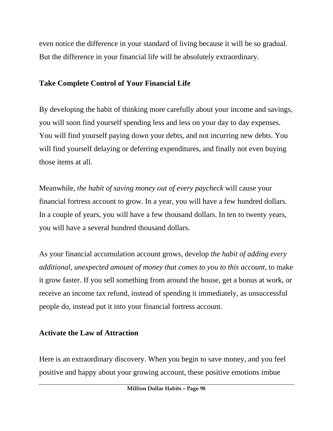even notice the difference in your standard of living because it will be so gradual. But the difference in your financial life will be absolutely extraordinary.

## **Take Complete Control of Your Financial Life**

By developing the habit of thinking more carefully about your income and savings, you will soon find yourself spending less and less on your day to day expenses. You will find yourself paying down your debts, and not incurring new debts. You will find yourself delaying or deferring expenditures, and finally not even buying those items at all.

Meanwhile, *the habit of saving money out of every paycheck* will cause your financial fortress account to grow. In a year, you will have a few hundred dollars. In a couple of years, you will have a few thousand dollars. In ten to twenty years, you will have a several hundred thousand dollars.

As your financial accumulation account grows, develop *the habit of adding every additional, unexpected amount of money that comes to you to this account*, to make it grow faster. If you sell something from around the house, get a bonus at work, or receive an income tax refund, instead of spending it immediately, as unsuccessful people do, instead put it into your financial fortress account.

# **Activate the Law of Attraction**

Here is an extraordinary discovery. When you begin to save money, and you feel positive and happy about your growing account, these positive emotions imbue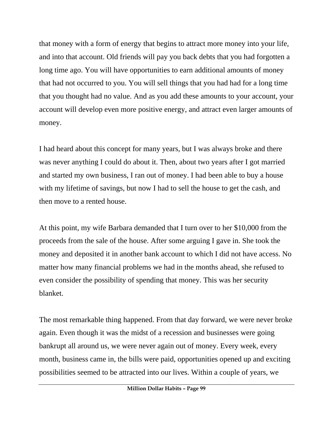that money with a form of energy that begins to attract more money into your life, and into that account. Old friends will pay you back debts that you had forgotten a long time ago. You will have opportunities to earn additional amounts of money that had not occurred to you. You will sell things that you had had for a long time that you thought had no value. And as you add these amounts to your account, your account will develop even more positive energy, and attract even larger amounts of money.

I had heard about this concept for many years, but I was always broke and there was never anything I could do about it. Then, about two years after I got married and started my own business, I ran out of money. I had been able to buy a house with my lifetime of savings, but now I had to sell the house to get the cash, and then move to a rented house.

At this point, my wife Barbara demanded that I turn over to her \$10,000 from the proceeds from the sale of the house. After some arguing I gave in. She took the money and deposited it in another bank account to which I did not have access. No matter how many financial problems we had in the months ahead, she refused to even consider the possibility of spending that money. This was her security blanket.

The most remarkable thing happened. From that day forward, we were never broke again. Even though it was the midst of a recession and businesses were going bankrupt all around us, we were never again out of money. Every week, every month, business came in, the bills were paid, opportunities opened up and exciting possibilities seemed to be attracted into our lives. Within a couple of years, we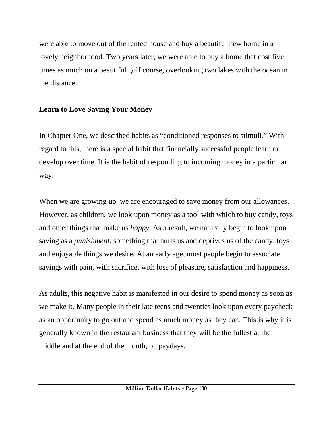were able to move out of the rented house and buy a beautiful new home in a lovely neighborhood. Two years later, we were able to buy a home that cost five times as much on a beautiful golf course, overlooking two lakes with the ocean in the distance.

### **Learn to Love Saving Your Money**

In Chapter One, we described habits as "conditioned responses to stimuli." With regard to this, there is a special habit that financially successful people learn or develop over time. It is the habit of responding to incoming money in a particular way.

When we are growing up, we are encouraged to save money from our allowances. However, as children, we look upon money as a tool with which to buy candy, toys and other things that make us *happy*. As a result, we naturally begin to look upon saving as a *punishment*, something that hurts us and deprives us of the candy, toys and enjoyable things we desire. At an early age, most people begin to associate savings with pain, with sacrifice, with loss of pleasure, satisfaction and happiness.

As adults, this negative habit is manifested in our desire to spend money as soon as we make it. Many people in their late teens and twenties look upon every paycheck as an opportunity to go out and spend as much money as they can. This is why it is generally known in the restaurant business that they will be the fullest at the middle and at the end of the month, on paydays.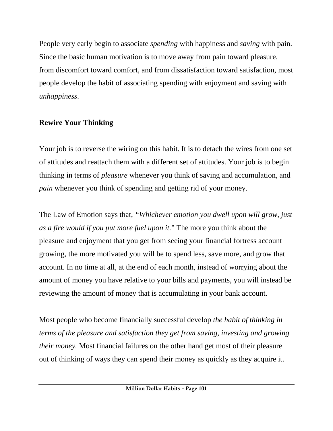People very early begin to associate *spending* with happiness and *saving* with pain. Since the basic human motivation is to move away from pain toward pleasure, from discomfort toward comfort, and from dissatisfaction toward satisfaction, most people develop the habit of associating spending with enjoyment and saving with *unhappiness*.

### **Rewire Your Thinking**

Your job is to reverse the wiring on this habit. It is to detach the wires from one set of attitudes and reattach them with a different set of attitudes. Your job is to begin thinking in terms of *pleasure* whenever you think of saving and accumulation, and *pain* whenever you think of spending and getting rid of your money.

The Law of Emotion says that, *"Whichever emotion you dwell upon will grow, just as a fire would if you put more fuel upon it.*" The more you think about the pleasure and enjoyment that you get from seeing your financial fortress account growing, the more motivated you will be to spend less, save more, and grow that account. In no time at all, at the end of each month, instead of worrying about the amount of money you have relative to your bills and payments, you will instead be reviewing the amount of money that is accumulating in your bank account.

Most people who become financially successful develop *the habit of thinking in terms of the pleasure and satisfaction they get from saving, investing and growing their money.* Most financial failures on the other hand get most of their pleasure out of thinking of ways they can spend their money as quickly as they acquire it.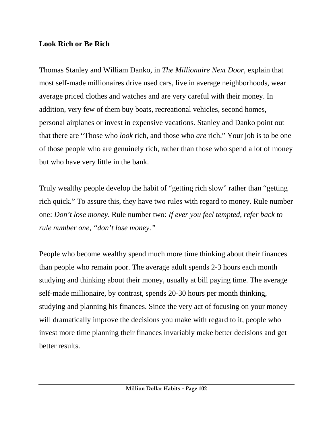#### **Look Rich or Be Rich**

Thomas Stanley and William Danko, in *The Millionaire Next Door,* explain that most self-made millionaires drive used cars, live in average neighborhoods, wear average priced clothes and watches and are very careful with their money. In addition, very few of them buy boats, recreational vehicles, second homes, personal airplanes or invest in expensive vacations. Stanley and Danko point out that there are "Those who *look* rich, and those who *are* rich." Your job is to be one of those people who are genuinely rich, rather than those who spend a lot of money but who have very little in the bank.

Truly wealthy people develop the habit of "getting rich slow" rather than "getting rich quick." To assure this, they have two rules with regard to money. Rule number one: *Don't lose money*. Rule number two: *If ever you feel tempted, refer back to rule number one, "don't lose money."* 

People who become wealthy spend much more time thinking about their finances than people who remain poor. The average adult spends 2-3 hours each month studying and thinking about their money, usually at bill paying time. The average self-made millionaire, by contrast, spends 20-30 hours per month thinking, studying and planning his finances. Since the very act of focusing on your money will dramatically improve the decisions you make with regard to it, people who invest more time planning their finances invariably make better decisions and get better results.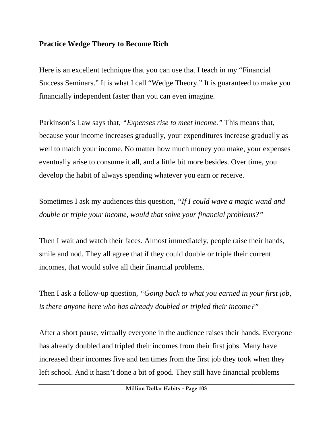#### **Practice Wedge Theory to Become Rich**

Here is an excellent technique that you can use that I teach in my "Financial Success Seminars." It is what I call "Wedge Theory." It is guaranteed to make you financially independent faster than you can even imagine.

Parkinson's Law says that, *"Expenses rise to meet income."* This means that, because your income increases gradually, your expenditures increase gradually as well to match your income. No matter how much money you make, your expenses eventually arise to consume it all, and a little bit more besides. Over time, you develop the habit of always spending whatever you earn or receive.

Sometimes I ask my audiences this question, *"If I could wave a magic wand and double or triple your income, would that solve your financial problems?"* 

Then I wait and watch their faces. Almost immediately, people raise their hands, smile and nod. They all agree that if they could double or triple their current incomes, that would solve all their financial problems.

Then I ask a follow-up question, *"Going back to what you earned in your first job, is there anyone here who has already doubled or tripled their income?"* 

After a short pause, virtually everyone in the audience raises their hands. Everyone has already doubled and tripled their incomes from their first jobs. Many have increased their incomes five and ten times from the first job they took when they left school. And it hasn't done a bit of good. They still have financial problems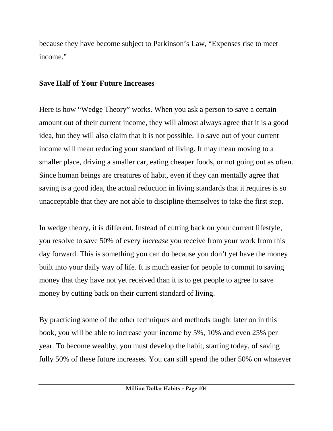because they have become subject to Parkinson's Law, "Expenses rise to meet income."

### **Save Half of Your Future Increases**

Here is how "Wedge Theory" works. When you ask a person to save a certain amount out of their current income, they will almost always agree that it is a good idea, but they will also claim that it is not possible. To save out of your current income will mean reducing your standard of living. It may mean moving to a smaller place, driving a smaller car, eating cheaper foods, or not going out as often. Since human beings are creatures of habit, even if they can mentally agree that saving is a good idea, the actual reduction in living standards that it requires is so unacceptable that they are not able to discipline themselves to take the first step.

In wedge theory, it is different. Instead of cutting back on your current lifestyle, you resolve to save 50% of every *increase* you receive from your work from this day forward. This is something you can do because you don't yet have the money built into your daily way of life. It is much easier for people to commit to saving money that they have not yet received than it is to get people to agree to save money by cutting back on their current standard of living.

By practicing some of the other techniques and methods taught later on in this book, you will be able to increase your income by 5%, 10% and even 25% per year. To become wealthy, you must develop the habit, starting today, of saving fully 50% of these future increases. You can still spend the other 50% on whatever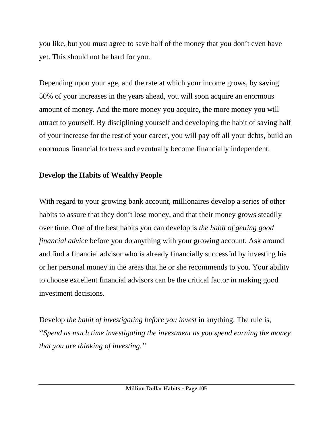you like, but you must agree to save half of the money that you don't even have yet. This should not be hard for you.

Depending upon your age, and the rate at which your income grows, by saving 50% of your increases in the years ahead, you will soon acquire an enormous amount of money. And the more money you acquire, the more money you will attract to yourself. By disciplining yourself and developing the habit of saving half of your increase for the rest of your career, you will pay off all your debts, build an enormous financial fortress and eventually become financially independent.

### **Develop the Habits of Wealthy People**

With regard to your growing bank account, millionaires develop a series of other habits to assure that they don't lose money, and that their money grows steadily over time. One of the best habits you can develop is *the habit of getting good financial advice* before you do anything with your growing account. Ask around and find a financial advisor who is already financially successful by investing his or her personal money in the areas that he or she recommends to you. Your ability to choose excellent financial advisors can be the critical factor in making good investment decisions.

Develop *the habit of investigating before you invest* in anything. The rule is, *"Spend as much time investigating the investment as you spend earning the money that you are thinking of investing."*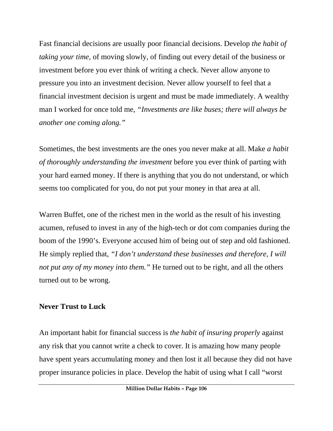Fast financial decisions are usually poor financial decisions. Develop *the habit of taking your time,* of moving slowly, of finding out every detail of the business or investment before you ever think of writing a check. Never allow anyone to pressure you into an investment decision. Never allow yourself to feel that a financial investment decision is urgent and must be made immediately. A wealthy man I worked for once told me, *"Investments are like buses; there will always be another one coming along."* 

Sometimes, the best investments are the ones you never make at all. Make *a habit of thoroughly understanding the investment* before you ever think of parting with your hard earned money. If there is anything that you do not understand, or which seems too complicated for you, do not put your money in that area at all.

Warren Buffet, one of the richest men in the world as the result of his investing acumen, refused to invest in any of the high-tech or dot com companies during the boom of the 1990's. Everyone accused him of being out of step and old fashioned. He simply replied that, *"I don't understand these businesses and therefore, I will not put any of my money into them."* He turned out to be right, and all the others turned out to be wrong.

#### **Never Trust to Luck**

An important habit for financial success is *the habit of insuring properly* against any risk that you cannot write a check to cover. It is amazing how many people have spent years accumulating money and then lost it all because they did not have proper insurance policies in place. Develop the habit of using what I call "worst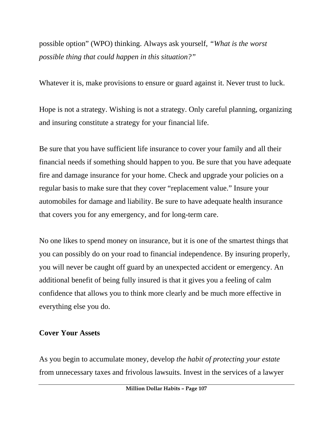possible option" (WPO) thinking. Always ask yourself, *"What is the worst possible thing that could happen in this situation?"* 

Whatever it is, make provisions to ensure or guard against it. Never trust to luck.

Hope is not a strategy. Wishing is not a strategy. Only careful planning, organizing and insuring constitute a strategy for your financial life.

Be sure that you have sufficient life insurance to cover your family and all their financial needs if something should happen to you. Be sure that you have adequate fire and damage insurance for your home. Check and upgrade your policies on a regular basis to make sure that they cover "replacement value." Insure your automobiles for damage and liability. Be sure to have adequate health insurance that covers you for any emergency, and for long-term care.

No one likes to spend money on insurance, but it is one of the smartest things that you can possibly do on your road to financial independence. By insuring properly, you will never be caught off guard by an unexpected accident or emergency. An additional benefit of being fully insured is that it gives you a feeling of calm confidence that allows you to think more clearly and be much more effective in everything else you do.

## **Cover Your Assets**

As you begin to accumulate money, develop *the habit of protecting your estate* from unnecessary taxes and frivolous lawsuits. Invest in the services of a lawyer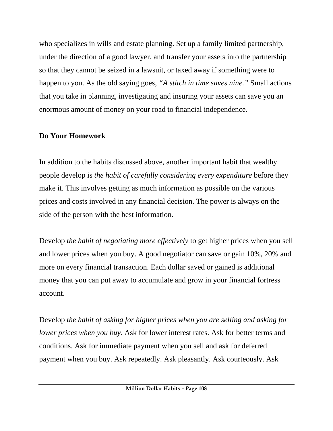who specializes in wills and estate planning. Set up a family limited partnership, under the direction of a good lawyer, and transfer your assets into the partnership so that they cannot be seized in a lawsuit, or taxed away if something were to happen to you. As the old saying goes, *"A stitch in time saves nine."* Small actions that you take in planning, investigating and insuring your assets can save you an enormous amount of money on your road to financial independence.

### **Do Your Homework**

In addition to the habits discussed above, another important habit that wealthy people develop is *the habit of carefully considering every expenditure* before they make it. This involves getting as much information as possible on the various prices and costs involved in any financial decision. The power is always on the side of the person with the best information.

Develop *the habit of negotiating more effectively* to get higher prices when you sell and lower prices when you buy. A good negotiator can save or gain 10%, 20% and more on every financial transaction. Each dollar saved or gained is additional money that you can put away to accumulate and grow in your financial fortress account.

Develop *the habit of asking for higher prices when you are selling and asking for lower prices when you buy.* Ask for lower interest rates. Ask for better terms and conditions. Ask for immediate payment when you sell and ask for deferred payment when you buy. Ask repeatedly. Ask pleasantly. Ask courteously. Ask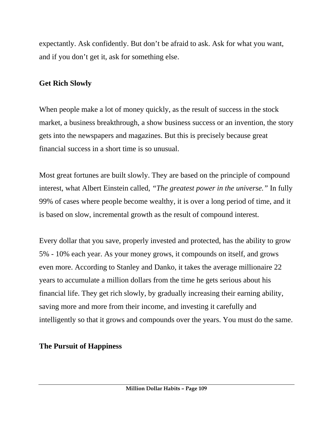expectantly. Ask confidently. But don't be afraid to ask. Ask for what you want, and if you don't get it, ask for something else.

# **Get Rich Slowly**

When people make a lot of money quickly, as the result of success in the stock market, a business breakthrough, a show business success or an invention, the story gets into the newspapers and magazines. But this is precisely because great financial success in a short time is so unusual.

Most great fortunes are built slowly. They are based on the principle of compound interest, what Albert Einstein called, *"The greatest power in the universe."* In fully 99% of cases where people become wealthy, it is over a long period of time, and it is based on slow, incremental growth as the result of compound interest.

Every dollar that you save, properly invested and protected, has the ability to grow 5% - 10% each year. As your money grows, it compounds on itself, and grows even more. According to Stanley and Danko, it takes the average millionaire 22 years to accumulate a million dollars from the time he gets serious about his financial life. They get rich slowly, by gradually increasing their earning ability, saving more and more from their income, and investing it carefully and intelligently so that it grows and compounds over the years. You must do the same.

# **The Pursuit of Happiness**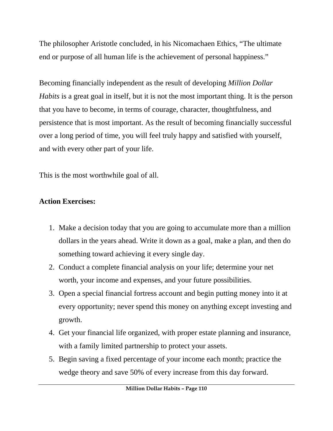The philosopher Aristotle concluded, in his Nicomachaen Ethics, "The ultimate end or purpose of all human life is the achievement of personal happiness."

Becoming financially independent as the result of developing *Million Dollar Habits* is a great goal in itself, but it is not the most important thing. It is the person that you have to become, in terms of courage, character, thoughtfulness, and persistence that is most important. As the result of becoming financially successful over a long period of time, you will feel truly happy and satisfied with yourself, and with every other part of your life.

This is the most worthwhile goal of all.

# **Action Exercises:**

- 1. Make a decision today that you are going to accumulate more than a million dollars in the years ahead. Write it down as a goal, make a plan, and then do something toward achieving it every single day.
- 2. Conduct a complete financial analysis on your life; determine your net worth, your income and expenses, and your future possibilities.
- 3. Open a special financial fortress account and begin putting money into it at every opportunity; never spend this money on anything except investing and growth.
- 4. Get your financial life organized, with proper estate planning and insurance, with a family limited partnership to protect your assets.
- 5. Begin saving a fixed percentage of your income each month; practice the wedge theory and save 50% of every increase from this day forward.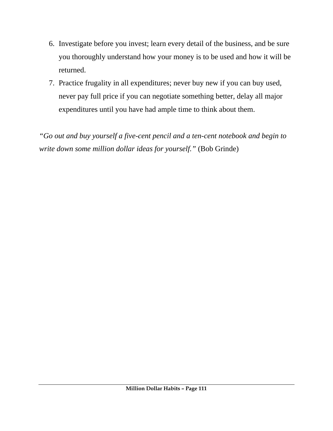- 6. Investigate before you invest; learn every detail of the business, and be sure you thoroughly understand how your money is to be used and how it will be returned.
- 7. Practice frugality in all expenditures; never buy new if you can buy used, never pay full price if you can negotiate something better, delay all major expenditures until you have had ample time to think about them.

*"Go out and buy yourself a five-cent pencil and a ten-cent notebook and begin to write down some million dollar ideas for yourself."* (Bob Grinde)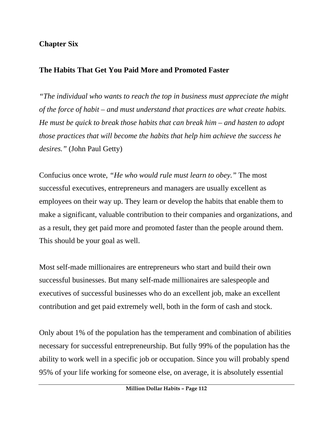### **Chapter Six**

### **The Habits That Get You Paid More and Promoted Faster**

*"The individual who wants to reach the top in business must appreciate the might of the force of habit – and must understand that practices are what create habits. He must be quick to break those habits that can break him – and hasten to adopt those practices that will become the habits that help him achieve the success he desires."* (John Paul Getty)

Confucius once wrote, *"He who would rule must learn to obey."* The most successful executives, entrepreneurs and managers are usually excellent as employees on their way up. They learn or develop the habits that enable them to make a significant, valuable contribution to their companies and organizations, and as a result, they get paid more and promoted faster than the people around them. This should be your goal as well.

Most self-made millionaires are entrepreneurs who start and build their own successful businesses. But many self-made millionaires are salespeople and executives of successful businesses who do an excellent job, make an excellent contribution and get paid extremely well, both in the form of cash and stock.

Only about 1% of the population has the temperament and combination of abilities necessary for successful entrepreneurship. But fully 99% of the population has the ability to work well in a specific job or occupation. Since you will probably spend 95% of your life working for someone else, on average, it is absolutely essential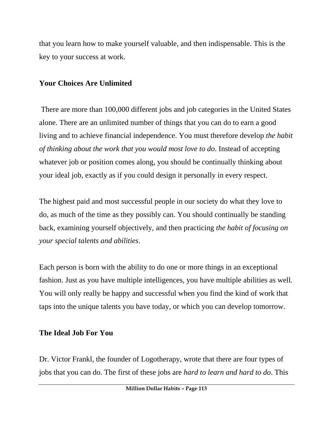that you learn how to make yourself valuable, and then indispensable. This is the key to your success at work.

# **Your Choices Are Unlimited**

 There are more than 100,000 different jobs and job categories in the United States alone. There are an unlimited number of things that you can do to earn a good living and to achieve financial independence. You must therefore develop *the habit of thinking about the work that you would most love to do*. Instead of accepting whatever job or position comes along, you should be continually thinking about your ideal job, exactly as if you could design it personally in every respect.

The highest paid and most successful people in our society do what they love to do, as much of the time as they possibly can. You should continually be standing back, examining yourself objectively, and then practicing *the habit of focusing on your special talents and abilities*.

Each person is born with the ability to do one or more things in an exceptional fashion. Just as you have multiple intelligences, you have multiple abilities as well. You will only really be happy and successful when you find the kind of work that taps into the unique talents you have today, or which you can develop tomorrow.

# **The Ideal Job For You**

Dr. Victor Frankl, the founder of Logotherapy, wrote that there are four types of jobs that you can do. The first of these jobs are *hard to learn and hard to do*. This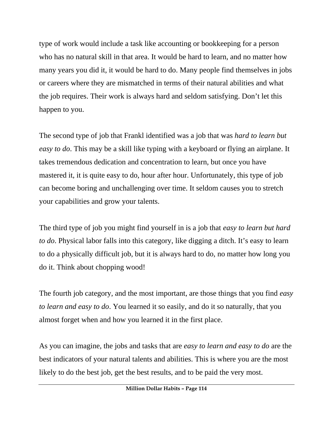type of work would include a task like accounting or bookkeeping for a person who has no natural skill in that area. It would be hard to learn, and no matter how many years you did it, it would be hard to do. Many people find themselves in jobs or careers where they are mismatched in terms of their natural abilities and what the job requires. Their work is always hard and seldom satisfying. Don't let this happen to you.

The second type of job that Frankl identified was a job that was *hard to learn but easy to do*. This may be a skill like typing with a keyboard or flying an airplane. It takes tremendous dedication and concentration to learn, but once you have mastered it, it is quite easy to do, hour after hour. Unfortunately, this type of job can become boring and unchallenging over time. It seldom causes you to stretch your capabilities and grow your talents.

The third type of job you might find yourself in is a job that *easy to learn but hard to do*. Physical labor falls into this category, like digging a ditch. It's easy to learn to do a physically difficult job, but it is always hard to do, no matter how long you do it. Think about chopping wood!

The fourth job category, and the most important, are those things that you find *easy to learn and easy to do*. You learned it so easily, and do it so naturally, that you almost forget when and how you learned it in the first place.

As you can imagine, the jobs and tasks that are *easy to learn and easy to do* are the best indicators of your natural talents and abilities. This is where you are the most likely to do the best job, get the best results, and to be paid the very most.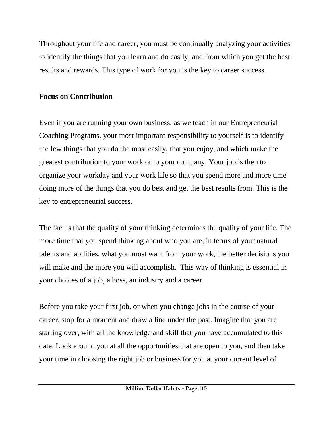Throughout your life and career, you must be continually analyzing your activities to identify the things that you learn and do easily, and from which you get the best results and rewards. This type of work for you is the key to career success.

### **Focus on Contribution**

Even if you are running your own business, as we teach in our Entrepreneurial Coaching Programs, your most important responsibility to yourself is to identify the few things that you do the most easily, that you enjoy, and which make the greatest contribution to your work or to your company. Your job is then to organize your workday and your work life so that you spend more and more time doing more of the things that you do best and get the best results from. This is the key to entrepreneurial success.

The fact is that the quality of your thinking determines the quality of your life. The more time that you spend thinking about who you are, in terms of your natural talents and abilities, what you most want from your work, the better decisions you will make and the more you will accomplish. This way of thinking is essential in your choices of a job, a boss, an industry and a career.

Before you take your first job, or when you change jobs in the course of your career, stop for a moment and draw a line under the past. Imagine that you are starting over, with all the knowledge and skill that you have accumulated to this date. Look around you at all the opportunities that are open to you, and then take your time in choosing the right job or business for you at your current level of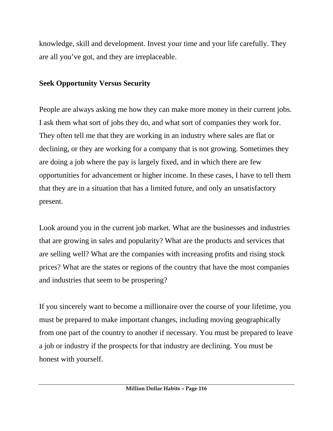knowledge, skill and development. Invest your time and your life carefully. They are all you've got, and they are irreplaceable.

# **Seek Opportunity Versus Security**

People are always asking me how they can make more money in their current jobs. I ask them what sort of jobs they do, and what sort of companies they work for. They often tell me that they are working in an industry where sales are flat or declining, or they are working for a company that is not growing. Sometimes they are doing a job where the pay is largely fixed, and in which there are few opportunities for advancement or higher income. In these cases, I have to tell them that they are in a situation that has a limited future, and only an unsatisfactory present.

Look around you in the current job market. What are the businesses and industries that are growing in sales and popularity? What are the products and services that are selling well? What are the companies with increasing profits and rising stock prices? What are the states or regions of the country that have the most companies and industries that seem to be prospering?

If you sincerely want to become a millionaire over the course of your lifetime, you must be prepared to make important changes, including moving geographically from one part of the country to another if necessary. You must be prepared to leave a job or industry if the prospects for that industry are declining. You must be honest with yourself.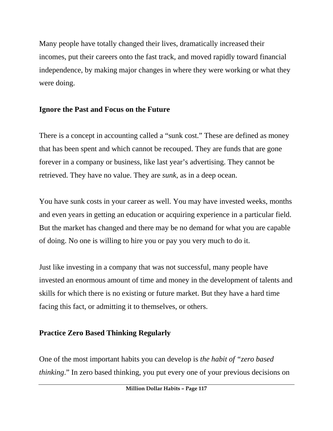Many people have totally changed their lives, dramatically increased their incomes, put their careers onto the fast track, and moved rapidly toward financial independence, by making major changes in where they were working or what they were doing.

# **Ignore the Past and Focus on the Future**

There is a concept in accounting called a "sunk cost." These are defined as money that has been spent and which cannot be recouped. They are funds that are gone forever in a company or business, like last year's advertising. They cannot be retrieved. They have no value. They are *sunk*, as in a deep ocean.

You have sunk costs in your career as well. You may have invested weeks, months and even years in getting an education or acquiring experience in a particular field. But the market has changed and there may be no demand for what you are capable of doing. No one is willing to hire you or pay you very much to do it.

Just like investing in a company that was not successful, many people have invested an enormous amount of time and money in the development of talents and skills for which there is no existing or future market. But they have a hard time facing this fact, or admitting it to themselves, or others.

# **Practice Zero Based Thinking Regularly**

One of the most important habits you can develop is *the habit of "zero based thinking*." In zero based thinking, you put every one of your previous decisions on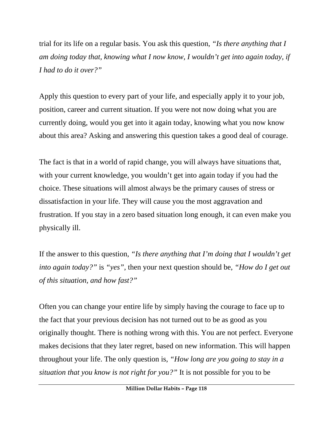trial for its life on a regular basis. You ask this question, *"Is there anything that I am doing today that, knowing what I now know, I wouldn't get into again today, if I had to do it over?"* 

Apply this question to every part of your life, and especially apply it to your job, position, career and current situation. If you were not now doing what you are currently doing, would you get into it again today, knowing what you now know about this area? Asking and answering this question takes a good deal of courage.

The fact is that in a world of rapid change, you will always have situations that, with your current knowledge, you wouldn't get into again today if you had the choice. These situations will almost always be the primary causes of stress or dissatisfaction in your life. They will cause you the most aggravation and frustration. If you stay in a zero based situation long enough, it can even make you physically ill.

If the answer to this question, *"Is there anything that I'm doing that I wouldn't get into again today?"* is *"yes"*, then your next question should be, *"How do I get out of this situation, and how fast?"* 

Often you can change your entire life by simply having the courage to face up to the fact that your previous decision has not turned out to be as good as you originally thought. There is nothing wrong with this. You are not perfect. Everyone makes decisions that they later regret, based on new information. This will happen throughout your life. The only question is, *"How long are you going to stay in a situation that you know is not right for you?"* It is not possible for you to be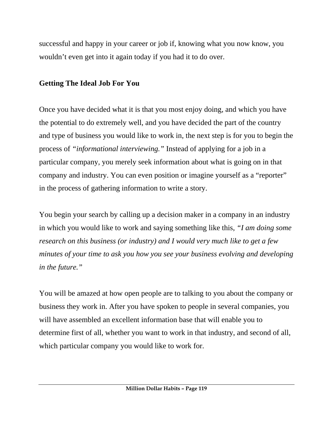successful and happy in your career or job if, knowing what you now know, you wouldn't even get into it again today if you had it to do over.

# **Getting The Ideal Job For You**

Once you have decided what it is that you most enjoy doing, and which you have the potential to do extremely well, and you have decided the part of the country and type of business you would like to work in, the next step is for you to begin the process of *"informational interviewing."* Instead of applying for a job in a particular company, you merely seek information about what is going on in that company and industry. You can even position or imagine yourself as a "reporter" in the process of gathering information to write a story.

You begin your search by calling up a decision maker in a company in an industry in which you would like to work and saying something like this, *"I am doing some research on this business (or industry) and I would very much like to get a few minutes of your time to ask you how you see your business evolving and developing in the future."* 

You will be amazed at how open people are to talking to you about the company or business they work in. After you have spoken to people in several companies, you will have assembled an excellent information base that will enable you to determine first of all, whether you want to work in that industry, and second of all, which particular company you would like to work for.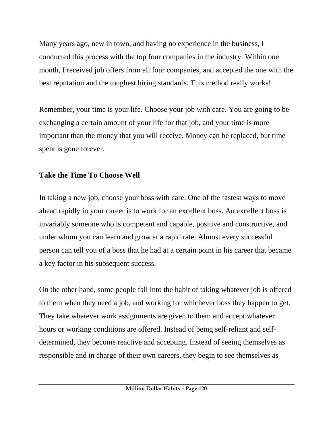Many years ago, new in town, and having no experience in the business, I conducted this process with the top four companies in the industry. Within one month, I received job offers from all four companies, and accepted the one with the best reputation and the toughest hiring standards. This method really works!

Remember, your time is your life. Choose your job with care. You are going to be exchanging a certain amount of your life for that job, and your time is more important than the money that you will receive. Money can be replaced, but time spent is gone forever.

# **Take the Time To Choose Well**

In taking a new job, choose your boss with care. One of the fastest ways to move ahead rapidly in your career is to work for an excellent boss. An excellent boss is invariably someone who is competent and capable, positive and constructive, and under whom you can learn and grow at a rapid rate. Almost every successful person can tell you of a boss that he had at a certain point in his career that became a key factor in his subsequent success.

On the other hand, some people fall into the habit of taking whatever job is offered to them when they need a job, and working for whichever boss they happen to get. They take whatever work assignments are given to them and accept whatever hours or working conditions are offered. Instead of being self-reliant and selfdetermined, they become reactive and accepting. Instead of seeing themselves as responsible and in charge of their own careers, they begin to see themselves as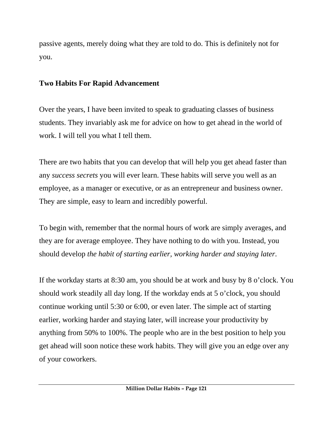passive agents, merely doing what they are told to do. This is definitely not for you.

# **Two Habits For Rapid Advancement**

Over the years, I have been invited to speak to graduating classes of business students. They invariably ask me for advice on how to get ahead in the world of work. I will tell you what I tell them.

There are two habits that you can develop that will help you get ahead faster than any *success secrets* you will ever learn. These habits will serve you well as an employee, as a manager or executive, or as an entrepreneur and business owner. They are simple, easy to learn and incredibly powerful.

To begin with, remember that the normal hours of work are simply averages, and they are for average employee. They have nothing to do with you. Instead, you should develop *the habit of starting earlier, working harder and staying later*.

If the workday starts at 8:30 am, you should be at work and busy by 8 o'clock. You should work steadily all day long. If the workday ends at 5 o'clock, you should continue working until 5:30 or 6:00, or even later. The simple act of starting earlier, working harder and staying later, will increase your productivity by anything from 50% to 100%. The people who are in the best position to help you get ahead will soon notice these work habits. They will give you an edge over any of your coworkers.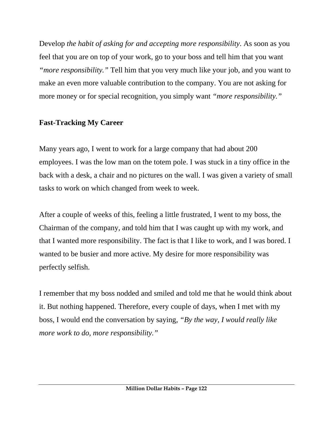Develop *the habit of asking for and accepting more responsibility*. As soon as you feel that you are on top of your work, go to your boss and tell him that you want *"more responsibility."* Tell him that you very much like your job, and you want to make an even more valuable contribution to the company. You are not asking for more money or for special recognition, you simply want *"more responsibility."*

### **Fast-Tracking My Career**

Many years ago, I went to work for a large company that had about 200 employees. I was the low man on the totem pole. I was stuck in a tiny office in the back with a desk, a chair and no pictures on the wall. I was given a variety of small tasks to work on which changed from week to week.

After a couple of weeks of this, feeling a little frustrated, I went to my boss, the Chairman of the company, and told him that I was caught up with my work, and that I wanted more responsibility. The fact is that I like to work, and I was bored. I wanted to be busier and more active. My desire for more responsibility was perfectly selfish.

I remember that my boss nodded and smiled and told me that he would think about it. But nothing happened. Therefore, every couple of days, when I met with my boss, I would end the conversation by saying, *"By the way, I would really like more work to do, more responsibility."*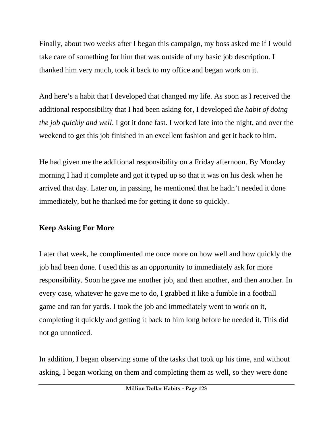Finally, about two weeks after I began this campaign, my boss asked me if I would take care of something for him that was outside of my basic job description. I thanked him very much, took it back to my office and began work on it.

And here's a habit that I developed that changed my life. As soon as I received the additional responsibility that I had been asking for, I developed *the habit of doing the job quickly and well*. I got it done fast. I worked late into the night, and over the weekend to get this job finished in an excellent fashion and get it back to him.

He had given me the additional responsibility on a Friday afternoon. By Monday morning I had it complete and got it typed up so that it was on his desk when he arrived that day. Later on, in passing, he mentioned that he hadn't needed it done immediately, but he thanked me for getting it done so quickly.

# **Keep Asking For More**

Later that week, he complimented me once more on how well and how quickly the job had been done. I used this as an opportunity to immediately ask for more responsibility. Soon he gave me another job, and then another, and then another. In every case, whatever he gave me to do, I grabbed it like a fumble in a football game and ran for yards. I took the job and immediately went to work on it, completing it quickly and getting it back to him long before he needed it. This did not go unnoticed.

In addition, I began observing some of the tasks that took up his time, and without asking, I began working on them and completing them as well, so they were done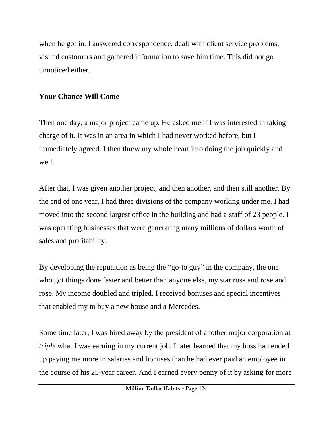when he got in. I answered correspondence, dealt with client service problems, visited customers and gathered information to save him time. This did not go unnoticed either.

### **Your Chance Will Come**

Then one day, a major project came up. He asked me if I was interested in taking charge of it. It was in an area in which I had never worked before, but I immediately agreed. I then threw my whole heart into doing the job quickly and well.

After that, I was given another project, and then another, and then still another. By the end of one year, I had three divisions of the company working under me. I had moved into the second largest office in the building and had a staff of 23 people. I was operating businesses that were generating many millions of dollars worth of sales and profitability.

By developing the reputation as being the "go-to guy" in the company, the one who got things done faster and better than anyone else, my star rose and rose and rose. My income doubled and tripled. I received bonuses and special incentives that enabled my to buy a new house and a Mercedes.

Some time later, I was hired away by the president of another major corporation at *triple* what I was earning in my current job. I later learned that my boss had ended up paying me more in salaries and bonuses than he had ever paid an employee in the course of his 25-year career. And I earned every penny of it by asking for more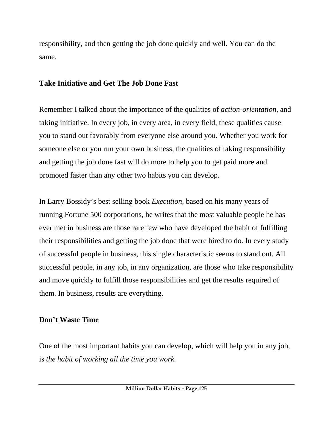responsibility, and then getting the job done quickly and well. You can do the same.

# **Take Initiative and Get The Job Done Fast**

Remember I talked about the importance of the qualities of *action-orientation*, and taking initiative. In every job, in every area, in every field, these qualities cause you to stand out favorably from everyone else around you. Whether you work for someone else or you run your own business, the qualities of taking responsibility and getting the job done fast will do more to help you to get paid more and promoted faster than any other two habits you can develop.

In Larry Bossidy's best selling book *Execution*, based on his many years of running Fortune 500 corporations, he writes that the most valuable people he has ever met in business are those rare few who have developed the habit of fulfilling their responsibilities and getting the job done that were hired to do. In every study of successful people in business, this single characteristic seems to stand out. All successful people, in any job, in any organization, are those who take responsibility and move quickly to fulfill those responsibilities and get the results required of them. In business, results are everything.

# **Don't Waste Time**

One of the most important habits you can develop, which will help you in any job, is *the habit of* w*orking all the time you work.*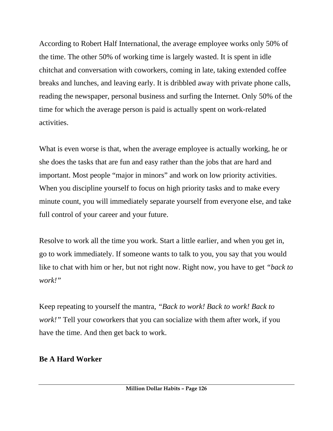According to Robert Half International, the average employee works only 50% of the time. The other 50% of working time is largely wasted. It is spent in idle chitchat and conversation with coworkers, coming in late, taking extended coffee breaks and lunches, and leaving early. It is dribbled away with private phone calls, reading the newspaper, personal business and surfing the Internet. Only 50% of the time for which the average person is paid is actually spent on work-related activities.

What is even worse is that, when the average employee is actually working, he or she does the tasks that are fun and easy rather than the jobs that are hard and important. Most people "major in minors" and work on low priority activities. When you discipline yourself to focus on high priority tasks and to make every minute count, you will immediately separate yourself from everyone else, and take full control of your career and your future.

Resolve to work all the time you work. Start a little earlier, and when you get in, go to work immediately. If someone wants to talk to you, you say that you would like to chat with him or her, but not right now. Right now, you have to get *"back to work!"* 

Keep repeating to yourself the mantra, *"Back to work! Back to work! Back to work!"* Tell your coworkers that you can socialize with them after work, if you have the time. And then get back to work.

### **Be A Hard Worker**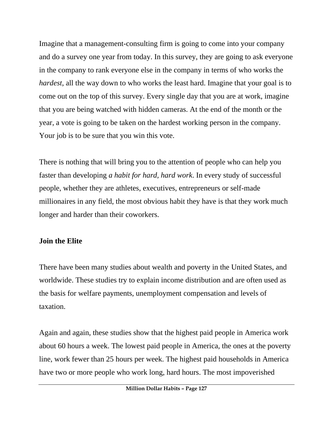Imagine that a management-consulting firm is going to come into your company and do a survey one year from today. In this survey, they are going to ask everyone in the company to rank everyone else in the company in terms of who works the *hardest*, all the way down to who works the least hard. Imagine that your goal is to come out on the top of this survey. Every single day that you are at work, imagine that you are being watched with hidden cameras. At the end of the month or the year, a vote is going to be taken on the hardest working person in the company. Your job is to be sure that you win this vote.

There is nothing that will bring you to the attention of people who can help you faster than developing *a habit for hard, hard work*. In every study of successful people, whether they are athletes, executives, entrepreneurs or self-made millionaires in any field, the most obvious habit they have is that they work much longer and harder than their coworkers.

### **Join the Elite**

There have been many studies about wealth and poverty in the United States, and worldwide. These studies try to explain income distribution and are often used as the basis for welfare payments, unemployment compensation and levels of taxation.

Again and again, these studies show that the highest paid people in America work about 60 hours a week. The lowest paid people in America, the ones at the poverty line, work fewer than 25 hours per week. The highest paid households in America have two or more people who work long, hard hours. The most impoverished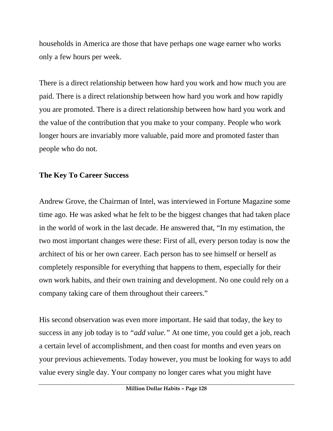households in America are those that have perhaps one wage earner who works only a few hours per week.

There is a direct relationship between how hard you work and how much you are paid. There is a direct relationship between how hard you work and how rapidly you are promoted. There is a direct relationship between how hard you work and the value of the contribution that you make to your company. People who work longer hours are invariably more valuable, paid more and promoted faster than people who do not.

### **The Key To Career Success**

Andrew Grove, the Chairman of Intel, was interviewed in Fortune Magazine some time ago. He was asked what he felt to be the biggest changes that had taken place in the world of work in the last decade. He answered that, "In my estimation, the two most important changes were these: First of all, every person today is now the architect of his or her own career. Each person has to see himself or herself as completely responsible for everything that happens to them, especially for their own work habits, and their own training and development. No one could rely on a company taking care of them throughout their careers."

His second observation was even more important. He said that today, the key to success in any job today is to *"add value."* At one time, you could get a job, reach a certain level of accomplishment, and then coast for months and even years on your previous achievements. Today however, you must be looking for ways to add value every single day. Your company no longer cares what you might have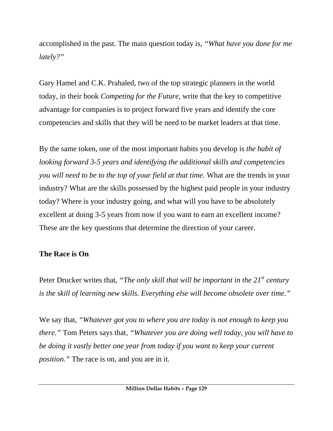accomplished in the past. The main question today is, *"What have you done for me lately?"* 

Gary Hamel and C.K. Prahaled, two of the top strategic planners in the world today, in their book *Competing for the Future*, write that the key to competitive advantage for companies is to project forward five years and identify the core competencies and skills that they will be need to be market leaders at that time.

By the same token, one of the most important habits you develop is *the habit of looking forward 3-5 years and identifying the additional skills and competencies you will need to be to the top of your field at that time.* What are the trends in your industry? What are the skills possessed by the highest paid people in your industry today? Where is your industry going, and what will you have to be absolutely excellent at doing 3-5 years from now if you want to earn an excellent income? These are the key questions that determine the direction of your career.

# **The Race is On**

Peter Drucker writes that, *"The only skill that will be important in the 21st century is the skill of learning new skills. Everything else will become obsolete over time."* 

We say that, *"Whatever got you to where you are today is not enough to keep you there."* Tom Peters says that*, "Whatever you are doing well today, you will have to be doing it vastly better one year from today if you want to keep your current position."* The race is on, and you are in it.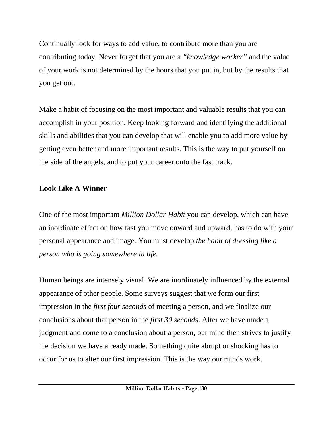Continually look for ways to add value, to contribute more than you are contributing today. Never forget that you are a *"knowledge worker"* and the value of your work is not determined by the hours that you put in, but by the results that you get out.

Make a habit of focusing on the most important and valuable results that you can accomplish in your position. Keep looking forward and identifying the additional skills and abilities that you can develop that will enable you to add more value by getting even better and more important results. This is the way to put yourself on the side of the angels, and to put your career onto the fast track.

# **Look Like A Winner**

One of the most important *Million Dollar Habit* you can develop, which can have an inordinate effect on how fast you move onward and upward, has to do with your personal appearance and image. You must develop *the habit of dressing like a person who is going somewhere in life.* 

Human beings are intensely visual. We are inordinately influenced by the external appearance of other people. Some surveys suggest that we form our first impression in the *first four seconds* of meeting a person, and we finalize our conclusions about that person in the *first 30 seconds*. After we have made a judgment and come to a conclusion about a person, our mind then strives to justify the decision we have already made. Something quite abrupt or shocking has to occur for us to alter our first impression. This is the way our minds work.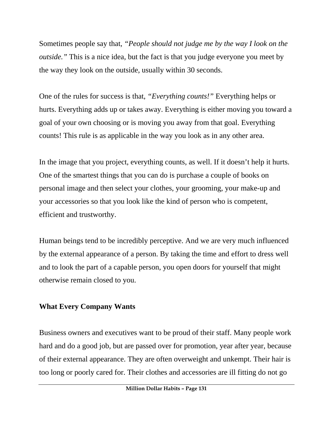Sometimes people say that, *"People should not judge me by the way I look on the outside."* This is a nice idea, but the fact is that you judge everyone you meet by the way they look on the outside, usually within 30 seconds.

One of the rules for success is that, *"Everything counts!"* Everything helps or hurts. Everything adds up or takes away. Everything is either moving you toward a goal of your own choosing or is moving you away from that goal. Everything counts! This rule is as applicable in the way you look as in any other area.

In the image that you project, everything counts, as well. If it doesn't help it hurts. One of the smartest things that you can do is purchase a couple of books on personal image and then select your clothes, your grooming, your make-up and your accessories so that you look like the kind of person who is competent, efficient and trustworthy.

Human beings tend to be incredibly perceptive. And we are very much influenced by the external appearance of a person. By taking the time and effort to dress well and to look the part of a capable person, you open doors for yourself that might otherwise remain closed to you.

# **What Every Company Wants**

Business owners and executives want to be proud of their staff. Many people work hard and do a good job, but are passed over for promotion, year after year, because of their external appearance. They are often overweight and unkempt. Their hair is too long or poorly cared for. Their clothes and accessories are ill fitting do not go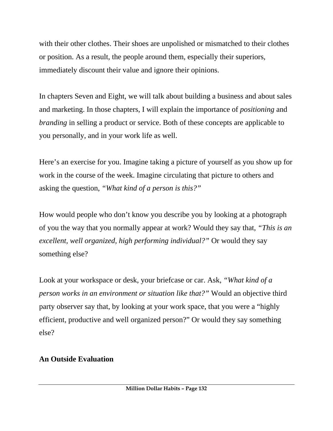with their other clothes. Their shoes are unpolished or mismatched to their clothes or position. As a result, the people around them, especially their superiors, immediately discount their value and ignore their opinions.

In chapters Seven and Eight, we will talk about building a business and about sales and marketing. In those chapters, I will explain the importance of *positioning* and *branding* in selling a product or service. Both of these concepts are applicable to you personally, and in your work life as well.

Here's an exercise for you. Imagine taking a picture of yourself as you show up for work in the course of the week. Imagine circulating that picture to others and asking the question, *"What kind of a person is this?"* 

How would people who don't know you describe you by looking at a photograph of you the way that you normally appear at work? Would they say that, *"This is an excellent, well organized, high performing individual?"* Or would they say something else?

Look at your workspace or desk, your briefcase or car. Ask, *"What kind of a person works in an environment or situation like that?"* Would an objective third party observer say that, by looking at your work space, that you were a "highly efficient, productive and well organized person?" Or would they say something else?

### **An Outside Evaluation**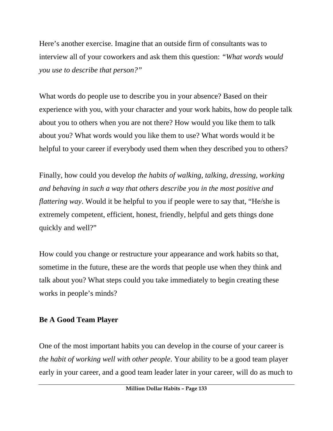Here's another exercise. Imagine that an outside firm of consultants was to interview all of your coworkers and ask them this question: *"What words would you use to describe that person?"* 

What words do people use to describe you in your absence? Based on their experience with you, with your character and your work habits, how do people talk about you to others when you are not there? How would you like them to talk about you? What words would you like them to use? What words would it be helpful to your career if everybody used them when they described you to others?

Finally, how could you develop *the habits of walking, talking, dressing, working and behaving in such a way that others describe you in the most positive and flattering way*. Would it be helpful to you if people were to say that, "He/she is extremely competent, efficient, honest, friendly, helpful and gets things done quickly and well?"

How could you change or restructure your appearance and work habits so that, sometime in the future, these are the words that people use when they think and talk about you? What steps could you take immediately to begin creating these works in people's minds?

# **Be A Good Team Player**

One of the most important habits you can develop in the course of your career is *the habit of working well with other people*. Your ability to be a good team player early in your career, and a good team leader later in your career, will do as much to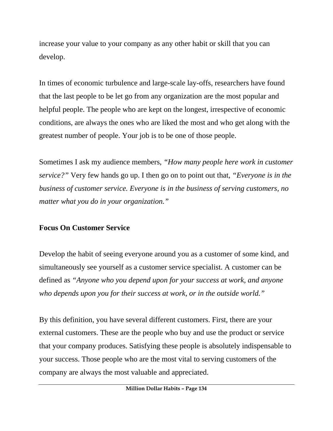increase your value to your company as any other habit or skill that you can develop.

In times of economic turbulence and large-scale lay-offs, researchers have found that the last people to be let go from any organization are the most popular and helpful people. The people who are kept on the longest, irrespective of economic conditions, are always the ones who are liked the most and who get along with the greatest number of people. Your job is to be one of those people.

Sometimes I ask my audience members, *"How many people here work in customer service?"* Very few hands go up. I then go on to point out that, *"Everyone is in the business of customer service. Everyone is in the business of serving customers, no matter what you do in your organization."* 

# **Focus On Customer Service**

Develop the habit of seeing everyone around you as a customer of some kind, and simultaneously see yourself as a customer service specialist. A customer can be defined as *"Anyone who you depend upon for your success at work, and anyone who depends upon you for their success at work, or in the outside world."* 

By this definition, you have several different customers. First, there are your external customers. These are the people who buy and use the product or service that your company produces. Satisfying these people is absolutely indispensable to your success. Those people who are the most vital to serving customers of the company are always the most valuable and appreciated.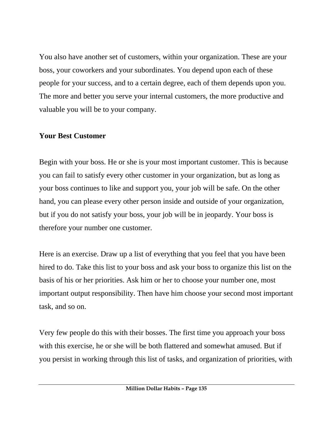You also have another set of customers, within your organization. These are your boss, your coworkers and your subordinates. You depend upon each of these people for your success, and to a certain degree, each of them depends upon you. The more and better you serve your internal customers, the more productive and valuable you will be to your company.

#### **Your Best Customer**

Begin with your boss. He or she is your most important customer. This is because you can fail to satisfy every other customer in your organization, but as long as your boss continues to like and support you, your job will be safe. On the other hand, you can please every other person inside and outside of your organization, but if you do not satisfy your boss, your job will be in jeopardy. Your boss is therefore your number one customer.

Here is an exercise. Draw up a list of everything that you feel that you have been hired to do. Take this list to your boss and ask your boss to organize this list on the basis of his or her priorities. Ask him or her to choose your number one, most important output responsibility. Then have him choose your second most important task, and so on.

Very few people do this with their bosses. The first time you approach your boss with this exercise, he or she will be both flattered and somewhat amused. But if you persist in working through this list of tasks, and organization of priorities, with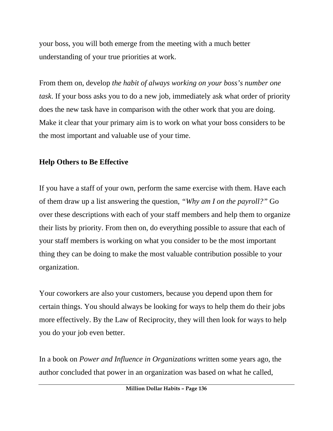your boss, you will both emerge from the meeting with a much better understanding of your true priorities at work.

From them on, develop *the habit of always working on your boss's number one task*. If your boss asks you to do a new job, immediately ask what order of priority does the new task have in comparison with the other work that you are doing. Make it clear that your primary aim is to work on what your boss considers to be the most important and valuable use of your time.

# **Help Others to Be Effective**

If you have a staff of your own, perform the same exercise with them. Have each of them draw up a list answering the question, *"Why am I on the payroll?"* Go over these descriptions with each of your staff members and help them to organize their lists by priority. From then on, do everything possible to assure that each of your staff members is working on what you consider to be the most important thing they can be doing to make the most valuable contribution possible to your organization.

Your coworkers are also your customers, because you depend upon them for certain things. You should always be looking for ways to help them do their jobs more effectively. By the Law of Reciprocity, they will then look for ways to help you do your job even better.

In a book on *Power and Influence in Organizations* written some years ago, the author concluded that power in an organization was based on what he called,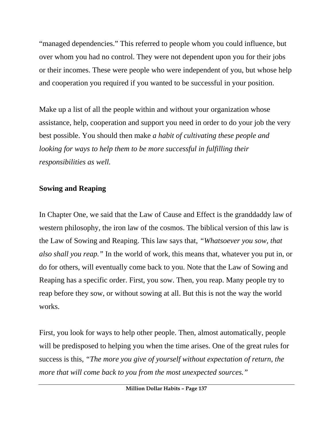"managed dependencies." This referred to people whom you could influence, but over whom you had no control. They were not dependent upon you for their jobs or their incomes. These were people who were independent of you, but whose help and cooperation you required if you wanted to be successful in your position.

Make up a list of all the people within and without your organization whose assistance, help, cooperation and support you need in order to do your job the very best possible. You should then make *a habit of cultivating these people and looking for ways to help them to be more successful in fulfilling their responsibilities as well.* 

# **Sowing and Reaping**

In Chapter One, we said that the Law of Cause and Effect is the granddaddy law of western philosophy, the iron law of the cosmos. The biblical version of this law is the Law of Sowing and Reaping. This law says that, *"Whatsoever you sow, that also shall you reap."* In the world of work, this means that, whatever you put in, or do for others, will eventually come back to you. Note that the Law of Sowing and Reaping has a specific order. First, you sow. Then, you reap. Many people try to reap before they sow, or without sowing at all. But this is not the way the world works.

First, you look for ways to help other people. Then, almost automatically, people will be predisposed to helping you when the time arises. One of the great rules for success is this, *"The more you give of yourself without expectation of return, the more that will come back to you from the most unexpected sources."*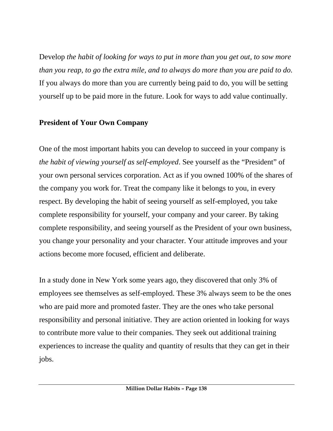Develop *the habit of looking for ways to put in more than you get out, to sow more than you reap, to go the extra mile, and to always do more than you are paid to do.* If you always do more than you are currently being paid to do, you will be setting yourself up to be paid more in the future. Look for ways to add value continually.

### **President of Your Own Company**

One of the most important habits you can develop to succeed in your company is *the habit of viewing yourself as self-employed*. See yourself as the "President" of your own personal services corporation. Act as if you owned 100% of the shares of the company you work for. Treat the company like it belongs to you, in every respect. By developing the habit of seeing yourself as self-employed, you take complete responsibility for yourself, your company and your career. By taking complete responsibility, and seeing yourself as the President of your own business, you change your personality and your character. Your attitude improves and your actions become more focused, efficient and deliberate.

In a study done in New York some years ago, they discovered that only 3% of employees see themselves as self-employed. These 3% always seem to be the ones who are paid more and promoted faster. They are the ones who take personal responsibility and personal initiative. They are action oriented in looking for ways to contribute more value to their companies. They seek out additional training experiences to increase the quality and quantity of results that they can get in their jobs.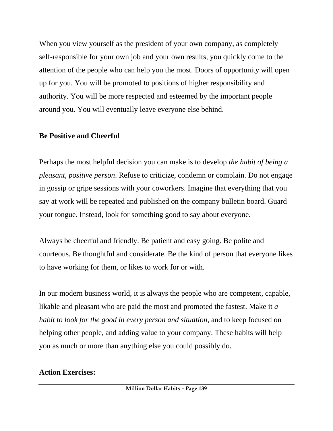When you view yourself as the president of your own company, as completely self-responsible for your own job and your own results, you quickly come to the attention of the people who can help you the most. Doors of opportunity will open up for you. You will be promoted to positions of higher responsibility and authority. You will be more respected and esteemed by the important people around you. You will eventually leave everyone else behind.

# **Be Positive and Cheerful**

Perhaps the most helpful decision you can make is to develop *the habit of being a pleasant, positive person*. Refuse to criticize, condemn or complain. Do not engage in gossip or gripe sessions with your coworkers. Imagine that everything that you say at work will be repeated and published on the company bulletin board. Guard your tongue. Instead, look for something good to say about everyone.

Always be cheerful and friendly. Be patient and easy going. Be polite and courteous. Be thoughtful and considerate. Be the kind of person that everyone likes to have working for them, or likes to work for or with.

In our modern business world, it is always the people who are competent, capable, likable and pleasant who are paid the most and promoted the fastest. Make it *a habit to look for the good in every person and situation*, and to keep focused on helping other people, and adding value to your company. These habits will help you as much or more than anything else you could possibly do.

# **Action Exercises:**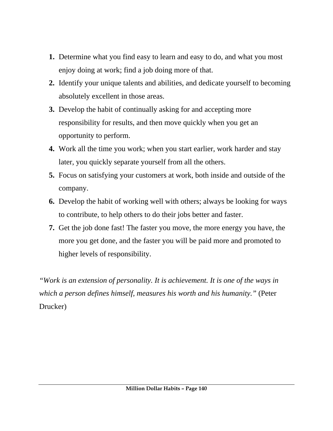- **1.** Determine what you find easy to learn and easy to do, and what you most enjoy doing at work; find a job doing more of that.
- **2.** Identify your unique talents and abilities, and dedicate yourself to becoming absolutely excellent in those areas.
- **3.** Develop the habit of continually asking for and accepting more responsibility for results, and then move quickly when you get an opportunity to perform.
- **4.** Work all the time you work; when you start earlier, work harder and stay later, you quickly separate yourself from all the others.
- **5.** Focus on satisfying your customers at work, both inside and outside of the company.
- **6.** Develop the habit of working well with others; always be looking for ways to contribute, to help others to do their jobs better and faster.
- **7.** Get the job done fast! The faster you move, the more energy you have, the more you get done, and the faster you will be paid more and promoted to higher levels of responsibility.

*"Work is an extension of personality. It is achievement. It is one of the ways in which a person defines himself, measures his worth and his humanity."* (Peter Drucker)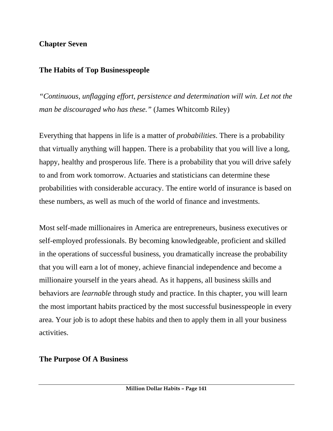#### **Chapter Seven**

### **The Habits of Top Businesspeople**

*"Continuous, unflagging effort, persistence and determination will win. Let not the man be discouraged who has these."* (James Whitcomb Riley)

Everything that happens in life is a matter of *probabilities*. There is a probability that virtually anything will happen. There is a probability that you will live a long, happy, healthy and prosperous life. There is a probability that you will drive safely to and from work tomorrow. Actuaries and statisticians can determine these probabilities with considerable accuracy. The entire world of insurance is based on these numbers, as well as much of the world of finance and investments.

Most self-made millionaires in America are entrepreneurs, business executives or self-employed professionals. By becoming knowledgeable, proficient and skilled in the operations of successful business, you dramatically increase the probability that you will earn a lot of money, achieve financial independence and become a millionaire yourself in the years ahead. As it happens, all business skills and behaviors are *learnable* through study and practice. In this chapter, you will learn the most important habits practiced by the most successful businesspeople in every area. Your job is to adopt these habits and then to apply them in all your business activities.

### **The Purpose Of A Business**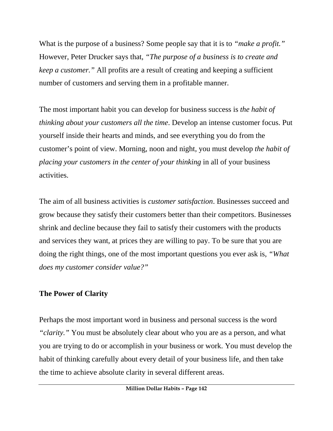What is the purpose of a business? Some people say that it is to *"make a profit."* However, Peter Drucker says that, *"The purpose of a business is to create and keep a customer.*" All profits are a result of creating and keeping a sufficient number of customers and serving them in a profitable manner.

The most important habit you can develop for business success is *the habit of thinking about your customers all the time*. Develop an intense customer focus. Put yourself inside their hearts and minds, and see everything you do from the customer's point of view. Morning, noon and night, you must develop *the habit of placing your customers in the center of your thinking in all of your business* activities.

The aim of all business activities is *customer satisfaction*. Businesses succeed and grow because they satisfy their customers better than their competitors. Businesses shrink and decline because they fail to satisfy their customers with the products and services they want, at prices they are willing to pay. To be sure that you are doing the right things, one of the most important questions you ever ask is, *"What does my customer consider value?"* 

# **The Power of Clarity**

Perhaps the most important word in business and personal success is the word *"clarity."* You must be absolutely clear about who you are as a person, and what you are trying to do or accomplish in your business or work. You must develop the habit of thinking carefully about every detail of your business life, and then take the time to achieve absolute clarity in several different areas.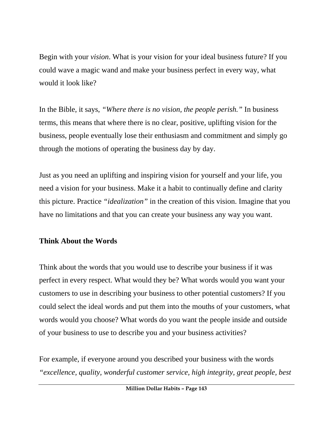Begin with your *vision*. What is your vision for your ideal business future? If you could wave a magic wand and make your business perfect in every way, what would it look like?

In the Bible, it says, *"Where there is no vision, the people perish."* In business terms, this means that where there is no clear, positive, uplifting vision for the business, people eventually lose their enthusiasm and commitment and simply go through the motions of operating the business day by day.

Just as you need an uplifting and inspiring vision for yourself and your life, you need a vision for your business. Make it a habit to continually define and clarity this picture. Practice *"idealization"* in the creation of this vision. Imagine that you have no limitations and that you can create your business any way you want.

# **Think About the Words**

Think about the words that you would use to describe your business if it was perfect in every respect. What would they be? What words would you want your customers to use in describing your business to other potential customers? If you could select the ideal words and put them into the mouths of your customers, what words would you choose? What words do you want the people inside and outside of your business to use to describe you and your business activities?

For example, if everyone around you described your business with the words *"excellence, quality, wonderful customer service, high integrity, great people, best*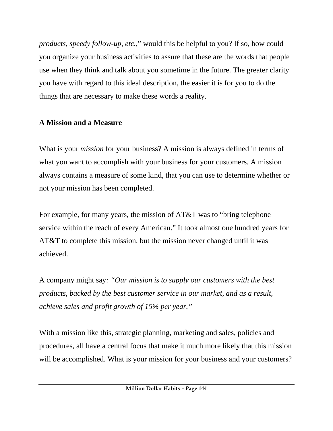*products, speedy follow-up, etc.,*" would this be helpful to you? If so, how could you organize your business activities to assure that these are the words that people use when they think and talk about you sometime in the future. The greater clarity you have with regard to this ideal description, the easier it is for you to do the things that are necessary to make these words a reality.

### **A Mission and a Measure**

What is your *mission* for your business? A mission is always defined in terms of what you want to accomplish with your business for your customers. A mission always contains a measure of some kind, that you can use to determine whether or not your mission has been completed.

For example, for many years, the mission of AT&T was to "bring telephone service within the reach of every American." It took almost one hundred years for AT&T to complete this mission, but the mission never changed until it was achieved.

A company might say*: "Our mission is to supply our customers with the best products, backed by the best customer service in our market, and as a result, achieve sales and profit growth of 15% per year."* 

With a mission like this, strategic planning, marketing and sales, policies and procedures, all have a central focus that make it much more likely that this mission will be accomplished. What is your mission for your business and your customers?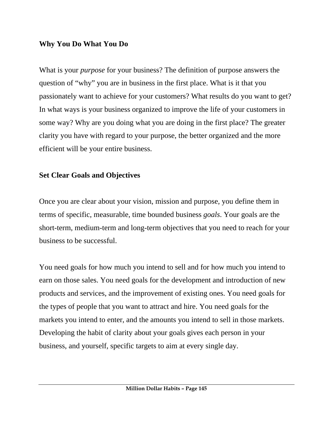#### **Why You Do What You Do**

What is your *purpose* for your business? The definition of purpose answers the question of "why" you are in business in the first place. What is it that you passionately want to achieve for your customers? What results do you want to get? In what ways is your business organized to improve the life of your customers in some way? Why are you doing what you are doing in the first place? The greater clarity you have with regard to your purpose, the better organized and the more efficient will be your entire business.

#### **Set Clear Goals and Objectives**

Once you are clear about your vision, mission and purpose, you define them in terms of specific, measurable, time bounded business *goals*. Your goals are the short-term, medium-term and long-term objectives that you need to reach for your business to be successful.

You need goals for how much you intend to sell and for how much you intend to earn on those sales. You need goals for the development and introduction of new products and services, and the improvement of existing ones. You need goals for the types of people that you want to attract and hire. You need goals for the markets you intend to enter, and the amounts you intend to sell in those markets. Developing the habit of clarity about your goals gives each person in your business, and yourself, specific targets to aim at every single day.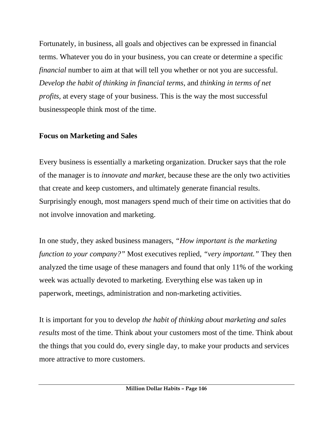Fortunately, in business, all goals and objectives can be expressed in financial terms. Whatever you do in your business, you can create or determine a specific *financial* number to aim at that will tell you whether or not you are successful. *Develop the habit of thinking in financial terms*, and *thinking in terms of net profits,* at every stage of your business. This is the way the most successful businesspeople think most of the time.

### **Focus on Marketing and Sales**

Every business is essentially a marketing organization. Drucker says that the role of the manager is to *innovate and market*, because these are the only two activities that create and keep customers, and ultimately generate financial results. Surprisingly enough, most managers spend much of their time on activities that do not involve innovation and marketing.

In one study, they asked business managers, *"How important is the marketing function to your company?"* Most executives replied, *"very important."* They then analyzed the time usage of these managers and found that only 11% of the working week was actually devoted to marketing. Everything else was taken up in paperwork, meetings, administration and non-marketing activities.

It is important for you to develop *the habit of thinking about marketing and sales results* most of the time. Think about your customers most of the time. Think about the things that you could do, every single day, to make your products and services more attractive to more customers.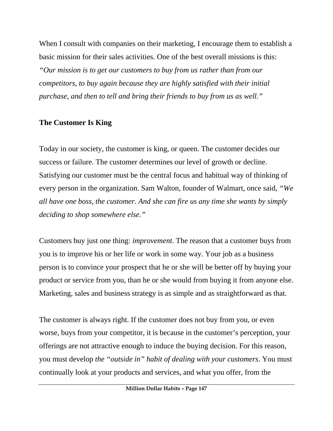When I consult with companies on their marketing, I encourage them to establish a basic mission for their sales activities. One of the best overall missions is this: *"Our mission is to get our customers to buy from us rather than from our competitors, to buy again because they are highly satisfied with their initial purchase, and then to tell and bring their friends to buy from us as well."* 

#### **The Customer Is King**

Today in our society, the customer is king, or queen. The customer decides our success or failure. The customer determines our level of growth or decline. Satisfying our customer must be the central focus and habitual way of thinking of every person in the organization. Sam Walton, founder of Walmart, once said, *"We all have one boss, the customer. And she can fire us any time she wants by simply deciding to shop somewhere else."* 

Customers buy just one thing: *improvement*. The reason that a customer buys from you is to improve his or her life or work in some way. Your job as a business person is to convince your prospect that he or she will be better off by buying your product or service from you, than he or she would from buying it from anyone else. Marketing, sales and business strategy is as simple and as straightforward as that.

The customer is always right. If the customer does not buy from you, or even worse, buys from your competitor, it is because in the customer's perception, your offerings are not attractive enough to induce the buying decision. For this reason, you must develop *the "outside in" habit of dealing with your customers*. You must continually look at your products and services, and what you offer, from the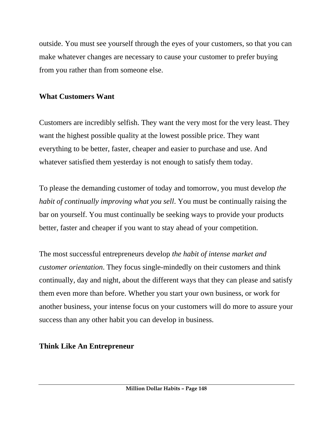outside. You must see yourself through the eyes of your customers, so that you can make whatever changes are necessary to cause your customer to prefer buying from you rather than from someone else.

### **What Customers Want**

Customers are incredibly selfish. They want the very most for the very least. They want the highest possible quality at the lowest possible price. They want everything to be better, faster, cheaper and easier to purchase and use. And whatever satisfied them yesterday is not enough to satisfy them today.

To please the demanding customer of today and tomorrow, you must develop *the habit of continually improving what you sell*. You must be continually raising the bar on yourself. You must continually be seeking ways to provide your products better, faster and cheaper if you want to stay ahead of your competition.

The most successful entrepreneurs develop *the habit of intense market and customer orientation*. They focus single-mindedly on their customers and think continually, day and night, about the different ways that they can please and satisfy them even more than before. Whether you start your own business, or work for another business, your intense focus on your customers will do more to assure your success than any other habit you can develop in business.

# **Think Like An Entrepreneur**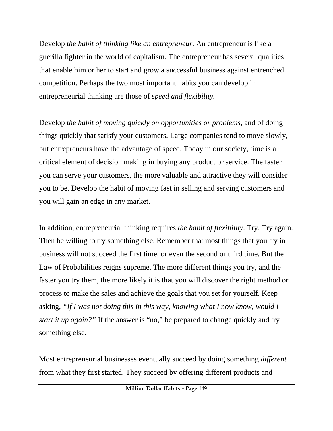Develop *the habit of thinking like an entrepreneur*. An entrepreneur is like a guerilla fighter in the world of capitalism. The entrepreneur has several qualities that enable him or her to start and grow a successful business against entrenched competition. Perhaps the two most important habits you can develop in entrepreneurial thinking are those of *speed and flexibility.* 

Develop *the habit of moving quickly on opportunities or problems*, and of doing things quickly that satisfy your customers. Large companies tend to move slowly, but entrepreneurs have the advantage of speed. Today in our society, time is a critical element of decision making in buying any product or service. The faster you can serve your customers, the more valuable and attractive they will consider you to be. Develop the habit of moving fast in selling and serving customers and you will gain an edge in any market.

In addition, entrepreneurial thinking requires *the habit of flexibility*. Try. Try again. Then be willing to try something else. Remember that most things that you try in business will not succeed the first time, or even the second or third time. But the Law of Probabilities reigns supreme. The more different things you try, and the faster you try them, the more likely it is that you will discover the right method or process to make the sales and achieve the goals that you set for yourself. Keep asking, *"If I was not doing this in this way, knowing what I now know, would I start it up again?"* If the answer is "no," be prepared to change quickly and try something else.

Most entrepreneurial businesses eventually succeed by doing something *different* from what they first started. They succeed by offering different products and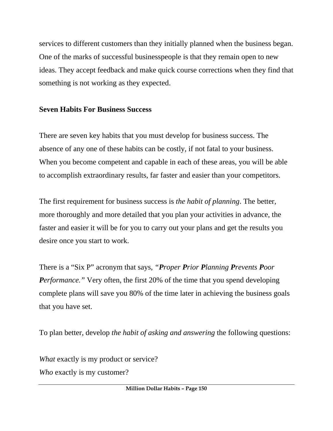services to different customers than they initially planned when the business began. One of the marks of successful businesspeople is that they remain open to new ideas. They accept feedback and make quick course corrections when they find that something is not working as they expected.

# **Seven Habits For Business Success**

There are seven key habits that you must develop for business success. The absence of any one of these habits can be costly, if not fatal to your business. When you become competent and capable in each of these areas, you will be able to accomplish extraordinary results, far faster and easier than your competitors.

The first requirement for business success is *the habit of planning*. The better, more thoroughly and more detailed that you plan your activities in advance, the faster and easier it will be for you to carry out your plans and get the results you desire once you start to work.

There is a "Six P" acronym that says, *"Proper Prior Planning Prevents Poor Performance.*" Very often, the first 20% of the time that you spend developing complete plans will save you 80% of the time later in achieving the business goals that you have set.

To plan better, develop *the habit of asking and answering* the following questions:

*What* exactly is my product or service? *Who* exactly is my customer?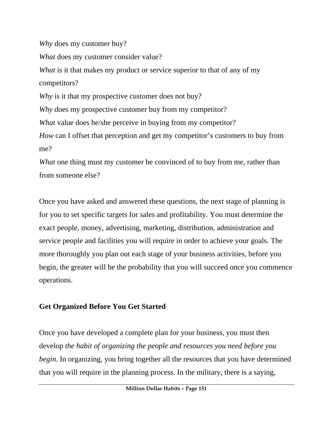*Why* does my customer buy? *What* does my customer consider value? *What* is it that makes my product or service superior to that of any of my competitors? *Why* is it that my prospective customer does not buy? *Why* does my prospective customer buy from my competitor? *What* value does he/she perceive in buying from my competitor? *How* can I offset that perception and get my competitor's customers to buy from me? *What* one thing must my customer be convinced of to buy from me, rather than from someone else?

Once you have asked and answered these questions, the next stage of planning is for you to set specific targets for sales and profitability. You must determine the exact people, money, advertising, marketing, distribution, administration and service people and facilities you will require in order to achieve your goals. The more thoroughly you plan out each stage of your business activities, before you begin, the greater will be the probability that you will succeed once you commence operations.

# **Get Organized Before You Get Started**

Once you have developed a complete plan for your business, you must then develop *the habit of organizing the people and resources you need before you begin.* In organizing, you bring together all the resources that you have determined that you will require in the planning process. In the military, there is a saying,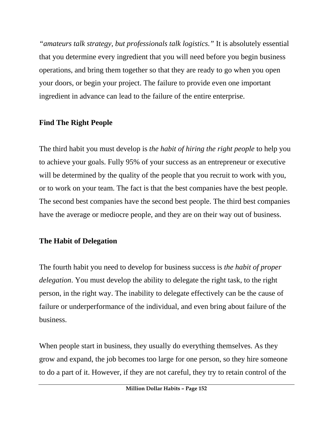*"amateurs talk strategy, but professionals talk logistics."* It is absolutely essential that you determine every ingredient that you will need before you begin business operations, and bring them together so that they are ready to go when you open your doors, or begin your project. The failure to provide even one important ingredient in advance can lead to the failure of the entire enterprise.

# **Find The Right People**

The third habit you must develop is *the habit of hiring the right people* to help you to achieve your goals. Fully 95% of your success as an entrepreneur or executive will be determined by the quality of the people that you recruit to work with you, or to work on your team. The fact is that the best companies have the best people. The second best companies have the second best people. The third best companies have the average or mediocre people, and they are on their way out of business.

# **The Habit of Delegation**

The fourth habit you need to develop for business success is *the habit of proper delegation*. You must develop the ability to delegate the right task, to the right person, in the right way. The inability to delegate effectively can be the cause of failure or underperformance of the individual, and even bring about failure of the business.

When people start in business, they usually do everything themselves. As they grow and expand, the job becomes too large for one person, so they hire someone to do a part of it. However, if they are not careful, they try to retain control of the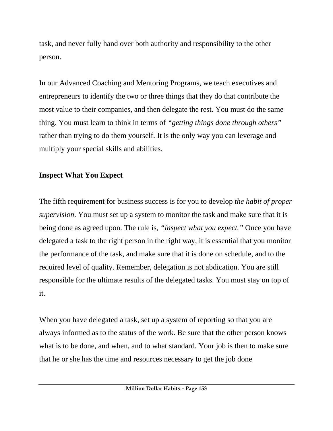task, and never fully hand over both authority and responsibility to the other person.

In our Advanced Coaching and Mentoring Programs, we teach executives and entrepreneurs to identify the two or three things that they do that contribute the most value to their companies, and then delegate the rest. You must do the same thing. You must learn to think in terms of *"getting things done through others"* rather than trying to do them yourself. It is the only way you can leverage and multiply your special skills and abilities.

### **Inspect What You Expect**

The fifth requirement for business success is for you to develop *the habit of proper supervision*. You must set up a system to monitor the task and make sure that it is being done as agreed upon. The rule is, *"inspect what you expect."* Once you have delegated a task to the right person in the right way, it is essential that you monitor the performance of the task, and make sure that it is done on schedule, and to the required level of quality. Remember, delegation is not abdication. You are still responsible for the ultimate results of the delegated tasks. You must stay on top of it.

When you have delegated a task, set up a system of reporting so that you are always informed as to the status of the work. Be sure that the other person knows what is to be done, and when, and to what standard. Your job is then to make sure that he or she has the time and resources necessary to get the job done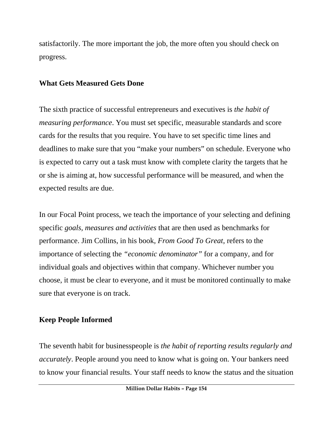satisfactorily. The more important the job, the more often you should check on progress.

# **What Gets Measured Gets Done**

The sixth practice of successful entrepreneurs and executives is *the habit of measuring performance*. You must set specific, measurable standards and score cards for the results that you require. You have to set specific time lines and deadlines to make sure that you "make your numbers" on schedule. Everyone who is expected to carry out a task must know with complete clarity the targets that he or she is aiming at, how successful performance will be measured, and when the expected results are due.

In our Focal Point process, we teach the importance of your selecting and defining specific *goals, measures and activities* that are then used as benchmarks for performance. Jim Collins, in his book, *From Good To Great*, refers to the importance of selecting the *"economic denominator"* for a company, and for individual goals and objectives within that company. Whichever number you choose, it must be clear to everyone, and it must be monitored continually to make sure that everyone is on track.

# **Keep People Informed**

The seventh habit for businesspeople is *the habit of reporting results regularly and accurately*. People around you need to know what is going on. Your bankers need to know your financial results. Your staff needs to know the status and the situation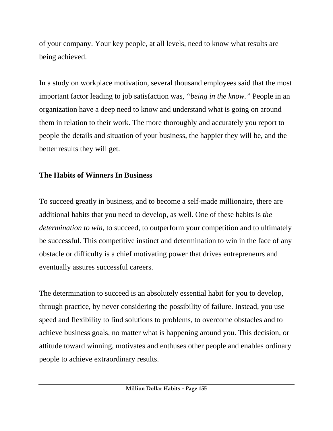of your company. Your key people, at all levels, need to know what results are being achieved.

In a study on workplace motivation, several thousand employees said that the most important factor leading to job satisfaction was, *"being in the know."* People in an organization have a deep need to know and understand what is going on around them in relation to their work. The more thoroughly and accurately you report to people the details and situation of your business, the happier they will be, and the better results they will get.

# **The Habits of Winners In Business**

To succeed greatly in business, and to become a self-made millionaire, there are additional habits that you need to develop, as well. One of these habits is *the determination to win*, to succeed, to outperform your competition and to ultimately be successful. This competitive instinct and determination to win in the face of any obstacle or difficulty is a chief motivating power that drives entrepreneurs and eventually assures successful careers.

The determination to succeed is an absolutely essential habit for you to develop, through practice, by never considering the possibility of failure. Instead, you use speed and flexibility to find solutions to problems, to overcome obstacles and to achieve business goals, no matter what is happening around you. This decision, or attitude toward winning, motivates and enthuses other people and enables ordinary people to achieve extraordinary results.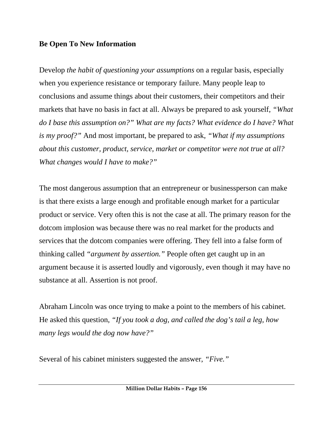#### **Be Open To New Information**

Develop *the habit of questioning your assumptions* on a regular basis, especially when you experience resistance or temporary failure. Many people leap to conclusions and assume things about their customers, their competitors and their markets that have no basis in fact at all. Always be prepared to ask yourself, *"What do I base this assumption on?" What are my facts? What evidence do I have? What is my proof?"* And most important, be prepared to ask, *"What if my assumptions about this customer, product, service, market or competitor were not true at all? What changes would I have to make?"* 

The most dangerous assumption that an entrepreneur or businessperson can make is that there exists a large enough and profitable enough market for a particular product or service. Very often this is not the case at all. The primary reason for the dotcom implosion was because there was no real market for the products and services that the dotcom companies were offering. They fell into a false form of thinking called *"argument by assertion."* People often get caught up in an argument because it is asserted loudly and vigorously, even though it may have no substance at all. Assertion is not proof.

Abraham Lincoln was once trying to make a point to the members of his cabinet. He asked this question, *"If you took a dog, and called the dog's tail a leg, how many legs would the dog now have?"*

Several of his cabinet ministers suggested the answer, *"Five."*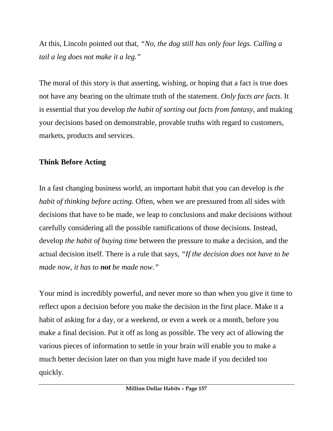At this, Lincoln pointed out that, *"No, the dog still has only four legs. Calling a tail a leg does not make it a leg."* 

The moral of this story is that asserting, wishing, or hoping that a fact is true does not have any bearing on the ultimate truth of the statement. *Only facts are facts*. It is essential that you develop *the habit of sorting out facts from fantasy*, and making your decisions based on demonstrable, provable truths with regard to customers, markets, products and services.

# **Think Before Acting**

In a fast changing business world, an important habit that you can develop is *the habit of thinking before acting*. Often, when we are pressured from all sides with decisions that have to be made, we leap to conclusions and make decisions without carefully considering all the possible ramifications of those decisions. Instead, develop *the habit of buying time* between the pressure to make a decision, and the actual decision itself. There is a rule that says, *"If the decision does not have to be made now, it has to not be made now."* 

Your mind is incredibly powerful, and never more so than when you give it time to reflect upon a decision before you make the decision in the first place. Make it a habit of asking for a day, or a weekend, or even a week or a month, before you make a final decision. Put it off as long as possible. The very act of allowing the various pieces of information to settle in your brain will enable you to make a much better decision later on than you might have made if you decided too quickly.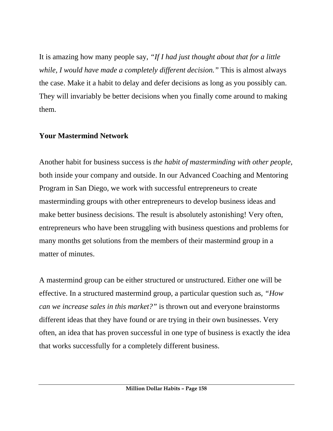It is amazing how many people say, *"If I had just thought about that for a little while, I would have made a completely different decision."* This is almost always the case. Make it a habit to delay and defer decisions as long as you possibly can. They will invariably be better decisions when you finally come around to making them.

### **Your Mastermind Network**

Another habit for business success is *the habit of masterminding with other people*, both inside your company and outside. In our Advanced Coaching and Mentoring Program in San Diego, we work with successful entrepreneurs to create masterminding groups with other entrepreneurs to develop business ideas and make better business decisions. The result is absolutely astonishing! Very often, entrepreneurs who have been struggling with business questions and problems for many months get solutions from the members of their mastermind group in a matter of minutes.

A mastermind group can be either structured or unstructured. Either one will be effective. In a structured mastermind group, a particular question such as, *"How can we increase sales in this market?"* is thrown out and everyone brainstorms different ideas that they have found or are trying in their own businesses. Very often, an idea that has proven successful in one type of business is exactly the idea that works successfully for a completely different business.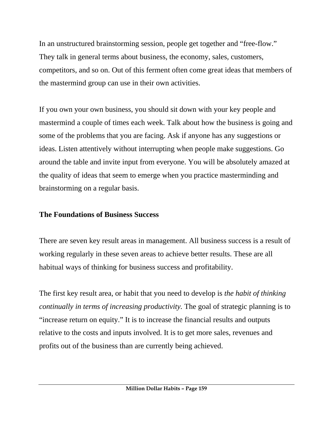In an unstructured brainstorming session, people get together and "free-flow." They talk in general terms about business, the economy, sales, customers, competitors, and so on. Out of this ferment often come great ideas that members of the mastermind group can use in their own activities.

If you own your own business, you should sit down with your key people and mastermind a couple of times each week. Talk about how the business is going and some of the problems that you are facing. Ask if anyone has any suggestions or ideas. Listen attentively without interrupting when people make suggestions. Go around the table and invite input from everyone. You will be absolutely amazed at the quality of ideas that seem to emerge when you practice masterminding and brainstorming on a regular basis.

### **The Foundations of Business Success**

There are seven key result areas in management. All business success is a result of working regularly in these seven areas to achieve better results. These are all habitual ways of thinking for business success and profitability.

The first key result area, or habit that you need to develop is *the habit of thinking continually in terms of increasing productivity.* The goal of strategic planning is to "increase return on equity." It is to increase the financial results and outputs relative to the costs and inputs involved. It is to get more sales, revenues and profits out of the business than are currently being achieved.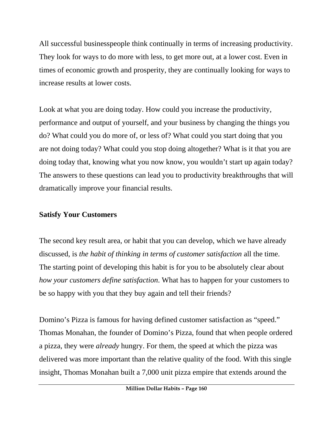All successful businesspeople think continually in terms of increasing productivity. They look for ways to do more with less, to get more out, at a lower cost. Even in times of economic growth and prosperity, they are continually looking for ways to increase results at lower costs.

Look at what you are doing today. How could you increase the productivity, performance and output of yourself, and your business by changing the things you do? What could you do more of, or less of? What could you start doing that you are not doing today? What could you stop doing altogether? What is it that you are doing today that, knowing what you now know, you wouldn't start up again today? The answers to these questions can lead you to productivity breakthroughs that will dramatically improve your financial results.

### **Satisfy Your Customers**

The second key result area, or habit that you can develop, which we have already discussed, is *the habit of thinking in terms of customer satisfaction* all the time. The starting point of developing this habit is for you to be absolutely clear about *how your customers define satisfaction*. What has to happen for your customers to be so happy with you that they buy again and tell their friends?

Domino's Pizza is famous for having defined customer satisfaction as "speed." Thomas Monahan, the founder of Domino's Pizza, found that when people ordered a pizza, they were *already* hungry. For them, the speed at which the pizza was delivered was more important than the relative quality of the food. With this single insight, Thomas Monahan built a 7,000 unit pizza empire that extends around the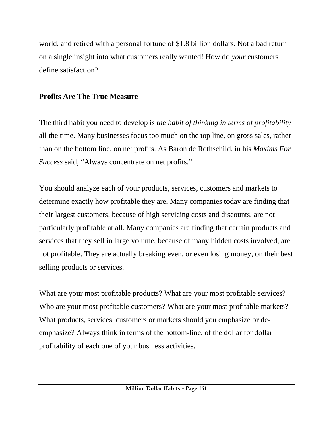world, and retired with a personal fortune of \$1.8 billion dollars. Not a bad return on a single insight into what customers really wanted! How do *your* customers define satisfaction?

### **Profits Are The True Measure**

The third habit you need to develop is *the habit of thinking in terms of profitability* all the time. Many businesses focus too much on the top line, on gross sales, rather than on the bottom line, on net profits. As Baron de Rothschild, in his *Maxims For Success* said, "Always concentrate on net profits."

You should analyze each of your products, services, customers and markets to determine exactly how profitable they are. Many companies today are finding that their largest customers, because of high servicing costs and discounts, are not particularly profitable at all. Many companies are finding that certain products and services that they sell in large volume, because of many hidden costs involved, are not profitable. They are actually breaking even, or even losing money, on their best selling products or services.

What are your most profitable products? What are your most profitable services? Who are your most profitable customers? What are your most profitable markets? What products, services, customers or markets should you emphasize or deemphasize? Always think in terms of the bottom-line, of the dollar for dollar profitability of each one of your business activities.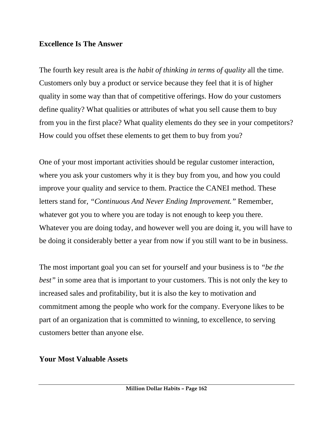#### **Excellence Is The Answer**

The fourth key result area is *the habit of thinking in terms of quality* all the time. Customers only buy a product or service because they feel that it is of higher quality in some way than that of competitive offerings. How do your customers define quality? What qualities or attributes of what you sell cause them to buy from you in the first place? What quality elements do they see in your competitors? How could you offset these elements to get them to buy from you?

One of your most important activities should be regular customer interaction, where you ask your customers why it is they buy from you, and how you could improve your quality and service to them. Practice the CANEI method. These letters stand for, *"Continuous And Never Ending Improvement."* Remember, whatever got you to where you are today is not enough to keep you there. Whatever you are doing today, and however well you are doing it, you will have to be doing it considerably better a year from now if you still want to be in business.

The most important goal you can set for yourself and your business is to *"be the best"* in some area that is important to your customers. This is not only the key to increased sales and profitability, but it is also the key to motivation and commitment among the people who work for the company. Everyone likes to be part of an organization that is committed to winning, to excellence, to serving customers better than anyone else.

#### **Your Most Valuable Assets**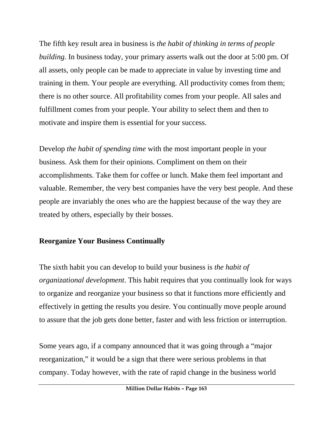The fifth key result area in business is *the habit of thinking in terms of people building*. In business today, your primary asserts walk out the door at 5:00 pm. Of all assets, only people can be made to appreciate in value by investing time and training in them. Your people are everything. All productivity comes from them; there is no other source. All profitability comes from your people. All sales and fulfillment comes from your people. Your ability to select them and then to motivate and inspire them is essential for your success.

Develop *the habit of spending time* with the most important people in your business. Ask them for their opinions. Compliment on them on their accomplishments. Take them for coffee or lunch. Make them feel important and valuable. Remember, the very best companies have the very best people. And these people are invariably the ones who are the happiest because of the way they are treated by others, especially by their bosses.

# **Reorganize Your Business Continually**

The sixth habit you can develop to build your business is *the habit of organizational development*. This habit requires that you continually look for ways to organize and reorganize your business so that it functions more efficiently and effectively in getting the results you desire. You continually move people around to assure that the job gets done better, faster and with less friction or interruption.

Some years ago, if a company announced that it was going through a "major reorganization," it would be a sign that there were serious problems in that company. Today however, with the rate of rapid change in the business world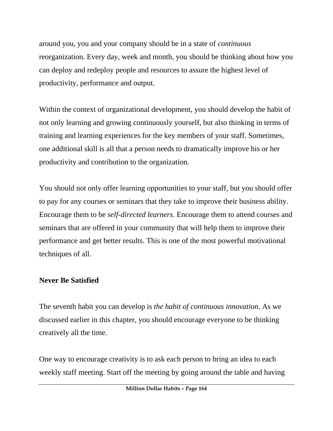around you, you and your company should be in a state of *continuous* reorganization. Every day, week and month, you should be thinking about how you can deploy and redeploy people and resources to assure the highest level of productivity, performance and output.

Within the context of organizational development, you should develop the habit of not only learning and growing continuously yourself, but also thinking in terms of training and learning experiences for the key members of your staff. Sometimes, one additional skill is all that a person needs to dramatically improve his or her productivity and contribution to the organization.

You should not only offer learning opportunities to your staff, but you should offer to pay for any courses or seminars that they take to improve their business ability. Encourage them to be *self-directed learners*. Encourage them to attend courses and seminars that are offered in your community that will help them to improve their performance and get better results. This is one of the most powerful motivational techniques of all.

# **Never Be Satisfied**

The seventh habit you can develop is *the habit of continuous innovation*. As we discussed earlier in this chapter, you should encourage everyone to be thinking creatively all the time.

One way to encourage creativity is to ask each person to bring an idea to each weekly staff meeting. Start off the meeting by going around the table and having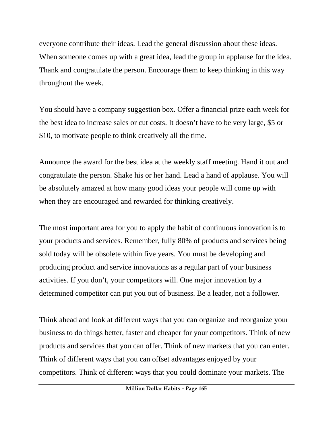everyone contribute their ideas. Lead the general discussion about these ideas. When someone comes up with a great idea, lead the group in applause for the idea. Thank and congratulate the person. Encourage them to keep thinking in this way throughout the week.

You should have a company suggestion box. Offer a financial prize each week for the best idea to increase sales or cut costs. It doesn't have to be very large, \$5 or \$10, to motivate people to think creatively all the time.

Announce the award for the best idea at the weekly staff meeting. Hand it out and congratulate the person. Shake his or her hand. Lead a hand of applause. You will be absolutely amazed at how many good ideas your people will come up with when they are encouraged and rewarded for thinking creatively.

The most important area for you to apply the habit of continuous innovation is to your products and services. Remember, fully 80% of products and services being sold today will be obsolete within five years. You must be developing and producing product and service innovations as a regular part of your business activities. If you don't, your competitors will. One major innovation by a determined competitor can put you out of business. Be a leader, not a follower.

Think ahead and look at different ways that you can organize and reorganize your business to do things better, faster and cheaper for your competitors. Think of new products and services that you can offer. Think of new markets that you can enter. Think of different ways that you can offset advantages enjoyed by your competitors. Think of different ways that you could dominate your markets. The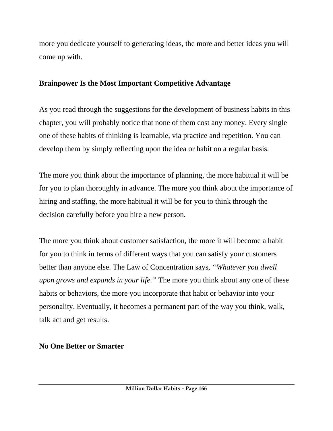more you dedicate yourself to generating ideas, the more and better ideas you will come up with.

# **Brainpower Is the Most Important Competitive Advantage**

As you read through the suggestions for the development of business habits in this chapter, you will probably notice that none of them cost any money. Every single one of these habits of thinking is learnable, via practice and repetition. You can develop them by simply reflecting upon the idea or habit on a regular basis.

The more you think about the importance of planning, the more habitual it will be for you to plan thoroughly in advance. The more you think about the importance of hiring and staffing, the more habitual it will be for you to think through the decision carefully before you hire a new person.

The more you think about customer satisfaction, the more it will become a habit for you to think in terms of different ways that you can satisfy your customers better than anyone else. The Law of Concentration says, *"Whatever you dwell upon grows and expands in your life."* The more you think about any one of these habits or behaviors, the more you incorporate that habit or behavior into your personality. Eventually, it becomes a permanent part of the way you think, walk, talk act and get results.

# **No One Better or Smarter**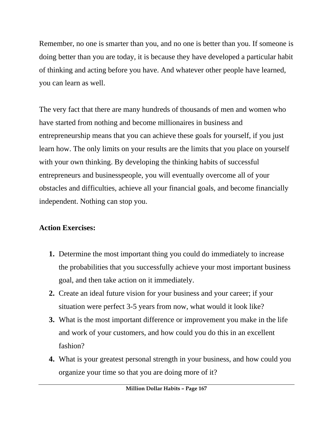Remember, no one is smarter than you, and no one is better than you. If someone is doing better than you are today, it is because they have developed a particular habit of thinking and acting before you have. And whatever other people have learned, you can learn as well.

The very fact that there are many hundreds of thousands of men and women who have started from nothing and become millionaires in business and entrepreneurship means that you can achieve these goals for yourself, if you just learn how. The only limits on your results are the limits that you place on yourself with your own thinking. By developing the thinking habits of successful entrepreneurs and businesspeople, you will eventually overcome all of your obstacles and difficulties, achieve all your financial goals, and become financially independent. Nothing can stop you.

# **Action Exercises:**

- **1.** Determine the most important thing you could do immediately to increase the probabilities that you successfully achieve your most important business goal, and then take action on it immediately.
- **2.** Create an ideal future vision for your business and your career; if your situation were perfect 3-5 years from now, what would it look like?
- **3.** What is the most important difference or improvement you make in the life and work of your customers, and how could you do this in an excellent fashion?
- **4.** What is your greatest personal strength in your business, and how could you organize your time so that you are doing more of it?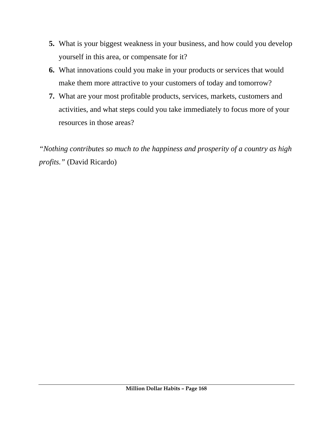- **5.** What is your biggest weakness in your business, and how could you develop yourself in this area, or compensate for it?
- **6.** What innovations could you make in your products or services that would make them more attractive to your customers of today and tomorrow?
- **7.** What are your most profitable products, services, markets, customers and activities, and what steps could you take immediately to focus more of your resources in those areas?

*"Nothing contributes so much to the happiness and prosperity of a country as high profits."* (David Ricardo)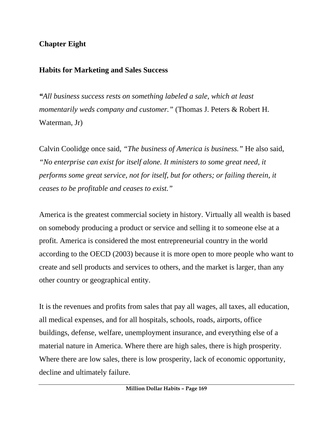### **Chapter Eight**

#### **Habits for Marketing and Sales Success**

*"All business success rests on something labeled a sale, which at least momentarily weds company and customer."* (Thomas J. Peters & Robert H. Waterman, Jr)

Calvin Coolidge once said, *"The business of America is business."* He also said, *"No enterprise can exist for itself alone. It ministers to some great need, it performs some great service, not for itself, but for others; or failing therein, it ceases to be profitable and ceases to exist."* 

America is the greatest commercial society in history. Virtually all wealth is based on somebody producing a product or service and selling it to someone else at a profit. America is considered the most entrepreneurial country in the world according to the OECD (2003) because it is more open to more people who want to create and sell products and services to others, and the market is larger, than any other country or geographical entity.

It is the revenues and profits from sales that pay all wages, all taxes, all education, all medical expenses, and for all hospitals, schools, roads, airports, office buildings, defense, welfare, unemployment insurance, and everything else of a material nature in America. Where there are high sales, there is high prosperity. Where there are low sales, there is low prosperity, lack of economic opportunity, decline and ultimately failure.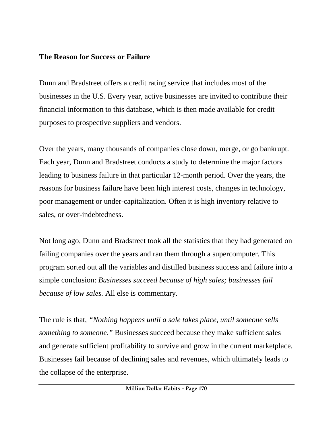#### **The Reason for Success or Failure**

Dunn and Bradstreet offers a credit rating service that includes most of the businesses in the U.S. Every year, active businesses are invited to contribute their financial information to this database, which is then made available for credit purposes to prospective suppliers and vendors.

Over the years, many thousands of companies close down, merge, or go bankrupt. Each year, Dunn and Bradstreet conducts a study to determine the major factors leading to business failure in that particular 12-month period. Over the years, the reasons for business failure have been high interest costs, changes in technology, poor management or under-capitalization. Often it is high inventory relative to sales, or over-indebtedness.

Not long ago, Dunn and Bradstreet took all the statistics that they had generated on failing companies over the years and ran them through a supercomputer. This program sorted out all the variables and distilled business success and failure into a simple conclusion: *Businesses succeed because of high sales; businesses fail because of low sales.* All else is commentary.

The rule is that, *"Nothing happens until a sale takes place, until someone sells something to someone."* Businesses succeed because they make sufficient sales and generate sufficient profitability to survive and grow in the current marketplace. Businesses fail because of declining sales and revenues, which ultimately leads to the collapse of the enterprise.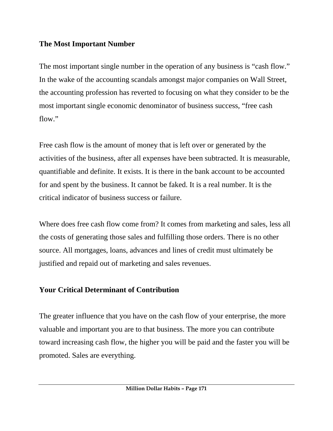### **The Most Important Number**

The most important single number in the operation of any business is "cash flow." In the wake of the accounting scandals amongst major companies on Wall Street, the accounting profession has reverted to focusing on what they consider to be the most important single economic denominator of business success, "free cash flow."

Free cash flow is the amount of money that is left over or generated by the activities of the business, after all expenses have been subtracted. It is measurable, quantifiable and definite. It exists. It is there in the bank account to be accounted for and spent by the business. It cannot be faked. It is a real number. It is the critical indicator of business success or failure.

Where does free cash flow come from? It comes from marketing and sales, less all the costs of generating those sales and fulfilling those orders. There is no other source. All mortgages, loans, advances and lines of credit must ultimately be justified and repaid out of marketing and sales revenues.

# **Your Critical Determinant of Contribution**

The greater influence that you have on the cash flow of your enterprise, the more valuable and important you are to that business. The more you can contribute toward increasing cash flow, the higher you will be paid and the faster you will be promoted. Sales are everything.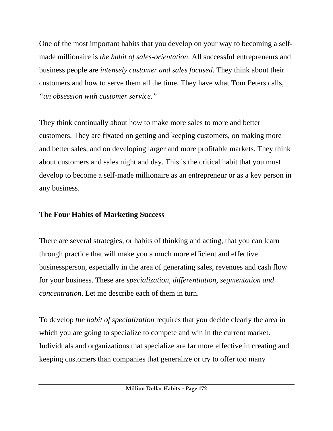One of the most important habits that you develop on your way to becoming a selfmade millionaire is *the habit of sales-orientation*. All successful entrepreneurs and business people are *intensely customer and sales focused*. They think about their customers and how to serve them all the time. They have what Tom Peters calls, *"an obsession with customer service."* 

They think continually about how to make more sales to more and better customers. They are fixated on getting and keeping customers, on making more and better sales, and on developing larger and more profitable markets. They think about customers and sales night and day. This is the critical habit that you must develop to become a self-made millionaire as an entrepreneur or as a key person in any business.

### **The Four Habits of Marketing Success**

There are several strategies, or habits of thinking and acting, that you can learn through practice that will make you a much more efficient and effective businessperson, especially in the area of generating sales, revenues and cash flow for your business. These are *specialization, differentiation, segmentation and concentration*. Let me describe each of them in turn.

To develop *the habit of specialization* requires that you decide clearly the area in which you are going to specialize to compete and win in the current market. Individuals and organizations that specialize are far more effective in creating and keeping customers than companies that generalize or try to offer too many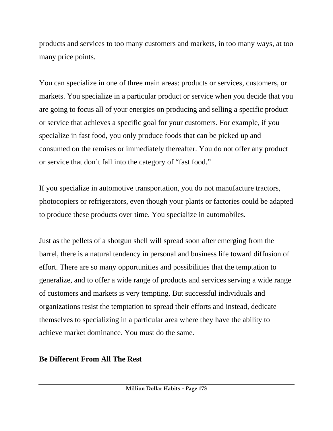products and services to too many customers and markets, in too many ways, at too many price points.

You can specialize in one of three main areas: products or services, customers, or markets. You specialize in a particular product or service when you decide that you are going to focus all of your energies on producing and selling a specific product or service that achieves a specific goal for your customers. For example, if you specialize in fast food, you only produce foods that can be picked up and consumed on the remises or immediately thereafter. You do not offer any product or service that don't fall into the category of "fast food."

If you specialize in automotive transportation, you do not manufacture tractors, photocopiers or refrigerators, even though your plants or factories could be adapted to produce these products over time. You specialize in automobiles.

Just as the pellets of a shotgun shell will spread soon after emerging from the barrel, there is a natural tendency in personal and business life toward diffusion of effort. There are so many opportunities and possibilities that the temptation to generalize, and to offer a wide range of products and services serving a wide range of customers and markets is very tempting. But successful individuals and organizations resist the temptation to spread their efforts and instead, dedicate themselves to specializing in a particular area where they have the ability to achieve market dominance. You must do the same.

### **Be Different From All The Rest**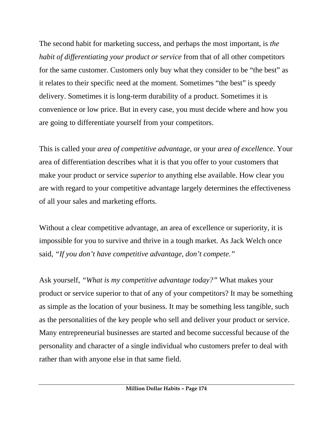The second habit for marketing success, and perhaps the most important, is *the habit of differentiating your product or service* from that of all other competitors for the same customer. Customers only buy what they consider to be "the best" as it relates to their specific need at the moment. Sometimes "the best" is speedy delivery. Sometimes it is long-term durability of a product. Sometimes it is convenience or low price. But in every case, you must decide where and how you are going to differentiate yourself from your competitors.

This is called your *area of competitive advantage*, or your *area of excellence*. Your area of differentiation describes what it is that you offer to your customers that make your product or service *superior* to anything else available. How clear you are with regard to your competitive advantage largely determines the effectiveness of all your sales and marketing efforts.

Without a clear competitive advantage, an area of excellence or superiority, it is impossible for you to survive and thrive in a tough market. As Jack Welch once said, *"If you don't have competitive advantage, don't compete."*

Ask yourself, *"What is my competitive advantage today?"* What makes your product or service superior to that of any of your competitors? It may be something as simple as the location of your business. It may be something less tangible, such as the personalities of the key people who sell and deliver your product or service. Many entrepreneurial businesses are started and become successful because of the personality and character of a single individual who customers prefer to deal with rather than with anyone else in that same field.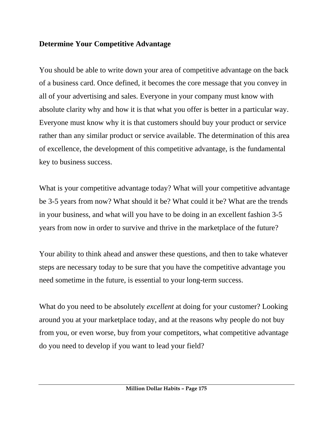#### **Determine Your Competitive Advantage**

You should be able to write down your area of competitive advantage on the back of a business card. Once defined, it becomes the core message that you convey in all of your advertising and sales. Everyone in your company must know with absolute clarity why and how it is that what you offer is better in a particular way. Everyone must know why it is that customers should buy your product or service rather than any similar product or service available. The determination of this area of excellence, the development of this competitive advantage, is the fundamental key to business success.

What is your competitive advantage today? What will your competitive advantage be 3-5 years from now? What should it be? What could it be? What are the trends in your business, and what will you have to be doing in an excellent fashion 3-5 years from now in order to survive and thrive in the marketplace of the future?

Your ability to think ahead and answer these questions, and then to take whatever steps are necessary today to be sure that you have the competitive advantage you need sometime in the future, is essential to your long-term success.

What do you need to be absolutely *excellent* at doing for your customer? Looking around you at your marketplace today, and at the reasons why people do not buy from you, or even worse, buy from your competitors, what competitive advantage do you need to develop if you want to lead your field?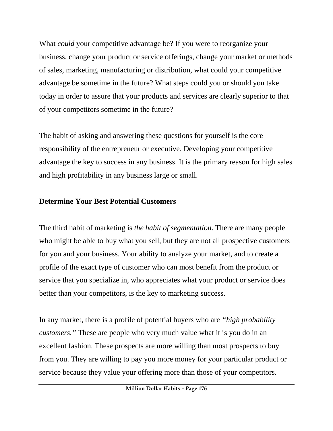What *could* your competitive advantage be? If you were to reorganize your business, change your product or service offerings, change your market or methods of sales, marketing, manufacturing or distribution, what could your competitive advantage be sometime in the future? What steps could you or should you take today in order to assure that your products and services are clearly superior to that of your competitors sometime in the future?

The habit of asking and answering these questions for yourself is the core responsibility of the entrepreneur or executive. Developing your competitive advantage the key to success in any business. It is the primary reason for high sales and high profitability in any business large or small.

### **Determine Your Best Potential Customers**

The third habit of marketing is *the habit of segmentation*. There are many people who might be able to buy what you sell, but they are not all prospective customers for you and your business. Your ability to analyze your market, and to create a profile of the exact type of customer who can most benefit from the product or service that you specialize in, who appreciates what your product or service does better than your competitors, is the key to marketing success.

In any market, there is a profile of potential buyers who are *"high probability customers."* These are people who very much value what it is you do in an excellent fashion. These prospects are more willing than most prospects to buy from you. They are willing to pay you more money for your particular product or service because they value your offering more than those of your competitors.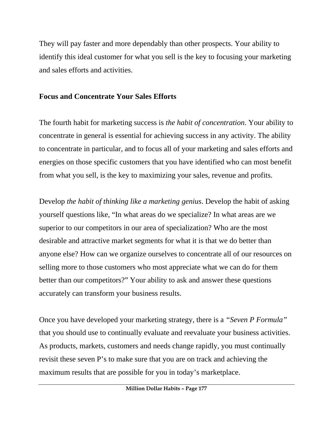They will pay faster and more dependably than other prospects. Your ability to identify this ideal customer for what you sell is the key to focusing your marketing and sales efforts and activities.

### **Focus and Concentrate Your Sales Efforts**

The fourth habit for marketing success is *the habit of concentration*. Your ability to concentrate in general is essential for achieving success in any activity. The ability to concentrate in particular, and to focus all of your marketing and sales efforts and energies on those specific customers that you have identified who can most benefit from what you sell, is the key to maximizing your sales, revenue and profits.

Develop *the habit of thinking like a marketing genius*. Develop the habit of asking yourself questions like, "In what areas do we specialize? In what areas are we superior to our competitors in our area of specialization? Who are the most desirable and attractive market segments for what it is that we do better than anyone else? How can we organize ourselves to concentrate all of our resources on selling more to those customers who most appreciate what we can do for them better than our competitors?" Your ability to ask and answer these questions accurately can transform your business results.

Once you have developed your marketing strategy, there is a *"Seven P Formula"* that you should use to continually evaluate and reevaluate your business activities. As products, markets, customers and needs change rapidly, you must continually revisit these seven P's to make sure that you are on track and achieving the maximum results that are possible for you in today's marketplace.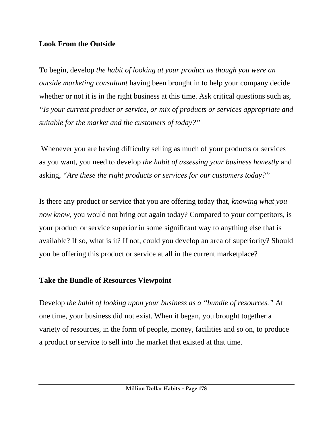#### **Look From the Outside**

To begin, develop *the habit of looking at your product as though you were an outside marketing consultant* having been brought in to help your company decide whether or not it is in the right business at this time. Ask critical questions such as, *"Is your current product or service, or mix of products or services appropriate and suitable for the market and the customers of today?"* 

 Whenever you are having difficulty selling as much of your products or services as you want, you need to develop *the habit of assessing your business honestly* and asking, *"Are these the right products or services for our customers today?"* 

Is there any product or service that you are offering today that, *knowing what you now know*, you would not bring out again today? Compared to your competitors, is your product or service superior in some significant way to anything else that is available? If so, what is it? If not, could you develop an area of superiority? Should you be offering this product or service at all in the current marketplace?

### **Take the Bundle of Resources Viewpoint**

Develop *the habit of looking upon your business as a "bundle of resources."* At one time, your business did not exist. When it began, you brought together a variety of resources, in the form of people, money, facilities and so on, to produce a product or service to sell into the market that existed at that time.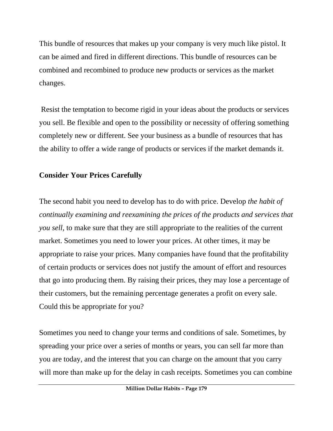This bundle of resources that makes up your company is very much like pistol. It can be aimed and fired in different directions. This bundle of resources can be combined and recombined to produce new products or services as the market changes.

 Resist the temptation to become rigid in your ideas about the products or services you sell. Be flexible and open to the possibility or necessity of offering something completely new or different. See your business as a bundle of resources that has the ability to offer a wide range of products or services if the market demands it.

# **Consider Your Prices Carefully**

The second habit you need to develop has to do with price. Develop *the habit of continually examining and reexamining the prices of the products and services that you sell*, to make sure that they are still appropriate to the realities of the current market. Sometimes you need to lower your prices. At other times, it may be appropriate to raise your prices. Many companies have found that the profitability of certain products or services does not justify the amount of effort and resources that go into producing them. By raising their prices, they may lose a percentage of their customers, but the remaining percentage generates a profit on every sale. Could this be appropriate for you?

Sometimes you need to change your terms and conditions of sale. Sometimes, by spreading your price over a series of months or years, you can sell far more than you are today, and the interest that you can charge on the amount that you carry will more than make up for the delay in cash receipts. Sometimes you can combine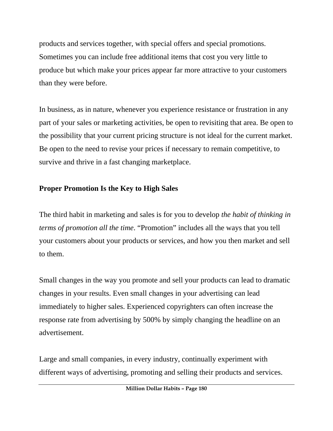products and services together, with special offers and special promotions. Sometimes you can include free additional items that cost you very little to produce but which make your prices appear far more attractive to your customers than they were before.

In business, as in nature, whenever you experience resistance or frustration in any part of your sales or marketing activities, be open to revisiting that area. Be open to the possibility that your current pricing structure is not ideal for the current market. Be open to the need to revise your prices if necessary to remain competitive, to survive and thrive in a fast changing marketplace.

# **Proper Promotion Is the Key to High Sales**

The third habit in marketing and sales is for you to develop *the habit of thinking in terms of promotion all the time*. "Promotion" includes all the ways that you tell your customers about your products or services, and how you then market and sell to them.

Small changes in the way you promote and sell your products can lead to dramatic changes in your results. Even small changes in your advertising can lead immediately to higher sales. Experienced copyrighters can often increase the response rate from advertising by 500% by simply changing the headline on an advertisement.

Large and small companies, in every industry, continually experiment with different ways of advertising, promoting and selling their products and services.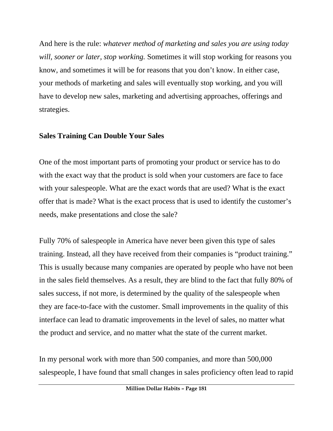And here is the rule: *whatever method of marketing and sales you are using today will, sooner or later, stop working.* Sometimes it will stop working for reasons you know, and sometimes it will be for reasons that you don't know. In either case, your methods of marketing and sales will eventually stop working, and you will have to develop new sales, marketing and advertising approaches, offerings and strategies.

### **Sales Training Can Double Your Sales**

One of the most important parts of promoting your product or service has to do with the exact way that the product is sold when your customers are face to face with your salespeople. What are the exact words that are used? What is the exact offer that is made? What is the exact process that is used to identify the customer's needs, make presentations and close the sale?

Fully 70% of salespeople in America have never been given this type of sales training. Instead, all they have received from their companies is "product training." This is usually because many companies are operated by people who have not been in the sales field themselves. As a result, they are blind to the fact that fully 80% of sales success, if not more, is determined by the quality of the salespeople when they are face-to-face with the customer. Small improvements in the quality of this interface can lead to dramatic improvements in the level of sales, no matter what the product and service, and no matter what the state of the current market.

In my personal work with more than 500 companies, and more than 500,000 salespeople, I have found that small changes in sales proficiency often lead to rapid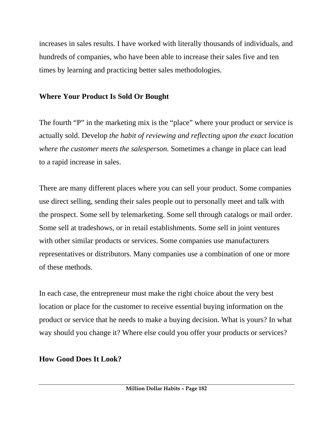increases in sales results. I have worked with literally thousands of individuals, and hundreds of companies, who have been able to increase their sales five and ten times by learning and practicing better sales methodologies.

### **Where Your Product Is Sold Or Bought**

The fourth "P" in the marketing mix is the "place" where your product or service is actually sold. Develop *the habit of reviewing and reflecting upon the exact location where the customer meets the salesperson.* Sometimes a change in place can lead to a rapid increase in sales.

There are many different places where you can sell your product. Some companies use direct selling, sending their sales people out to personally meet and talk with the prospect. Some sell by telemarketing. Some sell through catalogs or mail order. Some sell at tradeshows, or in retail establishments. Some sell in joint ventures with other similar products or services. Some companies use manufacturers representatives or distributors. Many companies use a combination of one or more of these methods.

In each case, the entrepreneur must make the right choice about the very best location or place for the customer to receive essential buying information on the product or service that he needs to make a buying decision. What is yours? In what way should you change it? Where else could you offer your products or services?

### **How Good Does It Look?**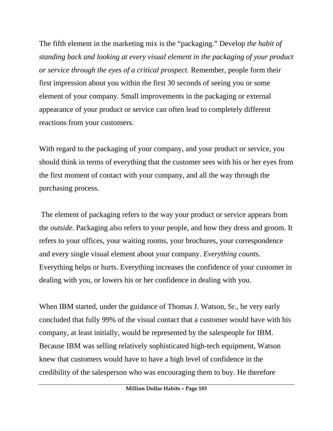The fifth element in the marketing mix is the "packaging." Develop *the habit of standing back and looking at every visual element in the packaging of your product or service through the eyes of a critical prospect*. Remember, people form their first impression about you within the first 30 seconds of seeing you or some element of your company. Small improvements in the packaging or external appearance of your product or service can often lead to completely different reactions from your customers.

With regard to the packaging of your company, and your product or service, you should think in terms of everything that the customer sees with his or her eyes from the first moment of contact with your company, and all the way through the purchasing process.

 The element of packaging refers to the way your product or service appears from the *outside*. Packaging also refers to your people, and how they dress and groom. It refers to your offices, your waiting rooms, your brochures, your correspondence and every single visual element about your company. *Everything counts.* Everything helps or hurts. Everything increases the confidence of your customer in dealing with you, or lowers his or her confidence in dealing with you.

When IBM started, under the guidance of Thomas J. Watson, Sr., he very early concluded that fully 99% of the visual contact that a customer would have with his company, at least initially, would be represented by the salespeople for IBM. Because IBM was selling relatively sophisticated high-tech equipment, Watson knew that customers would have to have a high level of confidence in the credibility of the salesperson who was encouraging them to buy. He therefore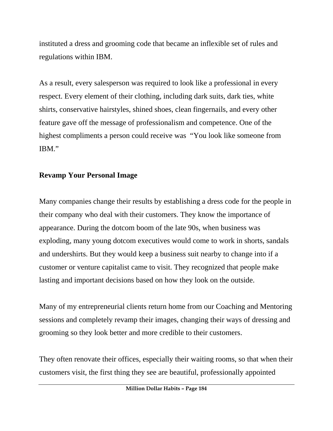instituted a dress and grooming code that became an inflexible set of rules and regulations within IBM.

As a result, every salesperson was required to look like a professional in every respect. Every element of their clothing, including dark suits, dark ties, white shirts, conservative hairstyles, shined shoes, clean fingernails, and every other feature gave off the message of professionalism and competence. One of the highest compliments a person could receive was "You look like someone from IBM."

## **Revamp Your Personal Image**

Many companies change their results by establishing a dress code for the people in their company who deal with their customers. They know the importance of appearance. During the dotcom boom of the late 90s, when business was exploding, many young dotcom executives would come to work in shorts, sandals and undershirts. But they would keep a business suit nearby to change into if a customer or venture capitalist came to visit. They recognized that people make lasting and important decisions based on how they look on the outside.

Many of my entrepreneurial clients return home from our Coaching and Mentoring sessions and completely revamp their images, changing their ways of dressing and grooming so they look better and more credible to their customers.

They often renovate their offices, especially their waiting rooms, so that when their customers visit, the first thing they see are beautiful, professionally appointed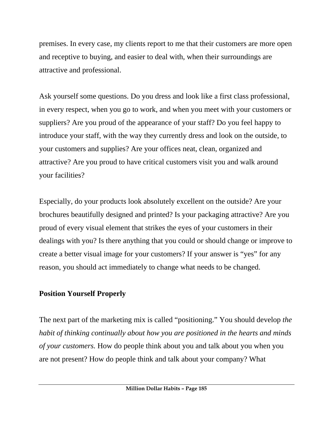premises. In every case, my clients report to me that their customers are more open and receptive to buying, and easier to deal with, when their surroundings are attractive and professional.

Ask yourself some questions. Do you dress and look like a first class professional, in every respect, when you go to work, and when you meet with your customers or suppliers? Are you proud of the appearance of your staff? Do you feel happy to introduce your staff, with the way they currently dress and look on the outside, to your customers and supplies? Are your offices neat, clean, organized and attractive? Are you proud to have critical customers visit you and walk around your facilities?

Especially, do your products look absolutely excellent on the outside? Are your brochures beautifully designed and printed? Is your packaging attractive? Are you proud of every visual element that strikes the eyes of your customers in their dealings with you? Is there anything that you could or should change or improve to create a better visual image for your customers? If your answer is "yes" for any reason, you should act immediately to change what needs to be changed.

### **Position Yourself Properly**

The next part of the marketing mix is called "positioning." You should develop *the habit of thinking continually about how you are positioned in the hearts and minds of your customers.* How do people think about you and talk about you when you are not present? How do people think and talk about your company? What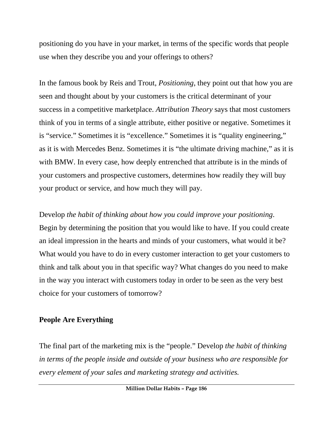positioning do you have in your market, in terms of the specific words that people use when they describe you and your offerings to others?

In the famous book by Reis and Trout, *Positioning*, they point out that how you are seen and thought about by your customers is the critical determinant of your success in a competitive marketplace. *Attribution Theory* says that most customers think of you in terms of a single attribute, either positive or negative. Sometimes it is "service." Sometimes it is "excellence." Sometimes it is "quality engineering," as it is with Mercedes Benz. Sometimes it is "the ultimate driving machine," as it is with BMW. In every case, how deeply entrenched that attribute is in the minds of your customers and prospective customers, determines how readily they will buy your product or service, and how much they will pay.

Develop *the habit of thinking about how you could improve your positioning*. Begin by determining the position that you would like to have. If you could create an ideal impression in the hearts and minds of your customers, what would it be? What would you have to do in every customer interaction to get your customers to think and talk about you in that specific way? What changes do you need to make in the way you interact with customers today in order to be seen as the very best choice for your customers of tomorrow?

# **People Are Everything**

The final part of the marketing mix is the "people." Develop *the habit of thinking in terms of the people inside and outside of your business who are responsible for every element of your sales and marketing strategy and activities.*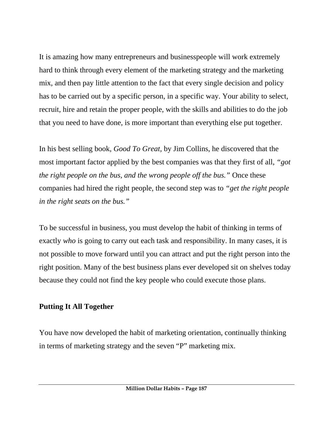It is amazing how many entrepreneurs and businesspeople will work extremely hard to think through every element of the marketing strategy and the marketing mix, and then pay little attention to the fact that every single decision and policy has to be carried out by a specific person, in a specific way. Your ability to select, recruit, hire and retain the proper people, with the skills and abilities to do the job that you need to have done, is more important than everything else put together.

In his best selling book, *Good To Great,* by Jim Collins, he discovered that the most important factor applied by the best companies was that they first of all, *"got the right people on the bus, and the wrong people off the bus."* Once these companies had hired the right people, the second step was to *"get the right people in the right seats on the bus."* 

To be successful in business, you must develop the habit of thinking in terms of exactly *who* is going to carry out each task and responsibility. In many cases, it is not possible to move forward until you can attract and put the right person into the right position. Many of the best business plans ever developed sit on shelves today because they could not find the key people who could execute those plans.

### **Putting It All Together**

You have now developed the habit of marketing orientation, continually thinking in terms of marketing strategy and the seven "P" marketing mix.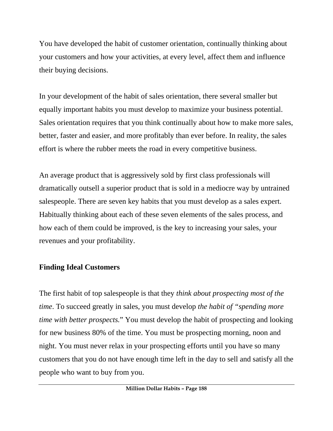You have developed the habit of customer orientation, continually thinking about your customers and how your activities, at every level, affect them and influence their buying decisions.

In your development of the habit of sales orientation, there several smaller but equally important habits you must develop to maximize your business potential. Sales orientation requires that you think continually about how to make more sales, better, faster and easier, and more profitably than ever before. In reality, the sales effort is where the rubber meets the road in every competitive business.

An average product that is aggressively sold by first class professionals will dramatically outsell a superior product that is sold in a mediocre way by untrained salespeople. There are seven key habits that you must develop as a sales expert. Habitually thinking about each of these seven elements of the sales process, and how each of them could be improved, is the key to increasing your sales, your revenues and your profitability.

### **Finding Ideal Customers**

The first habit of top salespeople is that they *think about prospecting most of the time*. To succeed greatly in sales, you must develop *the habit of "spending more time with better prospects.*" You must develop the habit of prospecting and looking for new business 80% of the time. You must be prospecting morning, noon and night. You must never relax in your prospecting efforts until you have so many customers that you do not have enough time left in the day to sell and satisfy all the people who want to buy from you.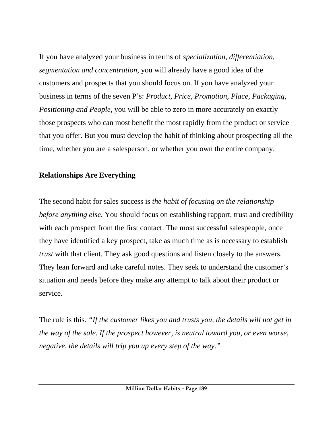If you have analyzed your business in terms of *specialization, differentiation, segmentation and concentration*, you will already have a good idea of the customers and prospects that you should focus on. If you have analyzed your business in terms of the seven P's: *Product, Price, Promotion, Place, Packaging, Positioning and People*, you will be able to zero in more accurately on exactly those prospects who can most benefit the most rapidly from the product or service that you offer. But you must develop the habit of thinking about prospecting all the time, whether you are a salesperson, or whether you own the entire company.

#### **Relationships Are Everything**

The second habit for sales success is *the habit of focusing on the relationship before anything else*. You should focus on establishing rapport, trust and credibility with each prospect from the first contact. The most successful salespeople, once they have identified a key prospect, take as much time as is necessary to establish *trust* with that client. They ask good questions and listen closely to the answers. They lean forward and take careful notes. They seek to understand the customer's situation and needs before they make any attempt to talk about their product or service.

The rule is this. *"If the customer likes you and trusts you, the details will not get in the way of the sale. If the prospect however, is neutral toward you, or even worse, negative, the details will trip you up every step of the way."*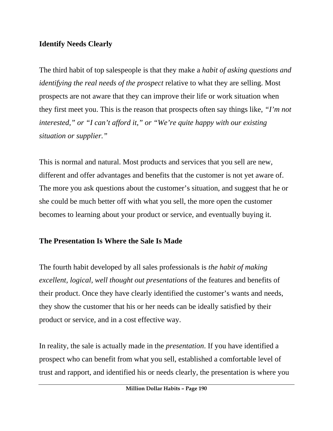### **Identify Needs Clearly**

The third habit of top salespeople is that they make a *habit of asking questions and identifying the real needs of the prospect* relative to what they are selling. Most prospects are not aware that they can improve their life or work situation when they first meet you. This is the reason that prospects often say things like, *"I'm not interested," or "I can't afford it," or "We're quite happy with our existing situation or supplier."* 

This is normal and natural. Most products and services that you sell are new, different and offer advantages and benefits that the customer is not yet aware of. The more you ask questions about the customer's situation, and suggest that he or she could be much better off with what you sell, the more open the customer becomes to learning about your product or service, and eventually buying it.

### **The Presentation Is Where the Sale Is Made**

The fourth habit developed by all sales professionals is *the habit of making excellent, logical, well thought out presentations* of the features and benefits of their product. Once they have clearly identified the customer's wants and needs, they show the customer that his or her needs can be ideally satisfied by their product or service, and in a cost effective way.

In reality, the sale is actually made in the *presentation*. If you have identified a prospect who can benefit from what you sell, established a comfortable level of trust and rapport, and identified his or needs clearly, the presentation is where you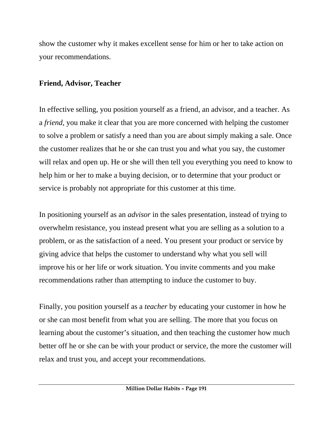show the customer why it makes excellent sense for him or her to take action on your recommendations.

### **Friend, Advisor, Teacher**

In effective selling, you position yourself as a friend, an advisor, and a teacher. As a *friend*, you make it clear that you are more concerned with helping the customer to solve a problem or satisfy a need than you are about simply making a sale. Once the customer realizes that he or she can trust you and what you say, the customer will relax and open up. He or she will then tell you everything you need to know to help him or her to make a buying decision, or to determine that your product or service is probably not appropriate for this customer at this time.

In positioning yourself as an *advisor* in the sales presentation, instead of trying to overwhelm resistance, you instead present what you are selling as a solution to a problem, or as the satisfaction of a need. You present your product or service by giving advice that helps the customer to understand why what you sell will improve his or her life or work situation. You invite comments and you make recommendations rather than attempting to induce the customer to buy.

Finally, you position yourself as a *teacher* by educating your customer in how he or she can most benefit from what you are selling. The more that you focus on learning about the customer's situation, and then teaching the customer how much better off he or she can be with your product or service, the more the customer will relax and trust you, and accept your recommendations.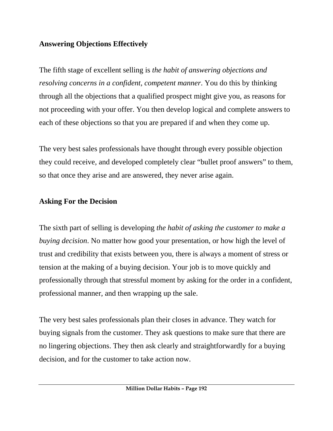### **Answering Objections Effectively**

The fifth stage of excellent selling is *the habit of answering objections and resolving concerns in a confident, competent manner*. You do this by thinking through all the objections that a qualified prospect might give you, as reasons for not proceeding with your offer. You then develop logical and complete answers to each of these objections so that you are prepared if and when they come up.

The very best sales professionals have thought through every possible objection they could receive, and developed completely clear "bullet proof answers" to them, so that once they arise and are answered, they never arise again.

### **Asking For the Decision**

The sixth part of selling is developing *the habit of asking the customer to make a buying decision*. No matter how good your presentation, or how high the level of trust and credibility that exists between you, there is always a moment of stress or tension at the making of a buying decision. Your job is to move quickly and professionally through that stressful moment by asking for the order in a confident, professional manner, and then wrapping up the sale.

The very best sales professionals plan their closes in advance. They watch for buying signals from the customer. They ask questions to make sure that there are no lingering objections. They then ask clearly and straightforwardly for a buying decision, and for the customer to take action now.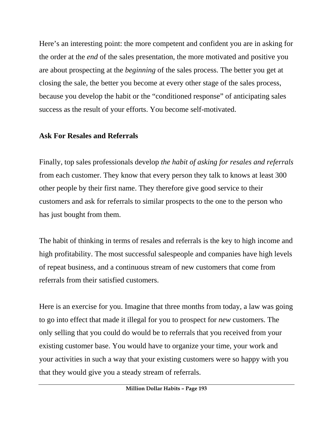Here's an interesting point: the more competent and confident you are in asking for the order at the *end* of the sales presentation, the more motivated and positive you are about prospecting at the *beginning* of the sales process. The better you get at closing the sale, the better you become at every other stage of the sales process, because you develop the habit or the "conditioned response" of anticipating sales success as the result of your efforts. You become self-motivated.

### **Ask For Resales and Referrals**

Finally, top sales professionals develop *the habit of asking for resales and referrals* from each customer. They know that every person they talk to knows at least 300 other people by their first name. They therefore give good service to their customers and ask for referrals to similar prospects to the one to the person who has just bought from them.

The habit of thinking in terms of resales and referrals is the key to high income and high profitability. The most successful salespeople and companies have high levels of repeat business, and a continuous stream of new customers that come from referrals from their satisfied customers.

Here is an exercise for you. Imagine that three months from today, a law was going to go into effect that made it illegal for you to prospect for *new* customers. The only selling that you could do would be to referrals that you received from your existing customer base. You would have to organize your time, your work and your activities in such a way that your existing customers were so happy with you that they would give you a steady stream of referrals.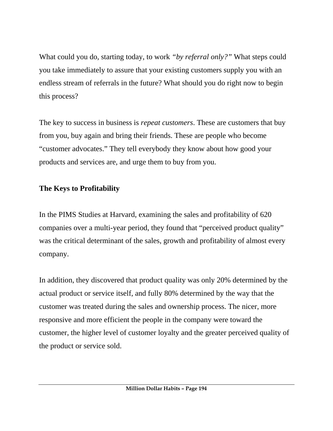What could you do, starting today, to work *"by referral only?"* What steps could you take immediately to assure that your existing customers supply you with an endless stream of referrals in the future? What should you do right now to begin this process?

The key to success in business is *repeat customers*. These are customers that buy from you, buy again and bring their friends. These are people who become "customer advocates." They tell everybody they know about how good your products and services are, and urge them to buy from you.

### **The Keys to Profitability**

In the PIMS Studies at Harvard, examining the sales and profitability of 620 companies over a multi-year period, they found that "perceived product quality" was the critical determinant of the sales, growth and profitability of almost every company.

In addition, they discovered that product quality was only 20% determined by the actual product or service itself, and fully 80% determined by the way that the customer was treated during the sales and ownership process. The nicer, more responsive and more efficient the people in the company were toward the customer, the higher level of customer loyalty and the greater perceived quality of the product or service sold.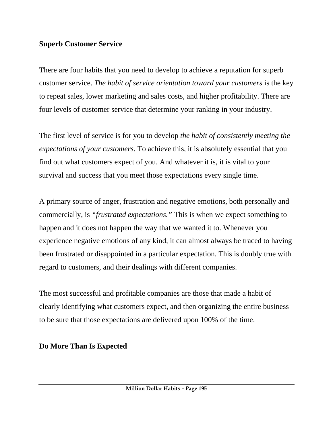#### **Superb Customer Service**

There are four habits that you need to develop to achieve a reputation for superb customer service. *The habit of service orientation toward your customers* is the key to repeat sales, lower marketing and sales costs, and higher profitability. There are four levels of customer service that determine your ranking in your industry.

The first level of service is for you to develop *the habit of consistently meeting the expectations of your customers*. To achieve this, it is absolutely essential that you find out what customers expect of you. And whatever it is, it is vital to your survival and success that you meet those expectations every single time.

A primary source of anger, frustration and negative emotions, both personally and commercially, is *"frustrated expectations."* This is when we expect something to happen and it does not happen the way that we wanted it to. Whenever you experience negative emotions of any kind, it can almost always be traced to having been frustrated or disappointed in a particular expectation. This is doubly true with regard to customers, and their dealings with different companies.

The most successful and profitable companies are those that made a habit of clearly identifying what customers expect, and then organizing the entire business to be sure that those expectations are delivered upon 100% of the time.

#### **Do More Than Is Expected**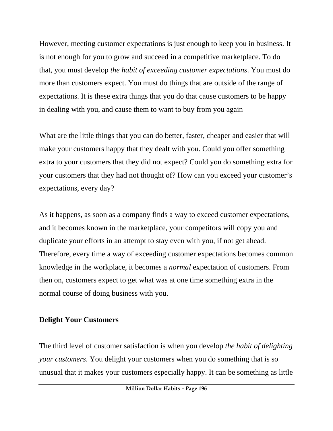However, meeting customer expectations is just enough to keep you in business. It is not enough for you to grow and succeed in a competitive marketplace. To do that, you must develop *the habit of exceeding customer expectations*. You must do more than customers expect. You must do things that are outside of the range of expectations. It is these extra things that you do that cause customers to be happy in dealing with you, and cause them to want to buy from you again

What are the little things that you can do better, faster, cheaper and easier that will make your customers happy that they dealt with you. Could you offer something extra to your customers that they did not expect? Could you do something extra for your customers that they had not thought of? How can you exceed your customer's expectations, every day?

As it happens, as soon as a company finds a way to exceed customer expectations, and it becomes known in the marketplace, your competitors will copy you and duplicate your efforts in an attempt to stay even with you, if not get ahead. Therefore, every time a way of exceeding customer expectations becomes common knowledge in the workplace, it becomes a *normal* expectation of customers. From then on, customers expect to get what was at one time something extra in the normal course of doing business with you.

### **Delight Your Customers**

The third level of customer satisfaction is when you develop *the habit of delighting your customers*. You delight your customers when you do something that is so unusual that it makes your customers especially happy. It can be something as little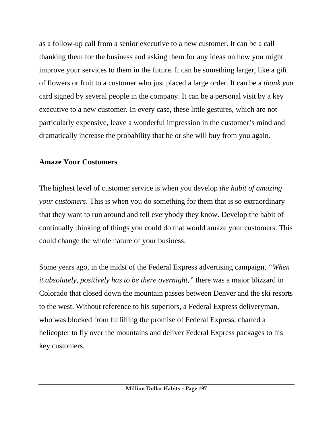as a follow-up call from a senior executive to a new customer. It can be a call thanking them for the business and asking them for any ideas on how you might improve your services to them in the future. It can be something larger, like a gift of flowers or fruit to a customer who just placed a large order. It can be a *thank you* card signed by several people in the company. It can be a personal visit by a key executive to a new customer. In every case, these little gestures, which are not particularly expensive, leave a wonderful impression in the customer's mind and dramatically increase the probability that he or she will buy from you again.

#### **Amaze Your Customers**

The highest level of customer service is when you develop *the habit of amazing your customers*. This is when you do something for them that is so extraordinary that they want to run around and tell everybody they know. Develop the habit of continually thinking of things you could do that would amaze your customers. This could change the whole nature of your business.

Some years ago, in the midst of the Federal Express advertising campaign, *"When it absolutely, positively has to be there overnight,"* there was a major blizzard in Colorado that closed down the mountain passes between Denver and the ski resorts to the west. Without reference to his superiors, a Federal Express deliveryman, who was blocked from fulfilling the promise of Federal Express, charted a helicopter to fly over the mountains and deliver Federal Express packages to his key customers.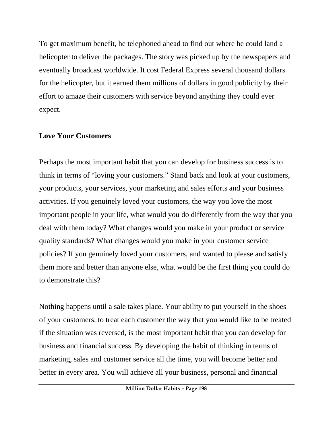To get maximum benefit, he telephoned ahead to find out where he could land a helicopter to deliver the packages. The story was picked up by the newspapers and eventually broadcast worldwide. It cost Federal Express several thousand dollars for the helicopter, but it earned them millions of dollars in good publicity by their effort to amaze their customers with service beyond anything they could ever expect.

### **Love Your Customers**

Perhaps the most important habit that you can develop for business success is to think in terms of "loving your customers." Stand back and look at your customers, your products, your services, your marketing and sales efforts and your business activities. If you genuinely loved your customers, the way you love the most important people in your life, what would you do differently from the way that you deal with them today? What changes would you make in your product or service quality standards? What changes would you make in your customer service policies? If you genuinely loved your customers, and wanted to please and satisfy them more and better than anyone else, what would be the first thing you could do to demonstrate this?

Nothing happens until a sale takes place. Your ability to put yourself in the shoes of your customers, to treat each customer the way that you would like to be treated if the situation was reversed, is the most important habit that you can develop for business and financial success. By developing the habit of thinking in terms of marketing, sales and customer service all the time, you will become better and better in every area. You will achieve all your business, personal and financial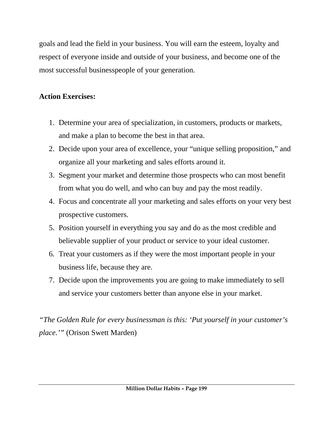goals and lead the field in your business. You will earn the esteem, loyalty and respect of everyone inside and outside of your business, and become one of the most successful businesspeople of your generation.

### **Action Exercises:**

- 1. Determine your area of specialization, in customers, products or markets, and make a plan to become the best in that area.
- 2. Decide upon your area of excellence, your "unique selling proposition," and organize all your marketing and sales efforts around it.
- 3. Segment your market and determine those prospects who can most benefit from what you do well, and who can buy and pay the most readily.
- 4. Focus and concentrate all your marketing and sales efforts on your very best prospective customers.
- 5. Position yourself in everything you say and do as the most credible and believable supplier of your product or service to your ideal customer.
- 6. Treat your customers as if they were the most important people in your business life, because they are.
- 7. Decide upon the improvements you are going to make immediately to sell and service your customers better than anyone else in your market.

*"The Golden Rule for every businessman is this: 'Put yourself in your customer's place.'"* (Orison Swett Marden)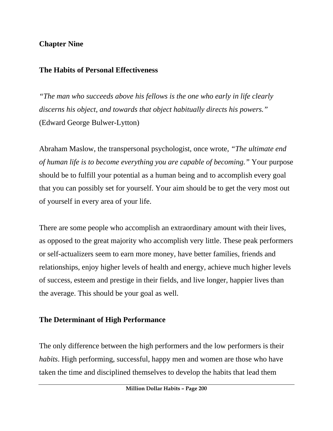### **Chapter Nine**

### **The Habits of Personal Effectiveness**

*"The man who succeeds above his fellows is the one who early in life clearly discerns his object, and towards that object habitually directs his powers."* (Edward George Bulwer-Lytton)

Abraham Maslow, the transpersonal psychologist, once wrote, *"The ultimate end of human life is to become everything you are capable of becoming."* Your purpose should be to fulfill your potential as a human being and to accomplish every goal that you can possibly set for yourself. Your aim should be to get the very most out of yourself in every area of your life.

There are some people who accomplish an extraordinary amount with their lives, as opposed to the great majority who accomplish very little. These peak performers or self-actualizers seem to earn more money, have better families, friends and relationships, enjoy higher levels of health and energy, achieve much higher levels of success, esteem and prestige in their fields, and live longer, happier lives than the average. This should be your goal as well.

### **The Determinant of High Performance**

The only difference between the high performers and the low performers is their *habits*. High performing, successful, happy men and women are those who have taken the time and disciplined themselves to develop the habits that lead them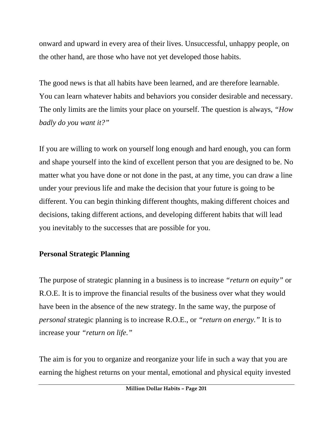onward and upward in every area of their lives. Unsuccessful, unhappy people, on the other hand, are those who have not yet developed those habits.

The good news is that all habits have been learned, and are therefore learnable. You can learn whatever habits and behaviors you consider desirable and necessary. The only limits are the limits your place on yourself. The question is always, *"How badly do you want it?"* 

If you are willing to work on yourself long enough and hard enough, you can form and shape yourself into the kind of excellent person that you are designed to be. No matter what you have done or not done in the past, at any time, you can draw a line under your previous life and make the decision that your future is going to be different. You can begin thinking different thoughts, making different choices and decisions, taking different actions, and developing different habits that will lead you inevitably to the successes that are possible for you.

# **Personal Strategic Planning**

The purpose of strategic planning in a business is to increase *"return on equity"* or R.O.E. It is to improve the financial results of the business over what they would have been in the absence of the new strategy. In the same way, the purpose of *personal* strategic planning is to increase R.O.E., or *"return on energy."* It is to increase your *"return on life."*

The aim is for you to organize and reorganize your life in such a way that you are earning the highest returns on your mental, emotional and physical equity invested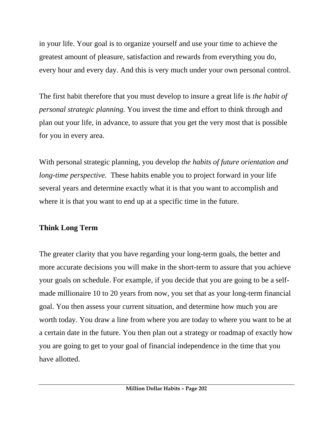in your life. Your goal is to organize yourself and use your time to achieve the greatest amount of pleasure, satisfaction and rewards from everything you do, every hour and every day. And this is very much under your own personal control.

The first habit therefore that you must develop to insure a great life is *the habit of personal strategic planning.* You invest the time and effort to think through and plan out your life, in advance, to assure that you get the very most that is possible for you in every area.

With personal strategic planning, you develop *the habits of future orientation and long-time perspective.* These habits enable you to project forward in your life several years and determine exactly what it is that you want to accomplish and where it is that you want to end up at a specific time in the future.

### **Think Long Term**

The greater clarity that you have regarding your long-term goals, the better and more accurate decisions you will make in the short-term to assure that you achieve your goals on schedule. For example, if you decide that you are going to be a selfmade millionaire 10 to 20 years from now, you set that as your long-term financial goal. You then assess your current situation, and determine how much you are worth today. You draw a line from where you are today to where you want to be at a certain date in the future. You then plan out a strategy or roadmap of exactly how you are going to get to your goal of financial independence in the time that you have allotted.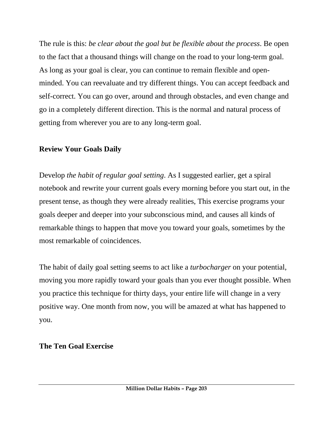The rule is this: *be clear about the goal but be flexible about the process*. Be open to the fact that a thousand things will change on the road to your long-term goal. As long as your goal is clear, you can continue to remain flexible and openminded. You can reevaluate and try different things. You can accept feedback and self-correct. You can go over, around and through obstacles, and even change and go in a completely different direction. This is the normal and natural process of getting from wherever you are to any long-term goal.

### **Review Your Goals Daily**

Develop *the habit of regular goal setting*. As I suggested earlier, get a spiral notebook and rewrite your current goals every morning before you start out, in the present tense, as though they were already realities, This exercise programs your goals deeper and deeper into your subconscious mind, and causes all kinds of remarkable things to happen that move you toward your goals, sometimes by the most remarkable of coincidences.

The habit of daily goal setting seems to act like a *turbocharger* on your potential, moving you more rapidly toward your goals than you ever thought possible. When you practice this technique for thirty days, your entire life will change in a very positive way. One month from now, you will be amazed at what has happened to you.

### **The Ten Goal Exercise**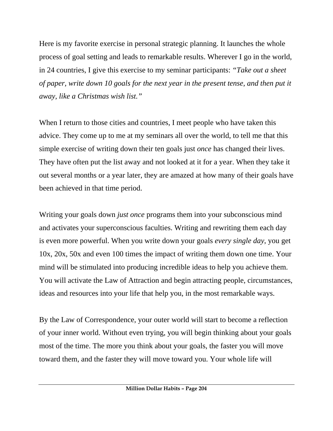Here is my favorite exercise in personal strategic planning. It launches the whole process of goal setting and leads to remarkable results. Wherever I go in the world, in 24 countries, I give this exercise to my seminar participants: *"Take out a sheet of paper, write down 10 goals for the next year in the present tense, and then put it away, like a Christmas wish list."* 

When I return to those cities and countries, I meet people who have taken this advice. They come up to me at my seminars all over the world, to tell me that this simple exercise of writing down their ten goals just *once* has changed their lives. They have often put the list away and not looked at it for a year. When they take it out several months or a year later, they are amazed at how many of their goals have been achieved in that time period.

Writing your goals down *just once* programs them into your subconscious mind and activates your superconscious faculties. Writing and rewriting them each day is even more powerful. When you write down your goals *every single day*, you get 10x, 20x, 50x and even 100 times the impact of writing them down one time. Your mind will be stimulated into producing incredible ideas to help you achieve them. You will activate the Law of Attraction and begin attracting people, circumstances, ideas and resources into your life that help you, in the most remarkable ways.

By the Law of Correspondence, your outer world will start to become a reflection of your inner world. Without even trying, you will begin thinking about your goals most of the time. The more you think about your goals, the faster you will move toward them, and the faster they will move toward you. Your whole life will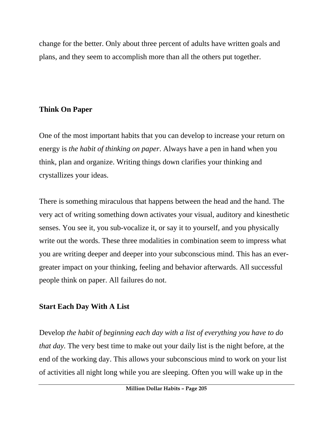change for the better. Only about three percent of adults have written goals and plans, and they seem to accomplish more than all the others put together.

## **Think On Paper**

One of the most important habits that you can develop to increase your return on energy is *the habit of thinking on paper*. Always have a pen in hand when you think, plan and organize. Writing things down clarifies your thinking and crystallizes your ideas.

There is something miraculous that happens between the head and the hand. The very act of writing something down activates your visual, auditory and kinesthetic senses. You see it, you sub-vocalize it, or say it to yourself, and you physically write out the words. These three modalities in combination seem to impress what you are writing deeper and deeper into your subconscious mind. This has an evergreater impact on your thinking, feeling and behavior afterwards. All successful people think on paper. All failures do not.

# **Start Each Day With A List**

Develop *the habit of beginning each day with a list of everything you have to do that day.* The very best time to make out your daily list is the night before, at the end of the working day. This allows your subconscious mind to work on your list of activities all night long while you are sleeping. Often you will wake up in the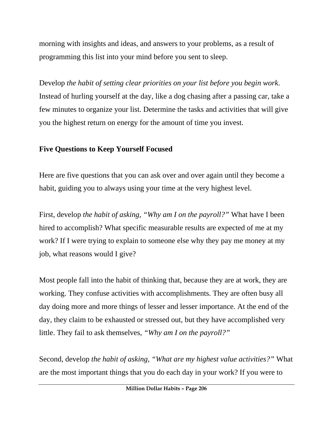morning with insights and ideas, and answers to your problems, as a result of programming this list into your mind before you sent to sleep.

Develop *the habit of setting clear priorities on your list before you begin work*. Instead of hurling yourself at the day, like a dog chasing after a passing car, take a few minutes to organize your list. Determine the tasks and activities that will give you the highest return on energy for the amount of time you invest.

# **Five Questions to Keep Yourself Focused**

Here are five questions that you can ask over and over again until they become a habit, guiding you to always using your time at the very highest level.

First, develop *the habit of asking, "Why am I on the payroll?"* What have I been hired to accomplish? What specific measurable results are expected of me at my work? If I were trying to explain to someone else why they pay me money at my job, what reasons would I give?

Most people fall into the habit of thinking that, because they are at work, they are working. They confuse activities with accomplishments. They are often busy all day doing more and more things of lesser and lesser importance. At the end of the day, they claim to be exhausted or stressed out, but they have accomplished very little. They fail to ask themselves, *"Why am I on the payroll?"* 

Second, develop *the habit of asking, "What are my highest value activities?"* What are the most important things that you do each day in your work? If you were to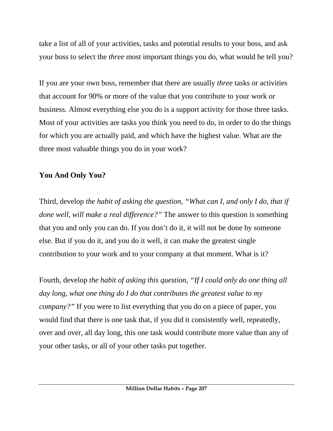take a list of all of your activities, tasks and potential results to your boss, and ask your boss to select the *three* most important things you do, what would he tell you?

If you are your own boss, remember that there are usually *three* tasks or activities that account for 90% or more of the value that you contribute to your work or business. Almost everything else you do is a support activity for those three tasks. Most of your activities are tasks you think you need to do, in order to do the things for which you are actually paid, and which have the highest value. What are the three most valuable things you do in your work?

## **You And Only You?**

Third, develop *the habit of asking the question, "What can I, and only I do, that if done well, will make a real difference?"* The answer to this question is something that you and only you can do. If you don't do it, it will not be done by someone else. But if you do it, and you do it well, it can make the greatest single contribution to your work and to your company at that moment. What is it?

Fourth, develop *the habit of asking this question, "If I could only do one thing all day long, what one thing do I do that contributes the greatest value to my company?"* If you were to list everything that you do on a piece of paper, you would find that there is one task that, if you did it consistently well, repeatedly, over and over, all day long, this one task would contribute more value than any of your other tasks, or all of your other tasks put together.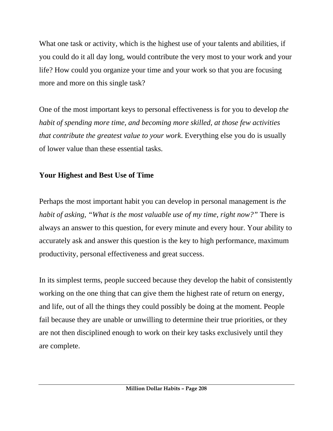What one task or activity, which is the highest use of your talents and abilities, if you could do it all day long, would contribute the very most to your work and your life? How could you organize your time and your work so that you are focusing more and more on this single task?

One of the most important keys to personal effectiveness is for you to develop *the habit of spending more time, and becoming more skilled, at those few activities that contribute the greatest value to your work*. Everything else you do is usually of lower value than these essential tasks.

## **Your Highest and Best Use of Time**

Perhaps the most important habit you can develop in personal management is *the habit of asking, "What is the most valuable use of my time, right now?"* There is always an answer to this question, for every minute and every hour. Your ability to accurately ask and answer this question is the key to high performance, maximum productivity, personal effectiveness and great success.

In its simplest terms, people succeed because they develop the habit of consistently working on the one thing that can give them the highest rate of return on energy, and life, out of all the things they could possibly be doing at the moment. People fail because they are unable or unwilling to determine their true priorities, or they are not then disciplined enough to work on their key tasks exclusively until they are complete.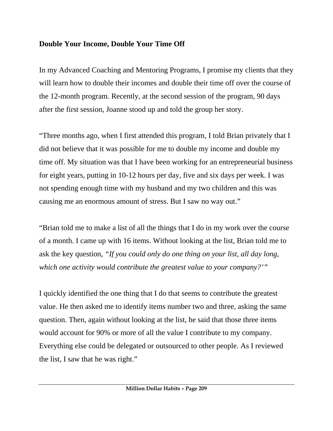#### **Double Your Income, Double Your Time Off**

In my Advanced Coaching and Mentoring Programs, I promise my clients that they will learn how to double their incomes and double their time off over the course of the 12-month program. Recently, at the second session of the program, 90 days after the first session, Joanne stood up and told the group her story.

"Three months ago, when I first attended this program, I told Brian privately that I did not believe that it was possible for me to double my income and double my time off. My situation was that I have been working for an entrepreneurial business for eight years, putting in 10-12 hours per day, five and six days per week. I was not spending enough time with my husband and my two children and this was causing me an enormous amount of stress. But I saw no way out."

"Brian told me to make a list of all the things that I do in my work over the course of a month. I came up with 16 items. Without looking at the list, Brian told me to ask the key question, *"If you could only do one thing on your list, all day long, which one activity would contribute the greatest value to your company?'"* 

I quickly identified the one thing that I do that seems to contribute the greatest value. He then asked me to identify items number two and three, asking the same question. Then, again without looking at the list, he said that those three items would account for 90% or more of all the value I contribute to my company. Everything else could be delegated or outsourced to other people. As I reviewed the list, I saw that he was right."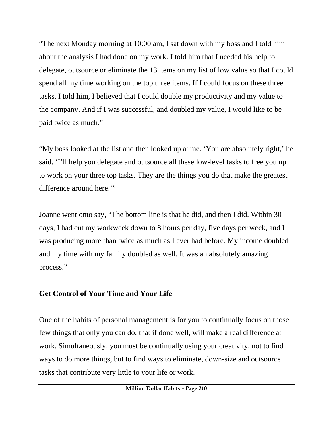"The next Monday morning at 10:00 am, I sat down with my boss and I told him about the analysis I had done on my work. I told him that I needed his help to delegate, outsource or eliminate the 13 items on my list of low value so that I could spend all my time working on the top three items. If I could focus on these three tasks, I told him, I believed that I could double my productivity and my value to the company. And if I was successful, and doubled my value, I would like to be paid twice as much."

"My boss looked at the list and then looked up at me. 'You are absolutely right,' he said. 'I'll help you delegate and outsource all these low-level tasks to free you up to work on your three top tasks. They are the things you do that make the greatest difference around here.'"

Joanne went onto say, "The bottom line is that he did, and then I did. Within 30 days, I had cut my workweek down to 8 hours per day, five days per week, and I was producing more than twice as much as I ever had before. My income doubled and my time with my family doubled as well. It was an absolutely amazing process."

### **Get Control of Your Time and Your Life**

One of the habits of personal management is for you to continually focus on those few things that only you can do, that if done well, will make a real difference at work. Simultaneously, you must be continually using your creativity, not to find ways to do more things, but to find ways to eliminate, down-size and outsource tasks that contribute very little to your life or work.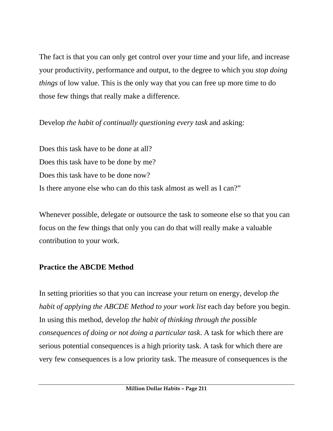The fact is that you can only get control over your time and your life, and increase your productivity, performance and output, to the degree to which you *stop doing things* of low value. This is the only way that you can free up more time to do those few things that really make a difference.

### Develop *the habit of continually questioning every task* and asking:

Does this task have to be done at all? Does this task have to be done by me? Does this task have to be done now? Is there anyone else who can do this task almost as well as I can?"

Whenever possible, delegate or outsource the task to someone else so that you can focus on the few things that only you can do that will really make a valuable contribution to your work.

# **Practice the ABCDE Method**

In setting priorities so that you can increase your return on energy, develop *the habit of applying the ABCDE Method to your work list* each day before you begin. In using this method, develop *the habit of thinking through the possible consequences of doing or not doing a particular task*. A task for which there are serious potential consequences is a high priority task. A task for which there are very few consequences is a low priority task. The measure of consequences is the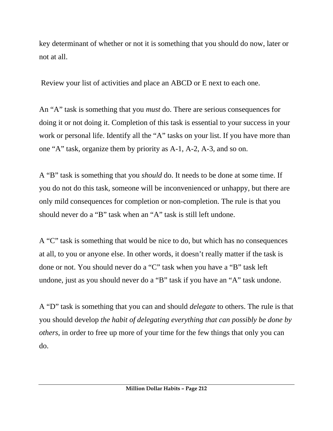key determinant of whether or not it is something that you should do now, later or not at all.

Review your list of activities and place an ABCD or E next to each one.

An "A" task is something that you *must* do. There are serious consequences for doing it or not doing it. Completion of this task is essential to your success in your work or personal life. Identify all the "A" tasks on your list. If you have more than one "A" task, organize them by priority as A-1, A-2, A-3, and so on.

A "B" task is something that you *should* do. It needs to be done at some time. If you do not do this task, someone will be inconvenienced or unhappy, but there are only mild consequences for completion or non-completion. The rule is that you should never do a "B" task when an "A" task is still left undone.

A "C" task is something that would be nice to do, but which has no consequences at all, to you or anyone else. In other words, it doesn't really matter if the task is done or not. You should never do a "C" task when you have a "B" task left undone, just as you should never do a "B" task if you have an "A" task undone.

A "D" task is something that you can and should *delegate* to others. The rule is that you should develop *the habit of delegating everything that can possibly be done by others*, in order to free up more of your time for the few things that only you can do.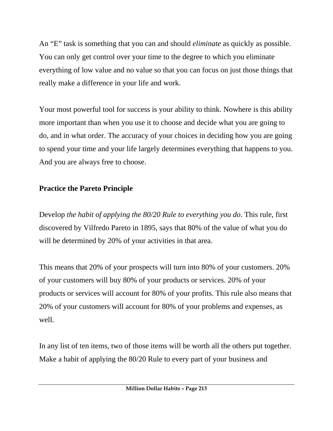An "E" task is something that you can and should *eliminate* as quickly as possible. You can only get control over your time to the degree to which you eliminate everything of low value and no value so that you can focus on just those things that really make a difference in your life and work.

Your most powerful tool for success is your ability to think. Nowhere is this ability more important than when you use it to choose and decide what you are going to do, and in what order. The accuracy of your choices in deciding how you are going to spend your time and your life largely determines everything that happens to you. And you are always free to choose.

## **Practice the Pareto Principle**

Develop *the habit of applying the 80/20 Rule to everything you do*. This rule, first discovered by Vilfredo Pareto in 1895, says that 80% of the value of what you do will be determined by 20% of your activities in that area.

This means that 20% of your prospects will turn into 80% of your customers. 20% of your customers will buy 80% of your products or services. 20% of your products or services will account for 80% of your profits. This rule also means that 20% of your customers will account for 80% of your problems and expenses, as well.

In any list of ten items, two of those items will be worth all the others put together. Make a habit of applying the 80/20 Rule to every part of your business and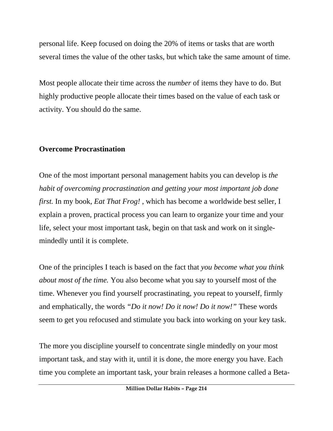personal life. Keep focused on doing the 20% of items or tasks that are worth several times the value of the other tasks, but which take the same amount of time.

Most people allocate their time across the *number* of items they have to do. But highly productive people allocate their times based on the value of each task or activity. You should do the same.

# **Overcome Procrastination**

One of the most important personal management habits you can develop is *the habit of overcoming procrastination and getting your most important job done first.* In my book, *Eat That Frog!* , which has become a worldwide best seller, I explain a proven, practical process you can learn to organize your time and your life, select your most important task, begin on that task and work on it singlemindedly until it is complete.

One of the principles I teach is based on the fact that *you become what you think about most of the time.* You also become what you say to yourself most of the time. Whenever you find yourself procrastinating, you repeat to yourself, firmly and emphatically, the words *"Do it now! Do it now! Do it now!"* These words seem to get you refocused and stimulate you back into working on your key task.

The more you discipline yourself to concentrate single mindedly on your most important task, and stay with it, until it is done, the more energy you have. Each time you complete an important task, your brain releases a hormone called a Beta-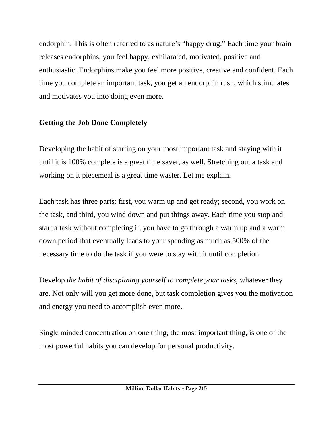endorphin. This is often referred to as nature's "happy drug." Each time your brain releases endorphins, you feel happy, exhilarated, motivated, positive and enthusiastic. Endorphins make you feel more positive, creative and confident. Each time you complete an important task, you get an endorphin rush, which stimulates and motivates you into doing even more.

### **Getting the Job Done Completely**

Developing the habit of starting on your most important task and staying with it until it is 100% complete is a great time saver, as well. Stretching out a task and working on it piecemeal is a great time waster. Let me explain.

Each task has three parts: first, you warm up and get ready; second, you work on the task, and third, you wind down and put things away. Each time you stop and start a task without completing it, you have to go through a warm up and a warm down period that eventually leads to your spending as much as 500% of the necessary time to do the task if you were to stay with it until completion.

Develop *the habit of disciplining yourself to complete your tasks*, whatever they are. Not only will you get more done, but task completion gives you the motivation and energy you need to accomplish even more.

Single minded concentration on one thing, the most important thing, is one of the most powerful habits you can develop for personal productivity.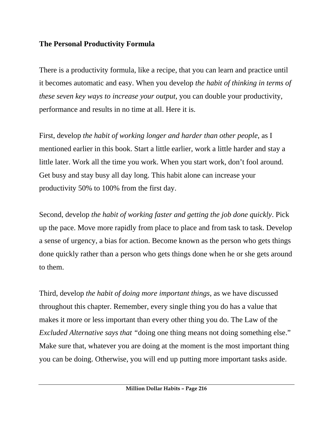### **The Personal Productivity Formula**

There is a productivity formula, like a recipe, that you can learn and practice until it becomes automatic and easy. When you develop *the habit of thinking in terms of these seven key ways to increase your output*, you can double your productivity, performance and results in no time at all. Here it is.

First, develop *the habit of working longer and harder than other people*, as I mentioned earlier in this book. Start a little earlier, work a little harder and stay a little later. Work all the time you work. When you start work, don't fool around. Get busy and stay busy all day long. This habit alone can increase your productivity 50% to 100% from the first day.

Second, develop *the habit of working faster and getting the job done quickly*. Pick up the pace. Move more rapidly from place to place and from task to task. Develop a sense of urgency, a bias for action. Become known as the person who gets things done quickly rather than a person who gets things done when he or she gets around to them.

Third, develop *the habit of doing more important things*, as we have discussed throughout this chapter. Remember, every single thing you do has a value that makes it more or less important than every other thing you do. The Law of the *Excluded Alternative says that "*doing one thing means not doing something else." Make sure that, whatever you are doing at the moment is the most important thing you can be doing. Otherwise, you will end up putting more important tasks aside.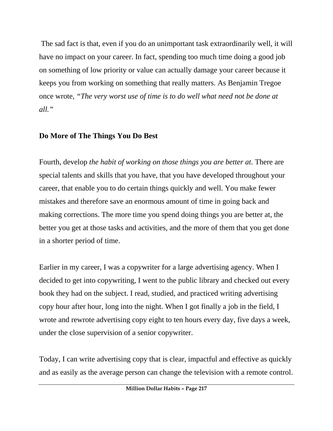The sad fact is that, even if you do an unimportant task extraordinarily well, it will have no impact on your career. In fact, spending too much time doing a good job on something of low priority or value can actually damage your career because it keeps you from working on something that really matters. As Benjamin Tregoe once wrote, *"The very worst use of time is to do well what need not be done at all."* 

## **Do More of The Things You Do Best**

Fourth, develop *the habit of working on those things you are better at*. There are special talents and skills that you have, that you have developed throughout your career, that enable you to do certain things quickly and well. You make fewer mistakes and therefore save an enormous amount of time in going back and making corrections. The more time you spend doing things you are better at, the better you get at those tasks and activities, and the more of them that you get done in a shorter period of time.

Earlier in my career, I was a copywriter for a large advertising agency. When I decided to get into copywriting, I went to the public library and checked out every book they had on the subject. I read, studied, and practiced writing advertising copy hour after hour, long into the night. When I got finally a job in the field, I wrote and rewrote advertising copy eight to ten hours every day, five days a week, under the close supervision of a senior copywriter.

Today, I can write advertising copy that is clear, impactful and effective as quickly and as easily as the average person can change the television with a remote control.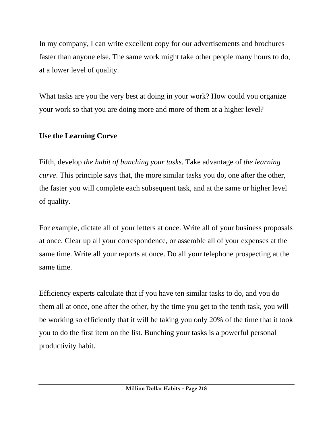In my company, I can write excellent copy for our advertisements and brochures faster than anyone else. The same work might take other people many hours to do, at a lower level of quality.

What tasks are you the very best at doing in your work? How could you organize your work so that you are doing more and more of them at a higher level?

## **Use the Learning Curve**

Fifth, develop *the habit of bunching your tasks*. Take advantage of *the learning curve*. This principle says that, the more similar tasks you do, one after the other, the faster you will complete each subsequent task, and at the same or higher level of quality.

For example, dictate all of your letters at once. Write all of your business proposals at once. Clear up all your correspondence, or assemble all of your expenses at the same time. Write all your reports at once. Do all your telephone prospecting at the same time.

Efficiency experts calculate that if you have ten similar tasks to do, and you do them all at once, one after the other, by the time you get to the tenth task, you will be working so efficiently that it will be taking you only 20% of the time that it took you to do the first item on the list. Bunching your tasks is a powerful personal productivity habit.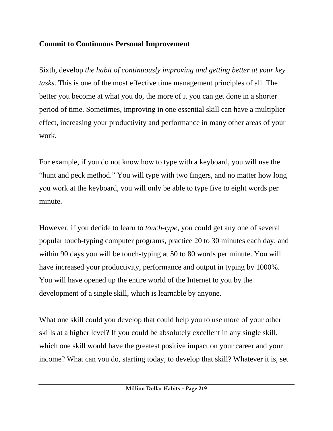### **Commit to Continuous Personal Improvement**

Sixth, develop *the habit of continuously improving and getting better at your key tasks*. This is one of the most effective time management principles of all. The better you become at what you do, the more of it you can get done in a shorter period of time. Sometimes, improving in one essential skill can have a multiplier effect, increasing your productivity and performance in many other areas of your work.

For example, if you do not know how to type with a keyboard, you will use the "hunt and peck method." You will type with two fingers, and no matter how long you work at the keyboard, you will only be able to type five to eight words per minute.

However, if you decide to learn to *touch-type*, you could get any one of several popular touch-typing computer programs, practice 20 to 30 minutes each day, and within 90 days you will be touch-typing at 50 to 80 words per minute. You will have increased your productivity, performance and output in typing by 1000%. You will have opened up the entire world of the Internet to you by the development of a single skill, which is learnable by anyone.

What one skill could you develop that could help you to use more of your other skills at a higher level? If you could be absolutely excellent in any single skill, which one skill would have the greatest positive impact on your career and your income? What can you do, starting today, to develop that skill? Whatever it is, set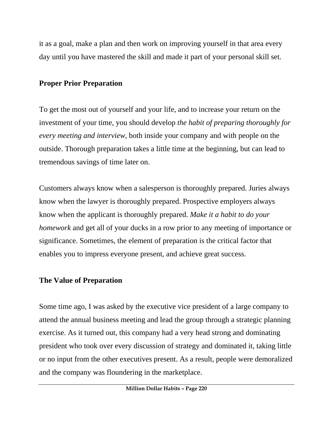it as a goal, make a plan and then work on improving yourself in that area every day until you have mastered the skill and made it part of your personal skill set.

## **Proper Prior Preparation**

To get the most out of yourself and your life, and to increase your return on the investment of your time, you should develop *the habit of preparing thoroughly for every meeting and interview*, both inside your company and with people on the outside. Thorough preparation takes a little time at the beginning, but can lead to tremendous savings of time later on.

Customers always know when a salesperson is thoroughly prepared. Juries always know when the lawyer is thoroughly prepared. Prospective employers always know when the applicant is thoroughly prepared. *Make it a habit to do your homework* and get all of your ducks in a row prior to any meeting of importance or significance. Sometimes, the element of preparation is the critical factor that enables you to impress everyone present, and achieve great success.

## **The Value of Preparation**

Some time ago, I was asked by the executive vice president of a large company to attend the annual business meeting and lead the group through a strategic planning exercise. As it turned out, this company had a very head strong and dominating president who took over every discussion of strategy and dominated it, taking little or no input from the other executives present. As a result, people were demoralized and the company was floundering in the marketplace.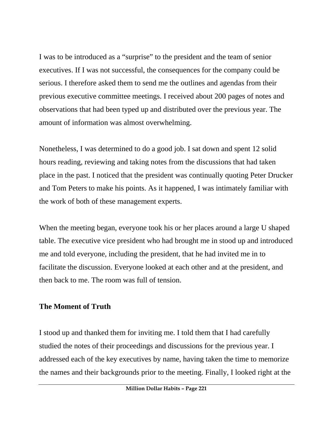I was to be introduced as a "surprise" to the president and the team of senior executives. If I was not successful, the consequences for the company could be serious. I therefore asked them to send me the outlines and agendas from their previous executive committee meetings. I received about 200 pages of notes and observations that had been typed up and distributed over the previous year. The amount of information was almost overwhelming.

Nonetheless, I was determined to do a good job. I sat down and spent 12 solid hours reading, reviewing and taking notes from the discussions that had taken place in the past. I noticed that the president was continually quoting Peter Drucker and Tom Peters to make his points. As it happened, I was intimately familiar with the work of both of these management experts.

When the meeting began, everyone took his or her places around a large U shaped table. The executive vice president who had brought me in stood up and introduced me and told everyone, including the president, that he had invited me in to facilitate the discussion. Everyone looked at each other and at the president, and then back to me. The room was full of tension.

## **The Moment of Truth**

I stood up and thanked them for inviting me. I told them that I had carefully studied the notes of their proceedings and discussions for the previous year. I addressed each of the key executives by name, having taken the time to memorize the names and their backgrounds prior to the meeting. Finally, I looked right at the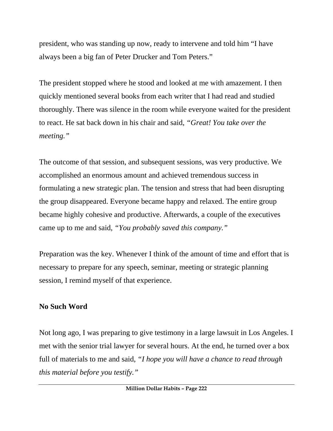president, who was standing up now, ready to intervene and told him "I have always been a big fan of Peter Drucker and Tom Peters."

The president stopped where he stood and looked at me with amazement. I then quickly mentioned several books from each writer that I had read and studied thoroughly. There was silence in the room while everyone waited for the president to react. He sat back down in his chair and said, *"Great! You take over the meeting."* 

The outcome of that session, and subsequent sessions, was very productive. We accomplished an enormous amount and achieved tremendous success in formulating a new strategic plan. The tension and stress that had been disrupting the group disappeared. Everyone became happy and relaxed. The entire group became highly cohesive and productive. Afterwards, a couple of the executives came up to me and said, *"You probably saved this company."* 

Preparation was the key. Whenever I think of the amount of time and effort that is necessary to prepare for any speech, seminar, meeting or strategic planning session, I remind myself of that experience.

## **No Such Word**

Not long ago, I was preparing to give testimony in a large lawsuit in Los Angeles. I met with the senior trial lawyer for several hours. At the end, he turned over a box full of materials to me and said, *"I hope you will have a chance to read through this material before you testify."*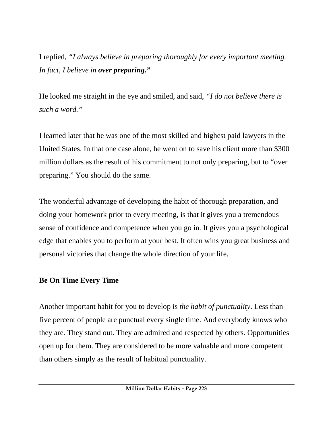I replied, *"I always believe in preparing thoroughly for every important meeting. In fact, I believe in over preparing."* 

He looked me straight in the eye and smiled, and said, *"I do not believe there is such a word."* 

I learned later that he was one of the most skilled and highest paid lawyers in the United States. In that one case alone, he went on to save his client more than \$300 million dollars as the result of his commitment to not only preparing, but to "over preparing." You should do the same.

The wonderful advantage of developing the habit of thorough preparation, and doing your homework prior to every meeting, is that it gives you a tremendous sense of confidence and competence when you go in. It gives you a psychological edge that enables you to perform at your best. It often wins you great business and personal victories that change the whole direction of your life.

## **Be On Time Every Time**

Another important habit for you to develop is *the habit of punctuality*. Less than five percent of people are punctual every single time. And everybody knows who they are. They stand out. They are admired and respected by others. Opportunities open up for them. They are considered to be more valuable and more competent than others simply as the result of habitual punctuality.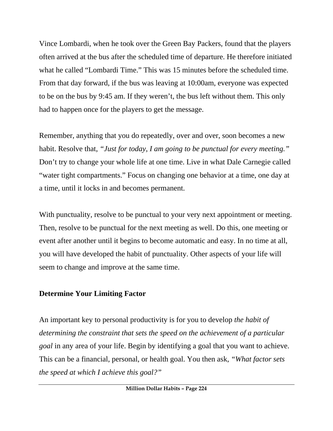Vince Lombardi, when he took over the Green Bay Packers, found that the players often arrived at the bus after the scheduled time of departure. He therefore initiated what he called "Lombardi Time." This was 15 minutes before the scheduled time. From that day forward, if the bus was leaving at 10:00am, everyone was expected to be on the bus by 9:45 am. If they weren't, the bus left without them. This only had to happen once for the players to get the message.

Remember, anything that you do repeatedly, over and over, soon becomes a new habit. Resolve that, *"Just for today, I am going to be punctual for every meeting."* Don't try to change your whole life at one time. Live in what Dale Carnegie called "water tight compartments." Focus on changing one behavior at a time, one day at a time, until it locks in and becomes permanent.

With punctuality, resolve to be punctual to your very next appointment or meeting. Then, resolve to be punctual for the next meeting as well. Do this, one meeting or event after another until it begins to become automatic and easy. In no time at all, you will have developed the habit of punctuality. Other aspects of your life will seem to change and improve at the same time.

### **Determine Your Limiting Factor**

An important key to personal productivity is for you to develop *the habit of determining the constraint that sets the speed on the achievement of a particular goal* in any area of your life. Begin by identifying a goal that you want to achieve. This can be a financial, personal, or health goal. You then ask, *"What factor sets the speed at which I achieve this goal?"*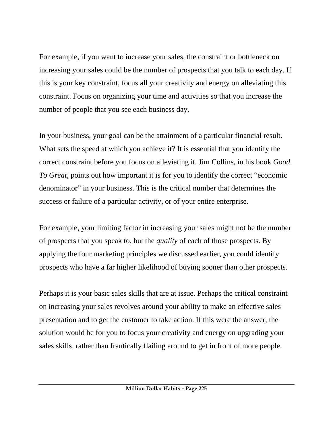For example, if you want to increase your sales, the constraint or bottleneck on increasing your sales could be the number of prospects that you talk to each day. If this is your key constraint, focus all your creativity and energy on alleviating this constraint. Focus on organizing your time and activities so that you increase the number of people that you see each business day.

In your business, your goal can be the attainment of a particular financial result. What sets the speed at which you achieve it? It is essential that you identify the correct constraint before you focus on alleviating it. Jim Collins, in his book *Good To Great,* points out how important it is for you to identify the correct "economic denominator" in your business. This is the critical number that determines the success or failure of a particular activity, or of your entire enterprise.

For example, your limiting factor in increasing your sales might not be the number of prospects that you speak to, but the *quality* of each of those prospects. By applying the four marketing principles we discussed earlier, you could identify prospects who have a far higher likelihood of buying sooner than other prospects.

Perhaps it is your basic sales skills that are at issue. Perhaps the critical constraint on increasing your sales revolves around your ability to make an effective sales presentation and to get the customer to take action. If this were the answer, the solution would be for you to focus your creativity and energy on upgrading your sales skills, rather than frantically flailing around to get in front of more people.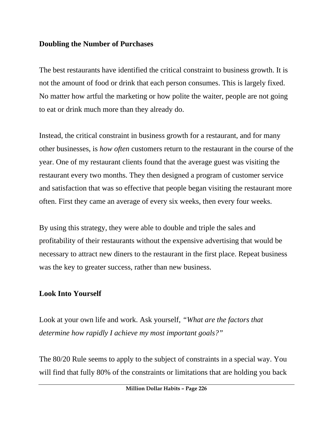#### **Doubling the Number of Purchases**

The best restaurants have identified the critical constraint to business growth. It is not the amount of food or drink that each person consumes. This is largely fixed. No matter how artful the marketing or how polite the waiter, people are not going to eat or drink much more than they already do.

Instead, the critical constraint in business growth for a restaurant, and for many other businesses, is *how often* customers return to the restaurant in the course of the year. One of my restaurant clients found that the average guest was visiting the restaurant every two months. They then designed a program of customer service and satisfaction that was so effective that people began visiting the restaurant more often. First they came an average of every six weeks, then every four weeks.

By using this strategy, they were able to double and triple the sales and profitability of their restaurants without the expensive advertising that would be necessary to attract new diners to the restaurant in the first place. Repeat business was the key to greater success, rather than new business.

### **Look Into Yourself**

Look at your own life and work. Ask yourself, *"What are the factors that determine how rapidly I achieve my most important goals?"*

The 80/20 Rule seems to apply to the subject of constraints in a special way. You will find that fully 80% of the constraints or limitations that are holding you back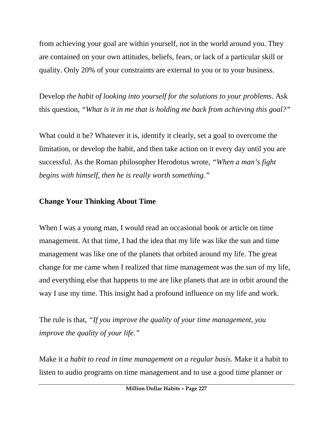from achieving your goal are within yourself, not in the world around you. They are contained on your own attitudes, beliefs, fears, or lack of a particular skill or quality. Only 20% of your constraints are external to you or to your business.

Develop *the habit of looking into yourself for the solutions to your problems*. Ask this question, *"What is it in me that is holding me back from achieving this goal?"* 

What could it be? Whatever it is, identify it clearly, set a goal to overcome the limitation, or develop the habit, and then take action on it every day until you are successful. As the Roman philosopher Herodotus wrote, *"When a man's fight begins with himself, then he is really worth something."* 

### **Change Your Thinking About Time**

When I was a young man, I would read an occasional book or article on time management. At that time, I had the idea that my life was like the sun and time management was like one of the planets that orbited around my life. The great change for me came when I realized that time management was the *sun* of my life, and everything else that happens to me are like planets that are in orbit around the way I use my time. This insight had a profound influence on my life and work.

The rule is that, *"If you improve the quality of your time management, you improve the quality of your life."* 

Make it *a habit to read in time management on a regular basis*. Make it a habit to listen to audio programs on time management and to use a good time planner or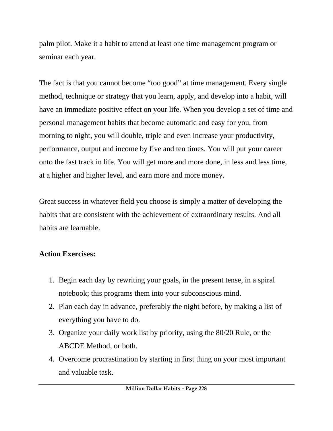palm pilot. Make it a habit to attend at least one time management program or seminar each year.

The fact is that you cannot become "too good" at time management. Every single method, technique or strategy that you learn, apply, and develop into a habit, will have an immediate positive effect on your life. When you develop a set of time and personal management habits that become automatic and easy for you, from morning to night, you will double, triple and even increase your productivity, performance, output and income by five and ten times. You will put your career onto the fast track in life. You will get more and more done, in less and less time, at a higher and higher level, and earn more and more money.

Great success in whatever field you choose is simply a matter of developing the habits that are consistent with the achievement of extraordinary results. And all habits are learnable.

# **Action Exercises:**

- 1. Begin each day by rewriting your goals, in the present tense, in a spiral notebook; this programs them into your subconscious mind.
- 2. Plan each day in advance, preferably the night before, by making a list of everything you have to do.
- 3. Organize your daily work list by priority, using the 80/20 Rule, or the ABCDE Method, or both.
- 4. Overcome procrastination by starting in first thing on your most important and valuable task.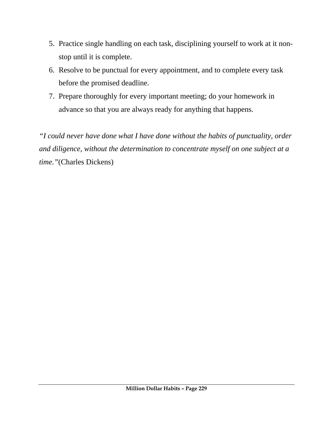- 5. Practice single handling on each task, disciplining yourself to work at it nonstop until it is complete.
- 6. Resolve to be punctual for every appointment, and to complete every task before the promised deadline.
- 7. Prepare thoroughly for every important meeting; do your homework in advance so that you are always ready for anything that happens.

*"I could never have done what I have done without the habits of punctuality, order and diligence, without the determination to concentrate myself on one subject at a time."*(Charles Dickens)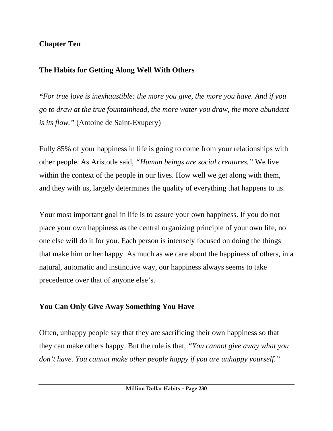#### **Chapter Ten**

## **The Habits for Getting Along Well With Others**

*"For true love is inexhaustible: the more you give, the more you have. And if you go to draw at the true fountainhead, the more water you draw, the more abundant is its flow."* (Antoine de Saint-Exupery)

Fully 85% of your happiness in life is going to come from your relationships with other people. As Aristotle said, *"Human beings are social creatures."* We live within the context of the people in our lives. How well we get along with them, and they with us, largely determines the quality of everything that happens to us.

Your most important goal in life is to assure your own happiness. If you do not place your own happiness as the central organizing principle of your own life, no one else will do it for you. Each person is intensely focused on doing the things that make him or her happy. As much as we care about the happiness of others, in a natural, automatic and instinctive way, our happiness always seems to take precedence over that of anyone else's.

## **You Can Only Give Away Something You Have**

Often, unhappy people say that they are sacrificing their own happiness so that they can make others happy. But the rule is that, *"You cannot give away what you don't have. You cannot make other people happy if you are unhappy yourself."*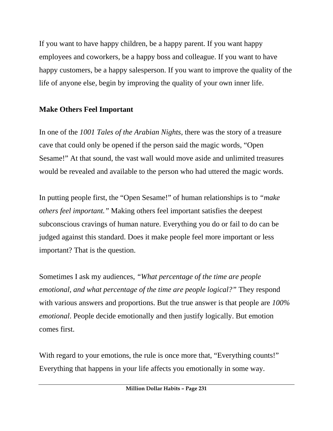If you want to have happy children, be a happy parent. If you want happy employees and coworkers, be a happy boss and colleague. If you want to have happy customers, be a happy salesperson. If you want to improve the quality of the life of anyone else, begin by improving the quality of your own inner life.

## **Make Others Feel Important**

In one of the *1001 Tales of the Arabian Nights*, there was the story of a treasure cave that could only be opened if the person said the magic words, "Open Sesame!" At that sound, the vast wall would move aside and unlimited treasures would be revealed and available to the person who had uttered the magic words.

In putting people first, the "Open Sesame!" of human relationships is to *"make others feel important."* Making others feel important satisfies the deepest subconscious cravings of human nature. Everything you do or fail to do can be judged against this standard. Does it make people feel more important or less important? That is the question.

Sometimes I ask my audiences, *"What percentage of the time are people emotional, and what percentage of the time are people logical?"* They respond with various answers and proportions. But the true answer is that people are *100% emotional*. People decide emotionally and then justify logically. But emotion comes first.

With regard to your emotions, the rule is once more that, "Everything counts!" Everything that happens in your life affects you emotionally in some way.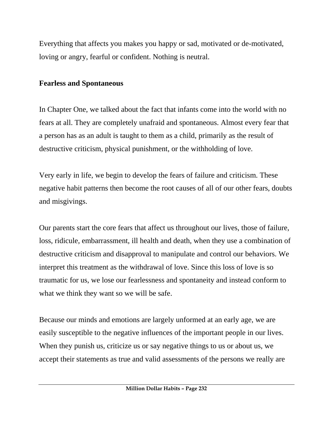Everything that affects you makes you happy or sad, motivated or de-motivated, loving or angry, fearful or confident. Nothing is neutral.

### **Fearless and Spontaneous**

In Chapter One, we talked about the fact that infants come into the world with no fears at all. They are completely unafraid and spontaneous. Almost every fear that a person has as an adult is taught to them as a child, primarily as the result of destructive criticism, physical punishment, or the withholding of love.

Very early in life, we begin to develop the fears of failure and criticism. These negative habit patterns then become the root causes of all of our other fears, doubts and misgivings.

Our parents start the core fears that affect us throughout our lives, those of failure, loss, ridicule, embarrassment, ill health and death, when they use a combination of destructive criticism and disapproval to manipulate and control our behaviors. We interpret this treatment as the withdrawal of love. Since this loss of love is so traumatic for us, we lose our fearlessness and spontaneity and instead conform to what we think they want so we will be safe.

Because our minds and emotions are largely unformed at an early age, we are easily susceptible to the negative influences of the important people in our lives. When they punish us, criticize us or say negative things to us or about us, we accept their statements as true and valid assessments of the persons we really are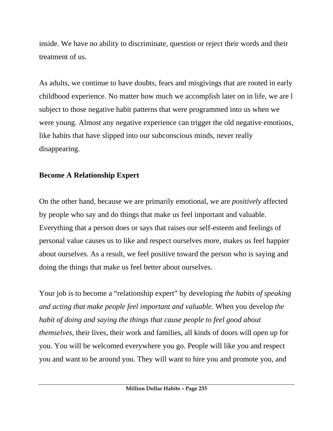inside. We have no ability to discriminate, question or reject their words and their treatment of us.

As adults, we continue to have doubts, fears and misgivings that are rooted in early childhood experience. No matter how much we accomplish later on in life, we are l subject to those negative habit patterns that were programmed into us when we were young. Almost any negative experience can trigger the old negative emotions, like habits that have slipped into our subconscious minds, never really disappearing.

## **Become A Relationship Expert**

On the other hand, because we are primarily emotional, we are *positively* affected by people who say and do things that make us feel important and valuable. Everything that a person does or says that raises our self-esteem and feelings of personal value causes us to like and respect ourselves more, makes us feel happier about ourselves. As a result, we feel positive toward the person who is saying and doing the things that make us feel better about ourselves.

Your job is to become a "relationship expert" by developing *the habits of speaking and acting that make people feel important and valuable.* When you develop *the habit of doing and saying the things that cause people to feel good about themselves,* their lives, their work and families, all kinds of doors will open up for you. You will be welcomed everywhere you go. People will like you and respect you and want to be around you. They will want to hire you and promote you, and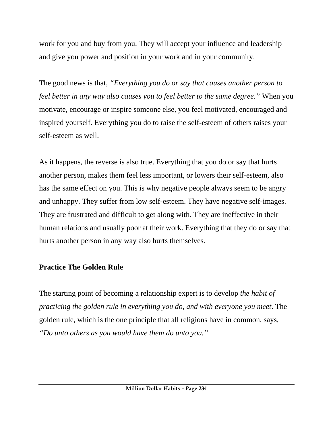work for you and buy from you. They will accept your influence and leadership and give you power and position in your work and in your community.

The good news is that*, "Everything you do or say that causes another person to feel better in any way also causes you to feel better to the same degree."* When you motivate, encourage or inspire someone else, you feel motivated, encouraged and inspired yourself. Everything you do to raise the self-esteem of others raises your self-esteem as well.

As it happens, the reverse is also true. Everything that you do or say that hurts another person, makes them feel less important, or lowers their self-esteem, also has the same effect on you. This is why negative people always seem to be angry and unhappy. They suffer from low self-esteem. They have negative self-images. They are frustrated and difficult to get along with. They are ineffective in their human relations and usually poor at their work. Everything that they do or say that hurts another person in any way also hurts themselves.

## **Practice The Golden Rule**

The starting point of becoming a relationship expert is to develop *the habit of practicing the golden rule in everything you do, and with everyone you meet*. The golden rule, which is the one principle that all religions have in common, says, *"Do unto others as you would have them do unto you."*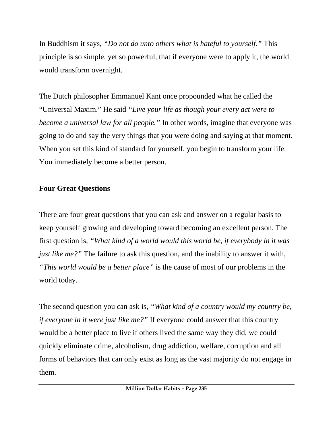In Buddhism it says, *"Do not do unto others what is hateful to yourself."* This principle is so simple, yet so powerful, that if everyone were to apply it, the world would transform overnight.

The Dutch philosopher Emmanuel Kant once propounded what he called the "Universal Maxim." He said *"Live your life as though your every act were to become a universal law for all people."* In other words, imagine that everyone was going to do and say the very things that you were doing and saying at that moment. When you set this kind of standard for yourself, you begin to transform your life. You immediately become a better person.

## **Four Great Questions**

There are four great questions that you can ask and answer on a regular basis to keep yourself growing and developing toward becoming an excellent person. The first question is, *"What kind of a world would this world be, if everybody in it was just like me?*" The failure to ask this question, and the inability to answer it with, *"This world would be a better place"* is the cause of most of our problems in the world today.

The second question you can ask is, *"What kind of a country would my country be, if everyone in it were just like me?"* If everyone could answer that this country would be a better place to live if others lived the same way they did, we could quickly eliminate crime, alcoholism, drug addiction, welfare, corruption and all forms of behaviors that can only exist as long as the vast majority do not engage in them.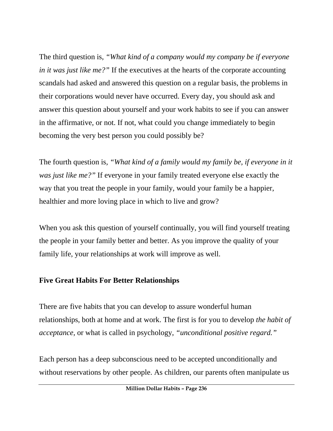The third question is, *"What kind of a company would my company be if everyone in it was just like me?"* If the executives at the hearts of the corporate accounting scandals had asked and answered this question on a regular basis, the problems in their corporations would never have occurred. Every day, you should ask and answer this question about yourself and your work habits to see if you can answer in the affirmative, or not. If not, what could you change immediately to begin becoming the very best person you could possibly be?

The fourth question is*, "What kind of a family would my family be, if everyone in it was just like me?"* If everyone in your family treated everyone else exactly the way that you treat the people in your family, would your family be a happier, healthier and more loving place in which to live and grow?

When you ask this question of yourself continually, you will find yourself treating the people in your family better and better. As you improve the quality of your family life, your relationships at work will improve as well.

### **Five Great Habits For Better Relationships**

There are five habits that you can develop to assure wonderful human relationships, both at home and at work. The first is for you to develop *the habit of acceptance,* or what is called in psychology, *"unconditional positive regard."* 

Each person has a deep subconscious need to be accepted unconditionally and without reservations by other people. As children, our parents often manipulate us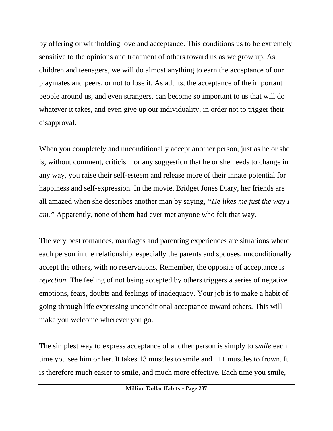by offering or withholding love and acceptance. This conditions us to be extremely sensitive to the opinions and treatment of others toward us as we grow up. As children and teenagers, we will do almost anything to earn the acceptance of our playmates and peers, or not to lose it. As adults, the acceptance of the important people around us, and even strangers, can become so important to us that will do whatever it takes, and even give up our individuality, in order not to trigger their disapproval.

When you completely and unconditionally accept another person, just as he or she is, without comment, criticism or any suggestion that he or she needs to change in any way, you raise their self-esteem and release more of their innate potential for happiness and self-expression. In the movie, Bridget Jones Diary, her friends are all amazed when she describes another man by saying, *"He likes me just the way I am."* Apparently, none of them had ever met anyone who felt that way.

The very best romances, marriages and parenting experiences are situations where each person in the relationship, especially the parents and spouses, unconditionally accept the others, with no reservations. Remember, the opposite of acceptance is *rejection*. The feeling of not being accepted by others triggers a series of negative emotions, fears, doubts and feelings of inadequacy. Your job is to make a habit of going through life expressing unconditional acceptance toward others. This will make you welcome wherever you go.

The simplest way to express acceptance of another person is simply to *smile* each time you see him or her. It takes 13 muscles to smile and 111 muscles to frown. It is therefore much easier to smile, and much more effective. Each time you smile,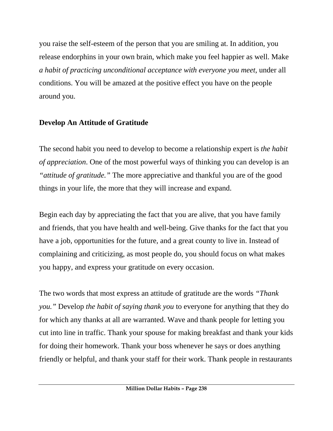you raise the self-esteem of the person that you are smiling at. In addition, you release endorphins in your own brain, which make you feel happier as well. Make *a habit of practicing unconditional acceptance with everyone you meet*, under all conditions. You will be amazed at the positive effect you have on the people around you.

### **Develop An Attitude of Gratitude**

The second habit you need to develop to become a relationship expert is *the habit of appreciation*. One of the most powerful ways of thinking you can develop is an *"attitude of gratitude."* The more appreciative and thankful you are of the good things in your life, the more that they will increase and expand.

Begin each day by appreciating the fact that you are alive, that you have family and friends, that you have health and well-being. Give thanks for the fact that you have a job, opportunities for the future, and a great county to live in. Instead of complaining and criticizing, as most people do, you should focus on what makes you happy, and express your gratitude on every occasion.

The two words that most express an attitude of gratitude are the words *"Thank you."* Develop *the habit of saying thank you* to everyone for anything that they do for which any thanks at all are warranted. Wave and thank people for letting you cut into line in traffic. Thank your spouse for making breakfast and thank your kids for doing their homework. Thank your boss whenever he says or does anything friendly or helpful, and thank your staff for their work. Thank people in restaurants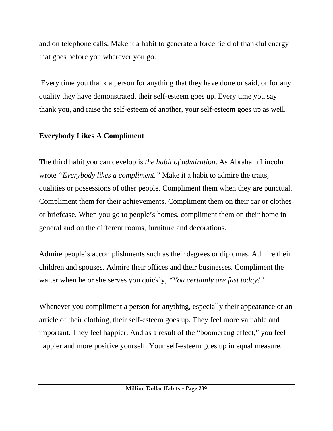and on telephone calls. Make it a habit to generate a force field of thankful energy that goes before you wherever you go.

 Every time you thank a person for anything that they have done or said, or for any quality they have demonstrated, their self-esteem goes up. Every time you say thank you, and raise the self-esteem of another, your self-esteem goes up as well.

## **Everybody Likes A Compliment**

The third habit you can develop is *the habit of admiration*. As Abraham Lincoln wrote *"Everybody likes a compliment."* Make it a habit to admire the traits, qualities or possessions of other people. Compliment them when they are punctual. Compliment them for their achievements. Compliment them on their car or clothes or briefcase. When you go to people's homes, compliment them on their home in general and on the different rooms, furniture and decorations.

Admire people's accomplishments such as their degrees or diplomas. Admire their children and spouses. Admire their offices and their businesses. Compliment the waiter when he or she serves you quickly, *"You certainly are fast today!"* 

Whenever you compliment a person for anything, especially their appearance or an article of their clothing, their self-esteem goes up. They feel more valuable and important. They feel happier. And as a result of the "boomerang effect," you feel happier and more positive yourself. Your self-esteem goes up in equal measure.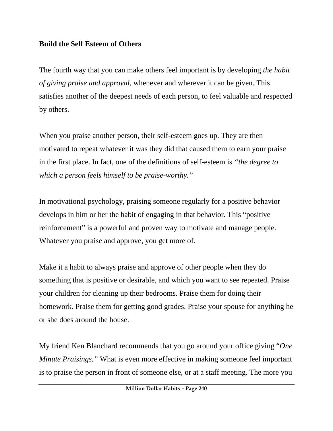### **Build the Self Esteem of Others**

The fourth way that you can make others feel important is by developing *the habit of giving praise and approval*, whenever and wherever it can be given. This satisfies another of the deepest needs of each person, to feel valuable and respected by others.

When you praise another person, their self-esteem goes up. They are then motivated to repeat whatever it was they did that caused them to earn your praise in the first place. In fact, one of the definitions of self-esteem is *"the degree to which a person feels himself to be praise-worthy."*

In motivational psychology, praising someone regularly for a positive behavior develops in him or her the habit of engaging in that behavior. This "positive reinforcement" is a powerful and proven way to motivate and manage people. Whatever you praise and approve, you get more of.

Make it a habit to always praise and approve of other people when they do something that is positive or desirable, and which you want to see repeated. Praise your children for cleaning up their bedrooms. Praise them for doing their homework. Praise them for getting good grades. Praise your spouse for anything he or she does around the house.

My friend Ken Blanchard recommends that you go around your office giving "*One Minute Praisings."* What is even more effective in making someone feel important is to praise the person in front of someone else, or at a staff meeting. The more you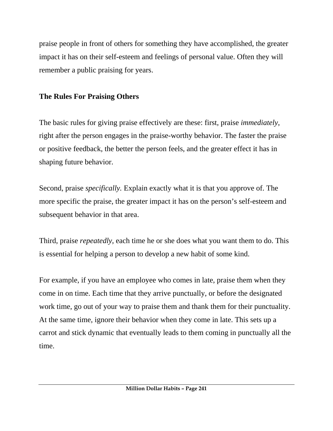praise people in front of others for something they have accomplished, the greater impact it has on their self-esteem and feelings of personal value. Often they will remember a public praising for years.

### **The Rules For Praising Others**

The basic rules for giving praise effectively are these: first, praise *immediately*, right after the person engages in the praise-worthy behavior. The faster the praise or positive feedback, the better the person feels, and the greater effect it has in shaping future behavior.

Second, praise *specifically.* Explain exactly what it is that you approve of. The more specific the praise, the greater impact it has on the person's self-esteem and subsequent behavior in that area.

Third, praise *repeatedly*, each time he or she does what you want them to do. This is essential for helping a person to develop a new habit of some kind.

For example, if you have an employee who comes in late, praise them when they come in on time. Each time that they arrive punctually, or before the designated work time, go out of your way to praise them and thank them for their punctuality. At the same time, ignore their behavior when they come in late. This sets up a carrot and stick dynamic that eventually leads to them coming in punctually all the time.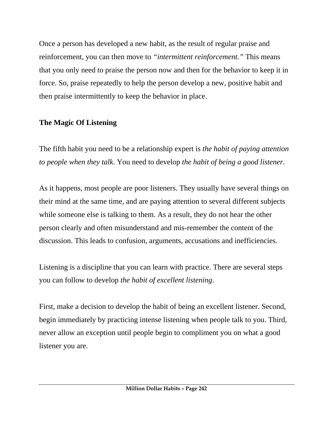Once a person has developed a new habit, as the result of regular praise and reinforcement, you can then move to *"intermittent reinforcement."* This means that you only need to praise the person now and then for the behavior to keep it in force. So, praise repeatedly to help the person develop a new, positive habit and then praise intermittently to keep the behavior in place.

## **The Magic Of Listening**

The fifth habit you need to be a relationship expert is *the habit of paying attention to people when they talk*. You need to develop *the habit of being a good listener.* 

As it happens, most people are poor listeners. They usually have several things on their mind at the same time, and are paying attention to several different subjects while someone else is talking to them. As a result, they do not hear the other person clearly and often misunderstand and mis-remember the content of the discussion. This leads to confusion, arguments, accusations and inefficiencies.

Listening is a discipline that you can learn with practice. There are several steps you can follow to develop *the habit of excellent listening*.

First, make a decision to develop the habit of being an excellent listener. Second, begin immediately by practicing intense listening when people talk to you. Third, never allow an exception until people begin to compliment you on what a good listener you are.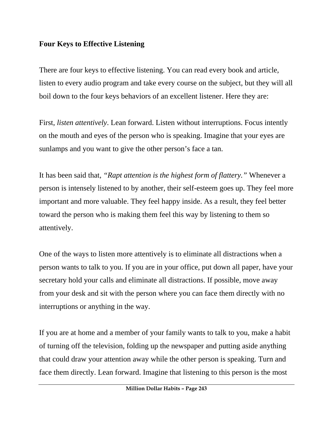### **Four Keys to Effective Listening**

There are four keys to effective listening. You can read every book and article, listen to every audio program and take every course on the subject, but they will all boil down to the four keys behaviors of an excellent listener. Here they are:

First, *listen attentively*. Lean forward. Listen without interruptions. Focus intently on the mouth and eyes of the person who is speaking. Imagine that your eyes are sunlamps and you want to give the other person's face a tan.

It has been said that, *"Rapt attention is the highest form of flattery."* Whenever a person is intensely listened to by another, their self-esteem goes up. They feel more important and more valuable. They feel happy inside. As a result, they feel better toward the person who is making them feel this way by listening to them so attentively.

One of the ways to listen more attentively is to eliminate all distractions when a person wants to talk to you. If you are in your office, put down all paper, have your secretary hold your calls and eliminate all distractions. If possible, move away from your desk and sit with the person where you can face them directly with no interruptions or anything in the way.

If you are at home and a member of your family wants to talk to you, make a habit of turning off the television, folding up the newspaper and putting aside anything that could draw your attention away while the other person is speaking. Turn and face them directly. Lean forward. Imagine that listening to this person is the most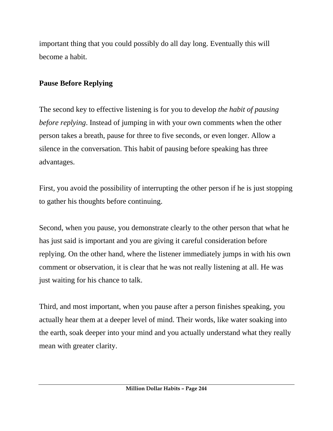important thing that you could possibly do all day long. Eventually this will become a habit.

## **Pause Before Replying**

The second key to effective listening is for you to develop *the habit of pausing before replying*. Instead of jumping in with your own comments when the other person takes a breath, pause for three to five seconds, or even longer. Allow a silence in the conversation. This habit of pausing before speaking has three advantages.

First, you avoid the possibility of interrupting the other person if he is just stopping to gather his thoughts before continuing.

Second, when you pause, you demonstrate clearly to the other person that what he has just said is important and you are giving it careful consideration before replying. On the other hand, where the listener immediately jumps in with his own comment or observation, it is clear that he was not really listening at all. He was just waiting for his chance to talk.

Third, and most important, when you pause after a person finishes speaking, you actually hear them at a deeper level of mind. Their words, like water soaking into the earth, soak deeper into your mind and you actually understand what they really mean with greater clarity.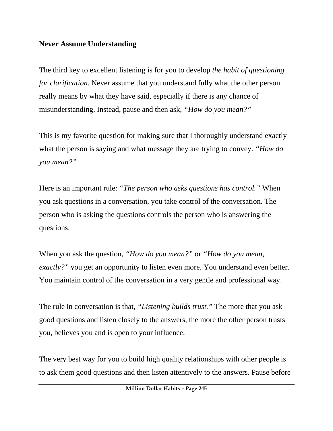#### **Never Assume Understanding**

The third key to excellent listening is for you to develop *the habit of questioning for clarification.* Never assume that you understand fully what the other person really means by what they have said, especially if there is any chance of misunderstanding. Instead, pause and then ask, *"How do you mean?"* 

This is my favorite question for making sure that I thoroughly understand exactly what the person is saying and what message they are trying to convey. *"How do you mean?"* 

Here is an important rule: *"The person who asks questions has control."* When you ask questions in a conversation, you take control of the conversation. The person who is asking the questions controls the person who is answering the questions.

When you ask the question*, "How do you mean?"* or *"How do you mean, exactly?"* you get an opportunity to listen even more. You understand even better. You maintain control of the conversation in a very gentle and professional way.

The rule in conversation is that, *"Listening builds trust."* The more that you ask good questions and listen closely to the answers, the more the other person trusts you, believes you and is open to your influence.

The very best way for you to build high quality relationships with other people is to ask them good questions and then listen attentively to the answers. Pause before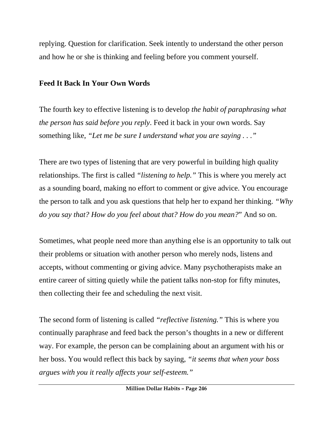replying. Question for clarification. Seek intently to understand the other person and how he or she is thinking and feeling before you comment yourself.

## **Feed It Back In Your Own Words**

The fourth key to effective listening is to develop *the habit of paraphrasing what the person has said before you reply*. Feed it back in your own words. Say something like, *"Let me be sure I understand what you are saying . . ."* 

There are two types of listening that are very powerful in building high quality relationships. The first is called *"listening to help."* This is where you merely act as a sounding board, making no effort to comment or give advice. You encourage the person to talk and you ask questions that help her to expand her thinking. *"Why do you say that? How do you feel about that? How do you mean?*" And so on.

Sometimes, what people need more than anything else is an opportunity to talk out their problems or situation with another person who merely nods, listens and accepts, without commenting or giving advice. Many psychotherapists make an entire career of sitting quietly while the patient talks non-stop for fifty minutes, then collecting their fee and scheduling the next visit.

The second form of listening is called *"reflective listening."* This is where you continually paraphrase and feed back the person's thoughts in a new or different way. For example, the person can be complaining about an argument with his or her boss. You would reflect this back by saying, *"it seems that when your boss argues with you it really affects your self-esteem."*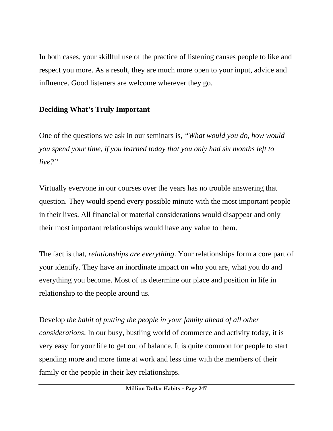In both cases, your skillful use of the practice of listening causes people to like and respect you more. As a result, they are much more open to your input, advice and influence. Good listeners are welcome wherever they go.

### **Deciding What's Truly Important**

One of the questions we ask in our seminars is, *"What would you do, how would you spend your time, if you learned today that you only had six months left to live?"* 

Virtually everyone in our courses over the years has no trouble answering that question. They would spend every possible minute with the most important people in their lives. All financial or material considerations would disappear and only their most important relationships would have any value to them.

The fact is that, *relationships are everything*. Your relationships form a core part of your identify. They have an inordinate impact on who you are, what you do and everything you become. Most of us determine our place and position in life in relationship to the people around us.

Develop *the habit of putting the people in your family ahead of all other considerations*. In our busy, bustling world of commerce and activity today, it is very easy for your life to get out of balance. It is quite common for people to start spending more and more time at work and less time with the members of their family or the people in their key relationships.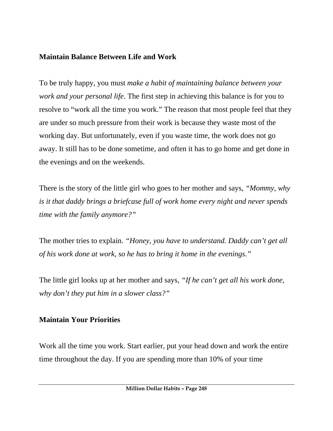#### **Maintain Balance Between Life and Work**

To be truly happy, you must *make a habit of maintaining balance between your work and your personal life*. The first step in achieving this balance is for you to resolve to "work all the time you work." The reason that most people feel that they are under so much pressure from their work is because they waste most of the working day. But unfortunately, even if you waste time, the work does not go away. It still has to be done sometime, and often it has to go home and get done in the evenings and on the weekends.

There is the story of the little girl who goes to her mother and says, *"Mommy, why is it that daddy brings a briefcase full of work home every night and never spends time with the family anymore?"* 

The mother tries to explain. *"Honey, you have to understand. Daddy can't get all of his work done at work, so he has to bring it home in the evenings."* 

The little girl looks up at her mother and says, *"If he can't get all his work done, why don't they put him in a slower class?"* 

## **Maintain Your Priorities**

Work all the time you work. Start earlier, put your head down and work the entire time throughout the day. If you are spending more than 10% of your time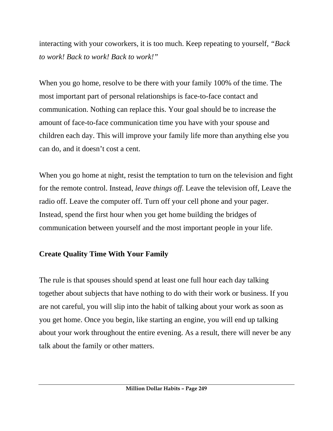interacting with your coworkers, it is too much. Keep repeating to yourself, *"Back to work! Back to work! Back to work!"* 

When you go home, resolve to be there with your family 100% of the time. The most important part of personal relationships is face-to-face contact and communication. Nothing can replace this. Your goal should be to increase the amount of face-to-face communication time you have with your spouse and children each day. This will improve your family life more than anything else you can do, and it doesn't cost a cent.

When you go home at night, resist the temptation to turn on the television and fight for the remote control. Instead, *leave things off*. Leave the television off, Leave the radio off. Leave the computer off. Turn off your cell phone and your pager. Instead, spend the first hour when you get home building the bridges of communication between yourself and the most important people in your life.

## **Create Quality Time With Your Family**

The rule is that spouses should spend at least one full hour each day talking together about subjects that have nothing to do with their work or business. If you are not careful, you will slip into the habit of talking about your work as soon as you get home. Once you begin, like starting an engine, you will end up talking about your work throughout the entire evening. As a result, there will never be any talk about the family or other matters.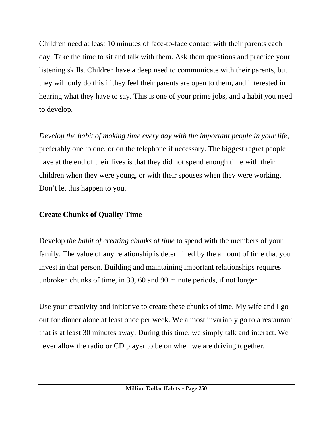Children need at least 10 minutes of face-to-face contact with their parents each day. Take the time to sit and talk with them. Ask them questions and practice your listening skills. Children have a deep need to communicate with their parents, but they will only do this if they feel their parents are open to them, and interested in hearing what they have to say. This is one of your prime jobs, and a habit you need to develop.

*Develop the habit of making time every day with the important people in your life,* preferably one to one, or on the telephone if necessary. The biggest regret people have at the end of their lives is that they did not spend enough time with their children when they were young, or with their spouses when they were working. Don't let this happen to you.

### **Create Chunks of Quality Time**

Develop *the habit of creating chunks of time* to spend with the members of your family. The value of any relationship is determined by the amount of time that you invest in that person. Building and maintaining important relationships requires unbroken chunks of time, in 30, 60 and 90 minute periods, if not longer.

Use your creativity and initiative to create these chunks of time. My wife and I go out for dinner alone at least once per week. We almost invariably go to a restaurant that is at least 30 minutes away. During this time, we simply talk and interact. We never allow the radio or CD player to be on when we are driving together.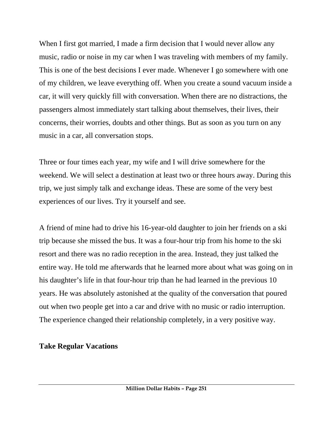When I first got married, I made a firm decision that I would never allow any music, radio or noise in my car when I was traveling with members of my family. This is one of the best decisions I ever made. Whenever I go somewhere with one of my children, we leave everything off. When you create a sound vacuum inside a car, it will very quickly fill with conversation. When there are no distractions, the passengers almost immediately start talking about themselves, their lives, their concerns, their worries, doubts and other things. But as soon as you turn on any music in a car, all conversation stops.

Three or four times each year, my wife and I will drive somewhere for the weekend. We will select a destination at least two or three hours away. During this trip, we just simply talk and exchange ideas. These are some of the very best experiences of our lives. Try it yourself and see.

A friend of mine had to drive his 16-year-old daughter to join her friends on a ski trip because she missed the bus. It was a four-hour trip from his home to the ski resort and there was no radio reception in the area. Instead, they just talked the entire way. He told me afterwards that he learned more about what was going on in his daughter's life in that four-hour trip than he had learned in the previous 10 years. He was absolutely astonished at the quality of the conversation that poured out when two people get into a car and drive with no music or radio interruption. The experience changed their relationship completely, in a very positive way.

#### **Take Regular Vacations**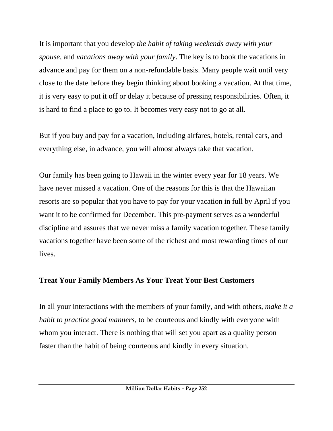It is important that you develop *the habit of taking weekends away with your spouse*, and *vacations away with your family*. The key is to book the vacations in advance and pay for them on a non-refundable basis. Many people wait until very close to the date before they begin thinking about booking a vacation. At that time, it is very easy to put it off or delay it because of pressing responsibilities. Often, it is hard to find a place to go to. It becomes very easy not to go at all.

But if you buy and pay for a vacation, including airfares, hotels, rental cars, and everything else, in advance, you will almost always take that vacation.

Our family has been going to Hawaii in the winter every year for 18 years. We have never missed a vacation. One of the reasons for this is that the Hawaiian resorts are so popular that you have to pay for your vacation in full by April if you want it to be confirmed for December. This pre-payment serves as a wonderful discipline and assures that we never miss a family vacation together. These family vacations together have been some of the richest and most rewarding times of our lives.

## **Treat Your Family Members As Your Treat Your Best Customers**

In all your interactions with the members of your family, and with others, *make it a habit to practice good manners*, to be courteous and kindly with everyone with whom you interact. There is nothing that will set you apart as a quality person faster than the habit of being courteous and kindly in every situation.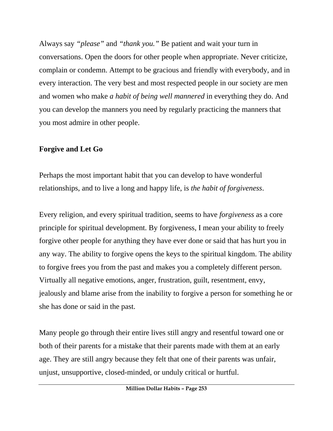Always say *"please"* and *"thank you."* Be patient and wait your turn in conversations. Open the doors for other people when appropriate. Never criticize, complain or condemn. Attempt to be gracious and friendly with everybody, and in every interaction. The very best and most respected people in our society are men and women who make *a habit of being well mannered* in everything they do. And you can develop the manners you need by regularly practicing the manners that you most admire in other people.

### **Forgive and Let Go**

Perhaps the most important habit that you can develop to have wonderful relationships, and to live a long and happy life, is *the habit of forgiveness*.

Every religion, and every spiritual tradition, seems to have *forgiveness* as a core principle for spiritual development. By forgiveness, I mean your ability to freely forgive other people for anything they have ever done or said that has hurt you in any way. The ability to forgive opens the keys to the spiritual kingdom. The ability to forgive frees you from the past and makes you a completely different person. Virtually all negative emotions, anger, frustration, guilt, resentment, envy, jealously and blame arise from the inability to forgive a person for something he or she has done or said in the past.

Many people go through their entire lives still angry and resentful toward one or both of their parents for a mistake that their parents made with them at an early age. They are still angry because they felt that one of their parents was unfair, unjust, unsupportive, closed-minded, or unduly critical or hurtful.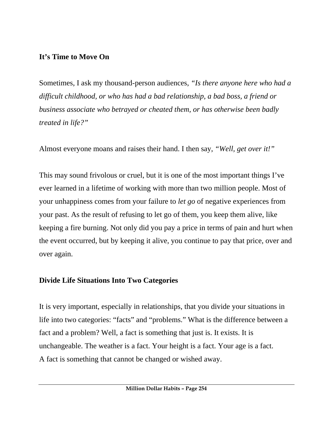#### **It's Time to Move On**

Sometimes, I ask my thousand-person audiences, *"Is there anyone here who had a difficult childhood, or who has had a bad relationship, a bad boss, a friend or business associate who betrayed or cheated them, or has otherwise been badly treated in life?"* 

Almost everyone moans and raises their hand. I then say, *"Well, get over it!"* 

This may sound frivolous or cruel, but it is one of the most important things I've ever learned in a lifetime of working with more than two million people. Most of your unhappiness comes from your failure to *let go* of negative experiences from your past. As the result of refusing to let go of them, you keep them alive, like keeping a fire burning. Not only did you pay a price in terms of pain and hurt when the event occurred, but by keeping it alive, you continue to pay that price, over and over again.

### **Divide Life Situations Into Two Categories**

It is very important, especially in relationships, that you divide your situations in life into two categories: "facts" and "problems." What is the difference between a fact and a problem? Well, a fact is something that just is. It exists. It is unchangeable. The weather is a fact. Your height is a fact. Your age is a fact. A fact is something that cannot be changed or wished away.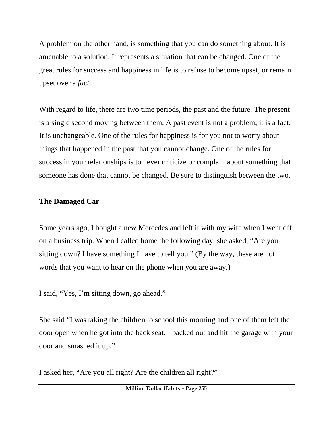A problem on the other hand, is something that you can do something about. It is amenable to a solution. It represents a situation that can be changed. One of the great rules for success and happiness in life is to refuse to become upset, or remain upset over a *fact*.

With regard to life, there are two time periods, the past and the future. The present is a single second moving between them. A past event is not a problem; it is a fact. It is unchangeable. One of the rules for happiness is for you not to worry about things that happened in the past that you cannot change. One of the rules for success in your relationships is to never criticize or complain about something that someone has done that cannot be changed. Be sure to distinguish between the two.

## **The Damaged Car**

Some years ago, I bought a new Mercedes and left it with my wife when I went off on a business trip. When I called home the following day, she asked, "Are you sitting down? I have something I have to tell you." (By the way, these are not words that you want to hear on the phone when you are away.)

I said, "Yes, I'm sitting down, go ahead."

She said "I was taking the children to school this morning and one of them left the door open when he got into the back seat. I backed out and hit the garage with your door and smashed it up."

I asked her, "Are you all right? Are the children all right?"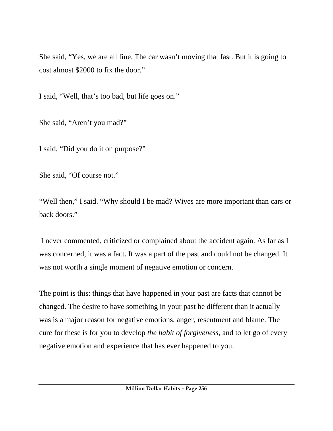She said, "Yes, we are all fine. The car wasn't moving that fast. But it is going to cost almost \$2000 to fix the door."

I said, "Well, that's too bad, but life goes on."

She said, "Aren't you mad?"

I said, "Did you do it on purpose?"

She said, "Of course not."

"Well then," I said. "Why should I be mad? Wives are more important than cars or back doors."

 I never commented, criticized or complained about the accident again. As far as I was concerned, it was a fact. It was a part of the past and could not be changed. It was not worth a single moment of negative emotion or concern.

The point is this: things that have happened in your past are facts that cannot be changed. The desire to have something in your past be different than it actually was is a major reason for negative emotions, anger, resentment and blame. The cure for these is for you to develop *the habit of forgiveness*, and to let go of every negative emotion and experience that has ever happened to you.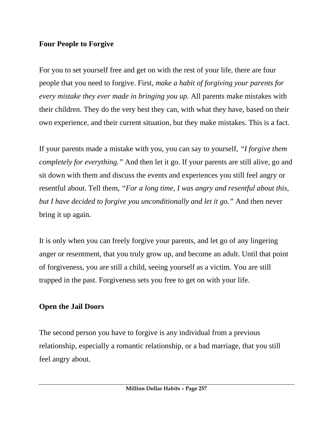#### **Four People to Forgive**

For you to set yourself free and get on with the rest of your life, there are four people that you need to forgive. First, *make a habit of forgiving your parents for every mistake they ever made in bringing you up.* All parents make mistakes with their children. They do the very best they can, with what they have, based on their own experience, and their current situation, but they make mistakes. This is a fact.

If your parents made a mistake with you, you can say to yourself, *"I forgive them completely for everything."* And then let it go. If your parents are still alive, go and sit down with them and discuss the events and experiences you still feel angry or resentful about. Tell them, *"For a long time, I was angry and resentful about this, but I have decided to forgive you unconditionally and let it go."* And then never bring it up again.

It is only when you can freely forgive your parents, and let go of any lingering anger or resentment, that you truly grow up, and become an adult. Until that point of forgiveness, you are still a child, seeing yourself as a victim. You are still trapped in the past. Forgiveness sets you free to get on with your life.

## **Open the Jail Doors**

The second person you have to forgive is any individual from a previous relationship, especially a romantic relationship, or a bad marriage, that you still feel angry about.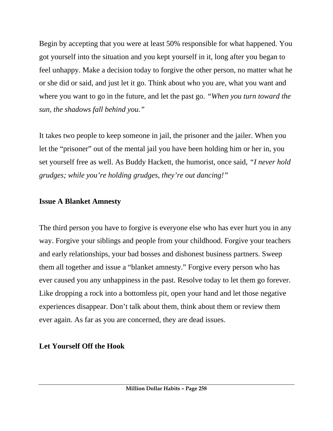Begin by accepting that you were at least 50% responsible for what happened. You got yourself into the situation and you kept yourself in it, long after you began to feel unhappy. Make a decision today to forgive the other person, no matter what he or she did or said, and just let it go. Think about who you are, what you want and where you want to go in the future, and let the past go. *"When you turn toward the sun, the shadows fall behind you."* 

It takes two people to keep someone in jail, the prisoner and the jailer. When you let the "prisoner" out of the mental jail you have been holding him or her in, you set yourself free as well. As Buddy Hackett, the humorist, once said, *"I never hold grudges; while you're holding grudges, they're out dancing!"* 

### **Issue A Blanket Amnesty**

The third person you have to forgive is everyone else who has ever hurt you in any way. Forgive your siblings and people from your childhood. Forgive your teachers and early relationships, your bad bosses and dishonest business partners. Sweep them all together and issue a "blanket amnesty." Forgive every person who has ever caused you any unhappiness in the past. Resolve today to let them go forever. Like dropping a rock into a bottomless pit, open your hand and let those negative experiences disappear. Don't talk about them, think about them or review them ever again. As far as you are concerned, they are dead issues.

### **Let Yourself Off the Hook**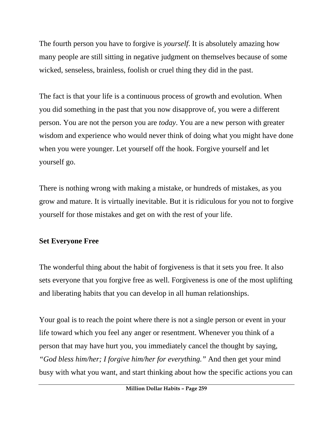The fourth person you have to forgive is *yourself*. It is absolutely amazing how many people are still sitting in negative judgment on themselves because of some wicked, senseless, brainless, foolish or cruel thing they did in the past.

The fact is that your life is a continuous process of growth and evolution. When you did something in the past that you now disapprove of, you were a different person. You are not the person you are *today*. You are a new person with greater wisdom and experience who would never think of doing what you might have done when you were younger. Let yourself off the hook. Forgive yourself and let yourself go.

There is nothing wrong with making a mistake, or hundreds of mistakes, as you grow and mature. It is virtually inevitable. But it is ridiculous for you not to forgive yourself for those mistakes and get on with the rest of your life.

## **Set Everyone Free**

The wonderful thing about the habit of forgiveness is that it sets you free. It also sets everyone that you forgive free as well. Forgiveness is one of the most uplifting and liberating habits that you can develop in all human relationships.

Your goal is to reach the point where there is not a single person or event in your life toward which you feel any anger or resentment. Whenever you think of a person that may have hurt you, you immediately cancel the thought by saying, *"God bless him/her; I forgive him/her for everything."* And then get your mind busy with what you want, and start thinking about how the specific actions you can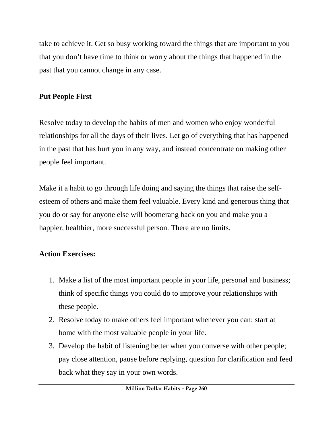take to achieve it. Get so busy working toward the things that are important to you that you don't have time to think or worry about the things that happened in the past that you cannot change in any case.

# **Put People First**

Resolve today to develop the habits of men and women who enjoy wonderful relationships for all the days of their lives. Let go of everything that has happened in the past that has hurt you in any way, and instead concentrate on making other people feel important.

Make it a habit to go through life doing and saying the things that raise the selfesteem of others and make them feel valuable. Every kind and generous thing that you do or say for anyone else will boomerang back on you and make you a happier, healthier, more successful person. There are no limits.

# **Action Exercises:**

- 1. Make a list of the most important people in your life, personal and business; think of specific things you could do to improve your relationships with these people.
- 2. Resolve today to make others feel important whenever you can; start at home with the most valuable people in your life.
- 3. Develop the habit of listening better when you converse with other people; pay close attention, pause before replying, question for clarification and feed back what they say in your own words.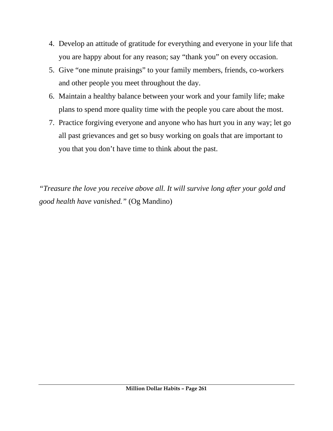- 4. Develop an attitude of gratitude for everything and everyone in your life that you are happy about for any reason; say "thank you" on every occasion.
- 5. Give "one minute praisings" to your family members, friends, co-workers and other people you meet throughout the day.
- 6. Maintain a healthy balance between your work and your family life; make plans to spend more quality time with the people you care about the most.
- 7. Practice forgiving everyone and anyone who has hurt you in any way; let go all past grievances and get so busy working on goals that are important to you that you don't have time to think about the past.

*"Treasure the love you receive above all. It will survive long after your gold and good health have vanished."* (Og Mandino)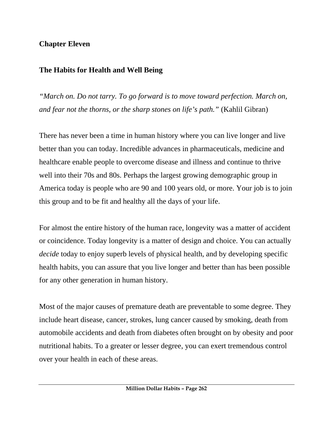### **Chapter Eleven**

## **The Habits for Health and Well Being**

*"March on. Do not tarry. To go forward is to move toward perfection. March on, and fear not the thorns, or the sharp stones on life's path."* (Kahlil Gibran)

There has never been a time in human history where you can live longer and live better than you can today. Incredible advances in pharmaceuticals, medicine and healthcare enable people to overcome disease and illness and continue to thrive well into their 70s and 80s. Perhaps the largest growing demographic group in America today is people who are 90 and 100 years old, or more. Your job is to join this group and to be fit and healthy all the days of your life.

For almost the entire history of the human race, longevity was a matter of accident or coincidence. Today longevity is a matter of design and choice. You can actually *decide* today to enjoy superb levels of physical health, and by developing specific health habits, you can assure that you live longer and better than has been possible for any other generation in human history.

Most of the major causes of premature death are preventable to some degree. They include heart disease, cancer, strokes, lung cancer caused by smoking, death from automobile accidents and death from diabetes often brought on by obesity and poor nutritional habits. To a greater or lesser degree, you can exert tremendous control over your health in each of these areas.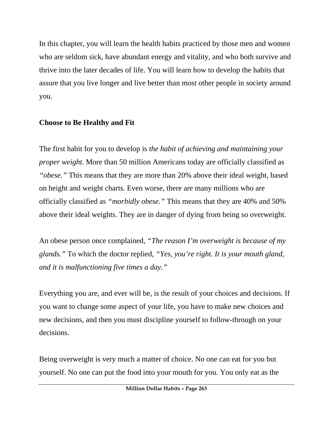In this chapter, you will learn the health habits practiced by those men and women who are seldom sick, have abundant energy and vitality, and who both survive and thrive into the later decades of life. You will learn how to develop the habits that assure that you live longer and live better than most other people in society around you.

### **Choose to Be Healthy and Fit**

The first habit for you to develop is *the habit of achieving and maintaining your proper weight*. More than 50 million Americans today are officially classified as *"obese."* This means that they are more than 20% above their ideal weight, based on height and weight charts. Even worse, there are many millions who are officially classified as *"morbidly obese."* This means that they are 40% and 50% above their ideal weights. They are in danger of dying from being so overweight.

An obese person once complained, *"The reason I'm overweight is because of my glands."* To which the doctor replied, *"Yes, you're right. It is your mouth gland, and it is malfunctioning five times a day."* 

Everything you are, and ever will be, is the result of your choices and decisions. If you want to change some aspect of your life, you have to make new choices and new decisions, and then you must discipline yourself to follow-through on your decisions.

Being overweight is very much a matter of choice. No one can eat for you but yourself. No one can put the food into your mouth for you. You only eat as the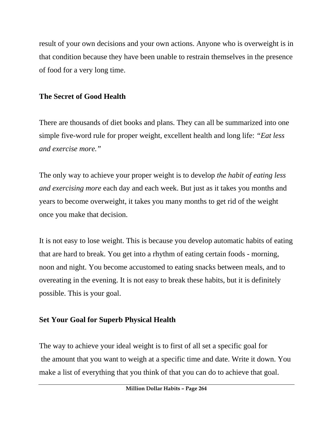result of your own decisions and your own actions. Anyone who is overweight is in that condition because they have been unable to restrain themselves in the presence of food for a very long time.

## **The Secret of Good Health**

There are thousands of diet books and plans. They can all be summarized into one simple five-word rule for proper weight, excellent health and long life: *"Eat less and exercise more."* 

The only way to achieve your proper weight is to develop *the habit of eating less and exercising more* each day and each week. But just as it takes you months and years to become overweight, it takes you many months to get rid of the weight once you make that decision.

It is not easy to lose weight. This is because you develop automatic habits of eating that are hard to break. You get into a rhythm of eating certain foods - morning, noon and night. You become accustomed to eating snacks between meals, and to overeating in the evening. It is not easy to break these habits, but it is definitely possible. This is your goal.

# **Set Your Goal for Superb Physical Health**

The way to achieve your ideal weight is to first of all set a specific goal for the amount that you want to weigh at a specific time and date. Write it down. You make a list of everything that you think of that you can do to achieve that goal.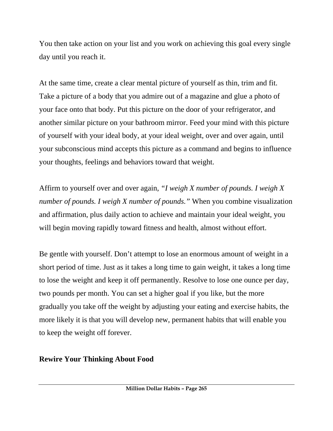You then take action on your list and you work on achieving this goal every single day until you reach it.

At the same time, create a clear mental picture of yourself as thin, trim and fit. Take a picture of a body that you admire out of a magazine and glue a photo of your face onto that body. Put this picture on the door of your refrigerator, and another similar picture on your bathroom mirror. Feed your mind with this picture of yourself with your ideal body, at your ideal weight, over and over again, until your subconscious mind accepts this picture as a command and begins to influence your thoughts, feelings and behaviors toward that weight.

Affirm to yourself over and over again, *"I weigh X number of pounds. I weigh X number of pounds. I weigh X number of pounds."* When you combine visualization and affirmation, plus daily action to achieve and maintain your ideal weight, you will begin moving rapidly toward fitness and health, almost without effort.

Be gentle with yourself. Don't attempt to lose an enormous amount of weight in a short period of time. Just as it takes a long time to gain weight, it takes a long time to lose the weight and keep it off permanently. Resolve to lose one ounce per day, two pounds per month. You can set a higher goal if you like, but the more gradually you take off the weight by adjusting your eating and exercise habits, the more likely it is that you will develop new, permanent habits that will enable you to keep the weight off forever.

## **Rewire Your Thinking About Food**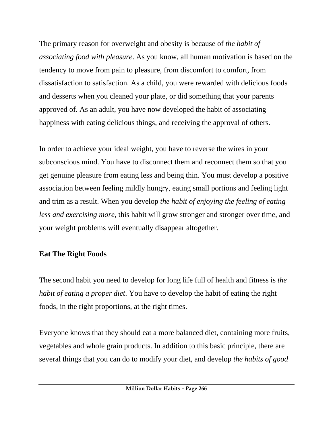The primary reason for overweight and obesity is because of *the habit of associating food with pleasure*. As you know, all human motivation is based on the tendency to move from pain to pleasure, from discomfort to comfort, from dissatisfaction to satisfaction. As a child, you were rewarded with delicious foods and desserts when you cleaned your plate, or did something that your parents approved of. As an adult, you have now developed the habit of associating happiness with eating delicious things, and receiving the approval of others.

In order to achieve your ideal weight, you have to reverse the wires in your subconscious mind. You have to disconnect them and reconnect them so that you get genuine pleasure from eating less and being thin. You must develop a positive association between feeling mildly hungry, eating small portions and feeling light and trim as a result. When you develop *the habit of enjoying the feeling of eating less and exercising more*, this habit will grow stronger and stronger over time, and your weight problems will eventually disappear altogether.

### **Eat The Right Foods**

The second habit you need to develop for long life full of health and fitness is *the habit of eating a proper diet*. You have to develop the habit of eating the right foods, in the right proportions, at the right times.

Everyone knows that they should eat a more balanced diet, containing more fruits, vegetables and whole grain products. In addition to this basic principle, there are several things that you can do to modify your diet, and develop *the habits of good*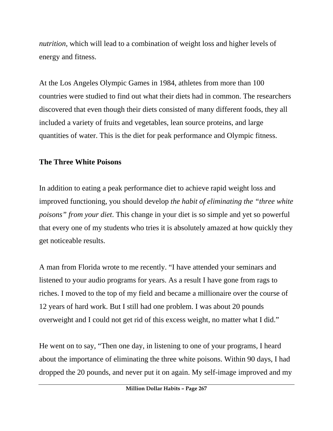*nutrition*, which will lead to a combination of weight loss and higher levels of energy and fitness.

At the Los Angeles Olympic Games in 1984, athletes from more than 100 countries were studied to find out what their diets had in common. The researchers discovered that even though their diets consisted of many different foods, they all included a variety of fruits and vegetables, lean source proteins, and large quantities of water. This is the diet for peak performance and Olympic fitness.

# **The Three White Poisons**

In addition to eating a peak performance diet to achieve rapid weight loss and improved functioning, you should develop *the habit of eliminating the "three white poisons" from your diet*. This change in your diet is so simple and yet so powerful that every one of my students who tries it is absolutely amazed at how quickly they get noticeable results.

A man from Florida wrote to me recently. "I have attended your seminars and listened to your audio programs for years. As a result I have gone from rags to riches. I moved to the top of my field and became a millionaire over the course of 12 years of hard work. But I still had one problem. I was about 20 pounds overweight and I could not get rid of this excess weight, no matter what I did."

He went on to say, "Then one day, in listening to one of your programs, I heard about the importance of eliminating the three white poisons. Within 90 days, I had dropped the 20 pounds, and never put it on again. My self-image improved and my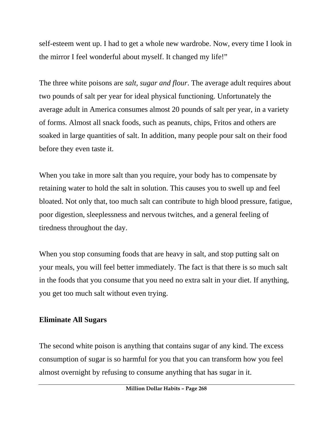self-esteem went up. I had to get a whole new wardrobe. Now, every time I look in the mirror I feel wonderful about myself. It changed my life!"

The three white poisons are *salt, sugar and flour*. The average adult requires about two pounds of salt per year for ideal physical functioning. Unfortunately the average adult in America consumes almost 20 pounds of salt per year, in a variety of forms. Almost all snack foods, such as peanuts, chips, Fritos and others are soaked in large quantities of salt. In addition, many people pour salt on their food before they even taste it.

When you take in more salt than you require, your body has to compensate by retaining water to hold the salt in solution. This causes you to swell up and feel bloated. Not only that, too much salt can contribute to high blood pressure, fatigue, poor digestion, sleeplessness and nervous twitches, and a general feeling of tiredness throughout the day.

When you stop consuming foods that are heavy in salt, and stop putting salt on your meals, you will feel better immediately. The fact is that there is so much salt in the foods that you consume that you need no extra salt in your diet. If anything, you get too much salt without even trying.

# **Eliminate All Sugars**

The second white poison is anything that contains sugar of any kind. The excess consumption of sugar is so harmful for you that you can transform how you feel almost overnight by refusing to consume anything that has sugar in it.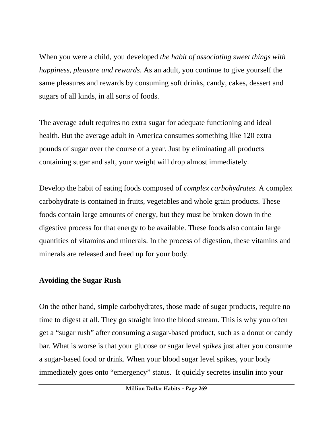When you were a child, you developed *the habit of associating sweet things with happiness, pleasure and rewards*. As an adult, you continue to give yourself the same pleasures and rewards by consuming soft drinks, candy, cakes, dessert and sugars of all kinds, in all sorts of foods.

The average adult requires no extra sugar for adequate functioning and ideal health. But the average adult in America consumes something like 120 extra pounds of sugar over the course of a year. Just by eliminating all products containing sugar and salt, your weight will drop almost immediately.

Develop the habit of eating foods composed of *complex carbohydrates*. A complex carbohydrate is contained in fruits, vegetables and whole grain products. These foods contain large amounts of energy, but they must be broken down in the digestive process for that energy to be available. These foods also contain large quantities of vitamins and minerals. In the process of digestion, these vitamins and minerals are released and freed up for your body.

### **Avoiding the Sugar Rush**

On the other hand, simple carbohydrates, those made of sugar products, require no time to digest at all. They go straight into the blood stream. This is why you often get a "sugar rush" after consuming a sugar-based product, such as a donut or candy bar. What is worse is that your glucose or sugar level *spikes* just after you consume a sugar-based food or drink. When your blood sugar level spikes, your body immediately goes onto "emergency" status. It quickly secretes insulin into your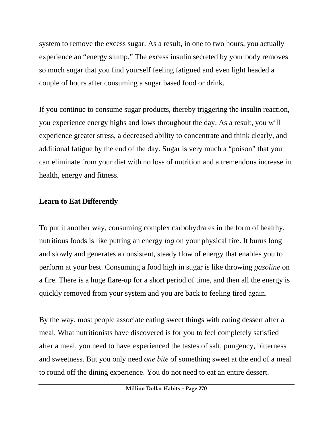system to remove the excess sugar. As a result, in one to two hours, you actually experience an "energy slump." The excess insulin secreted by your body removes so much sugar that you find yourself feeling fatigued and even light headed a couple of hours after consuming a sugar based food or drink.

If you continue to consume sugar products, thereby triggering the insulin reaction, you experience energy highs and lows throughout the day. As a result, you will experience greater stress, a decreased ability to concentrate and think clearly, and additional fatigue by the end of the day. Sugar is very much a "poison" that you can eliminate from your diet with no loss of nutrition and a tremendous increase in health, energy and fitness.

### **Learn to Eat Differently**

To put it another way, consuming complex carbohydrates in the form of healthy, nutritious foods is like putting an energy *log* on your physical fire. It burns long and slowly and generates a consistent, steady flow of energy that enables you to perform at your best. Consuming a food high in sugar is like throwing *gasoline* on a fire. There is a huge flare-up for a short period of time, and then all the energy is quickly removed from your system and you are back to feeling tired again.

By the way, most people associate eating sweet things with eating dessert after a meal. What nutritionists have discovered is for you to feel completely satisfied after a meal, you need to have experienced the tastes of salt, pungency, bitterness and sweetness. But you only need *one bite* of something sweet at the end of a meal to round off the dining experience. You do not need to eat an entire dessert.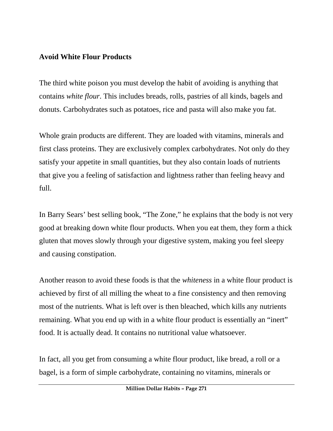#### **Avoid White Flour Products**

The third white poison you must develop the habit of avoiding is anything that contains *white flour*. This includes breads, rolls, pastries of all kinds, bagels and donuts. Carbohydrates such as potatoes, rice and pasta will also make you fat.

Whole grain products are different. They are loaded with vitamins, minerals and first class proteins. They are exclusively complex carbohydrates. Not only do they satisfy your appetite in small quantities, but they also contain loads of nutrients that give you a feeling of satisfaction and lightness rather than feeling heavy and full.

In Barry Sears' best selling book, "The Zone," he explains that the body is not very good at breaking down white flour products. When you eat them, they form a thick gluten that moves slowly through your digestive system, making you feel sleepy and causing constipation.

Another reason to avoid these foods is that the *whiteness* in a white flour product is achieved by first of all milling the wheat to a fine consistency and then removing most of the nutrients. What is left over is then bleached, which kills any nutrients remaining. What you end up with in a white flour product is essentially an "inert" food. It is actually dead. It contains no nutritional value whatsoever.

In fact, all you get from consuming a white flour product, like bread, a roll or a bagel, is a form of simple carbohydrate, containing no vitamins, minerals or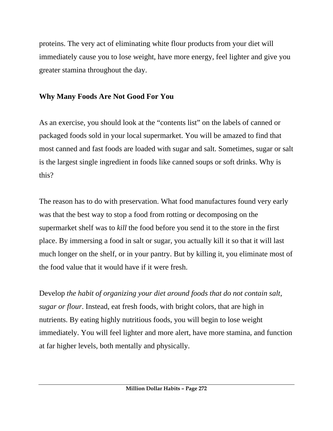proteins. The very act of eliminating white flour products from your diet will immediately cause you to lose weight, have more energy, feel lighter and give you greater stamina throughout the day.

### **Why Many Foods Are Not Good For You**

As an exercise, you should look at the "contents list" on the labels of canned or packaged foods sold in your local supermarket. You will be amazed to find that most canned and fast foods are loaded with sugar and salt. Sometimes, sugar or salt is the largest single ingredient in foods like canned soups or soft drinks. Why is this?

The reason has to do with preservation. What food manufactures found very early was that the best way to stop a food from rotting or decomposing on the supermarket shelf was to *kill* the food before you send it to the store in the first place. By immersing a food in salt or sugar, you actually kill it so that it will last much longer on the shelf, or in your pantry. But by killing it, you eliminate most of the food value that it would have if it were fresh.

Develop *the habit of organizing your diet around foods that do not contain salt, sugar or flour*. Instead, eat fresh foods, with bright colors, that are high in nutrients. By eating highly nutritious foods, you will begin to lose weight immediately. You will feel lighter and more alert, have more stamina, and function at far higher levels, both mentally and physically.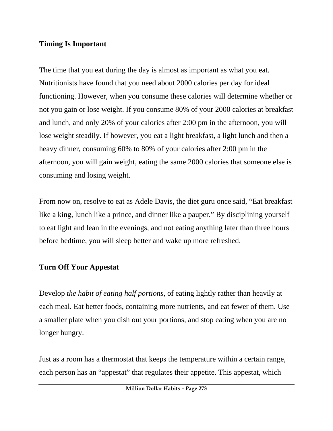### **Timing Is Important**

The time that you eat during the day is almost as important as what you eat. Nutritionists have found that you need about 2000 calories per day for ideal functioning. However, when you consume these calories will determine whether or not you gain or lose weight. If you consume 80% of your 2000 calories at breakfast and lunch, and only 20% of your calories after 2:00 pm in the afternoon, you will lose weight steadily. If however, you eat a light breakfast, a light lunch and then a heavy dinner, consuming 60% to 80% of your calories after 2:00 pm in the afternoon, you will gain weight, eating the same 2000 calories that someone else is consuming and losing weight.

From now on, resolve to eat as Adele Davis, the diet guru once said, "Eat breakfast like a king, lunch like a prince, and dinner like a pauper." By disciplining yourself to eat light and lean in the evenings, and not eating anything later than three hours before bedtime, you will sleep better and wake up more refreshed.

# **Turn Off Your Appestat**

Develop *the habit of eating half portions*, of eating lightly rather than heavily at each meal. Eat better foods, containing more nutrients, and eat fewer of them. Use a smaller plate when you dish out your portions, and stop eating when you are no longer hungry.

Just as a room has a thermostat that keeps the temperature within a certain range, each person has an "appestat" that regulates their appetite. This appestat, which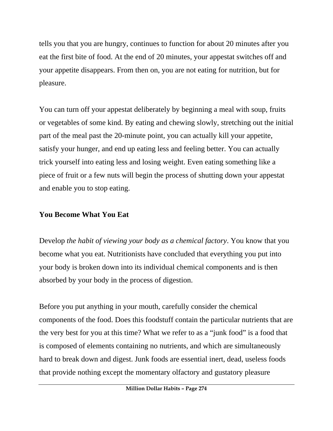tells you that you are hungry, continues to function for about 20 minutes after you eat the first bite of food. At the end of 20 minutes, your appestat switches off and your appetite disappears. From then on, you are not eating for nutrition, but for pleasure.

You can turn off your appestat deliberately by beginning a meal with soup, fruits or vegetables of some kind. By eating and chewing slowly, stretching out the initial part of the meal past the 20-minute point, you can actually kill your appetite, satisfy your hunger, and end up eating less and feeling better. You can actually trick yourself into eating less and losing weight. Even eating something like a piece of fruit or a few nuts will begin the process of shutting down your appestat and enable you to stop eating.

## **You Become What You Eat**

Develop *the habit of viewing your body as a chemical factory*. You know that you become what you eat. Nutritionists have concluded that everything you put into your body is broken down into its individual chemical components and is then absorbed by your body in the process of digestion.

Before you put anything in your mouth, carefully consider the chemical components of the food. Does this foodstuff contain the particular nutrients that are the very best for you at this time? What we refer to as a "junk food" is a food that is composed of elements containing no nutrients, and which are simultaneously hard to break down and digest. Junk foods are essential inert, dead, useless foods that provide nothing except the momentary olfactory and gustatory pleasure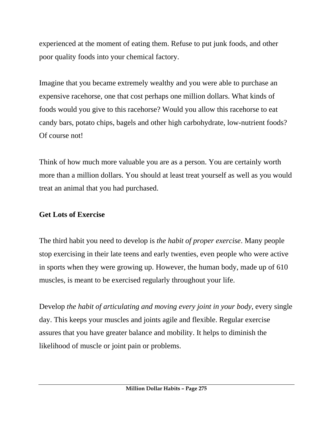experienced at the moment of eating them. Refuse to put junk foods, and other poor quality foods into your chemical factory.

Imagine that you became extremely wealthy and you were able to purchase an expensive racehorse, one that cost perhaps one million dollars. What kinds of foods would you give to this racehorse? Would you allow this racehorse to eat candy bars, potato chips, bagels and other high carbohydrate, low-nutrient foods? Of course not!

Think of how much more valuable you are as a person. You are certainly worth more than a million dollars. You should at least treat yourself as well as you would treat an animal that you had purchased.

## **Get Lots of Exercise**

The third habit you need to develop is *the habit of proper exercise*. Many people stop exercising in their late teens and early twenties, even people who were active in sports when they were growing up. However, the human body, made up of 610 muscles, is meant to be exercised regularly throughout your life.

Develop *the habit of articulating and moving every joint in your body*, every single day. This keeps your muscles and joints agile and flexible. Regular exercise assures that you have greater balance and mobility. It helps to diminish the likelihood of muscle or joint pain or problems.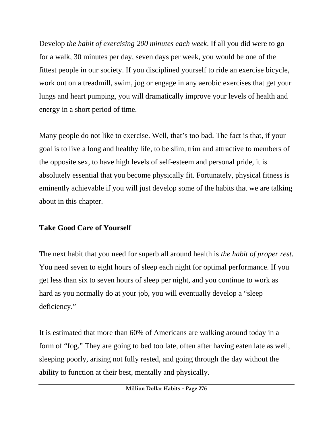Develop *the habit of exercising 200 minutes each week*. If all you did were to go for a walk, 30 minutes per day, seven days per week, you would be one of the fittest people in our society. If you disciplined yourself to ride an exercise bicycle, work out on a treadmill, swim, jog or engage in any aerobic exercises that get your lungs and heart pumping, you will dramatically improve your levels of health and energy in a short period of time.

Many people do not like to exercise. Well, that's too bad. The fact is that, if your goal is to live a long and healthy life, to be slim, trim and attractive to members of the opposite sex, to have high levels of self-esteem and personal pride, it is absolutely essential that you become physically fit. Fortunately, physical fitness is eminently achievable if you will just develop some of the habits that we are talking about in this chapter.

## **Take Good Care of Yourself**

The next habit that you need for superb all around health is *the habit of proper rest*. You need seven to eight hours of sleep each night for optimal performance. If you get less than six to seven hours of sleep per night, and you continue to work as hard as you normally do at your job, you will eventually develop a "sleep deficiency."

It is estimated that more than 60% of Americans are walking around today in a form of "fog." They are going to bed too late, often after having eaten late as well, sleeping poorly, arising not fully rested, and going through the day without the ability to function at their best, mentally and physically.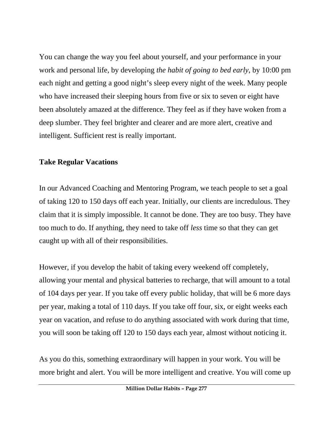You can change the way you feel about yourself, and your performance in your work and personal life, by developing *the habit of going to bed early*, by 10:00 pm each night and getting a good night's sleep every night of the week. Many people who have increased their sleeping hours from five or six to seven or eight have been absolutely amazed at the difference. They feel as if they have woken from a deep slumber. They feel brighter and clearer and are more alert, creative and intelligent. Sufficient rest is really important.

### **Take Regular Vacations**

In our Advanced Coaching and Mentoring Program, we teach people to set a goal of taking 120 to 150 days off each year. Initially, our clients are incredulous. They claim that it is simply impossible. It cannot be done. They are too busy. They have too much to do. If anything, they need to take off *less* time so that they can get caught up with all of their responsibilities.

However, if you develop the habit of taking every weekend off completely, allowing your mental and physical batteries to recharge, that will amount to a total of 104 days per year. If you take off every public holiday, that will be 6 more days per year, making a total of 110 days. If you take off four, six, or eight weeks each year on vacation, and refuse to do anything associated with work during that time, you will soon be taking off 120 to 150 days each year, almost without noticing it.

As you do this, something extraordinary will happen in your work. You will be more bright and alert. You will be more intelligent and creative. You will come up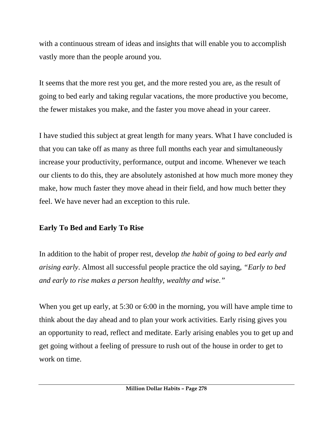with a continuous stream of ideas and insights that will enable you to accomplish vastly more than the people around you.

It seems that the more rest you get, and the more rested you are, as the result of going to bed early and taking regular vacations, the more productive you become, the fewer mistakes you make, and the faster you move ahead in your career.

I have studied this subject at great length for many years. What I have concluded is that you can take off as many as three full months each year and simultaneously increase your productivity, performance, output and income. Whenever we teach our clients to do this, they are absolutely astonished at how much more money they make, how much faster they move ahead in their field, and how much better they feel. We have never had an exception to this rule.

## **Early To Bed and Early To Rise**

In addition to the habit of proper rest, develop *the habit of going to bed early and arising early*. Almost all successful people practice the old saying, *"Early to bed and early to rise makes a person healthy, wealthy and wise."* 

When you get up early, at 5:30 or 6:00 in the morning, you will have ample time to think about the day ahead and to plan your work activities. Early rising gives you an opportunity to read, reflect and meditate. Early arising enables you to get up and get going without a feeling of pressure to rush out of the house in order to get to work on time.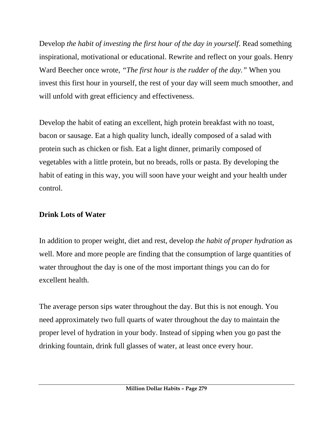Develop *the habit of investing the first hour of the day in yourself*. Read something inspirational, motivational or educational. Rewrite and reflect on your goals. Henry Ward Beecher once wrote, *"The first hour is the rudder of the day."* When you invest this first hour in yourself, the rest of your day will seem much smoother, and will unfold with great efficiency and effectiveness.

Develop the habit of eating an excellent, high protein breakfast with no toast, bacon or sausage. Eat a high quality lunch, ideally composed of a salad with protein such as chicken or fish. Eat a light dinner, primarily composed of vegetables with a little protein, but no breads, rolls or pasta. By developing the habit of eating in this way, you will soon have your weight and your health under control.

## **Drink Lots of Water**

In addition to proper weight, diet and rest, develop *the habit of proper hydration* as well. More and more people are finding that the consumption of large quantities of water throughout the day is one of the most important things you can do for excellent health.

The average person sips water throughout the day. But this is not enough. You need approximately two full quarts of water throughout the day to maintain the proper level of hydration in your body. Instead of sipping when you go past the drinking fountain, drink full glasses of water, at least once every hour.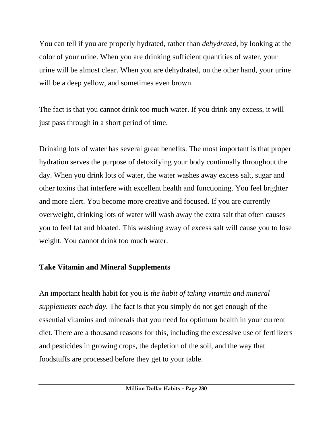You can tell if you are properly hydrated, rather than *dehydrated*, by looking at the color of your urine. When you are drinking sufficient quantities of water, your urine will be almost clear. When you are dehydrated, on the other hand, your urine will be a deep yellow, and sometimes even brown.

The fact is that you cannot drink too much water. If you drink any excess, it will just pass through in a short period of time.

Drinking lots of water has several great benefits. The most important is that proper hydration serves the purpose of detoxifying your body continually throughout the day. When you drink lots of water, the water washes away excess salt, sugar and other toxins that interfere with excellent health and functioning. You feel brighter and more alert. You become more creative and focused. If you are currently overweight, drinking lots of water will wash away the extra salt that often causes you to feel fat and bloated. This washing away of excess salt will cause you to lose weight. You cannot drink too much water.

## **Take Vitamin and Mineral Supplements**

An important health habit for you is *the habit of taking vitamin and mineral supplements each day*. The fact is that you simply do not get enough of the essential vitamins and minerals that you need for optimum health in your current diet. There are a thousand reasons for this, including the excessive use of fertilizers and pesticides in growing crops, the depletion of the soil, and the way that foodstuffs are processed before they get to your table.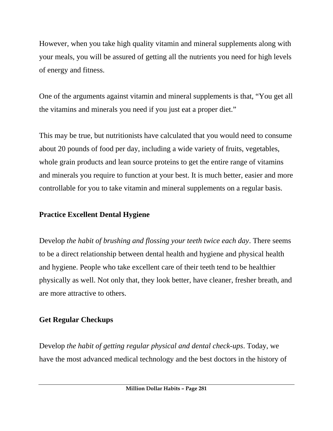However, when you take high quality vitamin and mineral supplements along with your meals, you will be assured of getting all the nutrients you need for high levels of energy and fitness.

One of the arguments against vitamin and mineral supplements is that, "You get all the vitamins and minerals you need if you just eat a proper diet."

This may be true, but nutritionists have calculated that you would need to consume about 20 pounds of food per day, including a wide variety of fruits, vegetables, whole grain products and lean source proteins to get the entire range of vitamins and minerals you require to function at your best. It is much better, easier and more controllable for you to take vitamin and mineral supplements on a regular basis.

### **Practice Excellent Dental Hygiene**

Develop *the habit of brushing and flossing your teeth twice each day*. There seems to be a direct relationship between dental health and hygiene and physical health and hygiene. People who take excellent care of their teeth tend to be healthier physically as well. Not only that, they look better, have cleaner, fresher breath, and are more attractive to others.

# **Get Regular Checkups**

Develop *the habit of getting regular physical and dental check-ups*. Today, we have the most advanced medical technology and the best doctors in the history of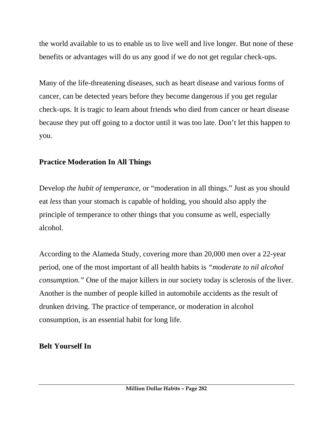the world available to us to enable us to live well and live longer. But none of these benefits or advantages will do us any good if we do not get regular check-ups.

Many of the life-threatening diseases, such as heart disease and various forms of cancer, can be detected years before they become dangerous if you get regular check-ups. It is tragic to learn about friends who died from cancer or heart disease because they put off going to a doctor until it was too late. Don't let this happen to you.

## **Practice Moderation In All Things**

Develop *the habit of temperance*, or "moderation in all things." Just as you should eat *less* than your stomach is capable of holding, you should also apply the principle of temperance to other things that you consume as well, especially alcohol.

According to the Alameda Study, covering more than 20,000 men over a 22-year period, one of the most important of all health habits is *"moderate to nil alcohol consumption."* One of the major killers in our society today is sclerosis of the liver. Another is the number of people killed in automobile accidents as the result of drunken driving. The practice of temperance, or moderation in alcohol consumption, is an essential habit for long life.

# **Belt Yourself In**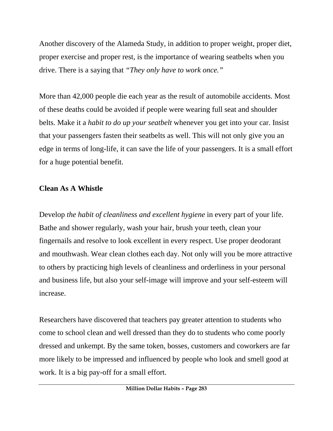Another discovery of the Alameda Study, in addition to proper weight, proper diet, proper exercise and proper rest, is the importance of wearing seatbelts when you drive. There is a saying that *"They only have to work once."* 

More than 42,000 people die each year as the result of automobile accidents. Most of these deaths could be avoided if people were wearing full seat and shoulder belts. Make it a *habit to do up your seatbelt* whenever you get into your car. Insist that your passengers fasten their seatbelts as well. This will not only give you an edge in terms of long-life, it can save the life of your passengers. It is a small effort for a huge potential benefit.

## **Clean As A Whistle**

Develop *the habit of cleanliness and excellent hygiene* in every part of your life. Bathe and shower regularly, wash your hair, brush your teeth, clean your fingernails and resolve to look excellent in every respect. Use proper deodorant and mouthwash. Wear clean clothes each day. Not only will you be more attractive to others by practicing high levels of cleanliness and orderliness in your personal and business life, but also your self-image will improve and your self-esteem will increase.

Researchers have discovered that teachers pay greater attention to students who come to school clean and well dressed than they do to students who come poorly dressed and unkempt. By the same token, bosses, customers and coworkers are far more likely to be impressed and influenced by people who look and smell good at work. It is a big pay-off for a small effort.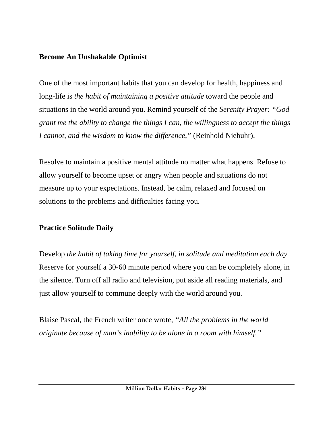#### **Become An Unshakable Optimist**

One of the most important habits that you can develop for health, happiness and long-life is *the habit of maintaining a positive attitude* toward the people and situations in the world around you. Remind yourself of the *Serenity Prayer: "God grant me the ability to change the things I can, the willingness to accept the things I cannot, and the wisdom to know the difference,"* (Reinhold Niebuhr).

Resolve to maintain a positive mental attitude no matter what happens. Refuse to allow yourself to become upset or angry when people and situations do not measure up to your expectations. Instead, be calm, relaxed and focused on solutions to the problems and difficulties facing you.

## **Practice Solitude Daily**

Develop *the habit of taking time for yourself, in solitude and meditation each day.* Reserve for yourself a 30-60 minute period where you can be completely alone, in the silence. Turn off all radio and television, put aside all reading materials, and just allow yourself to commune deeply with the world around you.

Blaise Pascal, the French writer once wrote, *"All the problems in the world originate because of man's inability to be alone in a room with himself."*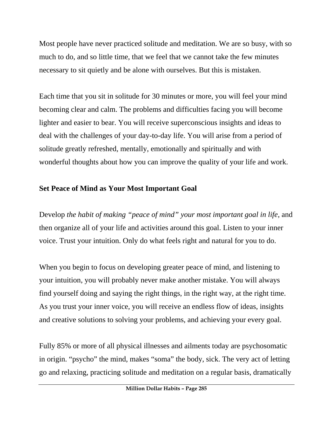Most people have never practiced solitude and meditation. We are so busy, with so much to do, and so little time, that we feel that we cannot take the few minutes necessary to sit quietly and be alone with ourselves. But this is mistaken.

Each time that you sit in solitude for 30 minutes or more, you will feel your mind becoming clear and calm. The problems and difficulties facing you will become lighter and easier to bear. You will receive superconscious insights and ideas to deal with the challenges of your day-to-day life. You will arise from a period of solitude greatly refreshed, mentally, emotionally and spiritually and with wonderful thoughts about how you can improve the quality of your life and work.

## **Set Peace of Mind as Your Most Important Goal**

Develop *the habit of making "peace of mind" your most important goal in life*, and then organize all of your life and activities around this goal. Listen to your inner voice. Trust your intuition. Only do what feels right and natural for you to do.

When you begin to focus on developing greater peace of mind, and listening to your intuition, you will probably never make another mistake. You will always find yourself doing and saying the right things, in the right way, at the right time. As you trust your inner voice, you will receive an endless flow of ideas, insights and creative solutions to solving your problems, and achieving your every goal.

Fully 85% or more of all physical illnesses and ailments today are psychosomatic in origin. "psycho" the mind, makes "soma" the body, sick. The very act of letting go and relaxing, practicing solitude and meditation on a regular basis, dramatically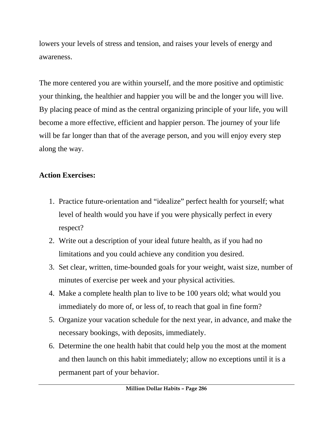lowers your levels of stress and tension, and raises your levels of energy and awareness.

The more centered you are within yourself, and the more positive and optimistic your thinking, the healthier and happier you will be and the longer you will live. By placing peace of mind as the central organizing principle of your life, you will become a more effective, efficient and happier person. The journey of your life will be far longer than that of the average person, and you will enjoy every step along the way.

# **Action Exercises:**

- 1. Practice future-orientation and "idealize" perfect health for yourself; what level of health would you have if you were physically perfect in every respect?
- 2. Write out a description of your ideal future health, as if you had no limitations and you could achieve any condition you desired.
- 3. Set clear, written, time-bounded goals for your weight, waist size, number of minutes of exercise per week and your physical activities.
- 4. Make a complete health plan to live to be 100 years old; what would you immediately do more of, or less of, to reach that goal in fine form?
- 5. Organize your vacation schedule for the next year, in advance, and make the necessary bookings, with deposits, immediately.
- 6. Determine the one health habit that could help you the most at the moment and then launch on this habit immediately; allow no exceptions until it is a permanent part of your behavior.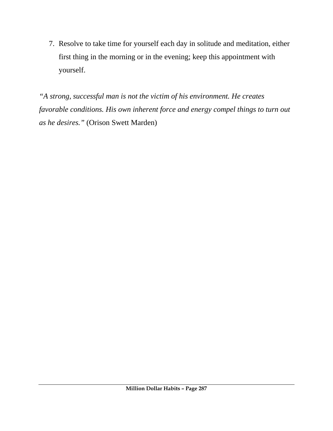7. Resolve to take time for yourself each day in solitude and meditation, either first thing in the morning or in the evening; keep this appointment with yourself.

*"A strong, successful man is not the victim of his environment. He creates favorable conditions. His own inherent force and energy compel things to turn out as he desires."* (Orison Swett Marden)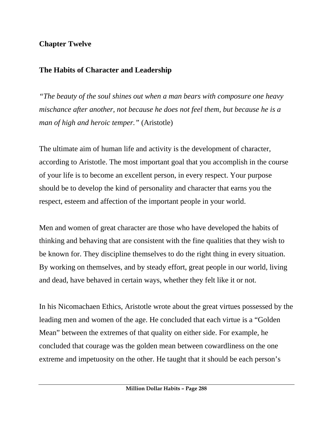#### **Chapter Twelve**

### **The Habits of Character and Leadership**

*"The beauty of the soul shines out when a man bears with composure one heavy mischance after another, not because he does not feel them, but because he is a man of high and heroic temper."* (Aristotle)

The ultimate aim of human life and activity is the development of character, according to Aristotle. The most important goal that you accomplish in the course of your life is to become an excellent person, in every respect. Your purpose should be to develop the kind of personality and character that earns you the respect, esteem and affection of the important people in your world.

Men and women of great character are those who have developed the habits of thinking and behaving that are consistent with the fine qualities that they wish to be known for. They discipline themselves to do the right thing in every situation. By working on themselves, and by steady effort, great people in our world, living and dead, have behaved in certain ways, whether they felt like it or not.

In his Nicomachaen Ethics, Aristotle wrote about the great virtues possessed by the leading men and women of the age. He concluded that each virtue is a "Golden Mean" between the extremes of that quality on either side. For example, he concluded that courage was the golden mean between cowardliness on the one extreme and impetuosity on the other. He taught that it should be each person's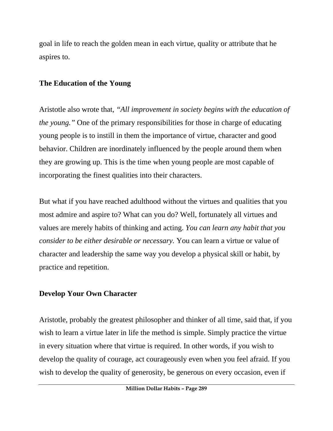goal in life to reach the golden mean in each virtue, quality or attribute that he aspires to.

# **The Education of the Young**

Aristotle also wrote that, *"All improvement in society begins with the education of the young."* One of the primary responsibilities for those in charge of educating young people is to instill in them the importance of virtue, character and good behavior. Children are inordinately influenced by the people around them when they are growing up. This is the time when young people are most capable of incorporating the finest qualities into their characters.

But what if you have reached adulthood without the virtues and qualities that you most admire and aspire to? What can you do? Well, fortunately all virtues and values are merely habits of thinking and acting. *You can learn any habit that you consider to be either desirable or necessary.* You can learn a virtue or value of character and leadership the same way you develop a physical skill or habit, by practice and repetition.

## **Develop Your Own Character**

Aristotle, probably the greatest philosopher and thinker of all time, said that, if you wish to learn a virtue later in life the method is simple. Simply practice the virtue in every situation where that virtue is required. In other words, if you wish to develop the quality of courage, act courageously even when you feel afraid. If you wish to develop the quality of generosity, be generous on every occasion, even if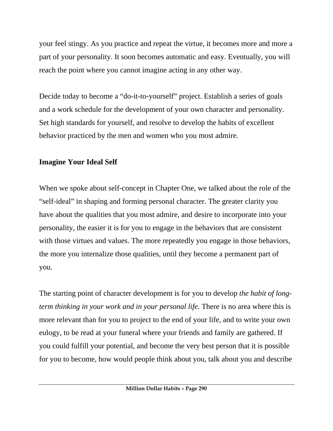your feel stingy. As you practice and repeat the virtue, it becomes more and more a part of your personality. It soon becomes automatic and easy. Eventually, you will reach the point where you cannot imagine acting in any other way.

Decide today to become a "do-it-to-yourself" project. Establish a series of goals and a work schedule for the development of your own character and personality. Set high standards for yourself, and resolve to develop the habits of excellent behavior practiced by the men and women who you most admire.

## **Imagine Your Ideal Self**

When we spoke about self-concept in Chapter One, we talked about the role of the "self-ideal" in shaping and forming personal character. The greater clarity you have about the qualities that you most admire, and desire to incorporate into your personality, the easier it is for you to engage in the behaviors that are consistent with those virtues and values. The more repeatedly you engage in those behaviors, the more you internalize those qualities, until they become a permanent part of you.

The starting point of character development is for you to develop *the habit of longterm thinking in your work and in your personal life.* There is no area where this is more relevant than for you to project to the end of your life, and to write your own eulogy, to be read at your funeral where your friends and family are gathered. If you could fulfill your potential, and become the very best person that it is possible for you to become, how would people think about you, talk about you and describe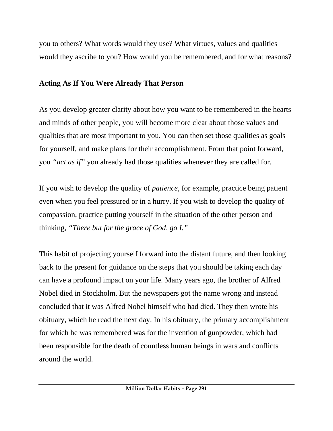you to others? What words would they use? What virtues, values and qualities would they ascribe to you? How would you be remembered, and for what reasons?

# **Acting As If You Were Already That Person**

As you develop greater clarity about how you want to be remembered in the hearts and minds of other people, you will become more clear about those values and qualities that are most important to you. You can then set those qualities as goals for yourself, and make plans for their accomplishment. From that point forward, you *"act as if"* you already had those qualities whenever they are called for.

If you wish to develop the quality of *patience*, for example, practice being patient even when you feel pressured or in a hurry. If you wish to develop the quality of compassion, practice putting yourself in the situation of the other person and thinking, *"There but for the grace of God, go I."* 

This habit of projecting yourself forward into the distant future, and then looking back to the present for guidance on the steps that you should be taking each day can have a profound impact on your life. Many years ago, the brother of Alfred Nobel died in Stockholm. But the newspapers got the name wrong and instead concluded that it was Alfred Nobel himself who had died. They then wrote his obituary, which he read the next day. In his obituary, the primary accomplishment for which he was remembered was for the invention of gunpowder, which had been responsible for the death of countless human beings in wars and conflicts around the world.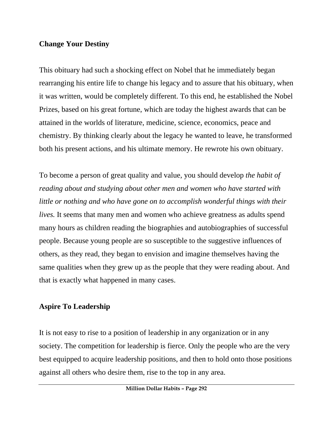#### **Change Your Destiny**

This obituary had such a shocking effect on Nobel that he immediately began rearranging his entire life to change his legacy and to assure that his obituary, when it was written, would be completely different. To this end, he established the Nobel Prizes, based on his great fortune, which are today the highest awards that can be attained in the worlds of literature, medicine, science, economics, peace and chemistry. By thinking clearly about the legacy he wanted to leave, he transformed both his present actions, and his ultimate memory. He rewrote his own obituary.

To become a person of great quality and value, you should develop *the habit of reading about and studying about other men and women who have started with little or nothing and who have gone on to accomplish wonderful things with their lives.* It seems that many men and women who achieve greatness as adults spend many hours as children reading the biographies and autobiographies of successful people. Because young people are so susceptible to the suggestive influences of others, as they read, they began to envision and imagine themselves having the same qualities when they grew up as the people that they were reading about. And that is exactly what happened in many cases.

## **Aspire To Leadership**

It is not easy to rise to a position of leadership in any organization or in any society. The competition for leadership is fierce. Only the people who are the very best equipped to acquire leadership positions, and then to hold onto those positions against all others who desire them, rise to the top in any area.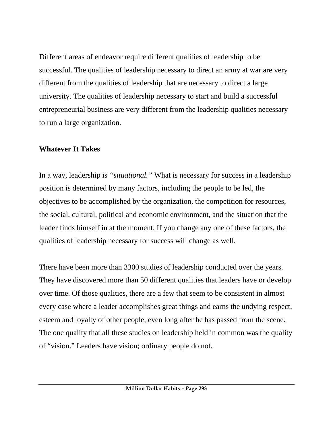Different areas of endeavor require different qualities of leadership to be successful. The qualities of leadership necessary to direct an army at war are very different from the qualities of leadership that are necessary to direct a large university. The qualities of leadership necessary to start and build a successful entrepreneurial business are very different from the leadership qualities necessary to run a large organization.

#### **Whatever It Takes**

In a way, leadership is *"situational."* What is necessary for success in a leadership position is determined by many factors, including the people to be led, the objectives to be accomplished by the organization, the competition for resources, the social, cultural, political and economic environment, and the situation that the leader finds himself in at the moment. If you change any one of these factors, the qualities of leadership necessary for success will change as well.

There have been more than 3300 studies of leadership conducted over the years. They have discovered more than 50 different qualities that leaders have or develop over time. Of those qualities, there are a few that seem to be consistent in almost every case where a leader accomplishes great things and earns the undying respect, esteem and loyalty of other people, even long after he has passed from the scene. The one quality that all these studies on leadership held in common was the quality of "vision." Leaders have vision; ordinary people do not.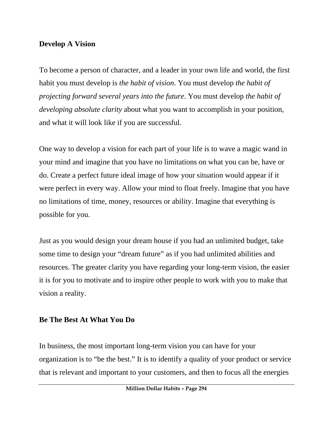#### **Develop A Vision**

To become a person of character, and a leader in your own life and world, the first habit you must develop is *the habit of vision*. You must develop *the habit of projecting forward several years into the future*. You must develop *the habit of developing absolute clarity* about what you want to accomplish in your position, and what it will look like if you are successful.

One way to develop a vision for each part of your life is to wave a magic wand in your mind and imagine that you have no limitations on what you can be, have or do. Create a perfect future ideal image of how your situation would appear if it were perfect in every way. Allow your mind to float freely. Imagine that you have no limitations of time, money, resources or ability. Imagine that everything is possible for you.

Just as you would design your dream house if you had an unlimited budget, take some time to design your "dream future" as if you had unlimited abilities and resources. The greater clarity you have regarding your long-term vision, the easier it is for you to motivate and to inspire other people to work with you to make that vision a reality.

#### **Be The Best At What You Do**

In business, the most important long-term vision you can have for your organization is to "be the best." It is to identify a quality of your product or service that is relevant and important to your customers, and then to focus all the energies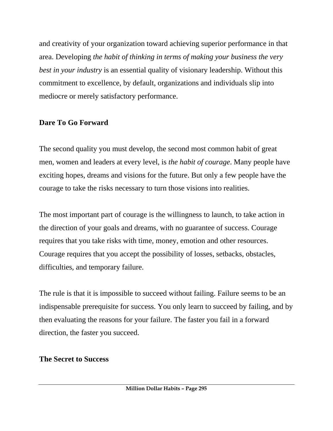and creativity of your organization toward achieving superior performance in that area. Developing *the habit of thinking in terms of making your business the very best in your industry* is an essential quality of visionary leadership. Without this commitment to excellence, by default, organizations and individuals slip into mediocre or merely satisfactory performance.

#### **Dare To Go Forward**

The second quality you must develop, the second most common habit of great men, women and leaders at every level, is *the habit of courage*. Many people have exciting hopes, dreams and visions for the future. But only a few people have the courage to take the risks necessary to turn those visions into realities.

The most important part of courage is the willingness to launch, to take action in the direction of your goals and dreams, with no guarantee of success. Courage requires that you take risks with time, money, emotion and other resources. Courage requires that you accept the possibility of losses, setbacks, obstacles, difficulties, and temporary failure.

The rule is that it is impossible to succeed without failing. Failure seems to be an indispensable prerequisite for success. You only learn to succeed by failing, and by then evaluating the reasons for your failure. The faster you fail in a forward direction, the faster you succeed.

## **The Secret to Success**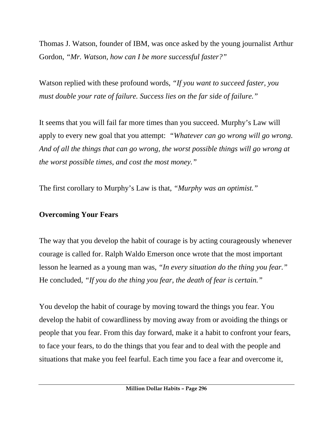Thomas J. Watson, founder of IBM, was once asked by the young journalist Arthur Gordon, *"Mr. Watson, how can I be more successful faster?"* 

Watson replied with these profound words, *"If you want to succeed faster, you must double your rate of failure. Success lies on the far side of failure."* 

It seems that you will fail far more times than you succeed. Murphy's Law will apply to every new goal that you attempt: *"Whatever can go wrong will go wrong. And of all the things that can go wrong, the worst possible things will go wrong at the worst possible times, and cost the most money."* 

The first corollary to Murphy's Law is that, *"Murphy was an optimist."* 

## **Overcoming Your Fears**

The way that you develop the habit of courage is by acting courageously whenever courage is called for. Ralph Waldo Emerson once wrote that the most important lesson he learned as a young man was, *"In every situation do the thing you fear."* He concluded, *"If you do the thing you fear, the death of fear is certain."* 

You develop the habit of courage by moving toward the things you fear. You develop the habit of cowardliness by moving away from or avoiding the things or people that you fear. From this day forward, make it a habit to confront your fears, to face your fears, to do the things that you fear and to deal with the people and situations that make you feel fearful. Each time you face a fear and overcome it,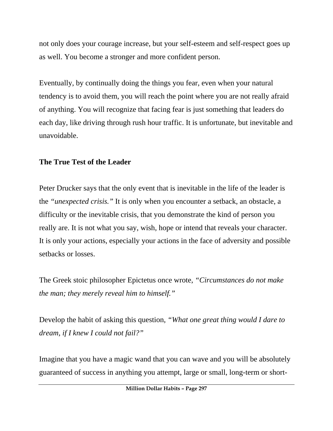not only does your courage increase, but your self-esteem and self-respect goes up as well. You become a stronger and more confident person.

Eventually, by continually doing the things you fear, even when your natural tendency is to avoid them, you will reach the point where you are not really afraid of anything. You will recognize that facing fear is just something that leaders do each day, like driving through rush hour traffic. It is unfortunate, but inevitable and unavoidable.

# **The True Test of the Leader**

Peter Drucker says that the only event that is inevitable in the life of the leader is the *"unexpected crisis."* It is only when you encounter a setback, an obstacle, a difficulty or the inevitable crisis, that you demonstrate the kind of person you really are. It is not what you say, wish, hope or intend that reveals your character. It is only your actions, especially your actions in the face of adversity and possible setbacks or losses.

The Greek stoic philosopher Epictetus once wrote, *"Circumstances do not make the man; they merely reveal him to himself."* 

Develop the habit of asking this question, *"What one great thing would I dare to dream, if I knew I could not fail?"* 

Imagine that you have a magic wand that you can wave and you will be absolutely guaranteed of success in anything you attempt, large or small, long-term or short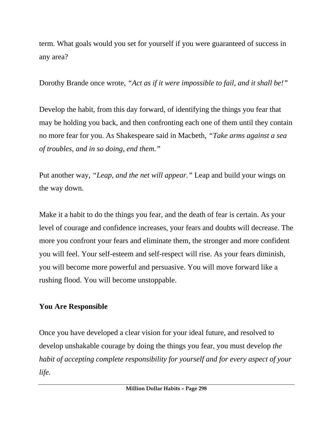term. What goals would you set for yourself if you were guaranteed of success in any area?

Dorothy Brande once wrote, *"Act as if it were impossible to fail, and it shall be!"*

Develop the habit, from this day forward, of identifying the things you fear that may be holding you back, and then confronting each one of them until they contain no more fear for you. As Shakespeare said in Macbeth, *"Take arms against a sea of troubles, and in so doing, end them."* 

Put another way, *"Leap, and the net will appear."* Leap and build your wings on the way down.

Make it a habit to do the things you fear, and the death of fear is certain. As your level of courage and confidence increases, your fears and doubts will decrease. The more you confront your fears and eliminate them, the stronger and more confident you will feel. Your self-esteem and self-respect will rise. As your fears diminish, you will become more powerful and persuasive. You will move forward like a rushing flood. You will become unstoppable.

# **You Are Responsible**

Once you have developed a clear vision for your ideal future, and resolved to develop unshakable courage by doing the things you fear, you must develop *the habit of accepting complete responsibility for yourself and for every aspect of your life.*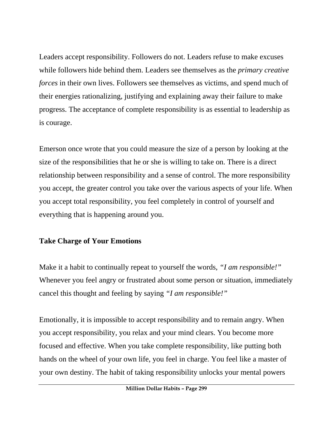Leaders accept responsibility. Followers do not. Leaders refuse to make excuses while followers hide behind them. Leaders see themselves as the *primary creative forces* in their own lives. Followers see themselves as victims, and spend much of their energies rationalizing, justifying and explaining away their failure to make progress. The acceptance of complete responsibility is as essential to leadership as is courage.

Emerson once wrote that you could measure the size of a person by looking at the size of the responsibilities that he or she is willing to take on. There is a direct relationship between responsibility and a sense of control. The more responsibility you accept, the greater control you take over the various aspects of your life. When you accept total responsibility, you feel completely in control of yourself and everything that is happening around you.

#### **Take Charge of Your Emotions**

Make it a habit to continually repeat to yourself the words, *"I am responsible!"* Whenever you feel angry or frustrated about some person or situation, immediately cancel this thought and feeling by saying *"I am responsible!"* 

Emotionally, it is impossible to accept responsibility and to remain angry. When you accept responsibility, you relax and your mind clears. You become more focused and effective. When you take complete responsibility, like putting both hands on the wheel of your own life, you feel in charge. You feel like a master of your own destiny. The habit of taking responsibility unlocks your mental powers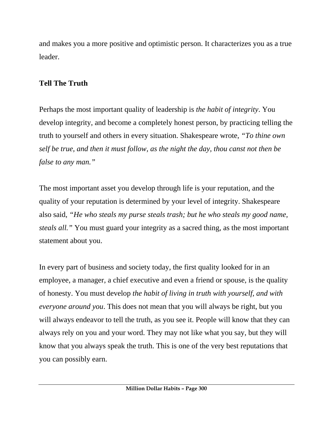and makes you a more positive and optimistic person. It characterizes you as a true leader.

# **Tell The Truth**

Perhaps the most important quality of leadership is *the habit of integrity*. You develop integrity, and become a completely honest person, by practicing telling the truth to yourself and others in every situation. Shakespeare wrote, *"To thine own self be true, and then it must follow, as the night the day, thou canst not then be false to any man."* 

The most important asset you develop through life is your reputation, and the quality of your reputation is determined by your level of integrity. Shakespeare also said, *"He who steals my purse steals trash; but he who steals my good name, steals all."* You must guard your integrity as a sacred thing, as the most important statement about you.

In every part of business and society today, the first quality looked for in an employee, a manager, a chief executive and even a friend or spouse, is the quality of honesty. You must develop *the habit of living in truth with yourself, and with everyone around you*. This does not mean that you will always be right, but you will always endeavor to tell the truth, as you see it. People will know that they can always rely on you and your word. They may not like what you say, but they will know that you always speak the truth. This is one of the very best reputations that you can possibly earn.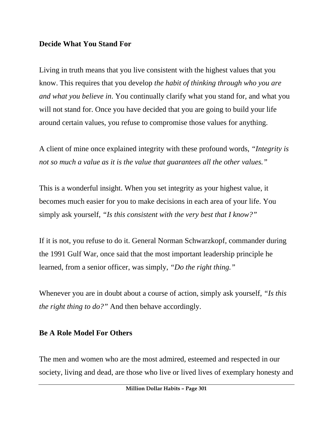#### **Decide What You Stand For**

Living in truth means that you live consistent with the highest values that you know. This requires that you develop *the habit of thinking through who you are and what you believe in*. You continually clarify what you stand for, and what you will not stand for. Once you have decided that you are going to build your life around certain values, you refuse to compromise those values for anything.

A client of mine once explained integrity with these profound words, *"Integrity is not so much a value as it is the value that guarantees all the other values."* 

This is a wonderful insight. When you set integrity as your highest value, it becomes much easier for you to make decisions in each area of your life. You simply ask yourself, *"Is this consistent with the very best that I know?"* 

If it is not, you refuse to do it. General Norman Schwarzkopf, commander during the 1991 Gulf War, once said that the most important leadership principle he learned, from a senior officer, was simply, *"Do the right thing."* 

Whenever you are in doubt about a course of action, simply ask yourself, *"Is this the right thing to do?"* And then behave accordingly.

#### **Be A Role Model For Others**

The men and women who are the most admired, esteemed and respected in our society, living and dead, are those who live or lived lives of exemplary honesty and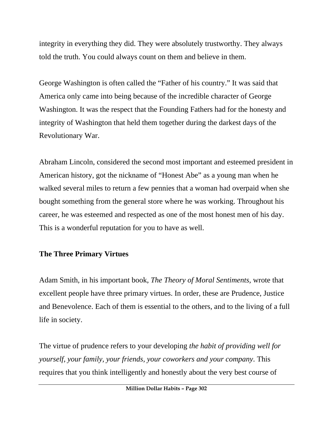integrity in everything they did. They were absolutely trustworthy. They always told the truth. You could always count on them and believe in them.

George Washington is often called the "Father of his country." It was said that America only came into being because of the incredible character of George Washington. It was the respect that the Founding Fathers had for the honesty and integrity of Washington that held them together during the darkest days of the Revolutionary War.

Abraham Lincoln, considered the second most important and esteemed president in American history, got the nickname of "Honest Abe" as a young man when he walked several miles to return a few pennies that a woman had overpaid when she bought something from the general store where he was working. Throughout his career, he was esteemed and respected as one of the most honest men of his day. This is a wonderful reputation for you to have as well.

## **The Three Primary Virtues**

Adam Smith, in his important book, *The Theory of Moral Sentiments,* wrote that excellent people have three primary virtues. In order, these are Prudence, Justice and Benevolence. Each of them is essential to the others, and to the living of a full life in society.

The virtue of prudence refers to your developing *the habit of providing well for yourself, your family, your friends, your coworkers and your company*. This requires that you think intelligently and honestly about the very best course of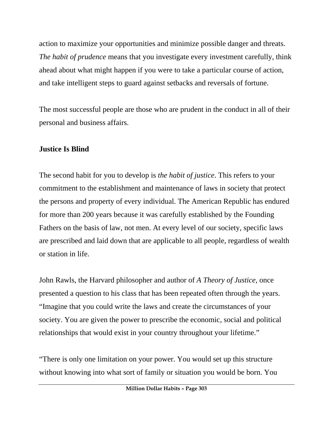action to maximize your opportunities and minimize possible danger and threats. *The habit of prudence* means that you investigate every investment carefully, think ahead about what might happen if you were to take a particular course of action, and take intelligent steps to guard against setbacks and reversals of fortune.

The most successful people are those who are prudent in the conduct in all of their personal and business affairs.

# **Justice Is Blind**

The second habit for you to develop is *the habit of justice*. This refers to your commitment to the establishment and maintenance of laws in society that protect the persons and property of every individual. The American Republic has endured for more than 200 years because it was carefully established by the Founding Fathers on the basis of law, not men. At every level of our society, specific laws are prescribed and laid down that are applicable to all people, regardless of wealth or station in life.

John Rawls, the Harvard philosopher and author of *A Theory of Justice*, once presented a question to his class that has been repeated often through the years. "Imagine that you could write the laws and create the circumstances of your society. You are given the power to prescribe the economic, social and political relationships that would exist in your country throughout your lifetime."

"There is only one limitation on your power. You would set up this structure without knowing into what sort of family or situation you would be born. You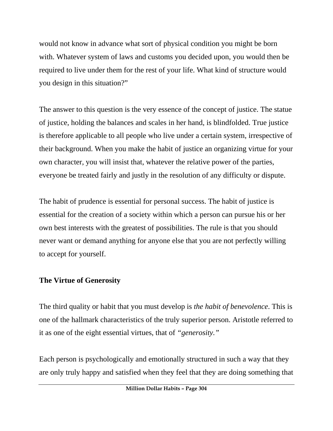would not know in advance what sort of physical condition you might be born with. Whatever system of laws and customs you decided upon, you would then be required to live under them for the rest of your life. What kind of structure would you design in this situation?"

The answer to this question is the very essence of the concept of justice. The statue of justice, holding the balances and scales in her hand, is blindfolded. True justice is therefore applicable to all people who live under a certain system, irrespective of their background. When you make the habit of justice an organizing virtue for your own character, you will insist that, whatever the relative power of the parties, everyone be treated fairly and justly in the resolution of any difficulty or dispute.

The habit of prudence is essential for personal success. The habit of justice is essential for the creation of a society within which a person can pursue his or her own best interests with the greatest of possibilities. The rule is that you should never want or demand anything for anyone else that you are not perfectly willing to accept for yourself.

# **The Virtue of Generosity**

The third quality or habit that you must develop is *the habit of benevolence*. This is one of the hallmark characteristics of the truly superior person. Aristotle referred to it as one of the eight essential virtues, that of *"generosity."*

Each person is psychologically and emotionally structured in such a way that they are only truly happy and satisfied when they feel that they are doing something that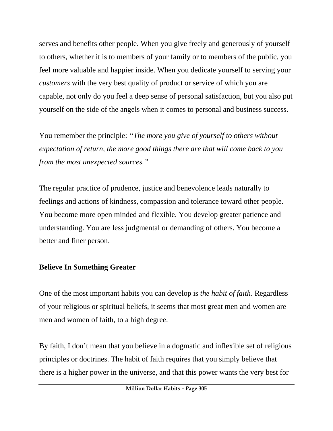serves and benefits other people. When you give freely and generously of yourself to others, whether it is to members of your family or to members of the public, you feel more valuable and happier inside. When you dedicate yourself to serving your *customers* with the very best quality of product or service of which you are capable, not only do you feel a deep sense of personal satisfaction, but you also put yourself on the side of the angels when it comes to personal and business success.

You remember the principle: *"The more you give of yourself to others without expectation of return, the more good things there are that will come back to you from the most unexpected sources."* 

The regular practice of prudence, justice and benevolence leads naturally to feelings and actions of kindness, compassion and tolerance toward other people. You become more open minded and flexible. You develop greater patience and understanding. You are less judgmental or demanding of others. You become a better and finer person.

## **Believe In Something Greater**

One of the most important habits you can develop is *the habit of faith*. Regardless of your religious or spiritual beliefs, it seems that most great men and women are men and women of faith, to a high degree.

By faith, I don't mean that you believe in a dogmatic and inflexible set of religious principles or doctrines. The habit of faith requires that you simply believe that there is a higher power in the universe, and that this power wants the very best for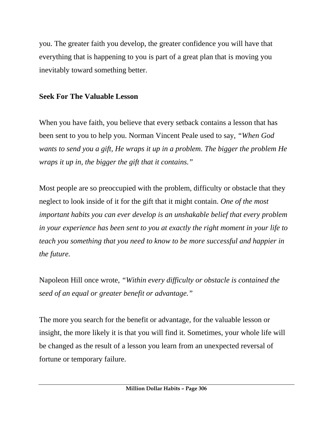you. The greater faith you develop, the greater confidence you will have that everything that is happening to you is part of a great plan that is moving you inevitably toward something better.

#### **Seek For The Valuable Lesson**

When you have faith, you believe that every setback contains a lesson that has been sent to you to help you. Norman Vincent Peale used to say, *"When God wants to send you a gift, He wraps it up in a problem. The bigger the problem He wraps it up in, the bigger the gift that it contains."* 

Most people are so preoccupied with the problem, difficulty or obstacle that they neglect to look inside of it for the gift that it might contain. *One of the most important habits you can ever develop is an unshakable belief that every problem in your experience has been sent to you at exactly the right moment in your life to teach you something that you need to know to be more successful and happier in the future.* 

Napoleon Hill once wrote, *"Within every difficulty or obstacle is contained the seed of an equal or greater benefit or advantage."* 

The more you search for the benefit or advantage, for the valuable lesson or insight, the more likely it is that you will find it. Sometimes, your whole life will be changed as the result of a lesson you learn from an unexpected reversal of fortune or temporary failure.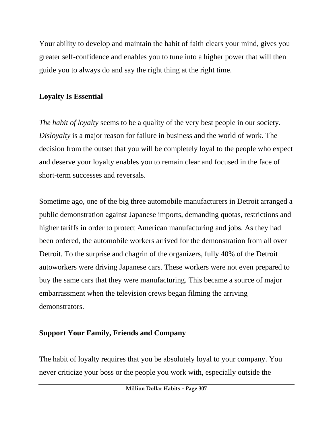Your ability to develop and maintain the habit of faith clears your mind, gives you greater self-confidence and enables you to tune into a higher power that will then guide you to always do and say the right thing at the right time.

# **Loyalty Is Essential**

*The habit of loyalty* seems to be a quality of the very best people in our society. *Disloyalty* is a major reason for failure in business and the world of work. The decision from the outset that you will be completely loyal to the people who expect and deserve your loyalty enables you to remain clear and focused in the face of short-term successes and reversals.

Sometime ago, one of the big three automobile manufacturers in Detroit arranged a public demonstration against Japanese imports, demanding quotas, restrictions and higher tariffs in order to protect American manufacturing and jobs. As they had been ordered, the automobile workers arrived for the demonstration from all over Detroit. To the surprise and chagrin of the organizers, fully 40% of the Detroit autoworkers were driving Japanese cars. These workers were not even prepared to buy the same cars that they were manufacturing. This became a source of major embarrassment when the television crews began filming the arriving demonstrators.

# **Support Your Family, Friends and Company**

The habit of loyalty requires that you be absolutely loyal to your company. You never criticize your boss or the people you work with, especially outside the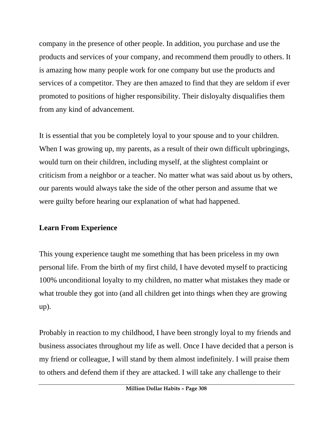company in the presence of other people. In addition, you purchase and use the products and services of your company, and recommend them proudly to others. It is amazing how many people work for one company but use the products and services of a competitor. They are then amazed to find that they are seldom if ever promoted to positions of higher responsibility. Their disloyalty disqualifies them from any kind of advancement.

It is essential that you be completely loyal to your spouse and to your children. When I was growing up, my parents, as a result of their own difficult upbringings, would turn on their children, including myself, at the slightest complaint or criticism from a neighbor or a teacher. No matter what was said about us by others, our parents would always take the side of the other person and assume that we were guilty before hearing our explanation of what had happened.

## **Learn From Experience**

This young experience taught me something that has been priceless in my own personal life. From the birth of my first child, I have devoted myself to practicing 100% unconditional loyalty to my children, no matter what mistakes they made or what trouble they got into (and all children get into things when they are growing up).

Probably in reaction to my childhood, I have been strongly loyal to my friends and business associates throughout my life as well. Once I have decided that a person is my friend or colleague, I will stand by them almost indefinitely. I will praise them to others and defend them if they are attacked. I will take any challenge to their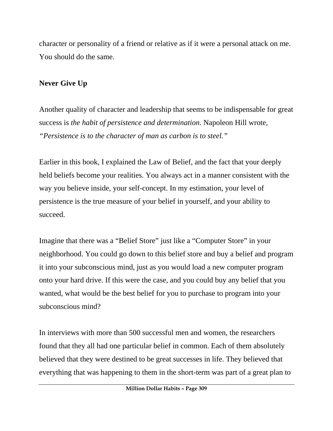character or personality of a friend or relative as if it were a personal attack on me. You should do the same.

# **Never Give Up**

Another quality of character and leadership that seems to be indispensable for great success is *the habit of persistence and determination*. Napoleon Hill wrote, *"Persistence is to the character of man as carbon is to steel."* 

Earlier in this book, I explained the Law of Belief, and the fact that your deeply held beliefs become your realities. You always act in a manner consistent with the way you believe inside, your self-concept. In my estimation, your level of persistence is the true measure of your belief in yourself, and your ability to succeed.

Imagine that there was a "Belief Store" just like a "Computer Store" in your neighborhood. You could go down to this belief store and buy a belief and program it into your subconscious mind, just as you would load a new computer program onto your hard drive. If this were the case, and you could buy any belief that you wanted, what would be the best belief for you to purchase to program into your subconscious mind?

In interviews with more than 500 successful men and women, the researchers found that they all had one particular belief in common. Each of them absolutely believed that they were destined to be great successes in life. They believed that everything that was happening to them in the short-term was part of a great plan to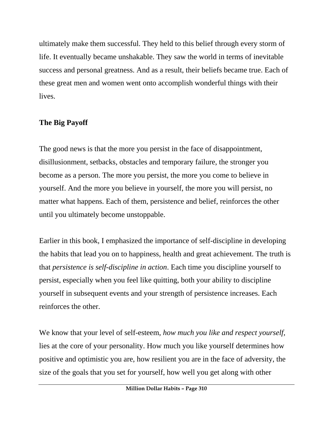ultimately make them successful. They held to this belief through every storm of life. It eventually became unshakable. They saw the world in terms of inevitable success and personal greatness. And as a result, their beliefs became true. Each of these great men and women went onto accomplish wonderful things with their lives.

# **The Big Payoff**

The good news is that the more you persist in the face of disappointment, disillusionment, setbacks, obstacles and temporary failure, the stronger you become as a person. The more you persist, the more you come to believe in yourself. And the more you believe in yourself, the more you will persist, no matter what happens. Each of them, persistence and belief, reinforces the other until you ultimately become unstoppable.

Earlier in this book, I emphasized the importance of self-discipline in developing the habits that lead you on to happiness, health and great achievement. The truth is that *persistence is self-discipline in action*. Each time you discipline yourself to persist, especially when you feel like quitting, both your ability to discipline yourself in subsequent events and your strength of persistence increases. Each reinforces the other.

We know that your level of self-esteem, *how much you like and respect yourself,* lies at the core of your personality. How much you like yourself determines how positive and optimistic you are, how resilient you are in the face of adversity, the size of the goals that you set for yourself, how well you get along with other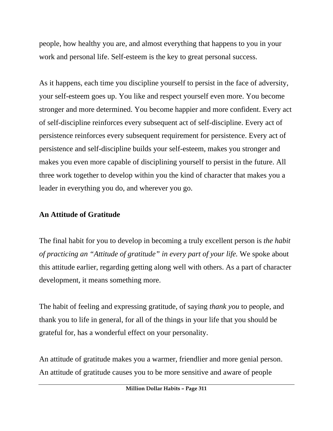people, how healthy you are, and almost everything that happens to you in your work and personal life. Self-esteem is the key to great personal success.

As it happens, each time you discipline yourself to persist in the face of adversity, your self-esteem goes up. You like and respect yourself even more. You become stronger and more determined. You become happier and more confident. Every act of self-discipline reinforces every subsequent act of self-discipline. Every act of persistence reinforces every subsequent requirement for persistence. Every act of persistence and self-discipline builds your self-esteem, makes you stronger and makes you even more capable of disciplining yourself to persist in the future. All three work together to develop within you the kind of character that makes you a leader in everything you do, and wherever you go.

# **An Attitude of Gratitude**

The final habit for you to develop in becoming a truly excellent person is *the habit of practicing an "Attitude of gratitude" in every part of your life.* We spoke about this attitude earlier, regarding getting along well with others. As a part of character development, it means something more.

The habit of feeling and expressing gratitude, of saying *thank you* to people, and thank you to life in general, for all of the things in your life that you should be grateful for, has a wonderful effect on your personality.

An attitude of gratitude makes you a warmer, friendlier and more genial person. An attitude of gratitude causes you to be more sensitive and aware of people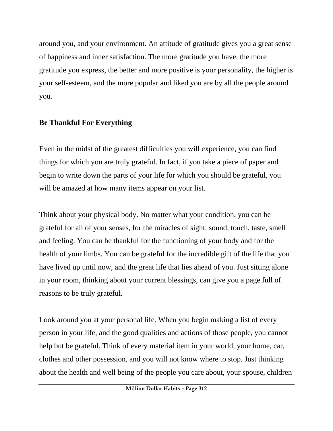around you, and your environment. An attitude of gratitude gives you a great sense of happiness and inner satisfaction. The more gratitude you have, the more gratitude you express, the better and more positive is your personality, the higher is your self-esteem, and the more popular and liked you are by all the people around you.

## **Be Thankful For Everything**

Even in the midst of the greatest difficulties you will experience, you can find things for which you are truly grateful. In fact, if you take a piece of paper and begin to write down the parts of your life for which you should be grateful, you will be amazed at how many items appear on your list.

Think about your physical body. No matter what your condition, you can be grateful for all of your senses, for the miracles of sight, sound, touch, taste, smell and feeling. You can be thankful for the functioning of your body and for the health of your limbs. You can be grateful for the incredible gift of the life that you have lived up until now, and the great life that lies ahead of you. Just sitting alone in your room, thinking about your current blessings, can give you a page full of reasons to be truly grateful.

Look around you at your personal life. When you begin making a list of every person in your life, and the good qualities and actions of those people, you cannot help but be grateful. Think of every material item in your world, your home, car, clothes and other possession, and you will not know where to stop. Just thinking about the health and well being of the people you care about, your spouse, children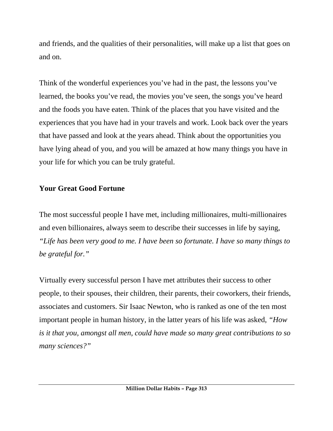and friends, and the qualities of their personalities, will make up a list that goes on and on.

Think of the wonderful experiences you've had in the past, the lessons you've learned, the books you've read, the movies you've seen, the songs you've heard and the foods you have eaten. Think of the places that you have visited and the experiences that you have had in your travels and work. Look back over the years that have passed and look at the years ahead. Think about the opportunities you have lying ahead of you, and you will be amazed at how many things you have in your life for which you can be truly grateful.

# **Your Great Good Fortune**

The most successful people I have met, including millionaires, multi-millionaires and even billionaires, always seem to describe their successes in life by saying, *"Life has been very good to me. I have been so fortunate. I have so many things to be grateful for."* 

Virtually every successful person I have met attributes their success to other people, to their spouses, their children, their parents, their coworkers, their friends, associates and customers. Sir Isaac Newton, who is ranked as one of the ten most important people in human history, in the latter years of his life was asked, *"How is it that you, amongst all men, could have made so many great contributions to so many sciences?"*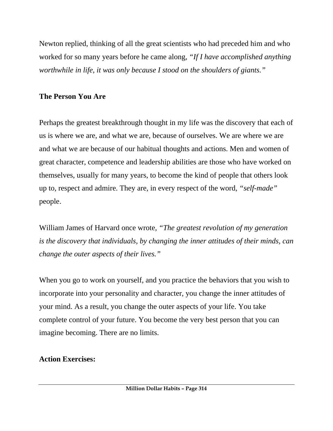Newton replied, thinking of all the great scientists who had preceded him and who worked for so many years before he came along, *"If I have accomplished anything worthwhile in life, it was only because I stood on the shoulders of giants."* 

#### **The Person You Are**

Perhaps the greatest breakthrough thought in my life was the discovery that each of us is where we are, and what we are, because of ourselves. We are where we are and what we are because of our habitual thoughts and actions. Men and women of great character, competence and leadership abilities are those who have worked on themselves, usually for many years, to become the kind of people that others look up to, respect and admire. They are, in every respect of the word, *"self-made"* people.

William James of Harvard once wrote, *"The greatest revolution of my generation is the discovery that individuals, by changing the inner attitudes of their minds, can change the outer aspects of their lives."* 

When you go to work on yourself, and you practice the behaviors that you wish to incorporate into your personality and character, you change the inner attitudes of your mind. As a result, you change the outer aspects of your life. You take complete control of your future. You become the very best person that you can imagine becoming. There are no limits.

## **Action Exercises:**